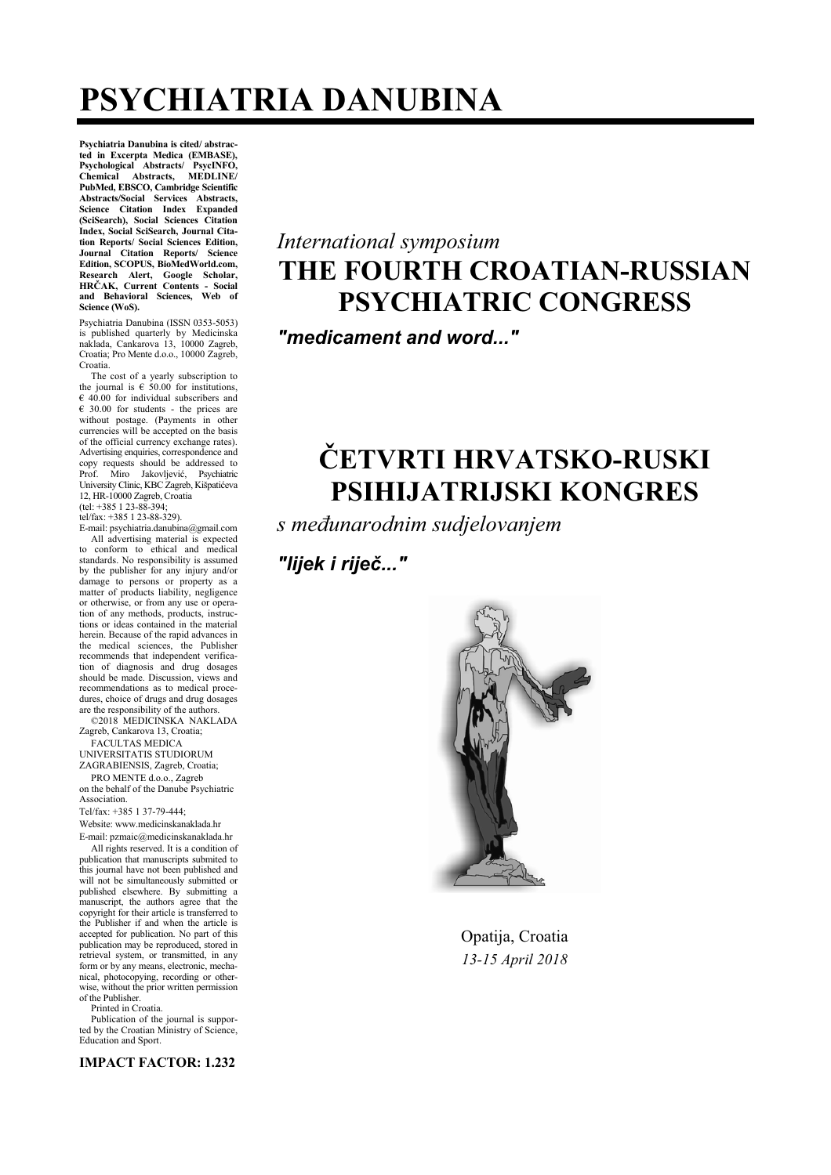# **PSYCHIATRIA DANUBINA**

**Psychiatria Danubina is cited/ abstracted in Excerpta Medica (EMBASE), Psychological Abstracts/ PsycINFO, Chemical Abstracts, MEDLINE/ PubMed, EBSCO, Cambridge Scientific Abstracts/Social Services Abstracts, Science Citation Index Expanded (SciSearch), Social Sciences Citation Index, Social SciSearch, Journal Citation Reports/ Social Sciences Edition, Journal Citation Reports/ Science Edition, SCOPUS, BioMedWorld.com, Research Alert, Google Scholar, HRýAK, Current Contents - Social and Behavioral Sciences, Web of Science (WoS).** 

Psychiatria Danubina (ISSN 0353-5053) is published quarterly by Medicinska naklada, Cankarova 13, 10000 Zagreb, Croatia; Pro Mente d.o.o., 10000 Zagreb, Croatia.

The cost of a yearly subscription to the journal is  $\epsilon$  50.00 for institutions,  $\epsilon$  40.00 for individual subscribers and € 30.00 for students - the prices are without postage. (Payments in other currencies will be accepted on the basis of the official currency exchange rates). Advertising enquiries, correspondence and copy requests should be addressed to<br>Prof. Miro Jakovljević, Psychiatric University Clinic, KBC Zagreb, Kišpatićeva 12, HR-10000 Zagreb, Croatia (tel: +385 1 23-88-394;

tel/fax:  $+385$  1 23-88-329).

E-mail: psychiatria.danubina@gmail.com All advertising material is expected to conform to ethical and medical standards. No responsibility is assumed by the publisher for any injury and/or damage to persons or property as a matter of products liability, negligence or otherwise, or from any use or operation of any methods, products, instructions or ideas contained in the material herein. Because of the rapid advances in the medical sciences, the Publisher recommends that independent verification of diagnosis and drug dosages should be made. Discussion, views and recommendations as to medical procedures, choice of drugs and drug dosages are the responsibility of the authors.

©2018 MEDICINSKA NAKLADA Zagreb, Cankarova 13, Croatia;

FACULTAS MEDICA UNIVERSITATIS STUDIORUM ZAGRABIENSIS, Zagreb, Croatia;

PRO MENTE d.o.o., Zagreb on the behalf of the Danube Psychiatric Association.

Tel/fax: +385 1 37-79-444;

Website: www.medicinskanaklada.hr E-mail: pzmaic@medicinskanaklada.hr

All rights reserved. It is a condition of publication that manuscripts submited to this journal have not been published and will not be simultaneously submitted or published elsewhere. By submitting a manuscript, the authors agree that the copyright for their article is transferred to the Publisher if and when the article is accepted for publication. No part of this publication may be reproduced, stored in retrieval system, or transmitted, in any form or by any means, electronic, mechanical, photocopying, recording or otherwise, without the prior written permission of the Publisher.

Printed in Croatia.

Publication of the journal is supported by the Croatian Ministry of Science, Education and Sport.

#### **IMPACT FACTOR: 1.232**

# *International symposium*  **THE FOURTH CROATIAN-RUSSIAN PSYCHIATRIC CONGRESS**

*"medicament and word..."*

# **ýETVRTI HRVATSKO-RUSKI PSIHIJATRIJSKI KONGRES**

*s meÿunarodnim sudjelovanjem* 

*"lijek i rijeþ..."*



Opatija, Croatia *13-15 April 2018*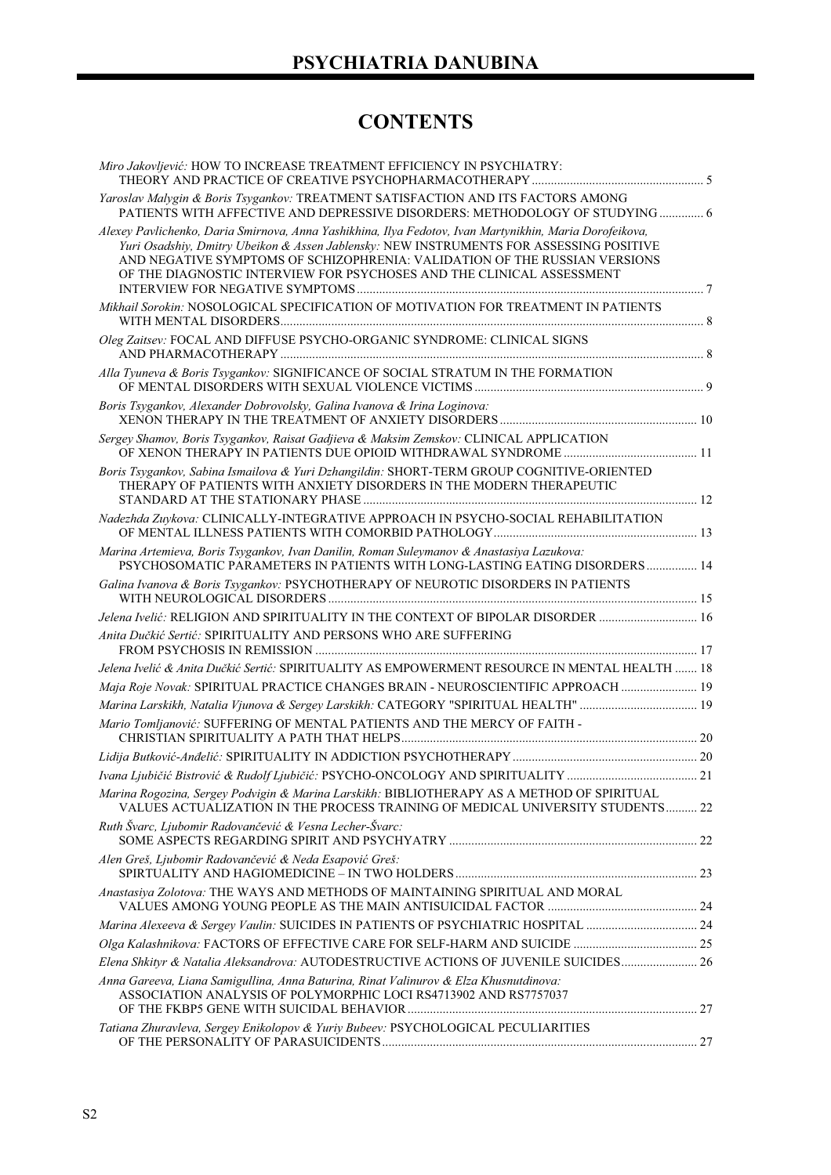# **CONTENTS**

| Miro Jakovljević: HOW TO INCREASE TREATMENT EFFICIENCY IN PSYCHIATRY:                                                                                                                                                                                                                                                                                     |  |
|-----------------------------------------------------------------------------------------------------------------------------------------------------------------------------------------------------------------------------------------------------------------------------------------------------------------------------------------------------------|--|
| Yaroslav Malygin & Boris Tsygankov: TREATMENT SATISFACTION AND ITS FACTORS AMONG<br>PATIENTS WITH AFFECTIVE AND DEPRESSIVE DISORDERS: METHODOLOGY OF STUDYING  6                                                                                                                                                                                          |  |
| Alexey Pavlichenko, Daria Smirnova, Anna Yashikhina, Ilya Fedotov, Ivan Martynikhin, Maria Dorofeikova,<br>Yuri Osadshiy, Dmitry Ubeikon & Assen Jablensky: NEW INSTRUMENTS FOR ASSESSING POSITIVE<br>AND NEGATIVE SYMPTOMS OF SCHIZOPHRENIA: VALIDATION OF THE RUSSIAN VERSIONS<br>OF THE DIAGNOSTIC INTERVIEW FOR PSYCHOSES AND THE CLINICAL ASSESSMENT |  |
| Mikhail Sorokin: NOSOLOGICAL SPECIFICATION OF MOTIVATION FOR TREATMENT IN PATIENTS                                                                                                                                                                                                                                                                        |  |
| $Oleg$ Zaitsev: FOCAL AND DIFFUSE PSYCHO-ORGANIC SYNDROME: CLINICAL SIGNS                                                                                                                                                                                                                                                                                 |  |
| Alla Tyuneva & Boris Tsygankov: SIGNIFICANCE OF SOCIAL STRATUM IN THE FORMATION                                                                                                                                                                                                                                                                           |  |
| Boris Tsygankov, Alexander Dobrovolsky, Galina Ivanova & Irina Loginova:                                                                                                                                                                                                                                                                                  |  |
| Sergey Shamov, Boris Tsygankov, Raisat Gadjieva & Maksim Zemskov: CLINICAL APPLICATION                                                                                                                                                                                                                                                                    |  |
| Boris Tsygankov, Sabina Ismailova & Yuri Dzhangildin: SHORT-TERM GROUP COGNITIVE-ORIENTED<br>THERAPY OF PATIENTS WITH ANXIETY DISORDERS IN THE MODERN THERAPEUTIC                                                                                                                                                                                         |  |
| Nadezhda Zuykova: CLINICALLY-INTEGRATIVE APPROACH IN PSYCHO-SOCIAL REHABILITATION                                                                                                                                                                                                                                                                         |  |
| Marina Artemieva, Boris Tsygankov, Ivan Danilin, Roman Suleymanov & Anastasiya Lazukova:<br>PSYCHOSOMATIC PARAMETERS IN PATIENTS WITH LONG-LASTING EATING DISORDERS 14                                                                                                                                                                                    |  |
| Galina Ivanova & Boris Tsygankov: PSYCHOTHERAPY OF NEUROTIC DISORDERS IN PATIENTS                                                                                                                                                                                                                                                                         |  |
| Jelena Ivelić: RELIGION AND SPIRITUALITY IN THE CONTEXT OF BIPOLAR DISORDER  16                                                                                                                                                                                                                                                                           |  |
| Anita Dučkić Sertić: SPIRITUALITY AND PERSONS WHO ARE SUFFERING                                                                                                                                                                                                                                                                                           |  |
| Jelena Ivelić & Anita Dučkić Sertić: SPIRITUALITY AS EMPOWERMENT RESOURCE IN MENTAL HEALTH  18                                                                                                                                                                                                                                                            |  |
| Maja Roje Novak: SPIRITUAL PRACTICE CHANGES BRAIN - NEUROSCIENTIFIC APPROACH  19                                                                                                                                                                                                                                                                          |  |
| Marina Larskikh, Natalia Vjunova & Sergey Larskikh: CATEGORY "SPIRITUAL HEALTH"  19                                                                                                                                                                                                                                                                       |  |
| Mario Tomljanović: SUFFERING OF MENTAL PATIENTS AND THE MERCY OF FAITH -                                                                                                                                                                                                                                                                                  |  |
|                                                                                                                                                                                                                                                                                                                                                           |  |
|                                                                                                                                                                                                                                                                                                                                                           |  |
| Marina Rogozina, Sergey Podvigin & Marina Larskikh: BIBLIOTHERAPY AS A METHOD OF SPIRITUAL<br>VALUES ACTUALIZATION IN THE PROCESS TRAINING OF MEDICAL UNIVERSITY STUDENTS 22                                                                                                                                                                              |  |
| Ruth Švarc, Ljubomir Radovančević & Vesna Lecher-Švarc:                                                                                                                                                                                                                                                                                                   |  |
| Alen Greš, Ljubomir Radovančević & Neda Esapović Greš:                                                                                                                                                                                                                                                                                                    |  |
| Anastasiya Zolotova: THE WAYS AND METHODS OF MAINTAINING SPIRITUAL AND MORAL                                                                                                                                                                                                                                                                              |  |
| Marina Alexeeva & Sergey Vaulin: SUICIDES IN PATIENTS OF PSYCHIATRIC HOSPITAL  24                                                                                                                                                                                                                                                                         |  |
|                                                                                                                                                                                                                                                                                                                                                           |  |
| Elena Shkityr & Natalia Aleksandrova: AUTODESTRUCTIVE ACTIONS OF JUVENILE SUICIDES 26                                                                                                                                                                                                                                                                     |  |
| Anna Gareeva, Liana Samigullina, Anna Baturina, Rinat Valinurov & Elza Khusnutdinova:<br>ASSOCIATION ANALYSIS OF POLYMORPHIC LOCI RS4713902 AND RS7757037                                                                                                                                                                                                 |  |
| Tatiana Zhuravleva, Sergey Enikolopov & Yuriy Bubeev: PSYCHOLOGICAL PECULIARITIES                                                                                                                                                                                                                                                                         |  |
|                                                                                                                                                                                                                                                                                                                                                           |  |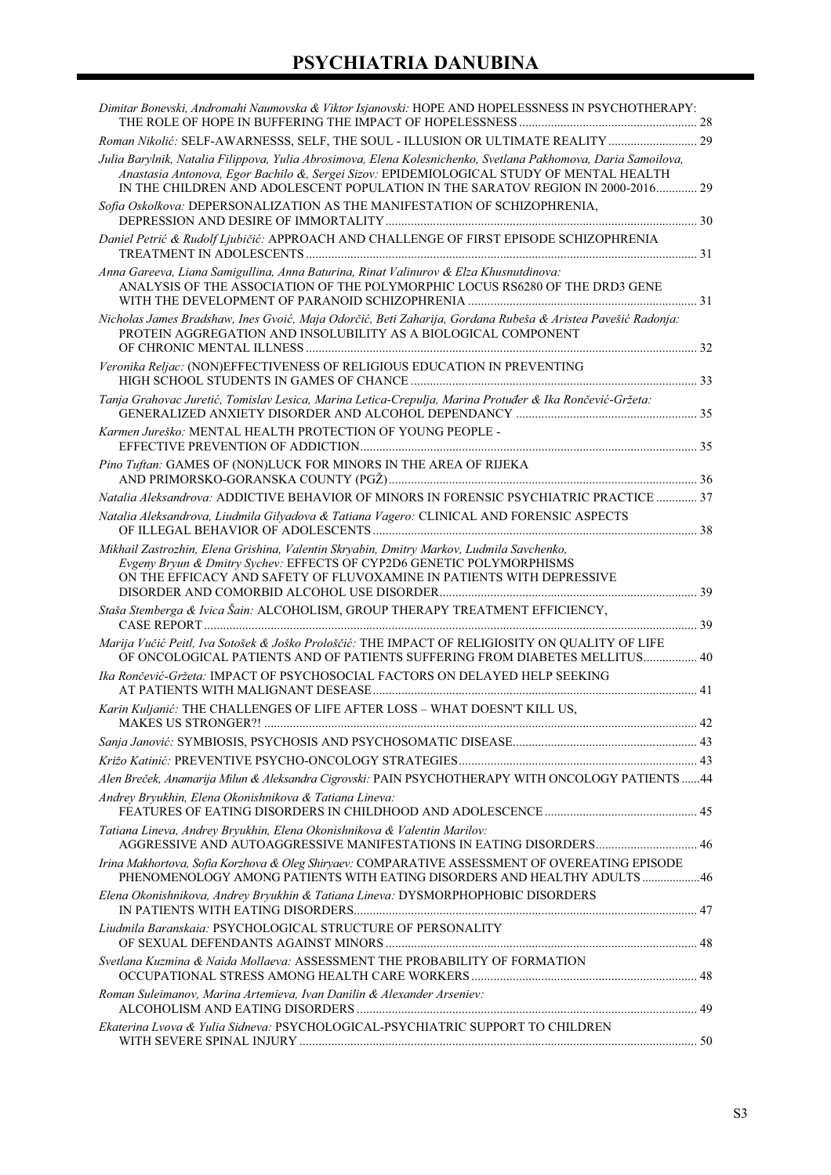| Dimitar Bonevski, Andromahi Naumovska & Viktor Isjanovski: HOPE AND HOPELESSNESS IN PSYCHOTHERAPY:                                                                                                                                                                                            |  |
|-----------------------------------------------------------------------------------------------------------------------------------------------------------------------------------------------------------------------------------------------------------------------------------------------|--|
| Roman Nikolić: SELF-AWARNESSS, SELF, THE SOUL - ILLUSION OR ULTIMATE REALITY  29                                                                                                                                                                                                              |  |
| Julia Barylnik, Natalia Filippova, Yulia Abrosimova, Elena Kolesnichenko, Svetlana Pakhomova, Daria Samoilova,<br>Anastasia Antonova, Egor Bachilo &, Sergei Sizov: EPIDEMIOLOGICAL STUDY OF MENTAL HEALTH<br>IN THE CHILDREN AND ADOLESCENT POPULATION IN THE SARATOV REGION IN 2000-2016 29 |  |
| Sofia Oskolkova: DEPERSONALIZATION AS THE MANIFESTATION OF SCHIZOPHRENIA,                                                                                                                                                                                                                     |  |
| Daniel Petrić & Rudolf Ljubičić: APPROACH AND CHALLENGE OF FIRST EPISODE SCHIZOPHRENIA                                                                                                                                                                                                        |  |
| Anna Gareeva, Liana Samigullina, Anna Baturina, Rinat Valinurov & Elza Khusnutdinova:<br>ANALYSIS OF THE ASSOCIATION OF THE POLYMORPHIC LOCUS RS6280 OF THE DRD3 GENE                                                                                                                         |  |
| Nicholas James Bradshaw, Ines Gvoić, Maja Odorčić, Beti Zaharija, Gordana Rubeša & Aristea Pavešić Radonja:<br>PROTEIN AGGREGATION AND INSOLUBILITY AS A BIOLOGICAL COMPONENT                                                                                                                 |  |
| Veronika Reljac: (NON)EFFECTIVENESS OF RELIGIOUS EDUCATION IN PREVENTING                                                                                                                                                                                                                      |  |
| Tanja Grahovac Juretić, Tomislav Lesica, Marina Letica-Crepulja, Marina Protuđer & Ika Rončević-Gržeta:                                                                                                                                                                                       |  |
| Karmen Jureško: MENTAL HEALTH PROTECTION OF YOUNG PEOPLE -                                                                                                                                                                                                                                    |  |
| Pino Tuftan: GAMES OF (NON)LUCK FOR MINORS IN THE AREA OF RIJEKA                                                                                                                                                                                                                              |  |
| Natalia Aleksandrova: ADDICTIVE BEHAVIOR OF MINORS IN FORENSIC PSYCHIATRIC PRACTICE  37                                                                                                                                                                                                       |  |
| Natalia Aleksandrova, Liudmila Gilyadova & Tatiana Vagero: CLINICAL AND FORENSIC ASPECTS                                                                                                                                                                                                      |  |
| Mikhail Zastrozhin, Elena Grishina, Valentin Skryabin, Dmitry Markov, Ludmila Savchenko,<br>Evgeny Bryun & Dmitry Sychev: EFFECTS OF CYP2D6 GENETIC POLYMORPHISMS<br>ON THE EFFICACY AND SAFETY OF FLUVOXAMINE IN PATIENTS WITH DEPRESSIVE                                                    |  |
| Staša Stemberga & Ivica Šain: ALCOHOLISM, GROUP THERAPY TREATMENT EFFICIENCY,                                                                                                                                                                                                                 |  |
| Marija Vučić Peitl, Iva Sotošek & Joško Prološčić: THE IMPACT OF RELIGIOSITY ON QUALITY OF LIFE<br>OF ONCOLOGICAL PATIENTS AND OF PATIENTS SUFFERING FROM DIABETES MELLITUS 40                                                                                                                |  |
| Ika Rončević-Gržeta: IMPACT OF PSYCHOSOCIAL FACTORS ON DELAYED HELP SEEKING                                                                                                                                                                                                                   |  |
| Karin Kuljanić: THE CHALLENGES OF LIFE AFTER LOSS - WHAT DOESN'T KILL US,                                                                                                                                                                                                                     |  |
|                                                                                                                                                                                                                                                                                               |  |
|                                                                                                                                                                                                                                                                                               |  |
| Alen Breček, Anamarija Milun & Aleksandra Cigrovski: PAIN PSYCHOTHERAPY WITH ONCOLOGY PATIENTS  44                                                                                                                                                                                            |  |
| Andrey Bryukhin, Elena Okonishnikova & Tatiana Lineva:                                                                                                                                                                                                                                        |  |
| Tatiana Lineva, Andrey Bryukhin, Elena Okonishnikova & Valentin Marilov:                                                                                                                                                                                                                      |  |
| Irina Makhortova, Sofia Korzhova & Oleg Shiryaev: COMPARATIVE ASSESSMENT OF OVEREATING EPISODE<br>PHENOMENOLOGY AMONG PATIENTS WITH EATING DISORDERS AND HEALTHY ADULTS 46                                                                                                                    |  |
| Elena Okonishnikova, Andrey Bryukhin & Tatiana Lineva: DYSMORPHOPHOBIC DISORDERS                                                                                                                                                                                                              |  |
| Liudmila Baranskaia: PSYCHOLOGICAL STRUCTURE OF PERSONALITY                                                                                                                                                                                                                                   |  |
| Svetlana Kuzmina & Naida Mollaeva: ASSESSMENT THE PROBABILITY OF FORMATION                                                                                                                                                                                                                    |  |
| Roman Suleimanov, Marina Artemieva, Ivan Danilin & Alexander Arseniev:                                                                                                                                                                                                                        |  |
| Ekaterina Lvova & Yulia Sidneva: PSYCHOLOGICAL-PSYCHIATRIC SUPPORT TO CHILDREN                                                                                                                                                                                                                |  |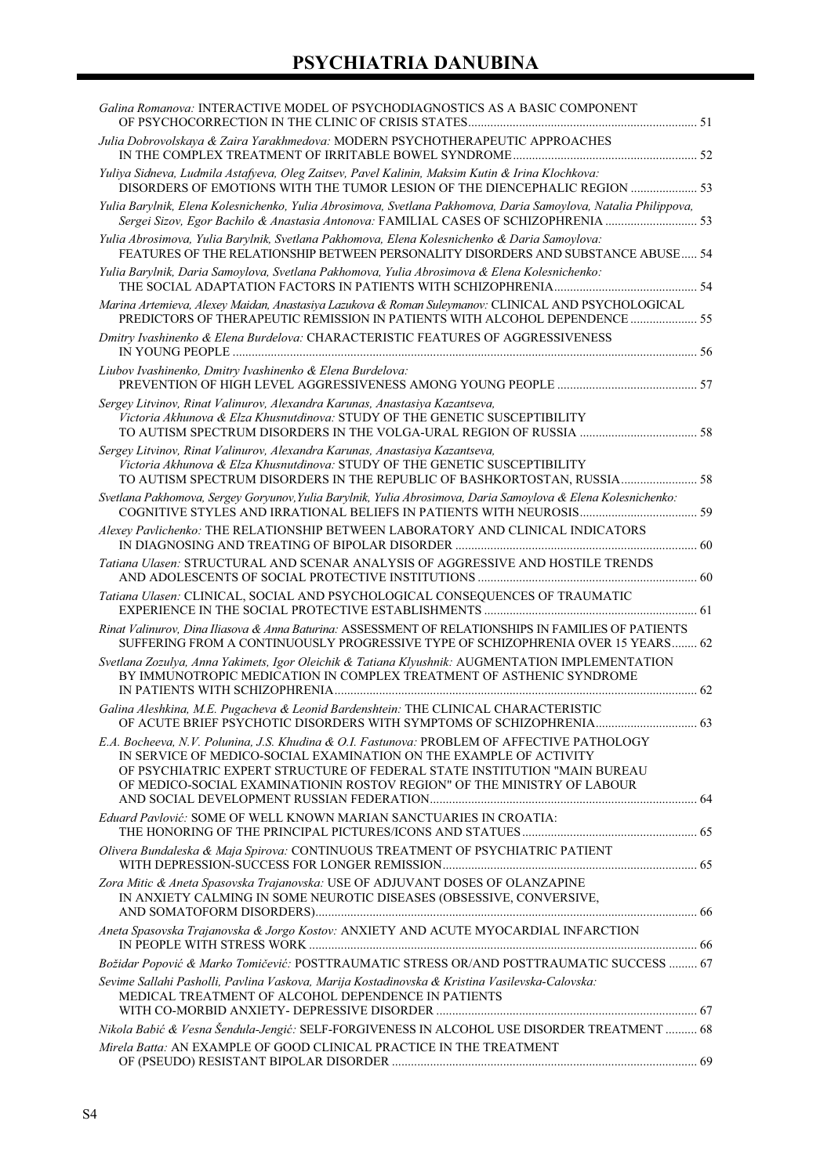| Galina Romanova: INTERACTIVE MODEL OF PSYCHODIAGNOSTICS AS A BASIC COMPONENT                                                                                                                                                                                                                                              |  |
|---------------------------------------------------------------------------------------------------------------------------------------------------------------------------------------------------------------------------------------------------------------------------------------------------------------------------|--|
| Julia Dobrovolskaya & Zaira Yarakhmedova: MODERN PSYCHOTHERAPEUTIC APPROACHES                                                                                                                                                                                                                                             |  |
| Yuliya Sidneva, Ludmila Astafyeva, Oleg Zaitsev, Pavel Kalinin, Maksim Kutin & Irina Klochkova:<br>DISORDERS OF EMOTIONS WITH THE TUMOR LESION OF THE DIENCEPHALIC REGION  53                                                                                                                                             |  |
| Yulia Barylnik, Elena Kolesnichenko, Yulia Abrosimova, Svetlana Pakhomova, Daria Samoylova, Natalia Philippova,<br>Sergei Sizov, Egor Bachilo & Anastasia Antonova: FAMILIAL CASES OF SCHIZOPHRENIA  53                                                                                                                   |  |
| Yulia Abrosimova, Yulia Barylnik, Svetlana Pakhomova, Elena Kolesnichenko & Daria Samoylova:<br>FEATURES OF THE RELATIONSHIP BETWEEN PERSONALITY DISORDERS AND SUBSTANCE ABUSE 54                                                                                                                                         |  |
| Yulia Barylnik, Daria Samoylova, Svetlana Pakhomova, Yulia Abrosimova & Elena Kolesnichenko:                                                                                                                                                                                                                              |  |
| Marina Artemieva, Alexey Maidan, Anastasiya Lazukova & Roman Suleymanov: CLINICAL AND PSYCHOLOGICAL<br>PREDICTORS OF THERAPEUTIC REMISSION IN PATIENTS WITH ALCOHOL DEPENDENCE  55                                                                                                                                        |  |
| Dmitry Ivashinenko & Elena Burdelova: CHARACTERISTIC FEATURES OF AGGRESSIVENESS                                                                                                                                                                                                                                           |  |
| Liubov Ivashinenko, Dmitry Ivashinenko & Elena Burdelova:                                                                                                                                                                                                                                                                 |  |
| Sergey Litvinov, Rinat Valinurov, Alexandra Karunas, Anastasiya Kazantseva,<br>Victoria Akhunova & Elza Khusnutdinova: STUDY OF THE GENETIC SUSCEPTIBILITY                                                                                                                                                                |  |
| Sergey Litvinov, Rinat Valinurov, Alexandra Karunas, Anastasiya Kazantseva,<br>Victoria Akhunova & Elza Khusnutdinova: STUDY OF THE GENETIC SUSCEPTIBILITY<br>TO AUTISM SPECTRUM DISORDERS IN THE REPUBLIC OF BASHKORTOSTAN, RUSSIA 58                                                                                    |  |
| Svetlana Pakhomova, Sergey Goryunov, Yulia Barylnik, Yulia Abrosimova, Daria Samoylova & Elena Kolesnichenko:                                                                                                                                                                                                             |  |
| Alexey Pavlichenko: THE RELATIONSHIP BETWEEN LABORATORY AND CLINICAL INDICATORS                                                                                                                                                                                                                                           |  |
| Tatiana Ulasen: STRUCTURAL AND SCENAR ANALYSIS OF AGGRESSIVE AND HOSTILE TRENDS                                                                                                                                                                                                                                           |  |
| Tatiana Ulasen: CLINICAL, SOCIAL AND PSYCHOLOGICAL CONSEQUENCES OF TRAUMATIC                                                                                                                                                                                                                                              |  |
| Rinat Valinurov, Dina Iliasova & Anna Baturina: ASSESSMENT OF RELATIONSHIPS IN FAMILIES OF PATIENTS<br>SUFFERING FROM A CONTINUOUSLY PROGRESSIVE TYPE OF SCHIZOPHRENIA OVER 15 YEARS 62                                                                                                                                   |  |
| Svetlana Zozulya, Anna Yakimets, Igor Oleichik & Tatiana Klyushnik: AUGMENTATION IMPLEMENTATION<br>BY IMMUNOTROPIC MEDICATION IN COMPLEX TREATMENT OF ASTHENIC SYNDROME                                                                                                                                                   |  |
| Galina Aleshkina, M.E. Pugacheva & Leonid Bardenshtein: THE CLINICAL CHARACTERISTIC<br>OF ACUTE BRIEF PSYCHOTIC DISORDERS WITH SYMPTOMS OF SCHIZOPHRENIA 63                                                                                                                                                               |  |
| E.A. Bocheeva, N.V. Polunina, J.S. Khudina & O.I. Fastunova: PROBLEM OF AFFECTIVE PATHOLOGY<br>IN SERVICE OF MEDICO-SOCIAL EXAMINATION ON THE EXAMPLE OF ACTIVITY<br>OF PSYCHIATRIC EXPERT STRUCTURE OF FEDERAL STATE INSTITUTION "MAIN BUREAU<br>OF MEDICO-SOCIAL EXAMINATIONIN ROSTOV REGION" OF THE MINISTRY OF LABOUR |  |
| Eduard Pavlović: SOME OF WELL KNOWN MARIAN SANCTUARIES IN CROATIA:                                                                                                                                                                                                                                                        |  |
| Olivera Bundaleska & Maja Spirova: CONTINUOUS TREATMENT OF PSYCHIATRIC PATIENT                                                                                                                                                                                                                                            |  |
| Zora Mitic & Aneta Spasovska Trajanovska: USE OF ADJUVANT DOSES OF OLANZAPINE<br>IN ANXIETY CALMING IN SOME NEUROTIC DISEASES (OBSESSIVE, CONVERSIVE,                                                                                                                                                                     |  |
| Aneta Spasovska Trajanovska & Jorgo Kostov: ANXIETY AND ACUTE MYOCARDIAL INFARCTION                                                                                                                                                                                                                                       |  |
| Božidar Popović & Marko Tomičević: POSTTRAUMATIC STRESS OR/AND POSTTRAUMATIC SUCCESS  67                                                                                                                                                                                                                                  |  |
| Sevime Sallahi Pasholli, Pavlina Vaskova, Marija Kostadinovska & Kristina Vasilevska-Calovska:<br>MEDICAL TREATMENT OF ALCOHOL DEPENDENCE IN PATIENTS                                                                                                                                                                     |  |
|                                                                                                                                                                                                                                                                                                                           |  |
| Nikola Babić & Vesna Šendula-Jengić: SELF-FORGIVENESS IN ALCOHOL USE DISORDER TREATMENT  68<br>Mirela Batta: AN EXAMPLE OF GOOD CLINICAL PRACTICE IN THE TREATMENT                                                                                                                                                        |  |
|                                                                                                                                                                                                                                                                                                                           |  |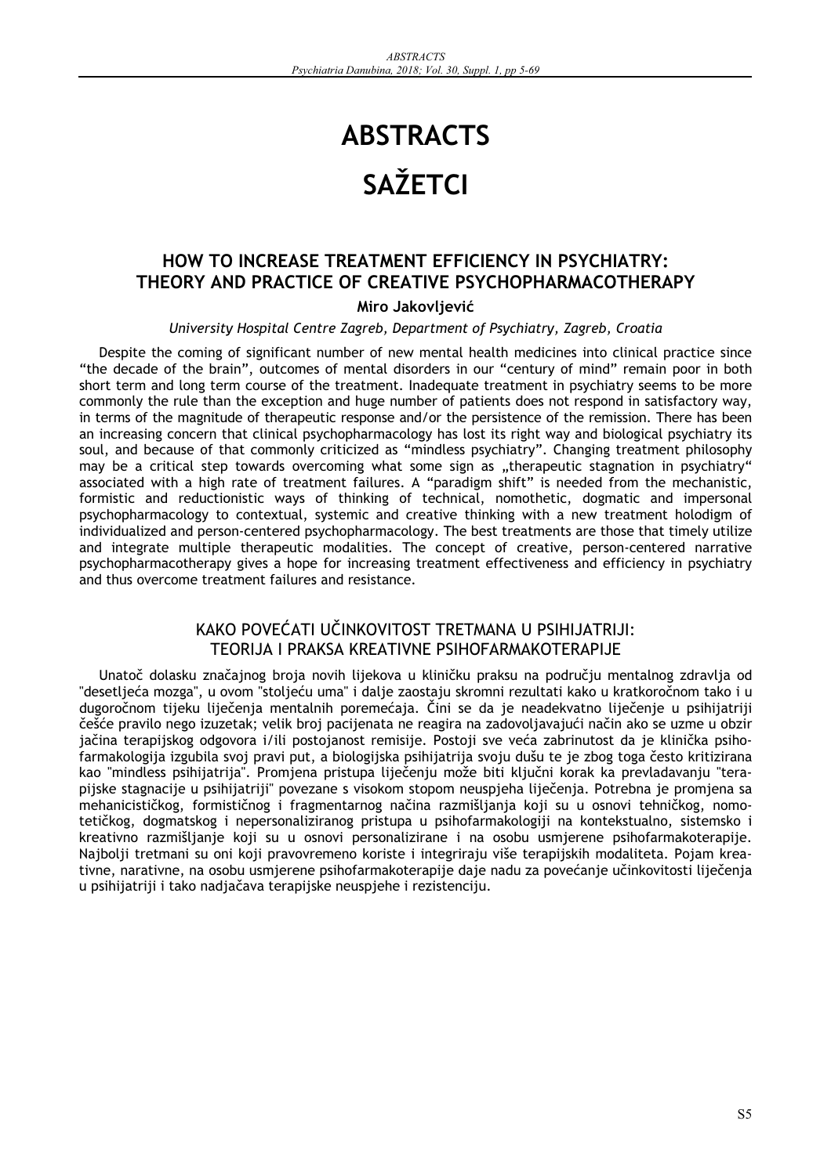# **ABSTRACTS SAŽETCI**

# **HOW TO INCREASE TREATMENT EFFICIENCY IN PSYCHIATRY: THEORY AND PRACTICE OF CREATIVE PSYCHOPHARMACOTHERAPY**

**Miro JakovljeviĄ**

*University Hospital Centre Zagreb, Department of Psychiatry, Zagreb, Croatia* 

Despite the coming of significant number of new mental health medicines into clinical practice since "the decade of the brain", outcomes of mental disorders in our "century of mind" remain poor in both short term and long term course of the treatment. Inadequate treatment in psychiatry seems to be more commonly the rule than the exception and huge number of patients does not respond in satisfactory way, in terms of the magnitude of therapeutic response and/or the persistence of the remission. There has been an increasing concern that clinical psychopharmacology has lost its right way and biological psychiatry its soul, and because of that commonly criticized as "mindless psychiatry". Changing treatment philosophy may be a critical step towards overcoming what some sign as "therapeutic stagnation in psychiatry" associated with a high rate of treatment failures. A "paradigm shift" is needed from the mechanistic, formistic and reductionistic ways of thinking of technical, nomothetic, dogmatic and impersonal psychopharmacology to contextual, systemic and creative thinking with a new treatment holodigm of individualized and person-centered psychopharmacology. The best treatments are those that timely utilize and integrate multiple therapeutic modalities. The concept of creative, person-centered narrative psychopharmacotherapy gives a hope for increasing treatment effectiveness and efficiency in psychiatry and thus overcome treatment failures and resistance.

### KAKO POVEĆATI UČINKOVITOST TRETMANA U PSIHIJATRIJI: TEORIJA I PRAKSA KREATIVNE PSIHOFARMAKOTERAPIJE

UnatoĆ dolasku znaĆajnog broja novih lijekova u kliniĆku praksu na podruĆju mentalnog zdravlja od "desetljeća mozga", u ovom "stoljeću uma" i dalje zaostaju skromni rezultati kako u kratkoročnom tako i u dugoročnom tijeku liječenja mentalnih poremećaja. Čini se da je neadekvatno liječenje u psihijatriji češće pravilo nego izuzetak; velik broj pacijenata ne reagira na zadovoljavajući način ako se uzme u obzir jačina terapijskog odgovora i/ili postojanost remisije. Postoji sve veća zabrinutost da je klinička psihofarmakologija izgubila svoj pravi put, a biologijska psihijatrija svoju dušu te je zbog toga Ćesto kritizirana kao "mindless psihijatrija". Promjena pristupa lijeĆenju može biti kljuĆni korak ka prevladavanju "terapijske stagnacije u psihijatriji" povezane s visokom stopom neuspjeha lijeĆenja. Potrebna je promjena sa mehanicistiĆkog, formistiĆnog i fragmentarnog naĆina razmišljanja koji su u osnovi tehniĆkog, nomotetiĆkog, dogmatskog i nepersonaliziranog pristupa u psihofarmakologiji na kontekstualno, sistemsko i kreativno razmišljanje koji su u osnovi personalizirane i na osobu usmjerene psihofarmakoterapije. Najbolji tretmani su oni koji pravovremeno koriste i integriraju više terapijskih modaliteta. Pojam kreativne, narativne, na osobu usmjerene psihofarmakoterapije daje nadu za povećanje učinkovitosti liječenja u psihijatriji i tako nadjaĆava terapijske neuspjehe i rezistenciju.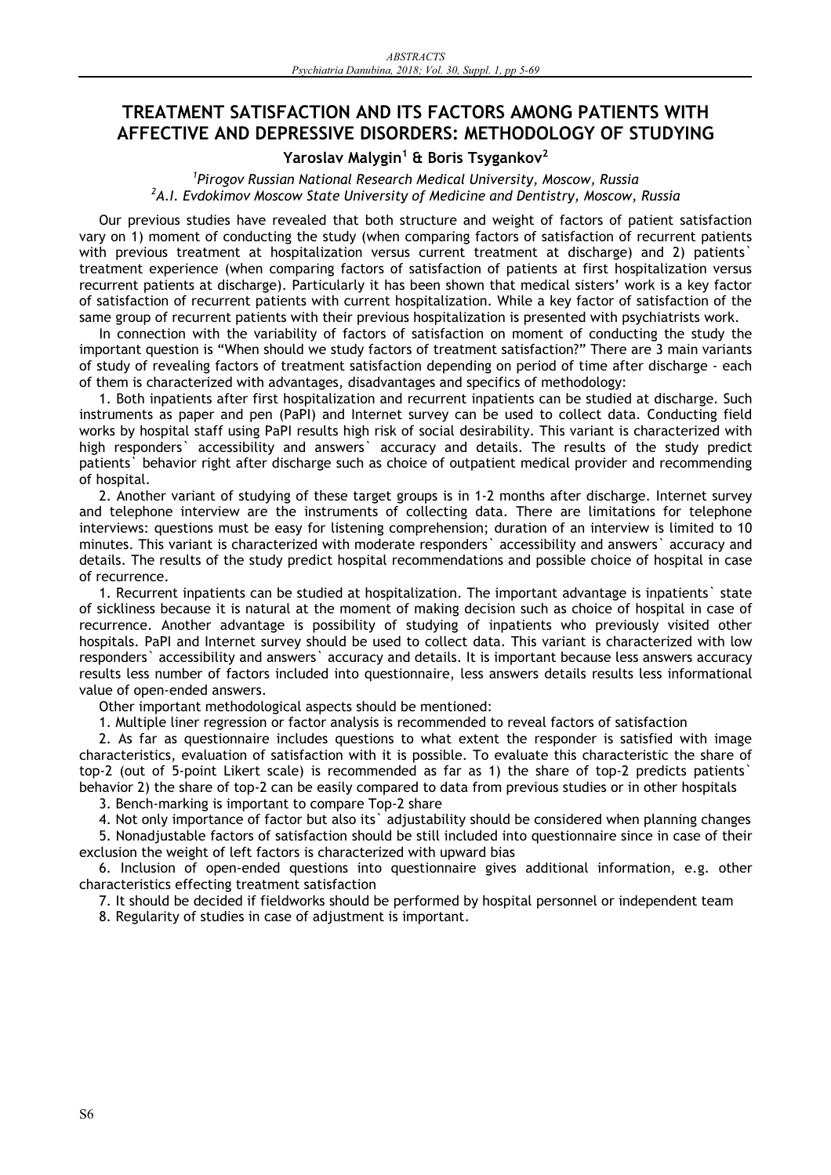# **TREATMENT SATISFACTION AND ITS FACTORS AMONG PATIENTS WITH AFFECTIVE AND DEPRESSIVE DISORDERS: METHODOLOGY OF STUDYING**

### **Yaroslav Malygin<sup>1</sup> & Boris Tsygankov<sup>2</sup>**

*1 Pirogov Russian National Research Medical University, Moscow, Russia 2 A.I. Evdokimov Moscow State University of Medicine and Dentistry, Moscow, Russia* 

Our previous studies have revealed that both structure and weight of factors of patient satisfaction vary on 1) moment of conducting the study (when comparing factors of satisfaction of recurrent patients with previous treatment at hospitalization versus current treatment at discharge) and 2) patients` treatment experience (when comparing factors of satisfaction of patients at first hospitalization versus recurrent patients at discharge). Particularly it has been shown that medical sisters' work is a key factor of satisfaction of recurrent patients with current hospitalization. While a key factor of satisfaction of the same group of recurrent patients with their previous hospitalization is presented with psychiatrists work.

In connection with the variability of factors of satisfaction on moment of conducting the study the important question is "When should we study factors of treatment satisfaction?" There are 3 main variants of study of revealing factors of treatment satisfaction depending on period of time after discharge - each of them is characterized with advantages, disadvantages and specifics of methodology:

1. Both inpatients after first hospitalization and recurrent inpatients can be studied at discharge. Such instruments as paper and pen (PaPI) and Internet survey can be used to collect data. Conducting field works by hospital staff using PaPI results high risk of social desirability. This variant is characterized with high responders` accessibility and answers` accuracy and details. The results of the study predict patients` behavior right after discharge such as choice of outpatient medical provider and recommending of hospital.

2. Another variant of studying of these target groups is in 1-2 months after discharge. Internet survey and telephone interview are the instruments of collecting data. There are limitations for telephone interviews: questions must be easy for listening comprehension; duration of an interview is limited to 10 minutes. This variant is characterized with moderate responders` accessibility and answers` accuracy and details. The results of the study predict hospital recommendations and possible choice of hospital in case of recurrence.

1. Recurrent inpatients can be studied at hospitalization. The important advantage is inpatients` state of sickliness because it is natural at the moment of making decision such as choice of hospital in case of recurrence. Another advantage is possibility of studying of inpatients who previously visited other hospitals. PaPI and Internet survey should be used to collect data. This variant is characterized with low responders` accessibility and answers` accuracy and details. It is important because less answers accuracy results less number of factors included into questionnaire, less answers details results less informational value of open-ended answers.

Other important methodological aspects should be mentioned:

1. Multiple liner regression or factor analysis is recommended to reveal factors of satisfaction

2. As far as questionnaire includes questions to what extent the responder is satisfied with image characteristics, evaluation of satisfaction with it is possible. To evaluate this characteristic the share of top-2 (out of 5-point Likert scale) is recommended as far as 1) the share of top-2 predicts patients` behavior 2) the share of top-2 can be easily compared to data from previous studies or in other hospitals

3. Bench-marking is important to compare Top-2 share

4. Not only importance of factor but also its` adjustability should be considered when planning changes

5. Nonadjustable factors of satisfaction should be still included into questionnaire since in case of their exclusion the weight of left factors is characterized with upward bias

6. Inclusion of open-ended questions into questionnaire gives additional information, e.g. other characteristics effecting treatment satisfaction

7. It should be decided if fieldworks should be performed by hospital personnel or independent team

8. Regularity of studies in case of adjustment is important.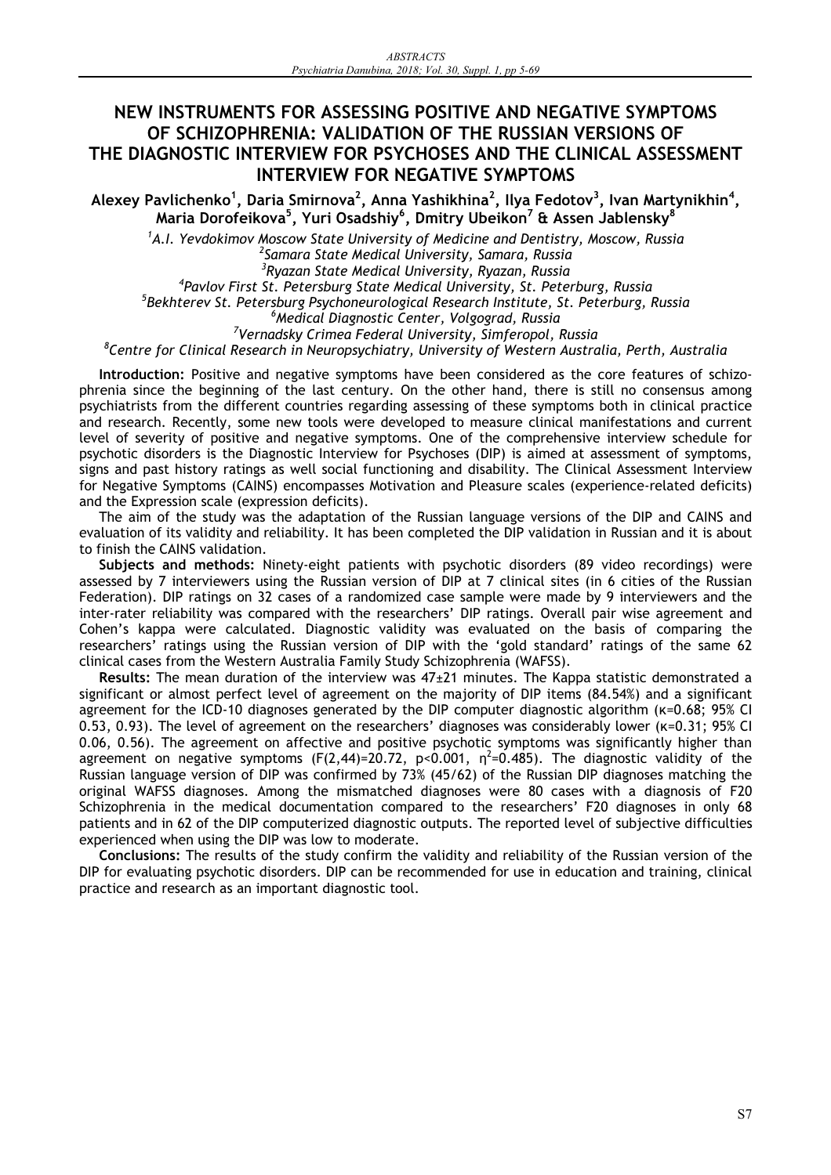# **NEW INSTRUMENTS FOR ASSESSING POSITIVE AND NEGATIVE SYMPTOMS OF SCHIZOPHRENIA: VALIDATION OF THE RUSSIAN VERSIONS OF THE DIAGNOSTIC INTERVIEW FOR PSYCHOSES AND THE CLINICAL ASSESSMENT INTERVIEW FOR NEGATIVE SYMPTOMS**

**Alexey Pavlichenko1 , Daria Smirnova2 , Anna Yashikhina<sup>2</sup> , Ilya Fedotov<sup>3</sup> , Ivan Martynikhin<sup>4</sup> , Maria Dorofeikova<sup>5</sup> , Yuri Osadshiy<sup>6</sup> , Dmitry Ubeikon<sup>7</sup> & Assen Jablensky<sup>8</sup>**

<sup>1</sup>A.I. Yevdokimov Moscow State University of Medicine and Dentistry, Moscow, Russia

*2 Samara State Medical University, Samara, Russia* 

*3 Ryazan State Medical University, Ryazan, Russia* 

*4 Pavlov First St. Petersburg State Medical University, St. Peterburg, Russia* 

*5 Bekhterev St. Petersburg Psychoneurological Research Institute, St. Peterburg, Russia* 

*6 Medical Diagnostic Center, Volgograd, Russia* 

*7 Vernadsky Crimea Federal University, Simferopol, Russia* 

*8 Centre for Clinical Research in Neuropsychiatry, University of Western Australia, Perth, Australia* 

**Introduction:** Positive and negative symptoms have been considered as the core features of schizophrenia since the beginning of the last century. On the other hand, there is still no consensus among psychiatrists from the different countries regarding assessing of these symptoms both in clinical practice and research. Recently, some new tools were developed to measure clinical manifestations and current level of severity of positive and negative symptoms. One of the comprehensive interview schedule for psychotic disorders is the Diagnostic Interview for Psychoses (DIP) is aimed at assessment of symptoms, signs and past history ratings as well social functioning and disability. The Clinical Assessment Interview for Negative Symptoms (CAINS) encompasses Motivation and Pleasure scales (experience-related deficits) and the Expression scale (expression deficits).

The aim of the study was the adaptation of the Russian language versions of the DIP and CAINS and evaluation of its validity and reliability. It has been completed the DIP validation in Russian and it is about to finish the CAINS validation.

**Subjects and methods:** Ninety-eight patients with psychotic disorders (89 video recordings) were assessed by 7 interviewers using the Russian version of DIP at 7 clinical sites (in 6 cities of the Russian Federation). DIP ratings on 32 cases of a randomized case sample were made by 9 interviewers and the inter-rater reliability was compared with the researchers' DIP ratings. Overall pair wise agreement and Cohen's kappa were calculated. Diagnostic validity was evaluated on the basis of comparing the researchers' ratings using the Russian version of DIP with the 'gold standard' ratings of the same 62 clinical cases from the Western Australia Family Study Schizophrenia (WAFSS).

**Results:** The mean duration of the interview was 47±21 minutes. The Kappa statistic demonstrated a significant or almost perfect level of agreement on the majority of DIP items (84.54%) and a significant agreement for the ICD-10 diagnoses generated by the DIP computer diagnostic algorithm ( $\kappa$ =0.68; 95% CI 0.53, 0.93). The level of agreement on the researchers' diagnoses was considerably lower (ŧ=0.31; 95% CI 0.06, 0.56). The agreement on affective and positive psychotic symptoms was significantly higher than agreement on negative symptoms (F(2,44)=20.72, p<0.001,  $\eta^2$ =0.485). The diagnostic validity of the Russian language version of DIP was confirmed by 73% (45/62) of the Russian DIP diagnoses matching the original WAFSS diagnoses. Among the mismatched diagnoses were 80 cases with a diagnosis of F20 Schizophrenia in the medical documentation compared to the researchers' F20 diagnoses in only 68 patients and in 62 of the DIP computerized diagnostic outputs. The reported level of subjective difficulties experienced when using the DIP was low to moderate.

**Conclusions:** The results of the study confirm the validity and reliability of the Russian version of the DIP for evaluating psychotic disorders. DIP can be recommended for use in education and training, clinical practice and research as an important diagnostic tool.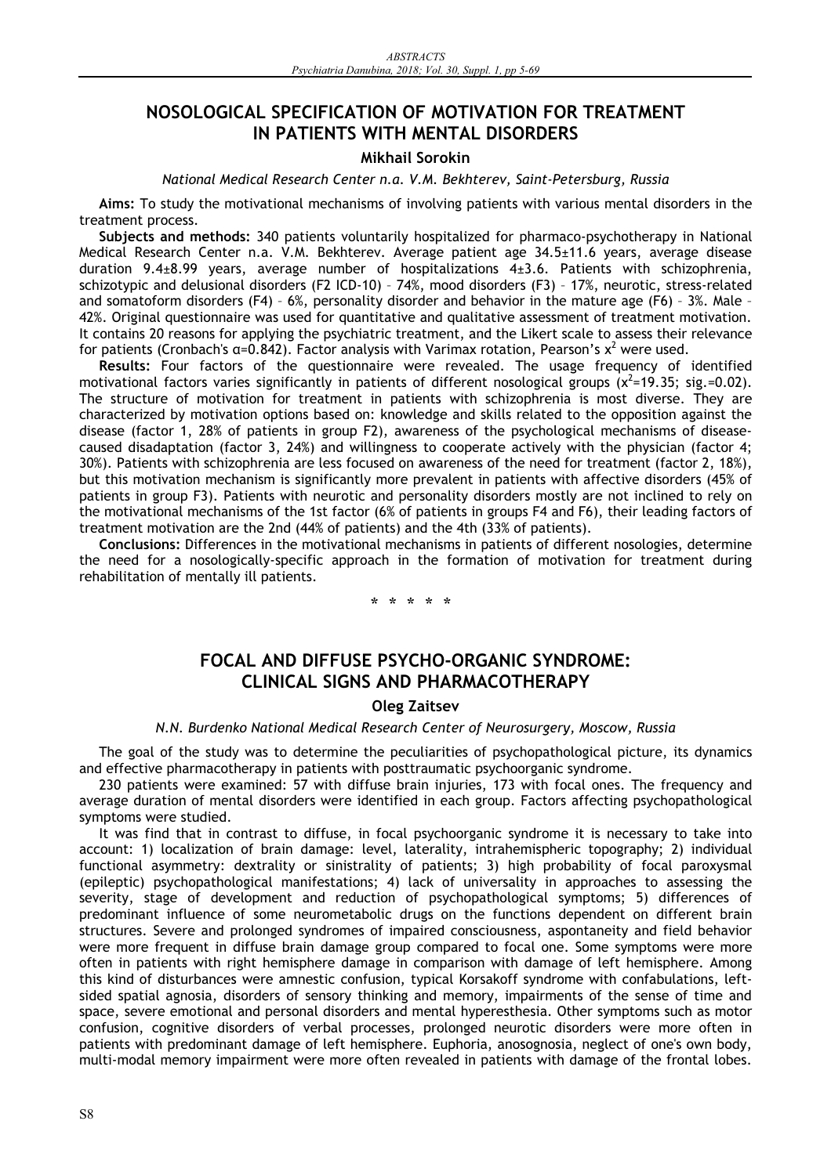# **NOSOLOGICAL SPECIFICATION OF MOTIVATION FOR TREATMENT IN PATIENTS WITH MENTAL DISORDERS**

#### **Mikhail Sorokin**

*National Medical Research Center n.a. V.M. Bekhterev, Saint-Petersburg, Russia* 

**Aims:** To study the motivational mechanisms of involving patients with various mental disorders in the treatment process.

**Subjects and methods:** 340 patients voluntarily hospitalized for pharmaco-psychotherapy in National Medical Research Center n.a. V.M. Bekhterev. Average patient age 34.5±11.6 years, average disease duration 9.4±8.99 years, average number of hospitalizations 4±3.6. Patients with schizophrenia, schizotypic and delusional disorders (F2 ICD-10) – 74%, mood disorders (F3) – 17%, neurotic, stress-related and somatoform disorders (F4) – 6%, personality disorder and behavior in the mature age (F6) – 3%. Male – 42%. Original questionnaire was used for quantitative and qualitative assessment of treatment motivation. It contains 20 reasons for applying the psychiatric treatment, and the Likert scale to assess their relevance for patients (Cronbach's α=0.842). Factor analysis with Varimax rotation, Pearson's  $x^2$  were used.

**Results:** Four factors of the questionnaire were revealed. The usage frequency of identified motivational factors varies significantly in patients of different nosological groups  $(x^2=19.35;$  sig.=0.02). The structure of motivation for treatment in patients with schizophrenia is most diverse. They are characterized by motivation options based on: knowledge and skills related to the opposition against the disease (factor 1, 28% of patients in group F2), awareness of the psychological mechanisms of diseasecaused disadaptation (factor 3, 24%) and willingness to cooperate actively with the physician (factor 4; 30%). Patients with schizophrenia are less focused on awareness of the need for treatment (factor 2, 18%), but this motivation mechanism is significantly more prevalent in patients with affective disorders (45% of patients in group F3). Patients with neurotic and personality disorders mostly are not inclined to rely on the motivational mechanisms of the 1st factor (6% of patients in groups F4 and F6), their leading factors of treatment motivation are the 2nd (44% of patients) and the 4th (33% of patients).

**Conclusions:** Differences in the motivational mechanisms in patients of different nosologies, determine the need for a nosologically-specific approach in the formation of motivation for treatment during rehabilitation of mentally ill patients.

**\*\*\*\*\***

# **FOCAL AND DIFFUSE PSYCHO-ORGANIC SYNDROME: CLINICAL SIGNS AND PHARMACOTHERAPY**

#### **Oleg Zaitsev**

#### *N.N. Burdenko National Medical Research Center of Neurosurgery, Moscow, Russia*

The goal of the study was to determine the peculiarities of psychopathological picture, its dynamics and effective pharmacotherapy in patients with posttraumatic psychoorganic syndrome.

230 patients were examined: 57 with diffuse brain injuries, 173 with focal ones. The frequency and average duration of mental disorders were identified in each group. Factors affecting psychopathological symptoms were studied.

It was find that in contrast to diffuse, in focal psychoorganic syndrome it is necessary to take into account: 1) localization of brain damage: level, laterality, intrahemispheric topography; 2) individual functional asymmetry: dextrality or sinistrality of patients; 3) high probability of focal paroxysmal (epileptic) psychopathological manifestations; 4) lack of universality in approaches to assessing the severity, stage of development and reduction of psychopathological symptoms; 5) differences of predominant influence of some neurometabolic drugs on the functions dependent on different brain structures. Severe and prolonged syndromes of impaired consciousness, aspontaneity and field behavior were more frequent in diffuse brain damage group compared to focal one. Some symptoms were more often in patients with right hemisphere damage in comparison with damage of left hemisphere. Among this kind of disturbances were amnestic confusion, typical Korsakoff syndrome with confabulations, leftsided spatial agnosia, disorders of sensory thinking and memory, impairments of the sense of time and space, severe emotional and personal disorders and mental hyperesthesia. Other symptoms such as motor confusion, cognitive disorders of verbal processes, prolonged neurotic disorders were more often in patients with predominant damage of left hemisphere. Euphoria, anosognosia, neglect of one's own body, multi-modal memory impairment were more often revealed in patients with damage of the frontal lobes.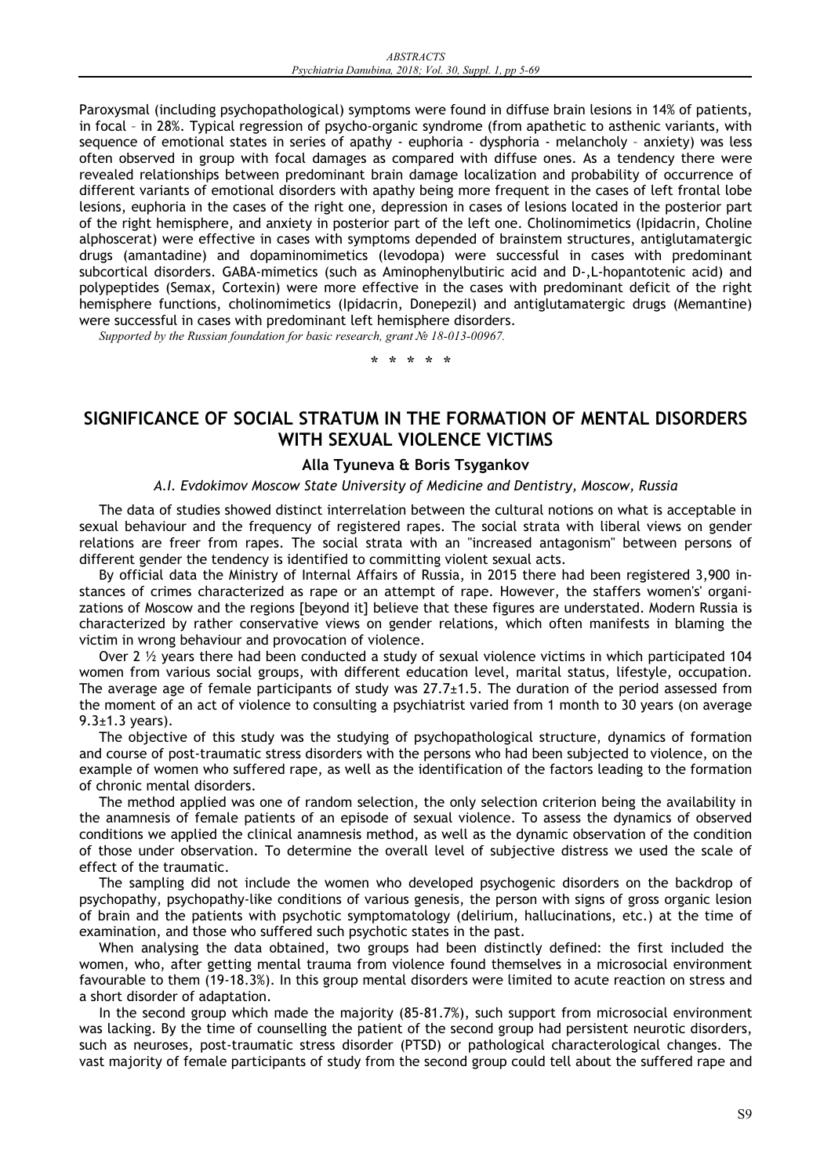Paroxysmal (including psychopathological) symptoms were found in diffuse brain lesions in 14% of patients, in focal – in 28%. Typical regression of psycho-organic syndrome (from apathetic to asthenic variants, with sequence of emotional states in series of apathy - euphoria - dysphoria - melancholy – anxiety) was less often observed in group with focal damages as compared with diffuse ones. As a tendency there were revealed relationships between predominant brain damage localization and probability of occurrence of different variants of emotional disorders with apathy being more frequent in the cases of left frontal lobe lesions, euphoria in the cases of the right one, depression in cases of lesions located in the posterior part of the right hemisphere, and anxiety in posterior part of the left one. Cholinomimetics (Ipidacrin, Choline alphoscerat) were effective in cases with symptoms depended of brainstem structures, antiglutamatergic drugs (amantadine) and dopaminomimetics (levodopa) were successful in cases with predominant subcortical disorders. GABA-mimetics (such as Aminophenylbutiric acid and D-,L-hopantotenic acid) and polypeptides (Semax, Cortexin) were more effective in the cases with predominant deficit of the right hemisphere functions, cholinomimetics (Ipidacrin, Donepezil) and antiglutamatergic drugs (Memantine) were successful in cases with predominant left hemisphere disorders.

*Supported by the Russian foundation for basic research, grant ʋ 18-013-00967.* 

**\*\*\*\*\***

# **SIGNIFICANCE OF SOCIAL STRATUM IN THE FORMATION OF MENTAL DISORDERS WITH SEXUAL VIOLENCE VICTIMS**

#### **Alla Tyuneva & Boris Tsygankov**

#### *A.I. Evdokimov Moscow State University of Medicine and Dentistry, Moscow, Russia*

The data of studies showed distinct interrelation between the cultural notions on what is acceptable in sexual behaviour and the frequency of registered rapes. The social strata with liberal views on gender relations are freer from rapes. The social strata with an "increased antagonism" between persons of different gender the tendency is identified to committing violent sexual acts.

By official data the Ministry of Internal Affairs of Russia, in 2015 there had been registered 3,900 instances of crimes characterized as rape or an attempt of rape. However, the staffers women's' organizations of Moscow and the regions [beyond it] believe that these figures are understated. Modern Russia is characterized by rather conservative views on gender relations, which often manifests in blaming the victim in wrong behaviour and provocation of violence.

Over 2 <sup>1</sup>/<sub>2</sub> years there had been conducted a study of sexual violence victims in which participated 104 women from various social groups, with different education level, marital status, lifestyle, occupation. The average age of female participants of study was  $27.7\pm1.5$ . The duration of the period assessed from the moment of an act of violence to consulting a psychiatrist varied from 1 month to 30 years (on average  $9.3 \pm 1.3$  years).

The objective of this study was the studying of psychopathological structure, dynamics of formation and course of post-traumatic stress disorders with the persons who had been subjected to violence, on the example of women who suffered rape, as well as the identification of the factors leading to the formation of chronic mental disorders.

The method applied was one of random selection, the only selection criterion being the availability in the anamnesis of female patients of an episode of sexual violence. To assess the dynamics of observed conditions we applied the clinical anamnesis method, as well as the dynamic observation of the condition of those under observation. To determine the overall level of subjective distress we used the scale of effect of the traumatic.

The sampling did not include the women who developed psychogenic disorders on the backdrop of psychopathy, psychopathy-like conditions of various genesis, the person with signs of gross organic lesion of brain and the patients with psychotic symptomatology (delirium, hallucinations, etc.) at the time of examination, and those who suffered such psychotic states in the past.

When analysing the data obtained, two groups had been distinctly defined: the first included the women, who, after getting mental trauma from violence found themselves in a microsocial environment favourable to them (19-18.3%). In this group mental disorders were limited to acute reaction on stress and a short disorder of adaptation.

In the second group which made the majority (85-81.7%), such support from microsocial environment was lacking. By the time of counselling the patient of the second group had persistent neurotic disorders, such as neuroses, post-traumatic stress disorder (PTSD) or pathological characterological changes. The vast majority of female participants of study from the second group could tell about the suffered rape and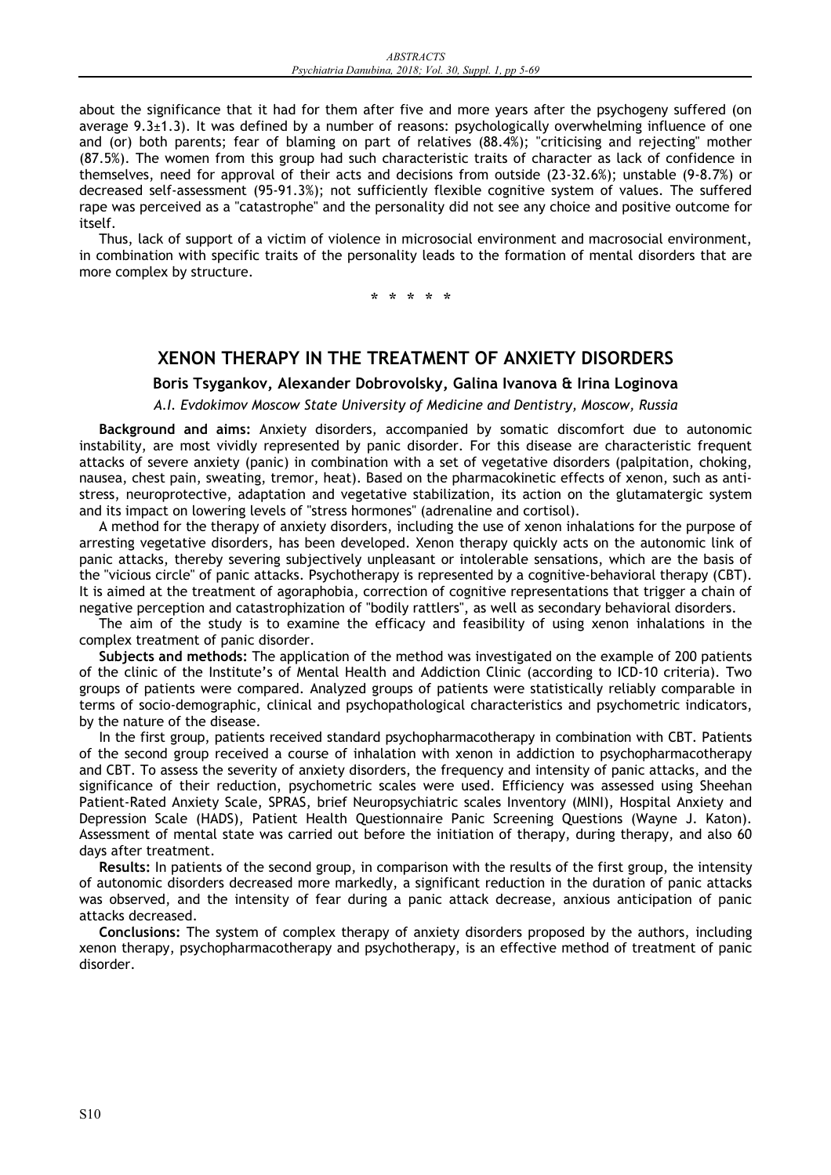about the significance that it had for them after five and more years after the psychogeny suffered (on average 9.3 $\pm$ 1.3). It was defined by a number of reasons: psychologically overwhelming influence of one and (or) both parents; fear of blaming on part of relatives (88.4%); "criticising and rejecting" mother (87.5%). The women from this group had such characteristic traits of character as lack of confidence in themselves, need for approval of their acts and decisions from outside (23-32.6%); unstable (9-8.7%) or decreased self-assessment (95-91.3%); not sufficiently flexible cognitive system of values. The suffered rape was perceived as a "catastrophe" and the personality did not see any choice and positive outcome for itself.

Thus, lack of support of a victim of violence in microsocial environment and macrosocial environment, in combination with specific traits of the personality leads to the formation of mental disorders that are more complex by structure.

**\*\*\*\*\***

# **XENON THERAPY IN THE TREATMENT OF ANXIETY DISORDERS**

#### **Boris Tsygankov, Alexander Dobrovolsky, Galina Ivanova & Irina Loginova**

*A.I. Evdokimov Moscow State University of Medicine and Dentistry, Moscow, Russia* 

**Background and aims:** Anxiety disorders, accompanied by somatic discomfort due to autonomic instability, are most vividly represented by panic disorder. For this disease are characteristic frequent attacks of severe anxiety (panic) in combination with a set of vegetative disorders (palpitation, choking, nausea, chest pain, sweating, tremor, heat). Based on the pharmacokinetic effects of xenon, such as antistress, neuroprotective, adaptation and vegetative stabilization, its action on the glutamatergic system and its impact on lowering levels of "stress hormones" (adrenaline and cortisol).

A method for the therapy of anxiety disorders, including the use of xenon inhalations for the purpose of arresting vegetative disorders, has been developed. Xenon therapy quickly acts on the autonomic link of panic attacks, thereby severing subjectively unpleasant or intolerable sensations, which are the basis of the "vicious circle" of panic attacks. Psychotherapy is represented by a cognitive-behavioral therapy (CBT). It is aimed at the treatment of agoraphobia, correction of cognitive representations that trigger a chain of negative perception and catastrophization of "bodily rattlers", as well as secondary behavioral disorders.

The aim of the study is to examine the efficacy and feasibility of using xenon inhalations in the complex treatment of panic disorder.

**Subjects and methods:** The application of the method was investigated on the example of 200 patients of the clinic of the Institute's of Mental Health and Addiction Clinic (according to ICD-10 criteria). Two groups of patients were compared. Analyzed groups of patients were statistically reliably comparable in terms of socio-demographic, clinical and psychopathological characteristics and psychometric indicators, by the nature of the disease.

In the first group, patients received standard psychopharmacotherapy in combination with CBT. Patients of the second group received a course of inhalation with xenon in addiction to psychopharmacotherapy and CBT. To assess the severity of anxiety disorders, the frequency and intensity of panic attacks, and the significance of their reduction, psychometric scales were used. Efficiency was assessed using Sheehan Patient-Rated Anxiety Scale, SPRAS, brief Neuropsychiatric scales Inventory (MINI), Hospital Anxiety and Depression Scale (HADS), Patient Health Questionnaire Panic Screening Questions (Wayne J. Katon). Assessment of mental state was carried out before the initiation of therapy, during therapy, and also 60 days after treatment.

**Results:** In patients of the second group, in comparison with the results of the first group, the intensity of autonomic disorders decreased more markedly, a significant reduction in the duration of panic attacks was observed, and the intensity of fear during a panic attack decrease, anxious anticipation of panic attacks decreased.

**Conclusions:** The system of complex therapy of anxiety disorders proposed by the authors, including xenon therapy, psychopharmacotherapy and psychotherapy, is an effective method of treatment of panic disorder.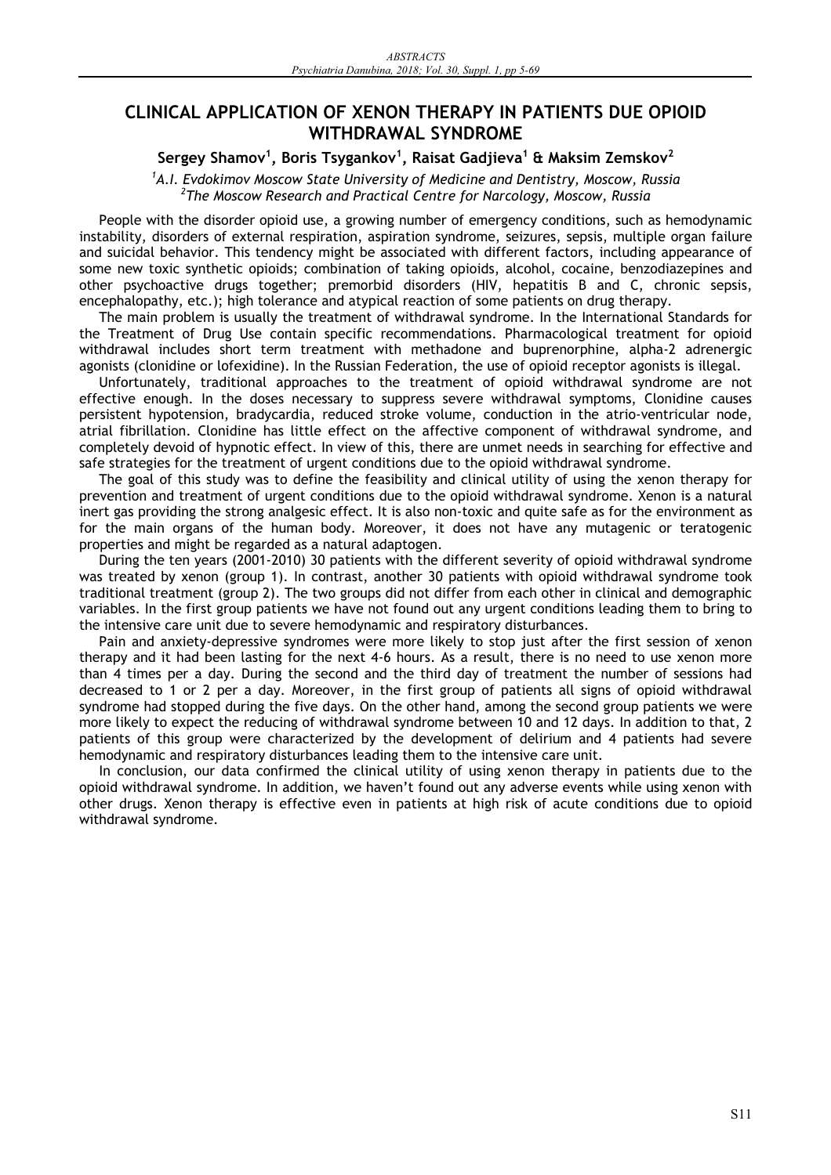# **CLINICAL APPLICATION OF XENON THERAPY IN PATIENTS DUE OPIOID WITHDRAWAL SYNDROME**

#### **Sergey Shamov<sup>1</sup> , Boris Tsygankov<sup>1</sup> , Raisat Gadjieva<sup>1</sup> & Maksim Zemskov<sup>2</sup>**

<sup>1</sup>A.I. Evdokimov Moscow State University of Medicine and Dentistry, Moscow, Russia *2 The Moscow Research and Practical Centre for Narcology, Moscow, Russia* 

People with the disorder opioid use, a growing number of emergency conditions, such as hemodynamic instability, disorders of external respiration, aspiration syndrome, seizures, sepsis, multiple organ failure and suicidal behavior. This tendency might be associated with different factors, including appearance of some new toxic synthetic opioids; combination of taking opioids, alcohol, cocaine, benzodiazepines and other psychoactive drugs together; premorbid disorders (HIV, hepatitis B and C, chronic sepsis, encephalopathy, etc.); high tolerance and atypical reaction of some patients on drug therapy.

The main problem is usually the treatment of withdrawal syndrome. In the International Standards for the Treatment of Drug Use contain specific recommendations. Pharmacological treatment for opioid withdrawal includes short term treatment with methadone and buprenorphine, alpha-2 adrenergic agonists (clonidine or lofexidine). In the Russian Federation, the use of opioid receptor agonists is illegal.

Unfortunately, traditional approaches to the treatment of opioid withdrawal syndrome are not effective enough. In the doses necessary to suppress severe withdrawal symptoms, Clonidine causes persistent hypotension, bradycardia, reduced stroke volume, conduction in the atrio-ventricular node, atrial fibrillation. Clonidine has little effect on the affective component of withdrawal syndrome, and completely devoid of hypnotic effect. In view of this, there are unmet needs in searching for effective and safe strategies for the treatment of urgent conditions due to the opioid withdrawal syndrome.

The goal of this study was to define the feasibility and clinical utility of using the xenon therapy for prevention and treatment of urgent conditions due to the opioid withdrawal syndrome. Xenon is a natural inert gas providing the strong analgesic effect. It is also non-toxic and quite safe as for the environment as for the main organs of the human body. Moreover, it does not have any mutagenic or teratogenic properties and might be regarded as a natural adaptogen.

During the ten years (2001-2010) 30 patients with the different severity of opioid withdrawal syndrome was treated by xenon (group 1). In contrast, another 30 patients with opioid withdrawal syndrome took traditional treatment (group 2). The two groups did not differ from each other in clinical and demographic variables. In the first group patients we have not found out any urgent conditions leading them to bring to the intensive care unit due to severe hemodynamic and respiratory disturbances.

Pain and anxiety-depressive syndromes were more likely to stop just after the first session of xenon therapy and it had been lasting for the next 4-6 hours. As a result, there is no need to use xenon more than 4 times per a day. During the second and the third day of treatment the number of sessions had decreased to 1 or 2 per a day. Moreover, in the first group of patients all signs of opioid withdrawal syndrome had stopped during the five days. On the other hand, among the second group patients we were more likely to expect the reducing of withdrawal syndrome between 10 and 12 days. In addition to that, 2 patients of this group were characterized by the development of delirium and 4 patients had severe hemodynamic and respiratory disturbances leading them to the intensive care unit.

In conclusion, our data confirmed the clinical utility of using xenon therapy in patients due to the opioid withdrawal syndrome. In addition, we haven't found out any adverse events while using xenon with other drugs. Xenon therapy is effective even in patients at high risk of acute conditions due to opioid withdrawal syndrome.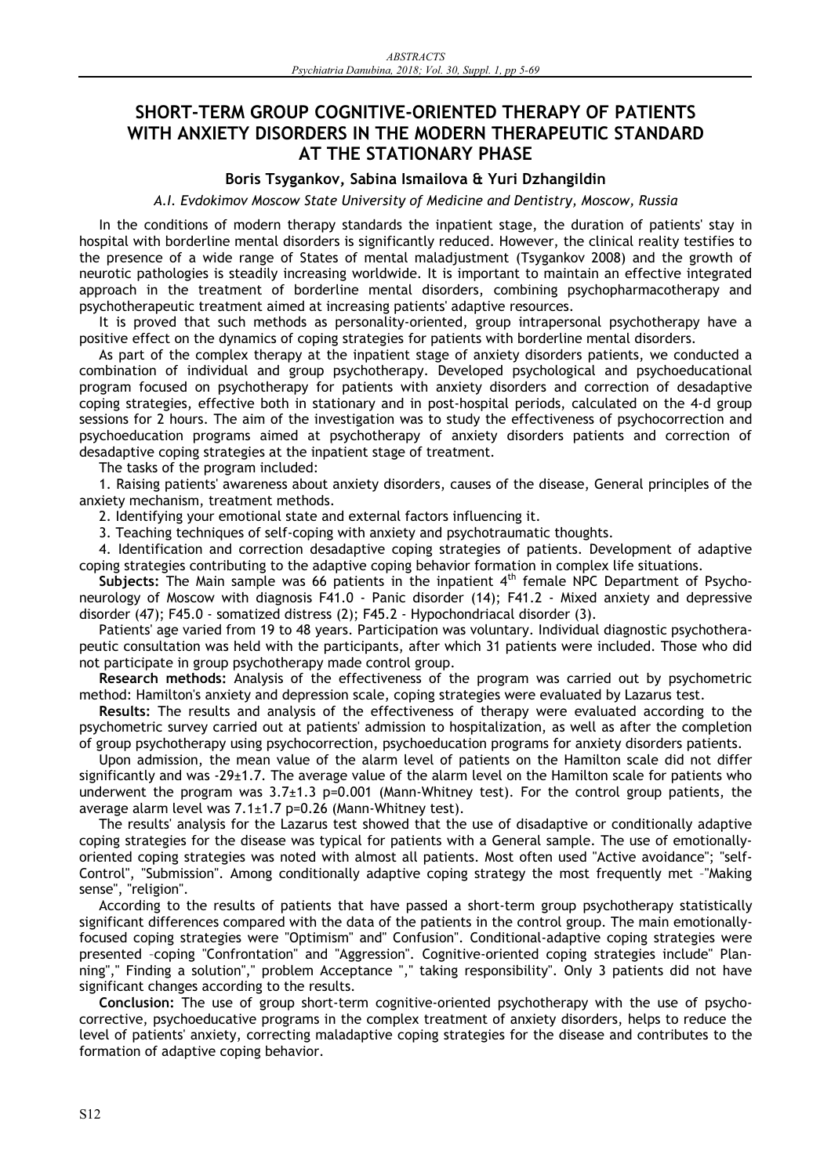# **SHORT-TERM GROUP COGNITIVE-ORIENTED THERAPY OF PATIENTS WITH ANXIETY DISORDERS IN THE MODERN THERAPEUTIC STANDARD AT THE STATIONARY PHASE**

#### **Boris Tsygankov, Sabina Ismailova & Yuri Dzhangildin**

*A.I. Evdokimov Moscow State University of Medicine and Dentistry, Moscow, Russia* 

In the conditions of modern therapy standards the inpatient stage, the duration of patients' stay in hospital with borderline mental disorders is significantly reduced. However, the clinical reality testifies to the presence of a wide range of States of mental maladjustment (Tsygankov 2008) and the growth of neurotic pathologies is steadily increasing worldwide. It is important to maintain an effective integrated approach in the treatment of borderline mental disorders, combining psychopharmacotherapy and psychotherapeutic treatment aimed at increasing patients' adaptive resources.

It is proved that such methods as personality-oriented, group intrapersonal psychotherapy have a positive effect on the dynamics of coping strategies for patients with borderline mental disorders.

As part of the complex therapy at the inpatient stage of anxiety disorders patients, we conducted a combination of individual and group psychotherapy. Developed psychological and psychoeducational program focused on psychotherapy for patients with anxiety disorders and correction of desadaptive coping strategies, effective both in stationary and in post-hospital periods, calculated on the 4-d group sessions for 2 hours. The aim of the investigation was to study the effectiveness of psychocorrection and psychoeducation programs aimed at psychotherapy of anxiety disorders patients and correction of desadaptive coping strategies at the inpatient stage of treatment.

The tasks of the program included:

1. Raising patients' awareness about anxiety disorders, causes of the disease, General principles of the anxiety mechanism, treatment methods.

2. Identifying your emotional state and external factors influencing it.

3. Teaching techniques of self-coping with anxiety and psychotraumatic thoughts.

4. Identification and correction desadaptive coping strategies of patients. Development of adaptive coping strategies contributing to the adaptive coping behavior formation in complex life situations.

Subjects: The Main sample was 66 patients in the inpatient 4<sup>th</sup> female NPC Department of Psychoneurology of Moscow with diagnosis F41.0 - Panic disorder (14); F41.2 - Mixed anxiety and depressive disorder (47); F45.0 - somatized distress (2); F45.2 - Hypochondriacal disorder (3).

Patients' age varied from 19 to 48 years. Participation was voluntary. Individual diagnostic psychotherapeutic consultation was held with the participants, after which 31 patients were included. Those who did not participate in group psychotherapy made control group.

**Research methods:** Analysis of the effectiveness of the program was carried out by psychometric method: Hamilton's anxiety and depression scale, coping strategies were evaluated by Lazarus test.

**Results:** The results and analysis of the effectiveness of therapy were evaluated according to the psychometric survey carried out at patients' admission to hospitalization, as well as after the completion of group psychotherapy using psychocorrection, psychoeducation programs for anxiety disorders patients.

Upon admission, the mean value of the alarm level of patients on the Hamilton scale did not differ significantly and was  $-29\pm1.7$ . The average value of the alarm level on the Hamilton scale for patients who underwent the program was  $3.7\pm1.3$  p=0.001 (Mann-Whitney test). For the control group patients, the average alarm level was 7.1±1.7 p=0.26 (Mann-Whitney test).

The results' analysis for the Lazarus test showed that the use of disadaptive or conditionally adaptive coping strategies for the disease was typical for patients with a General sample. The use of emotionallyoriented coping strategies was noted with almost all patients. Most often used "Active avoidance"; "self-Control", "Submission". Among conditionally adaptive coping strategy the most frequently met –"Making sense", "religion".

According to the results of patients that have passed a short-term group psychotherapy statistically significant differences compared with the data of the patients in the control group. The main emotionallyfocused coping strategies were "Optimism" and" Confusion". Conditional-adaptive coping strategies were presented –coping "Confrontation" and "Aggression". Cognitive-oriented coping strategies include" Planning"," Finding a solution"," problem Acceptance "," taking responsibility". Only 3 patients did not have significant changes according to the results.

**Conclusion:** The use of group short-term cognitive-oriented psychotherapy with the use of psychocorrective, psychoeducative programs in the complex treatment of anxiety disorders, helps to reduce the level of patients' anxiety, correcting maladaptive coping strategies for the disease and contributes to the formation of adaptive coping behavior.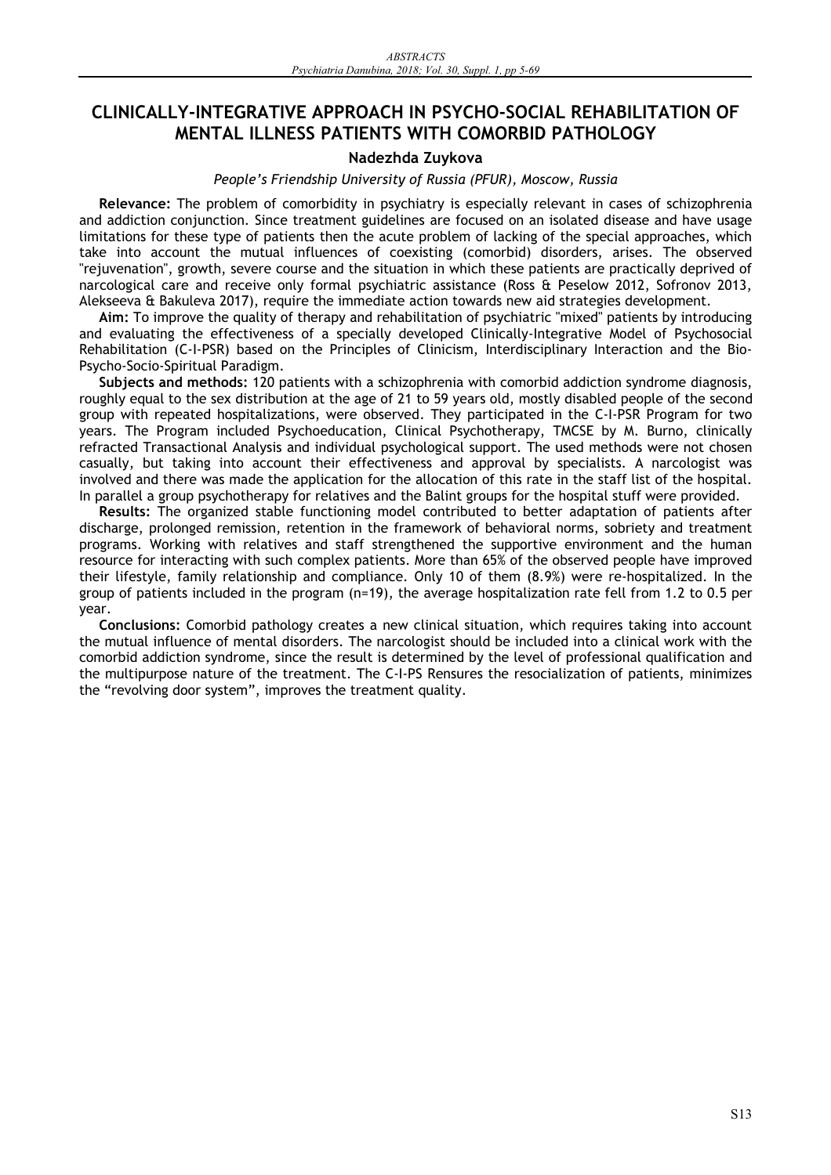# **CLINICALLY-INTEGRATIVE APPROACH IN PSYCHO-SOCIAL REHABILITATION OF MENTAL ILLNESS PATIENTS WITH COMORBID PATHOLOGY**

#### **Nadezhda Zuykova**

#### *People's Friendship University of Russia (PFUR), Moscow, Russia*

**Relevance:** The problem of comorbidity in psychiatry is especially relevant in cases of schizophrenia and addiction conjunction. Since treatment guidelines are focused on an isolated disease and have usage limitations for these type of patients then the acute problem of lacking of the special approaches, which take into account the mutual influences of coexisting (comorbid) disorders, arises. The observed "rejuvenation", growth, severe course and the situation in which these patients are practically deprived of narcological care and receive only formal psychiatric assistance (Ross & Peselow 2012, Sofronov 2013, Alekseeva & Bakuleva 2017), require the immediate action towards new aid strategies development.

**Aim:** To improve the quality of therapy and rehabilitation of psychiatric "mixed" patients by introducing and evaluating the effectiveness of a specially developed Clinically-Integrative Model of Psychosocial Rehabilitation (C-I-PSR) based on the Principles of Clinicism, Interdisciplinary Interaction and the Bio-Psycho-Socio-Spiritual Paradigm.

**Subjects and methods:** 120 patients with a schizophrenia with comorbid addiction syndrome diagnosis, roughly equal to the sex distribution at the age of 21 to 59 years old, mostly disabled people of the second group with repeated hospitalizations, were observed. They participated in the C-I-PSR Program for two years. The Program included Psychoeducation, Clinical Psychotherapy, TMCSE by M. Burno, clinically refracted Transactional Analysis and individual psychological support. The used methods were not chosen casually, but taking into account their effectiveness and approval by specialists. A narcologist was involved and there was made the application for the allocation of this rate in the staff list of the hospital. In parallel a group psychotherapy for relatives and the Balint groups for the hospital stuff were provided.

**Results:** The organized stable functioning model contributed to better adaptation of patients after discharge, prolonged remission, retention in the framework of behavioral norms, sobriety and treatment programs. Working with relatives and staff strengthened the supportive environment and the human resource for interacting with such complex patients. More than 65% of the observed people have improved their lifestyle, family relationship and compliance. Only 10 of them (8.9%) were re-hospitalized. In the group of patients included in the program (n=19), the average hospitalization rate fell from 1.2 to 0.5 per year.

**Conclusions:** Comorbid pathology creates a new clinical situation, which requires taking into account the mutual influence of mental disorders. The narcologist should be included into a clinical work with the comorbid addiction syndrome, since the result is determined by the level of professional qualification and the multipurpose nature of the treatment. The C-I-PS Rensures the resocialization of patients, minimizes the "revolving door system", improves the treatment quality.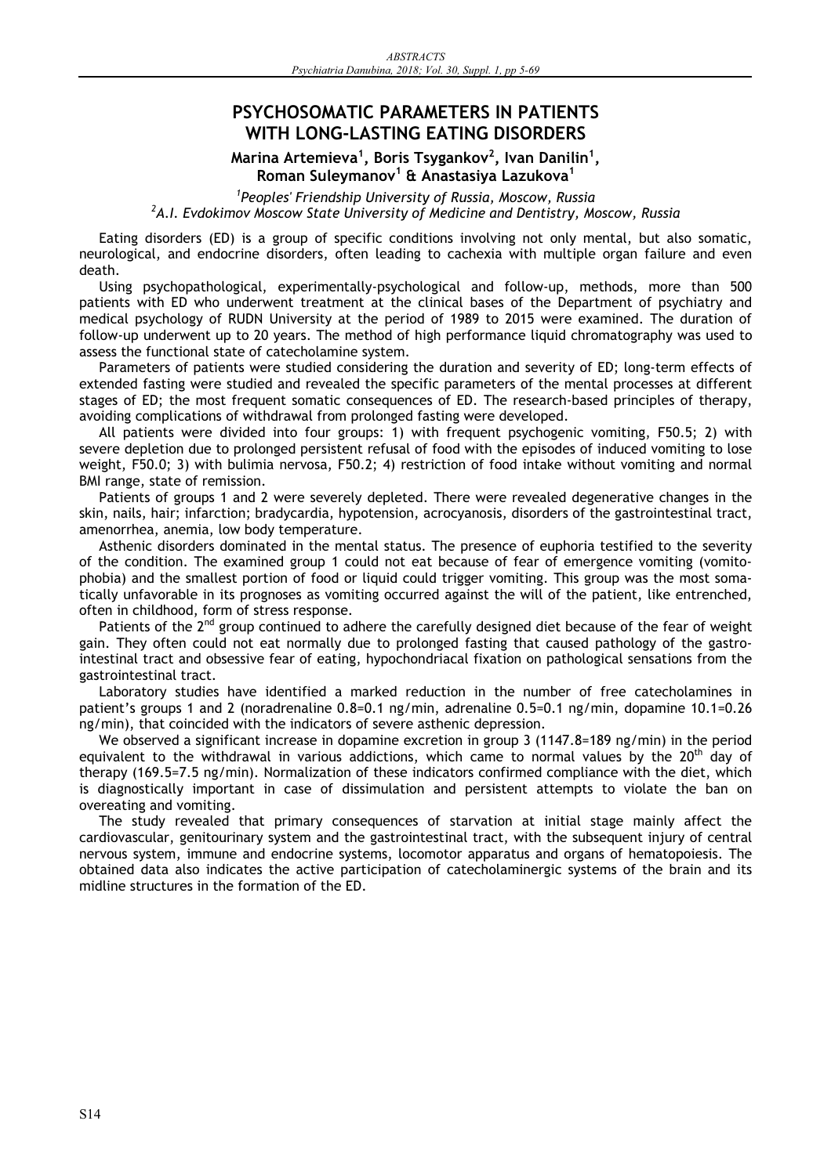# **PSYCHOSOMATIC PARAMETERS IN PATIENTS WITH LONG-LASTING EATING DISORDERS**

#### **Marina Artemieva<sup>1</sup> , Boris Tsygankov<sup>2</sup> , Ivan Danilin<sup>1</sup> , Roman Suleymanov<sup>1</sup> & Anastasiya Lazukova<sup>1</sup>**

*1 Peoples' Friendship University of Russia, Moscow, Russia 2 A.I. Evdokimov Moscow State University of Medicine and Dentistry, Moscow, Russia* 

Eating disorders (ED) is a group of specific conditions involving not only mental, but also somatic, neurological, and endocrine disorders, often leading to cachexia with multiple organ failure and even death.

Using psychopathological, experimentally-psychological and follow-up, methods, more than 500 patients with ED who underwent treatment at the clinical bases of the Department of psychiatry and medical psychology of RUDN University at the period of 1989 to 2015 were examined. The duration of follow-up underwent up to 20 years. The method of high performance liquid chromatography was used to assess the functional state of catecholamine system.

Parameters of patients were studied considering the duration and severity of ED; long-term effects of extended fasting were studied and revealed the specific parameters of the mental processes at different stages of ED; the most frequent somatic consequences of ED. The research-based principles of therapy, avoiding complications of withdrawal from prolonged fasting were developed.

All patients were divided into four groups: 1) with frequent psychogenic vomiting, F50.5; 2) with severe depletion due to prolonged persistent refusal of food with the episodes of induced vomiting to lose weight, F50.0; 3) with bulimia nervosa, F50.2; 4) restriction of food intake without vomiting and normal BMI range, state of remission.

Patients of groups 1 and 2 were severely depleted. There were revealed degenerative changes in the skin, nails, hair; infarction; bradycardia, hypotension, acrocyanosis, disorders of the gastrointestinal tract, amenorrhea, anemia, low body temperature.

Asthenic disorders dominated in the mental status. The presence of euphoria testified to the severity of the condition. The examined group 1 could not eat because of fear of emergence vomiting (vomitophobia) and the smallest portion of food or liquid could trigger vomiting. This group was the most somatically unfavorable in its prognoses as vomiting occurred against the will of the patient, like entrenched, often in childhood, form of stress response.

Patients of the  $2^{nd}$  group continued to adhere the carefully designed diet because of the fear of weight gain. They often could not eat normally due to prolonged fasting that caused pathology of the gastrointestinal tract and obsessive fear of eating, hypochondriacal fixation on pathological sensations from the gastrointestinal tract.

Laboratory studies have identified a marked reduction in the number of free catecholamines in patient's groups 1 and 2 (noradrenaline 0.8=0.1 ng/min, adrenaline 0.5=0.1 ng/min, dopamine 10.1=0.26 ng/min), that coincided with the indicators of severe asthenic depression.

We observed a significant increase in dopamine excretion in group 3 (1147.8=189 ng/min) in the period equivalent to the withdrawal in various addictions, which came to normal values by the 20<sup>th</sup> day of therapy (169.5=7.5 ng/min). Normalization of these indicators confirmed compliance with the diet, which is diagnostically important in case of dissimulation and persistent attempts to violate the ban on overeating and vomiting.

The study revealed that primary consequences of starvation at initial stage mainly affect the cardiovascular, genitourinary system and the gastrointestinal tract, with the subsequent injury of central nervous system, immune and endocrine systems, locomotor apparatus and organs of hematopoiesis. The obtained data also indicates the active participation of catecholaminergic systems of the brain and its midline structures in the formation of the ED.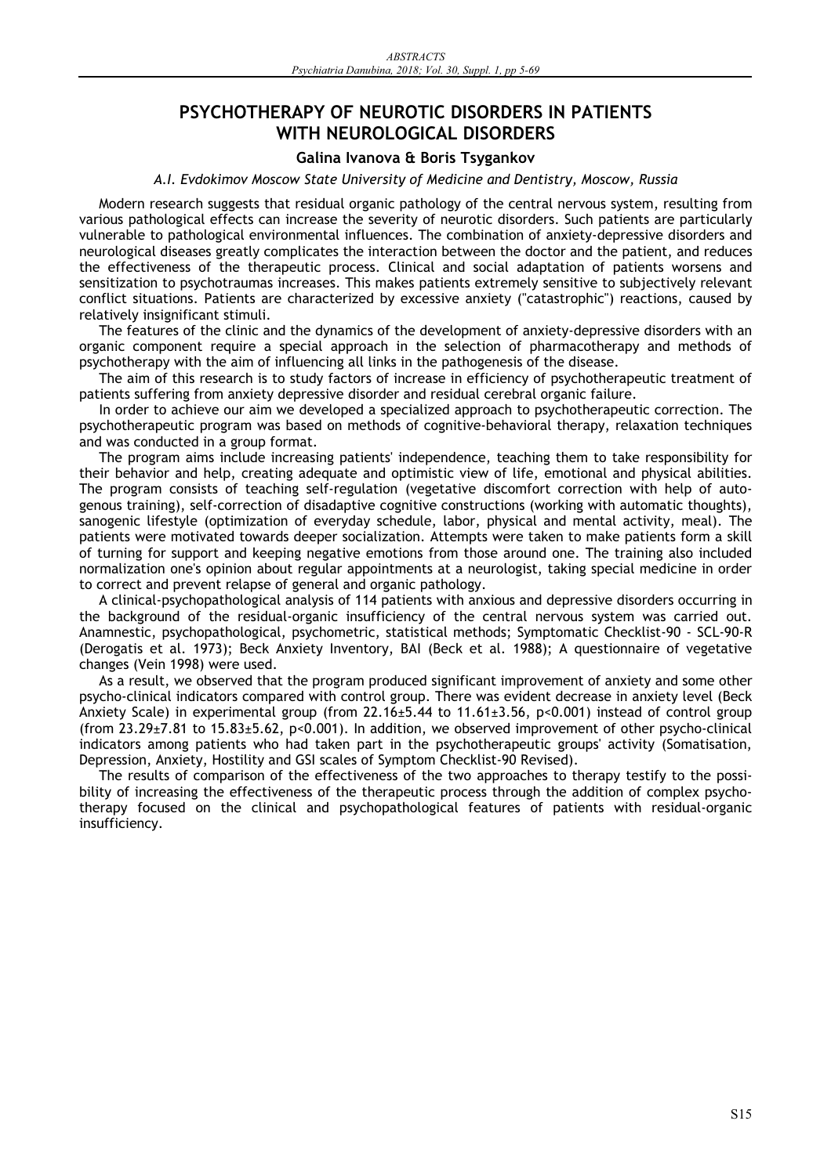# **PSYCHOTHERAPY OF NEUROTIC DISORDERS IN PATIENTS WITH NEUROLOGICAL DISORDERS**

#### **Galina Ivanova & Boris Tsygankov**

#### *A.I. Evdokimov Moscow State University of Medicine and Dentistry, Moscow, Russia*

Modern research suggests that residual organic pathology of the central nervous system, resulting from various pathological effects can increase the severity of neurotic disorders. Such patients are particularly vulnerable to pathological environmental influences. The combination of anxiety-depressive disorders and neurological diseases greatly complicates the interaction between the doctor and the patient, and reduces the effectiveness of the therapeutic process. Clinical and social adaptation of patients worsens and sensitization to psychotraumas increases. This makes patients extremely sensitive to subjectively relevant conflict situations. Patients are characterized by excessive anxiety ("catastrophic") reactions, caused by relatively insignificant stimuli.

The features of the clinic and the dynamics of the development of anxiety-depressive disorders with an organic component require a special approach in the selection of pharmacotherapy and methods of psychotherapy with the aim of influencing all links in the pathogenesis of the disease.

The aim of this research is to study factors of increase in efficiency of psychotherapeutic treatment of patients suffering from anxiety depressive disorder and residual cerebral organic failure.

In order to achieve our aim we developed a specialized approach to psychotherapeutic correction. The psychotherapeutic program was based on methods of cognitive-behavioral therapy, relaxation techniques and was conducted in a group format.

The program aims include increasing patients' independence, teaching them to take responsibility for their behavior and help, creating adequate and optimistic view of life, emotional and physical abilities. The program consists of teaching self-regulation (vegetative discomfort correction with help of autogenous training), self-correction of disadaptive cognitive constructions (working with automatic thoughts), sanogenic lifestyle (optimization of everyday schedule, labor, physical and mental activity, meal). The patients were motivated towards deeper socialization. Attempts were taken to make patients form a skill of turning for support and keeping negative emotions from those around one. The training also included normalization one's opinion about regular appointments at a neurologist, taking special medicine in order to correct and prevent relapse of general and organic pathology.

A clinical-psychopathological analysis of 114 patients with anxious and depressive disorders occurring in the background of the residual-organic insufficiency of the central nervous system was carried out. Anamnestic, psychopathological, psychometric, statistical methods; Symptomatic Checklist-90 - SCL-90-R (Derogatis et al. 1973); Beck Anxiety Inventory, BAI (Beck et al. 1988); A questionnaire of vegetative changes (Vein 1998) were used.

As a result, we observed that the program produced significant improvement of anxiety and some other psycho-clinical indicators compared with control group. There was evident decrease in anxiety level (Beck Anxiety Scale) in experimental group (from 22.16±5.44 to 11.61±3.56, p<0.001) instead of control group (from  $23.29\pm7.81$  to  $15.83\pm5.62$ , p<0.001). In addition, we observed improvement of other psycho-clinical indicators among patients who had taken part in the psychotherapeutic groups' activity (Somatisation, Depression, Anxiety, Hostility and GSI scales of Symptom Checklist-90 Revised).

The results of comparison of the effectiveness of the two approaches to therapy testify to the possibility of increasing the effectiveness of the therapeutic process through the addition of complex psychotherapy focused on the clinical and psychopathological features of patients with residual-organic insufficiency.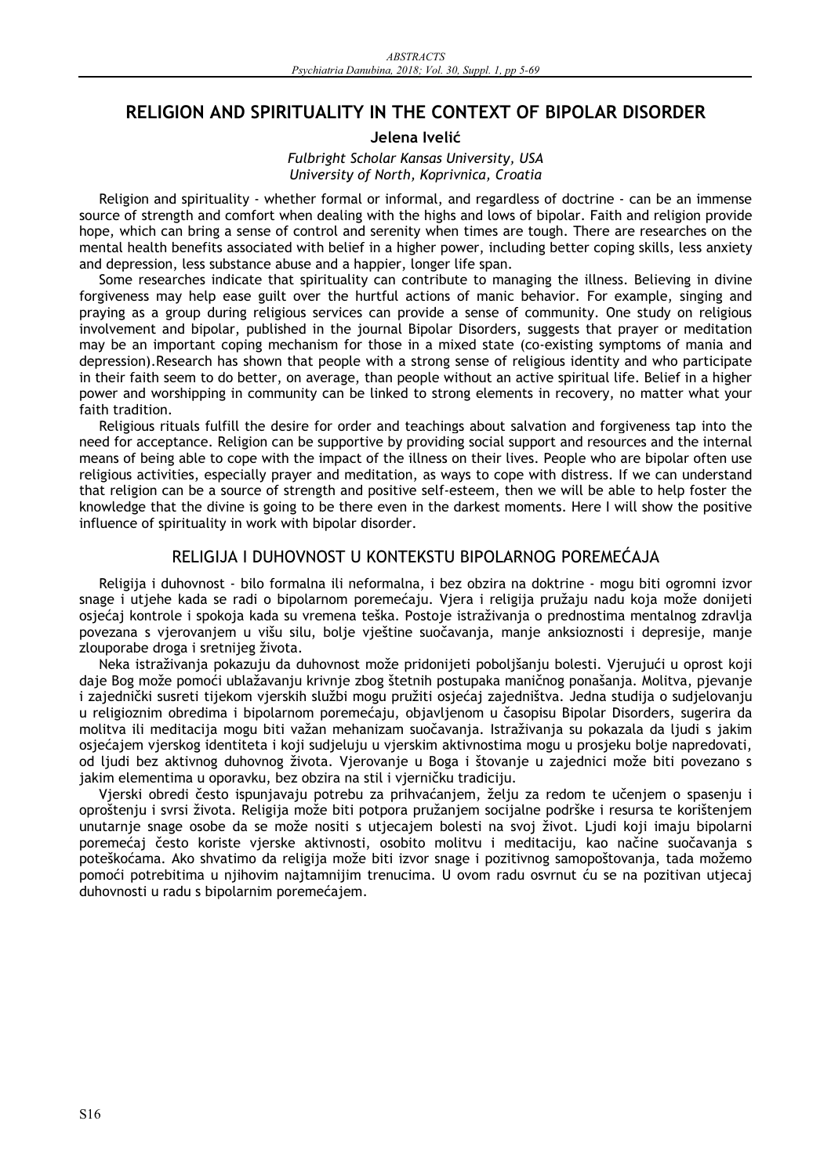# **RELIGION AND SPIRITUALITY IN THE CONTEXT OF BIPOLAR DISORDER**

#### Jelena Ivelić

*Fulbright Scholar Kansas University, USA University of North, Koprivnica, Croatia* 

Religion and spirituality - whether formal or informal, and regardless of doctrine - can be an immense source of strength and comfort when dealing with the highs and lows of bipolar. Faith and religion provide hope, which can bring a sense of control and serenity when times are tough. There are researches on the mental health benefits associated with belief in a higher power, including better coping skills, less anxiety and depression, less substance abuse and a happier, longer life span.

Some researches indicate that spirituality can contribute to managing the illness. Believing in divine forgiveness may help ease guilt over the hurtful actions of manic behavior. For example, singing and praying as a group during religious services can provide a sense of community. One study on religious involvement and bipolar, published in the journal Bipolar Disorders, suggests that prayer or meditation may be an important coping mechanism for those in a mixed state (co-existing symptoms of mania and depression).Research has shown that people with a strong sense of religious identity and who participate in their faith seem to do better, on average, than people without an active spiritual life. Belief in a higher power and worshipping in community can be linked to strong elements in recovery, no matter what your faith tradition.

Religious rituals fulfill the desire for order and teachings about salvation and forgiveness tap into the need for acceptance. Religion can be supportive by providing social support and resources and the internal means of being able to cope with the impact of the illness on their lives. People who are bipolar often use religious activities, especially prayer and meditation, as ways to cope with distress. If we can understand that religion can be a source of strength and positive self-esteem, then we will be able to help foster the knowledge that the divine is going to be there even in the darkest moments. Here I will show the positive influence of spirituality in work with bipolar disorder.

#### RELIGIJA I DUHOVNOST U KONTEKSTU BIPOLARNOG POREMEăAJA

Religija i duhovnost - bilo formalna ili neformalna, i bez obzira na doktrine - mogu biti ogromni izvor snage i utjehe kada se radi o bipolarnom poremećaju. Vjera i religija pružaju nadu koja može donijeti osjećaj kontrole i spokoja kada su vremena teška. Postoje istraživanja o prednostima mentalnog zdravlja povezana s vjerovanjem u višu silu, bolje vještine suoĆavanja, manje anksioznosti i depresije, manje zlouporabe droga i sretnijeg života.

Neka istraživanja pokazuju da duhovnost može pridonijeti poboljšanju bolesti. Vjerujući u oprost koji daje Bog može pomoći ublažavanju krivnje zbog štetnih postupaka maničnog ponašanja. Molitva, pjevanje i zajednički susreti tijekom vjerskih službi mogu pružiti osjećaj zajedništva. Jedna studija o sudjelovanju u religioznim obredima i bipolarnom poremećaju, objavljenom u časopisu Bipolar Disorders, sugerira da molitva ili meditacija mogu biti važan mehanizam suoĆavanja. Istraživanja su pokazala da ljudi s jakim osjećajem vjerskog identiteta i koji sudjeluju u vjerskim aktivnostima mogu u prosjeku bolje napredovati, od ljudi bez aktivnog duhovnog života. Vjerovanje u Boga i štovanje u zajednici može biti povezano s jakim elementima u oporavku, bez obzira na stil i vjerniĆku tradiciju.

Vjerski obredi često ispunjavaju potrebu za prihvaćanjem, želju za redom te učenjem o spasenju i oproštenju i svrsi života. Religija može biti potpora pružanjem socijalne podrške i resursa te korištenjem unutarnje snage osobe da se može nositi s utjecajem bolesti na svoj život. Ljudi koji imaju bipolarni poremećaj često koriste vjerske aktivnosti, osobito molitvu i meditaciju, kao načine suočavanja s poteškoćama. Ako shvatimo da religija može biti izvor snage i pozitivnog samopoštovanja, tada možemo pomoći potrebitima u njihovim najtamnijim trenucima. U ovom radu osvrnut ću se na pozitivan utjecaj duhovnosti u radu s bipolarnim poremećajem.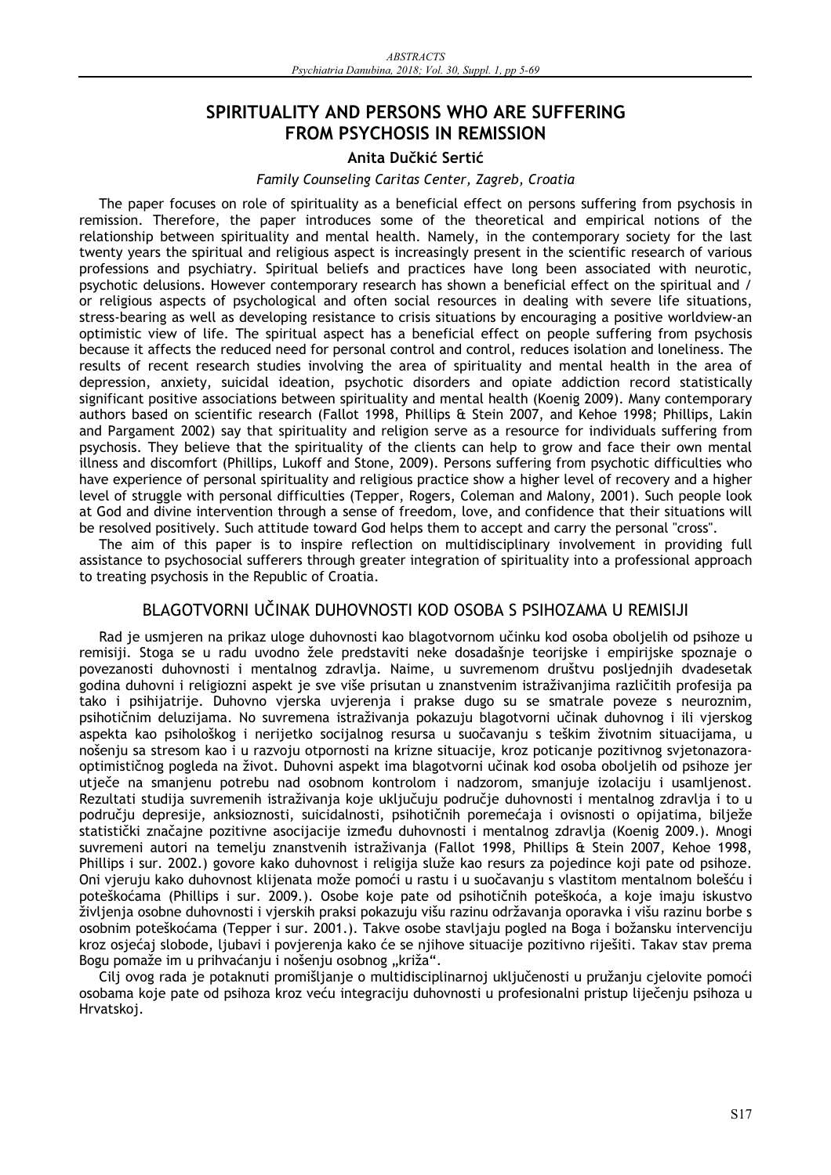# **SPIRITUALITY AND PERSONS WHO ARE SUFFERING FROM PSYCHOSIS IN REMISSION**

#### **Anita DuĆkiĄ SertiĄ**

#### *Family Counseling Caritas Center, Zagreb, Croatia*

The paper focuses on role of spirituality as a beneficial effect on persons suffering from psychosis in remission. Therefore, the paper introduces some of the theoretical and empirical notions of the relationship between spirituality and mental health. Namely, in the contemporary society for the last twenty years the spiritual and religious aspect is increasingly present in the scientific research of various professions and psychiatry. Spiritual beliefs and practices have long been associated with neurotic, psychotic delusions. However contemporary research has shown a beneficial effect on the spiritual and / or religious aspects of psychological and often social resources in dealing with severe life situations, stress-bearing as well as developing resistance to crisis situations by encouraging a positive worldview-an optimistic view of life. The spiritual aspect has a beneficial effect on people suffering from psychosis because it affects the reduced need for personal control and control, reduces isolation and loneliness. The results of recent research studies involving the area of spirituality and mental health in the area of depression, anxiety, suicidal ideation, psychotic disorders and opiate addiction record statistically significant positive associations between spirituality and mental health (Koenig 2009). Many contemporary authors based on scientific research (Fallot 1998, Phillips & Stein 2007, and Kehoe 1998; Phillips, Lakin and Pargament 2002) say that spirituality and religion serve as a resource for individuals suffering from psychosis. They believe that the spirituality of the clients can help to grow and face their own mental illness and discomfort (Phillips, Lukoff and Stone, 2009). Persons suffering from psychotic difficulties who have experience of personal spirituality and religious practice show a higher level of recovery and a higher level of struggle with personal difficulties (Tepper, Rogers, Coleman and Malony, 2001). Such people look at God and divine intervention through a sense of freedom, love, and confidence that their situations will be resolved positively. Such attitude toward God helps them to accept and carry the personal "cross".

The aim of this paper is to inspire reflection on multidisciplinary involvement in providing full assistance to psychosocial sufferers through greater integration of spirituality into a professional approach to treating psychosis in the Republic of Croatia.

### BLAGOTVORNI UČINAK DUHOVNOSTI KOD OSOBA S PSIHOZAMA U REMISIJI

Rad je usmjeren na prikaz uloge duhovnosti kao blagotvornom učinku kod osoba oboljelih od psihoze u remisiji. Stoga se u radu uvodno žele predstaviti neke dosadašnje teorijske i empirijske spoznaje o povezanosti duhovnosti i mentalnog zdravlja. Naime, u suvremenom društvu posljednjih dvadesetak godina duhovni i religiozni aspekt je sve više prisutan u znanstvenim istraživanjima razliĆitih profesija pa tako i psihijatrije. Duhovno vjerska uvjerenja i prakse dugo su se smatrale poveze s neuroznim, psihotiĆnim deluzijama. No suvremena istraživanja pokazuju blagotvorni uĆinak duhovnog i ili vjerskog aspekta kao psihološkog i nerijetko socijalnog resursa u suoĆavanju s teškim životnim situacijama, u nošenju sa stresom kao i u razvoju otpornosti na krizne situacije, kroz poticanje pozitivnog svjetonazoraoptimistiĆnog pogleda na život. Duhovni aspekt ima blagotvorni uĆinak kod osoba oboljelih od psihoze jer utjeĆe na smanjenu potrebu nad osobnom kontrolom i nadzorom, smanjuje izolaciju i usamljenost. Rezultati studija suvremenih istraživanja koje ukljuĆuju podruĆje duhovnosti i mentalnog zdravlja i to u području depresije, anksioznosti, suicidalnosti, psihotičnih poremećaja i ovisnosti o opijatima, bilježe statistiĆki znaĆajne pozitivne asocijacije izmeću duhovnosti i mentalnog zdravlja (Koenig 2009.). Mnogi suvremeni autori na temelju znanstvenih istraživanja (Fallot 1998, Phillips & Stein 2007, Kehoe 1998, Phillips i sur. 2002.) govore kako duhovnost i religija služe kao resurs za pojedince koji pate od psihoze. Oni vjeruju kako duhovnost klijenata može pomoći u rastu i u suočavanju s vlastitom mentalnom bolešću i poteškoćama (Phillips i sur. 2009.). Osobe koje pate od psihotičnih poteškoća, a koje imaju iskustvo življenja osobne duhovnosti i vjerskih praksi pokazuju višu razinu održavanja oporavka i višu razinu borbe s osobnim poteškoćama (Tepper i sur. 2001.). Takve osobe stavljaju pogled na Boga i božansku intervenciju kroz osjećaj slobode, ljubavi i povjerenja kako će se njihove situacije pozitivno riješiti. Takav stav prema Bogu pomaže im u prihvaćanju i nošenju osobnog "križa".

Cilj ovog rada je potaknuti promišljanje o multidisciplinarnoj uključenosti u pružanju cjelovite pomoći osobama koje pate od psihoza kroz veću integraciju duhovnosti u profesionalni pristup liječenju psihoza u Hrvatskoj.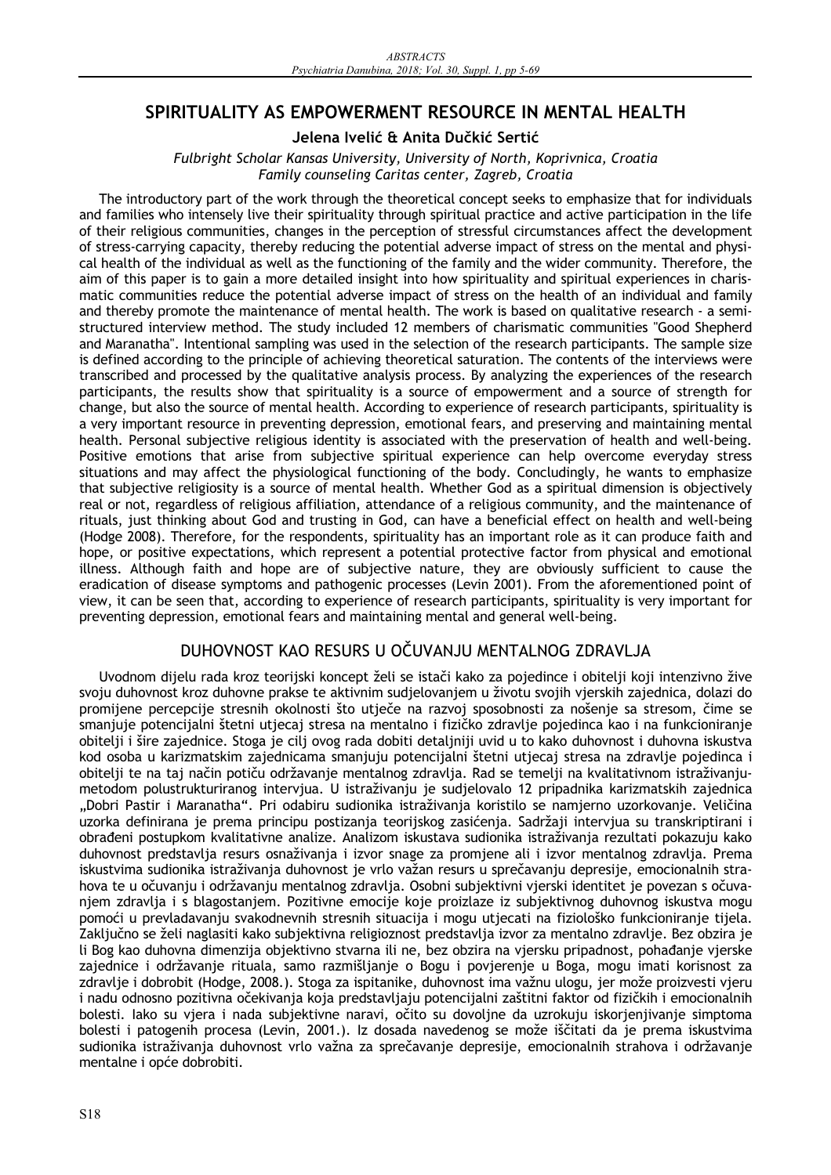# **SPIRITUALITY AS EMPOWERMENT RESOURCE IN MENTAL HEALTH**

#### **Jelena IveliĄ & Anita DuĆkiĄ SertiĄ**

#### *Fulbright Scholar Kansas University, University of North, Koprivnica, Croatia Family counseling Caritas center, Zagreb, Croatia*

The introductory part of the work through the theoretical concept seeks to emphasize that for individuals and families who intensely live their spirituality through spiritual practice and active participation in the life of their religious communities, changes in the perception of stressful circumstances affect the development of stress-carrying capacity, thereby reducing the potential adverse impact of stress on the mental and physical health of the individual as well as the functioning of the family and the wider community. Therefore, the aim of this paper is to gain a more detailed insight into how spirituality and spiritual experiences in charismatic communities reduce the potential adverse impact of stress on the health of an individual and family and thereby promote the maintenance of mental health. The work is based on qualitative research - a semistructured interview method. The study included 12 members of charismatic communities "Good Shepherd and Maranatha". Intentional sampling was used in the selection of the research participants. The sample size is defined according to the principle of achieving theoretical saturation. The contents of the interviews were transcribed and processed by the qualitative analysis process. By analyzing the experiences of the research participants, the results show that spirituality is a source of empowerment and a source of strength for change, but also the source of mental health. According to experience of research participants, spirituality is a very important resource in preventing depression, emotional fears, and preserving and maintaining mental health. Personal subjective religious identity is associated with the preservation of health and well-being. Positive emotions that arise from subjective spiritual experience can help overcome everyday stress situations and may affect the physiological functioning of the body. Concludingly, he wants to emphasize that subjective religiosity is a source of mental health. Whether God as a spiritual dimension is objectively real or not, regardless of religious affiliation, attendance of a religious community, and the maintenance of rituals, just thinking about God and trusting in God, can have a beneficial effect on health and well-being (Hodge 2008). Therefore, for the respondents, spirituality has an important role as it can produce faith and hope, or positive expectations, which represent a potential protective factor from physical and emotional illness. Although faith and hope are of subjective nature, they are obviously sufficient to cause the eradication of disease symptoms and pathogenic processes (Levin 2001). From the aforementioned point of view, it can be seen that, according to experience of research participants, spirituality is very important for preventing depression, emotional fears and maintaining mental and general well-being.

#### DUHOVNOST KAO RESURS U OČUVANJU MENTALNOG ZDRAVLJA

Uvodnom dijelu rada kroz teorijski koncept želi se istaĆi kako za pojedince i obitelji koji intenzivno žive svoju duhovnost kroz duhovne prakse te aktivnim sudjelovanjem u životu svojih vjerskih zajednica, dolazi do promijene percepcije stresnih okolnosti što utječe na razvoj sposobnosti za nošenje sa stresom, čime se smanjuje potencijalni štetni utjecaj stresa na mentalno i fiziĆko zdravlje pojedinca kao i na funkcioniranje obitelji i šire zajednice. Stoga je cilj ovog rada dobiti detaljniji uvid u to kako duhovnost i duhovna iskustva kod osoba u karizmatskim zajednicama smanjuju potencijalni štetni utjecaj stresa na zdravlje pojedinca i obitelji te na taj naĆin potiĆu održavanje mentalnog zdravlja. Rad se temelji na kvalitativnom istraživanjumetodom polustrukturiranog intervjua. U istraživanju je sudjelovalo 12 pripadnika karizmatskih zajednica "Dobri Pastir i Maranatha". Pri odabiru sudionika istraživanja koristilo se namjerno uzorkovanje. VeliĆina uzorka definirana je prema principu postizanja teorijskog zasićenja. Sadržaji intervjua su transkriptirani i obraćeni postupkom kvalitativne analize. Analizom iskustava sudionika istraživanja rezultati pokazuju kako duhovnost predstavlja resurs osnaživanja i izvor snage za promjene ali i izvor mentalnog zdravlja. Prema iskustvima sudionika istraživanja duhovnost je vrlo važan resurs u spreĆavanju depresije, emocionalnih strahova te u oĆuvanju i održavanju mentalnog zdravlja. Osobni subjektivni vjerski identitet je povezan s oĆuvanjem zdravlja i s blagostanjem. Pozitivne emocije koje proizlaze iz subjektivnog duhovnog iskustva mogu pomoći u prevladavanju svakodnevnih stresnih situacija i mogu utjecati na fiziološko funkcioniranje tijela. ZakljuĆno se želi naglasiti kako subjektivna religioznost predstavlja izvor za mentalno zdravlje. Bez obzira je li Bog kao duhovna dimenzija objektivno stvarna ili ne, bez obzira na vjersku pripadnost, pohaćanje vjerske zajednice i održavanje rituala, samo razmišljanje o Bogu i povjerenje u Boga, mogu imati korisnost za zdravlje i dobrobit (Hodge, 2008.). Stoga za ispitanike, duhovnost ima važnu ulogu, jer može proizvesti vjeru i nadu odnosno pozitivna oĆekivanja koja predstavljaju potencijalni zaštitni faktor od fiziĆkih i emocionalnih bolesti. Iako su vjera i nada subjektivne naravi, oĆito su dovoljne da uzrokuju iskorjenjivanje simptoma bolesti i patogenih procesa (Levin, 2001.). Iz dosada navedenog se može išĆitati da je prema iskustvima sudionika istraživanja duhovnost vrlo važna za spreĆavanje depresije, emocionalnih strahova i održavanje mentalne i opće dobrobiti.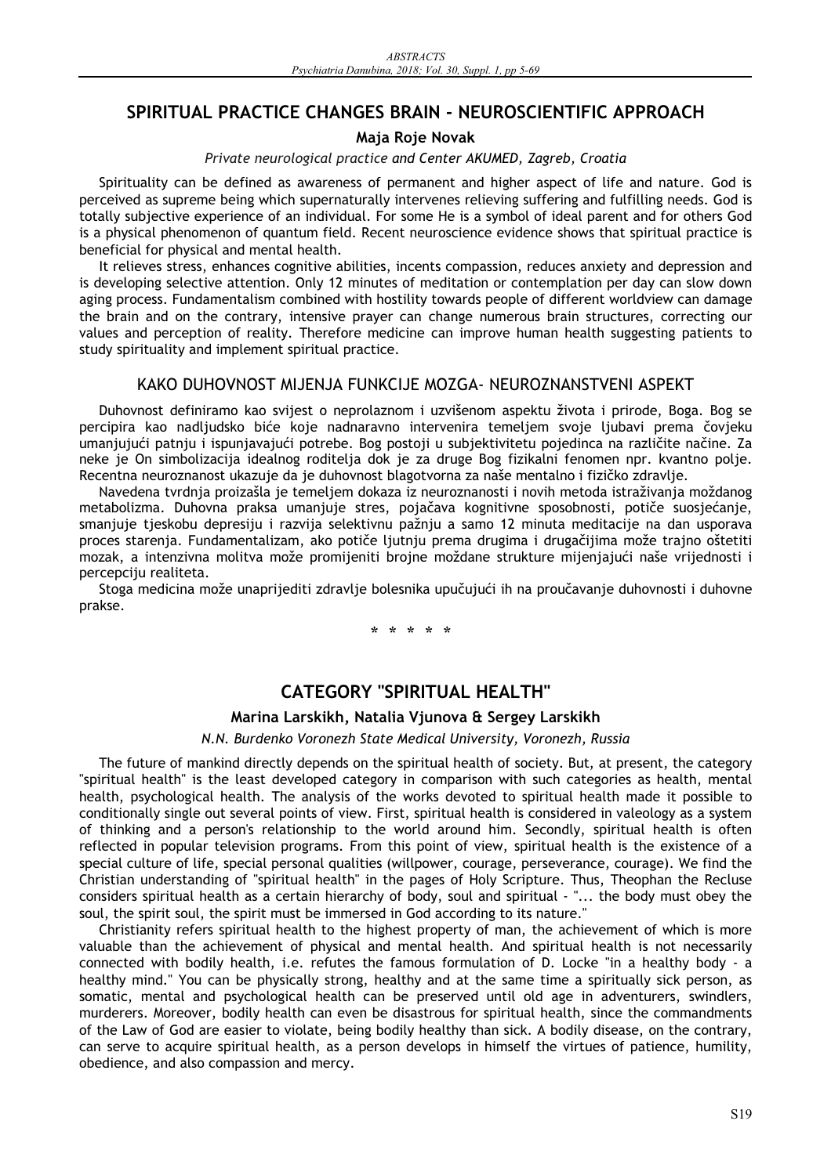# **SPIRITUAL PRACTICE CHANGES BRAIN - NEUROSCIENTIFIC APPROACH**

#### **Maja Roje Novak**

#### *Private neurological practice and Center AKUMED, Zagreb, Croatia*

Spirituality can be defined as awareness of permanent and higher aspect of life and nature. God is perceived as supreme being which supernaturally intervenes relieving suffering and fulfilling needs. God is totally subjective experience of an individual. For some He is a symbol of ideal parent and for others God is a physical phenomenon of quantum field. Recent neuroscience evidence shows that spiritual practice is beneficial for physical and mental health.

It relieves stress, enhances cognitive abilities, incents compassion, reduces anxiety and depression and is developing selective attention. Only 12 minutes of meditation or contemplation per day can slow down aging process. Fundamentalism combined with hostility towards people of different worldview can damage the brain and on the contrary, intensive prayer can change numerous brain structures, correcting our values and perception of reality. Therefore medicine can improve human health suggesting patients to study spirituality and implement spiritual practice.

#### KAKO DUHOVNOST MIJENJA FUNKCIJE MOZGA- NEUROZNANSTVENI ASPEKT

Duhovnost definiramo kao svijest o neprolaznom i uzvišenom aspektu života i prirode, Boga. Bog se percipira kao nadljudsko biće koje nadnaravno intervenira temeljem svoje ljubavi prema čovjeku umanjujući patnju i ispunjavajući potrebe. Bog postoji u subjektivitetu pojedinca na različite načine. Za neke je On simbolizacija idealnog roditelja dok je za druge Bog fizikalni fenomen npr. kvantno polje. Recentna neuroznanost ukazuje da je duhovnost blagotvorna za naše mentalno i fiziĆko zdravlje.

Navedena tvrdnja proizašla je temeljem dokaza iz neuroznanosti i novih metoda istraživanja moždanog metabolizma. Duhovna praksa umanjuje stres, pojačava kognitivne sposobnosti, potiče suosjećanje, smanjuje tjeskobu depresiju i razvija selektivnu pažnju a samo 12 minuta meditacije na dan usporava proces starenja. Fundamentalizam, ako potiĆe ljutnju prema drugima i drugaĆijima može trajno oštetiti mozak, a intenzivna molitva može promijeniti brojne moždane strukture mijenjajući naše vrijednosti i percepciju realiteta.

Stoga medicina može unaprijediti zdravlje bolesnika upučujući ih na proučavanje duhovnosti i duhovne prakse.

**\*\*\*\*\***

## **CATEGORY "SPIRITUAL HEALTH"**

#### **Marina Larskikh, Natalia Vjunova & Sergey Larskikh**

#### *N.N. Burdenko Voronezh State Medical University, Voronezh, Russia*

The future of mankind directly depends on the spiritual health of society. But, at present, the category "spiritual health" is the least developed category in comparison with such categories as health, mental health, psychological health. The analysis of the works devoted to spiritual health made it possible to conditionally single out several points of view. First, spiritual health is considered in valeology as a system of thinking and a person's relationship to the world around him. Secondly, spiritual health is often reflected in popular television programs. From this point of view, spiritual health is the existence of a special culture of life, special personal qualities (willpower, courage, perseverance, courage). We find the Christian understanding of "spiritual health" in the pages of Holy Scripture. Thus, Theophan the Recluse considers spiritual health as a certain hierarchy of body, soul and spiritual - "... the body must obey the soul, the spirit soul, the spirit must be immersed in God according to its nature."

Christianity refers spiritual health to the highest property of man, the achievement of which is more valuable than the achievement of physical and mental health. And spiritual health is not necessarily connected with bodily health, i.e. refutes the famous formulation of D. Locke "in a healthy body - a healthy mind." You can be physically strong, healthy and at the same time a spiritually sick person, as somatic, mental and psychological health can be preserved until old age in adventurers, swindlers, murderers. Moreover, bodily health can even be disastrous for spiritual health, since the commandments of the Law of God are easier to violate, being bodily healthy than sick. A bodily disease, on the contrary, can serve to acquire spiritual health, as a person develops in himself the virtues of patience, humility, obedience, and also compassion and mercy.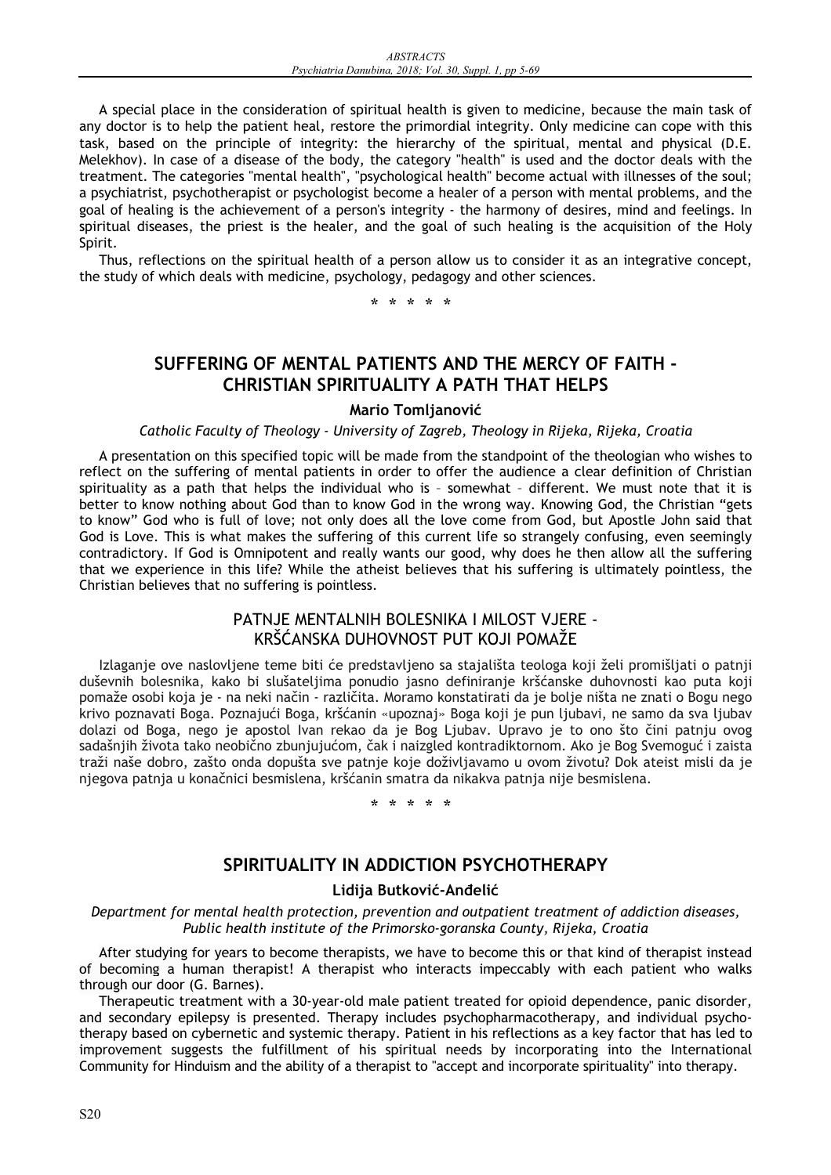A special place in the consideration of spiritual health is given to medicine, because the main task of any doctor is to help the patient heal, restore the primordial integrity. Only medicine can cope with this task, based on the principle of integrity: the hierarchy of the spiritual, mental and physical (D.E. Melekhov). In case of a disease of the body, the category "health" is used and the doctor deals with the treatment. The categories "mental health", "psychological health" become actual with illnesses of the soul; a psychiatrist, psychotherapist or psychologist become a healer of a person with mental problems, and the goal of healing is the achievement of a person's integrity - the harmony of desires, mind and feelings. In spiritual diseases, the priest is the healer, and the goal of such healing is the acquisition of the Holy Spirit.

Thus, reflections on the spiritual health of a person allow us to consider it as an integrative concept, the study of which deals with medicine, psychology, pedagogy and other sciences.

**\*\*\*\*\***

# **SUFFERING OF MENTAL PATIENTS AND THE MERCY OF FAITH - CHRISTIAN SPIRITUALITY A PATH THAT HELPS**

#### **Mario TomljanoviĄ**

*Catholic Faculty of Theology - University of Zagreb, Theology in Rijeka, Rijeka, Croatia* 

A presentation on this specified topic will be made from the standpoint of the theologian who wishes to reflect on the suffering of mental patients in order to offer the audience a clear definition of Christian spirituality as a path that helps the individual who is – somewhat – different. We must note that it is better to know nothing about God than to know God in the wrong way. Knowing God, the Christian "gets to know" God who is full of love; not only does all the love come from God, but Apostle John said that God is Love. This is what makes the suffering of this current life so strangely confusing, even seemingly contradictory. If God is Omnipotent and really wants our good, why does he then allow all the suffering that we experience in this life? While the atheist believes that his suffering is ultimately pointless, the Christian believes that no suffering is pointless.

#### PATNJE MENTALNIH BOLESNIKA I MILOST VJERE - KRŠăANSKA DUHOVNOST PUT KOJI POMAŽE

Izlaganje ove naslovljene teme biti će predstavljeno sa stajališta teologa koji želi promišljati o patnji duševnih bolesnika, kako bi slušateljima ponudio jasno definiranje kršćanske duhovnosti kao puta koji pomaže osobi koja je - na neki naĆin - razliĆita. Moramo konstatirati da je bolje ništa ne znati o Bogu nego krivo poznavati Boga. Poznajući Boga, kršćanin «upoznaj» Boga koji je pun ljubavi, ne samo da sva ljubav dolazi od Boga, nego je apostol Ivan rekao da je Bog Ljubav. Upravo je to ono što Ćini patnju ovog sadašnjih života tako neobično zbunjujućom, čak i naizgled kontradiktornom. Ako je Bog Svemoguć i zaista traži naše dobro, zašto onda dopušta sve patnje koje doživljavamo u ovom životu? Dok ateist misli da je njegova patnja u konačnici besmislena, kršćanin smatra da nikakva patnja nije besmislena.

**\*\*\*\*\***

# **SPIRITUALITY IN ADDICTION PSYCHOTHERAPY**

#### **Lidija ButkoviĄ-AnćeliĄ**

*Department for mental health protection, prevention and outpatient treatment of addiction diseases, Public health institute of the Primorsko-goranska County, Rijeka, Croatia* 

After studying for years to become therapists, we have to become this or that kind of therapist instead of becoming a human therapist! A therapist who interacts impeccably with each patient who walks through our door (G. Barnes).

Therapeutic treatment with a 30-year-old male patient treated for opioid dependence, panic disorder, and secondary epilepsy is presented. Therapy includes psychopharmacotherapy, and individual psychotherapy based on cybernetic and systemic therapy. Patient in his reflections as a key factor that has led to improvement suggests the fulfillment of his spiritual needs by incorporating into the International Community for Hinduism and the ability of a therapist to "accept and incorporate spirituality" into therapy.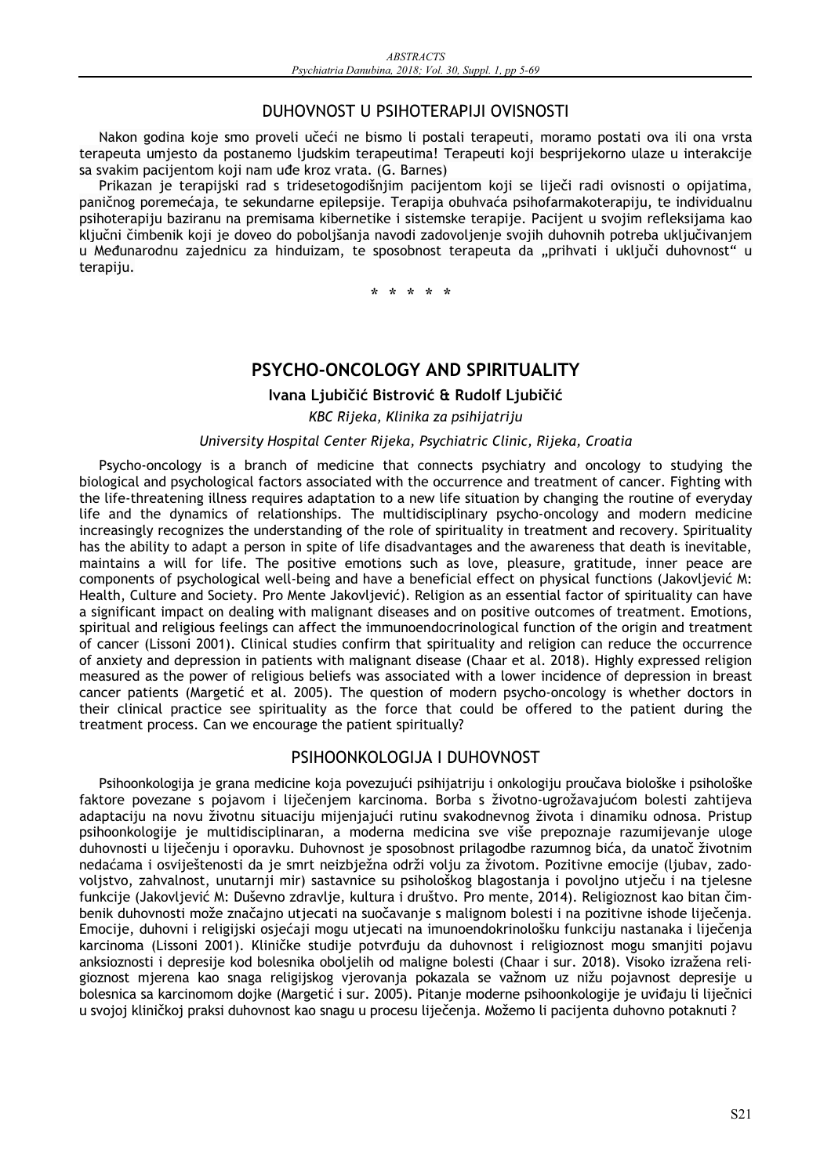# DUHOVNOST U PSIHOTERAPIJI OVISNOSTI

Nakon godina koje smo proveli učeći ne bismo li postali terapeuti, moramo postati ova ili ona vrsta terapeuta umjesto da postanemo ljudskim terapeutima! Terapeuti koji besprijekorno ulaze u interakcije sa svakim pacijentom koji nam uće kroz vrata. (G. Barnes)

Prikazan je terapijski rad s tridesetogodišnjim pacijentom koji se lijeĆi radi ovisnosti o opijatima, paničnog poremećaja, te sekundarne epilepsije. Terapija obuhvaća psihofarmakoterapiju, te individualnu psihoterapiju baziranu na premisama kibernetike i sistemske terapije. Pacijent u svojim refleksijama kao kljuĆni Ćimbenik koji je doveo do poboljšanja navodi zadovoljenje svojih duhovnih potreba ukljuĆivanjem u Međunarodnu zajednicu za hinduizam, te sposobnost terapeuta da "prihvati i uključi duhovnost" u terapiju.

**\*\*\*\*\***

# **PSYCHO-ONCOLOGY AND SPIRITUALITY**

#### **Ivana LjubiĆiĄ BistroviĄ & Rudolf LjubiĆiĄ**

*KBC Rijeka, Klinika za psihijatriju* 

#### *University Hospital Center Rijeka, Psychiatric Clinic, Rijeka, Croatia*

Psycho-oncology is a branch of medicine that connects psychiatry and oncology to studying the biological and psychological factors associated with the occurrence and treatment of cancer. Fighting with the life-threatening illness requires adaptation to a new life situation by changing the routine of everyday life and the dynamics of relationships. The multidisciplinary psycho-oncology and modern medicine increasingly recognizes the understanding of the role of spirituality in treatment and recovery. Spirituality has the ability to adapt a person in spite of life disadvantages and the awareness that death is inevitable, maintains a will for life. The positive emotions such as love, pleasure, gratitude, inner peace are components of psychological well-being and have a beneficial effect on physical functions (Jakovljević M: Health, Culture and Society. Pro Mente Jakovliević). Religion as an essential factor of spirituality can have a significant impact on dealing with malignant diseases and on positive outcomes of treatment. Emotions, spiritual and religious feelings can affect the immunoendocrinological function of the origin and treatment of cancer (Lissoni 2001). Clinical studies confirm that spirituality and religion can reduce the occurrence of anxiety and depression in patients with malignant disease (Chaar et al. 2018). Highly expressed religion measured as the power of religious beliefs was associated with a lower incidence of depression in breast cancer patients (Margetić et al. 2005). The question of modern psycho-oncology is whether doctors in their clinical practice see spirituality as the force that could be offered to the patient during the treatment process. Can we encourage the patient spiritually?

#### PSIHOONKOLOGIJA I DUHOVNOST

Psihoonkologija je grana medicine koja povezujući psihijatriju i onkologiju proučava biološke i psihološke faktore povezane s pojavom i liječenjem karcinoma. Borba s životno-ugrožavajućom bolesti zahtijeva adaptaciju na novu životnu situaciju mijenjajući rutinu svakodnevnog života i dinamiku odnosa. Pristup psihoonkologije je multidisciplinaran, a moderna medicina sve više prepoznaje razumijevanje uloge duhovnosti u liječenju i oporavku. Duhovnost je sposobnost prilagodbe razumnog bića, da unatoč životnim nedaćama i osviještenosti da je smrt neizbježna održi volju za životom. Pozitivne emocije (ljubav, zadovoljstvo, zahvalnost, unutarnji mir) sastavnice su psihološkog blagostanja i povoljno utjeĆu i na tjelesne funkcije (Jakovljević M: Duševno zdravlje, kultura i društvo. Pro mente, 2014). Religioznost kao bitan čimbenik duhovnosti može znaĆajno utjecati na suoĆavanje s malignom bolesti i na pozitivne ishode lijeĆenja. Emocije, duhovni i religijski osjećaji mogu utjecati na imunoendokrinološku funkciju nastanaka i liječenja karcinoma (Lissoni 2001). Kliničke studije potvrđuju da duhovnost i religioznost mogu smanjiti pojavu anksioznosti i depresije kod bolesnika oboljelih od maligne bolesti (Chaar i sur. 2018). Visoko izražena religioznost mjerena kao snaga religijskog vjerovanja pokazala se važnom uz nižu pojavnost depresije u bolesnica sa karcinomom dojke (Margetić i sur. 2005). Pitanje moderne psihoonkologije je uviđaju li liječnici u svojoj kliniĆkoj praksi duhovnost kao snagu u procesu lijeĆenja. Možemo li pacijenta duhovno potaknuti ?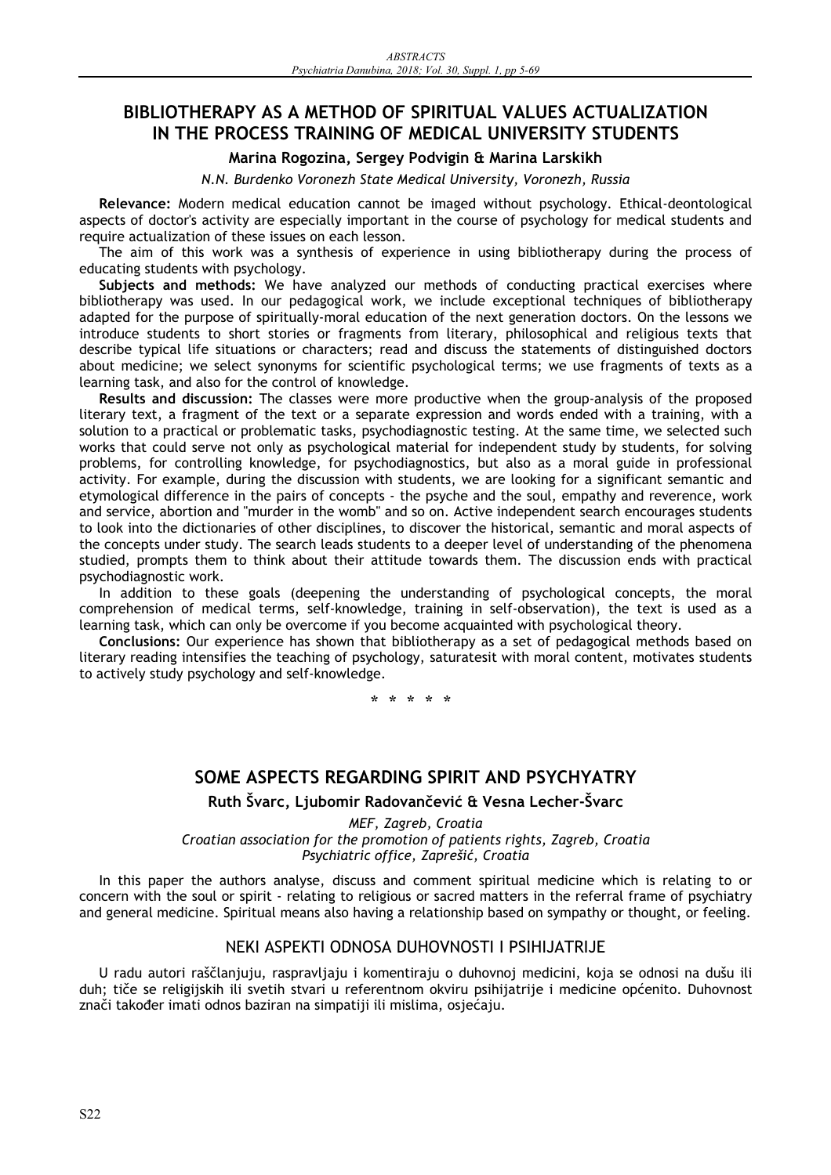# **BIBLIOTHERAPY AS A METHOD OF SPIRITUAL VALUES ACTUALIZATION IN THE PROCESS TRAINING OF MEDICAL UNIVERSITY STUDENTS**

#### **Marina Rogozina, Sergey Podvigin & Marina Larskikh**

*N.N. Burdenko Voronezh State Medical University, Voronezh, Russia* 

**Relevance:** Modern medical education cannot be imaged without psychology. Ethical-deontological aspects of doctor's activity are especially important in the course of psychology for medical students and require actualization of these issues on each lesson.

The aim of this work was a synthesis of experience in using bibliotherapy during the process of educating students with psychology.

**Subjects and methods:** We have analyzed our methods of conducting practical exercises where bibliotherapy was used. In our pedagogical work, we include exceptional techniques of bibliotherapy adapted for the purpose of spiritually-moral education of the next generation doctors. On the lessons we introduce students to short stories or fragments from literary, philosophical and religious texts that describe typical life situations or characters; read and discuss the statements of distinguished doctors about medicine; we select synonyms for scientific psychological terms; we use fragments of texts as a learning task, and also for the control of knowledge.

**Results and discussion:** The classes were more productive when the group-analysis of the proposed literary text, a fragment of the text or a separate expression and words ended with a training, with a solution to a practical or problematic tasks, psychodiagnostic testing. At the same time, we selected such works that could serve not only as psychological material for independent study by students, for solving problems, for controlling knowledge, for psychodiagnostics, but also as a moral guide in professional activity. For example, during the discussion with students, we are looking for a significant semantic and etymological difference in the pairs of concepts - the psyche and the soul, empathy and reverence, work and service, abortion and "murder in the womb" and so on. Active independent search encourages students to look into the dictionaries of other disciplines, to discover the historical, semantic and moral aspects of the concepts under study. The search leads students to a deeper level of understanding of the phenomena studied, prompts them to think about their attitude towards them. The discussion ends with practical psychodiagnostic work.

In addition to these goals (deepening the understanding of psychological concepts, the moral comprehension of medical terms, self-knowledge, training in self-observation), the text is used as a learning task, which can only be overcome if you become acquainted with psychological theory.

**Conclusions:** Our experience has shown that bibliotherapy as a set of pedagogical methods based on literary reading intensifies the teaching of psychology, saturatesit with moral content, motivates students to actively study psychology and self-knowledge.

**\*\*\*\*\***

# **SOME ASPECTS REGARDING SPIRIT AND PSYCHYATRY**

**Ruth Švarc, Ljubomir RadovanĆeviĄ & Vesna Lecher-Švarc** 

*MEF, Zagreb, Croatia Croatian association for the promotion of patients rights, Zagreb, Croatia Psychiatric office, ZaprešiĄ, Croatia* 

In this paper the authors analyse, discuss and comment spiritual medicine which is relating to or concern with the soul or spirit - relating to religious or sacred matters in the referral frame of psychiatry and general medicine. Spiritual means also having a relationship based on sympathy or thought, or feeling.

#### NEKI ASPEKTI ODNOSA DUHOVNOSTI I PSIHIJATRIJE

U radu autori rašĆlanjuju, raspravljaju i komentiraju o duhovnoj medicini, koja se odnosi na dušu ili duh; tiče se religijskih ili svetih stvari u referentnom okviru psihijatrije i medicine općenito. Duhovnost znači također imati odnos baziran na simpatiji ili mislima, osjećaju.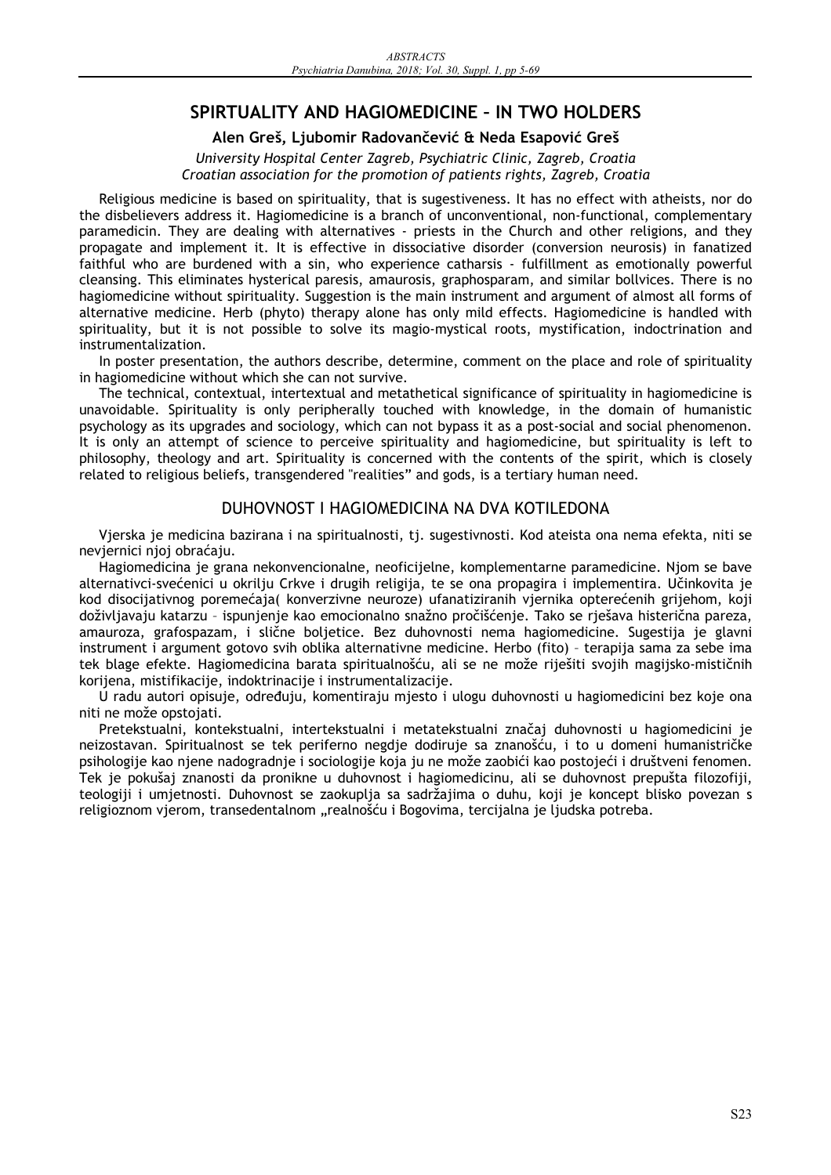# **SPIRTUALITY AND HAGIOMEDICINE – IN TWO HOLDERS**

#### **Alen Greš, Ljubomir RadovanĆeviĄ & Neda EsapoviĄ Greš**

*University Hospital Center Zagreb, Psychiatric Clinic, Zagreb, Croatia Croatian association for the promotion of patients rights, Zagreb, Croatia* 

Religious medicine is based on spirituality, that is sugestiveness. It has no effect with atheists, nor do the disbelievers address it. Hagiomedicine is a branch of unconventional, non-functional, complementary paramedicin. They are dealing with alternatives - priests in the Church and other religions, and they propagate and implement it. It is effective in dissociative disorder (conversion neurosis) in fanatized faithful who are burdened with a sin, who experience catharsis - fulfillment as emotionally powerful cleansing. This eliminates hysterical paresis, amaurosis, graphosparam, and similar bollvices. There is no hagiomedicine without spirituality. Suggestion is the main instrument and argument of almost all forms of alternative medicine. Herb (phyto) therapy alone has only mild effects. Hagiomedicine is handled with spirituality, but it is not possible to solve its magio-mystical roots, mystification, indoctrination and instrumentalization.

In poster presentation, the authors describe, determine, comment on the place and role of spirituality in hagiomedicine without which she can not survive.

The technical, contextual, intertextual and metathetical significance of spirituality in hagiomedicine is unavoidable. Spirituality is only peripherally touched with knowledge, in the domain of humanistic psychology as its upgrades and sociology, which can not bypass it as a post-social and social phenomenon. It is only an attempt of science to perceive spirituality and hagiomedicine, but spirituality is left to philosophy, theology and art. Spirituality is concerned with the contents of the spirit, which is closely related to religious beliefs, transgendered "realities" and gods, is a tertiary human need.

#### DUHOVNOST I HAGIOMEDICINA NA DVA KOTILEDONA

Vjerska je medicina bazirana i na spiritualnosti, tj. sugestivnosti. Kod ateista ona nema efekta, niti se nevjernici njoj obraćaju.

Hagiomedicina je grana nekonvencionalne, neoficijelne, komplementarne paramedicine. Njom se bave alternativci-svećenici u okrilju Crkve i drugih religija, te se ona propagira i implementira. Učinkovita je kod disocijativnog poremećaja( konverzivne neuroze) ufanatiziranih vjernika opterećenih grijehom, koji doživljavaju katarzu - ispunjenje kao emocionalno snažno pročišćenje. Tako se rješava histerična pareza, amauroza, grafospazam, i sliĆne boljetice. Bez duhovnosti nema hagiomedicine. Sugestija je glavni instrument i argument gotovo svih oblika alternativne medicine. Herbo (fito) – terapija sama za sebe ima tek blage efekte. Hagiomedicina barata spiritualnošću, ali se ne može riješiti svojih magijsko-mističnih korijena, mistifikacije, indoktrinacije i instrumentalizacije.

U radu autori opisuje, odrećuju, komentiraju mjesto i ulogu duhovnosti u hagiomedicini bez koje ona niti ne može opstojati.

Pretekstualni, kontekstualni, intertekstualni i metatekstualni znaĆaj duhovnosti u hagiomedicini je neizostavan. Spiritualnost se tek periferno negdje dodiruje sa znanošću, i to u domeni humanistričke psihologije kao njene nadogradnje i sociologije koja ju ne može zaobići kao postojeći i društveni fenomen. Tek je pokušaj znanosti da pronikne u duhovnost i hagiomedicinu, ali se duhovnost prepušta filozofiji, teologiji i umjetnosti. Duhovnost se zaokuplja sa sadržajima o duhu, koji je koncept blisko povezan s religioznom vjerom, transedentalnom "realnošću i Bogovima, tercijalna je ljudska potreba.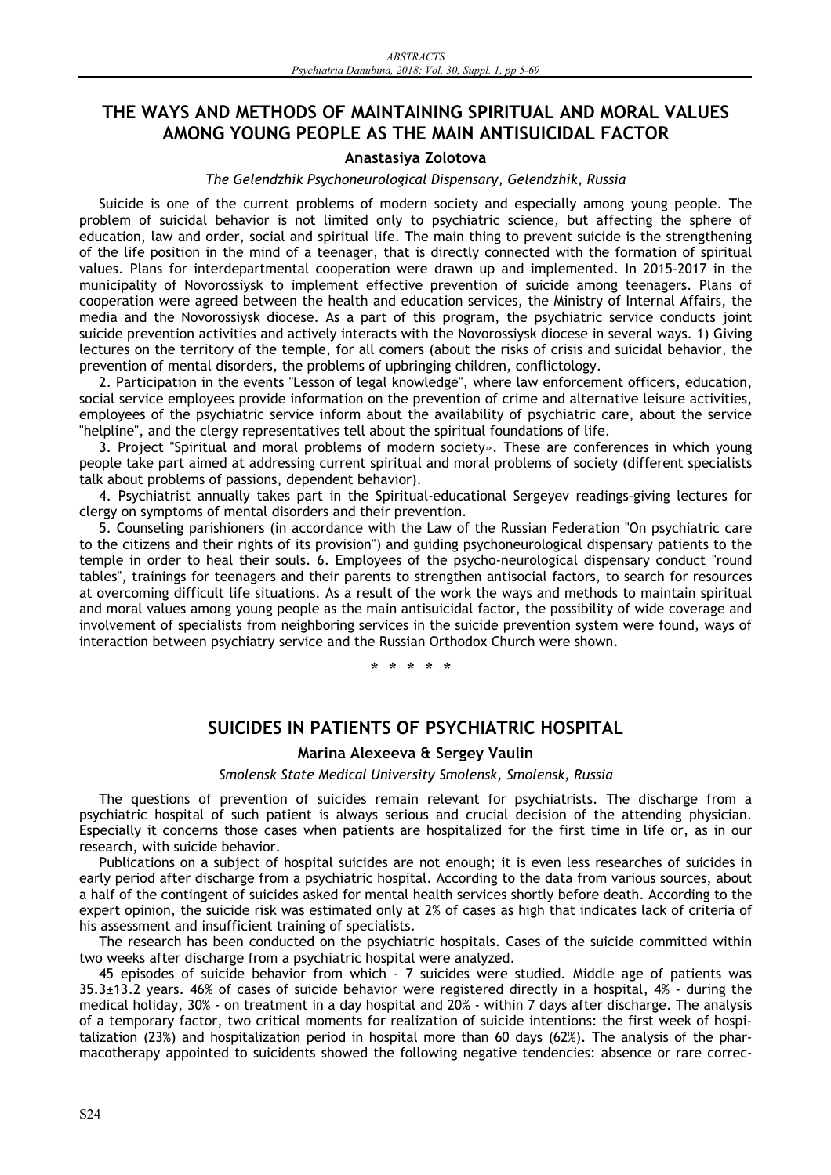# **THE WAYS AND METHODS OF MAINTAINING SPIRITUAL AND MORAL VALUES AMONG YOUNG PEOPLE AS THE MAIN ANTISUICIDAL FACTOR**

#### **Anastasiya Zolotova**

#### *The Gelendzhik Psychoneurological Dispensary, Gelendzhik, Russia*

Suicide is one of the current problems of modern society and especially among young people. The problem of suicidal behavior is not limited only to psychiatric science, but affecting the sphere of education, law and order, social and spiritual life. The main thing to prevent suicide is the strengthening of the life position in the mind of a teenager, that is directly connected with the formation of spiritual values. Plans for interdepartmental cooperation were drawn up and implemented. In 2015-2017 in the municipality of Novorossiysk to implement effective prevention of suicide among teenagers. Plans of cooperation were agreed between the health and education services, the Ministry of Internal Affairs, the media and the Novorossiysk diocese. As a part of this program, the psychiatric service conducts joint suicide prevention activities and actively interacts with the Novorossiysk diocese in several ways. 1) Giving lectures on the territory of the temple, for all comers (about the risks of crisis and suicidal behavior, the prevention of mental disorders, the problems of upbringing children, conflictology.

2. Participation in the events "Lesson of legal knowledge", where law enforcement officers, education, social service employees provide information on the prevention of crime and alternative leisure activities, employees of the psychiatric service inform about the availability of psychiatric care, about the service "helpline", and the clergy representatives tell about the spiritual foundations of life.

3. Project "Spiritual and moral problems of modern society». These are conferences in which young people take part aimed at addressing current spiritual and moral problems of society (different specialists talk about problems of passions, dependent behavior).

4. Psychiatrist annually takes part in the Spiritual-educational Sergeyev readings–giving lectures for clergy on symptoms of mental disorders and their prevention.

5. Counseling parishioners (in accordance with the Law of the Russian Federation "On psychiatric care to the citizens and their rights of its provision") and guiding psychoneurological dispensary patients to the temple in order to heal their souls. 6. Employees of the psycho-neurological dispensary conduct "round tables", trainings for teenagers and their parents to strengthen antisocial factors, to search for resources at overcoming difficult life situations. As a result of the work the ways and methods to maintain spiritual and moral values among young people as the main antisuicidal factor, the possibility of wide coverage and involvement of specialists from neighboring services in the suicide prevention system were found, ways of interaction between psychiatry service and the Russian Orthodox Church were shown.

**\*\*\*\*\***

# **SUICIDES IN PATIENTS OF PSYCHIATRIC HOSPITAL**

#### **Marina Alexeeva & Sergey Vaulin**

#### *Smolensk State Medical University Smolensk, Smolensk, Russia*

The questions of prevention of suicides remain relevant for psychiatrists. The discharge from a psychiatric hospital of such patient is always serious and crucial decision of the attending physician. Especially it concerns those cases when patients are hospitalized for the first time in life or, as in our research, with suicide behavior.

Publications on a subject of hospital suicides are not enough; it is even less researches of suicides in early period after discharge from a psychiatric hospital. According to the data from various sources, about a half of the contingent of suicides asked for mental health services shortly before death. According to the expert opinion, the suicide risk was estimated only at 2% of cases as high that indicates lack of criteria of his assessment and insufficient training of specialists.

The research has been conducted on the psychiatric hospitals. Cases of the suicide committed within two weeks after discharge from a psychiatric hospital were analyzed.

45 episodes of suicide behavior from which - 7 suicides were studied. Middle age of patients was  $35.3\pm13.2$  years. 46% of cases of suicide behavior were registered directly in a hospital, 4% - during the medical holiday, 30% - on treatment in a day hospital and 20% - within 7 days after discharge. The analysis of a temporary factor, two critical moments for realization of suicide intentions: the first week of hospitalization (23%) and hospitalization period in hospital more than 60 days (62%). The analysis of the pharmacotherapy appointed to suicidents showed the following negative tendencies: absence or rare correc-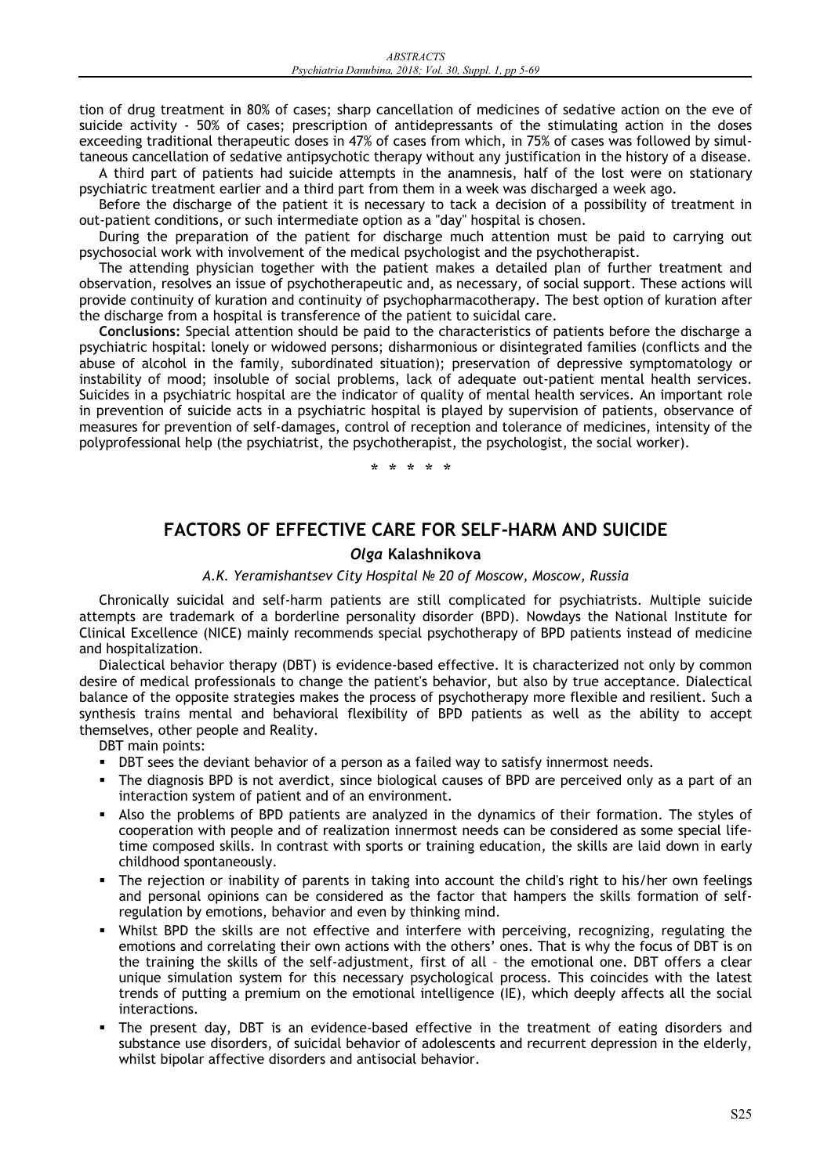tion of drug treatment in 80% of cases; sharp cancellation of medicines of sedative action on the eve of suicide activity - 50% of cases; prescription of antidepressants of the stimulating action in the doses exceeding traditional therapeutic doses in 47% of cases from which, in 75% of cases was followed by simultaneous cancellation of sedative antipsychotic therapy without any justification in the history of a disease.

A third part of patients had suicide attempts in the anamnesis, half of the lost were on stationary psychiatric treatment earlier and a third part from them in a week was discharged a week ago.

Before the discharge of the patient it is necessary to tack a decision of a possibility of treatment in out-patient conditions, or such intermediate option as a "day" hospital is chosen.

During the preparation of the patient for discharge much attention must be paid to carrying out psychosocial work with involvement of the medical psychologist and the psychotherapist.

The attending physician together with the patient makes a detailed plan of further treatment and observation, resolves an issue of psychotherapeutic and, as necessary, of social support. These actions will provide continuity of kuration and continuity of psychopharmacotherapy. The best option of kuration after the discharge from a hospital is transference of the patient to suicidal care.

**Conclusions:** Special attention should be paid to the characteristics of patients before the discharge a psychiatric hospital: lonely or widowed persons; disharmonious or disintegrated families (conflicts and the abuse of alcohol in the family, subordinated situation); preservation of depressive symptomatology or instability of mood; insoluble of social problems, lack of adequate out-patient mental health services. Suicides in a psychiatric hospital are the indicator of quality of mental health services. An important role in prevention of suicide acts in a psychiatric hospital is played by supervision of patients, observance of measures for prevention of self-damages, control of reception and tolerance of medicines, intensity of the polyprofessional help (the psychiatrist, the psychotherapist, the psychologist, the social worker).

**\*\*\*\*\***

# **FACTORS OF EFFECTIVE CARE FOR SELF-HARM AND SUICIDE**

#### *Olga* **Kalashnikova**

#### *A.K. Yeramishantsev City Hospital ȵ 20 of Moscow, Moscow, Russia*

Chronically suicidal and self-harm patients are still complicated for psychiatrists. Multiple suicide attempts are trademark of a borderline personality disorder (BPD). Nowdays the National Institute for Clinical Excellence (NICE) mainly recommends special psychotherapy of BPD patients instead of medicine and hospitalization.

Dialectical behavior therapy (DBT) is evidence-based effective. It is characterized not only by common desire of medical professionals to change the patient's behavior, but also by true acceptance. Dialectical balance of the opposite strategies makes the process of psychotherapy more flexible and resilient. Such a synthesis trains mental and behavioral flexibility of BPD patients as well as the ability to accept themselves, other people and Reality.

DBT main points:

- DBT sees the deviant behavior of a person as a failed way to satisfy innermost needs.
- The diagnosis BPD is not averdict, since biological causes of BPD are perceived only as a part of an interaction system of patient and of an environment.
- Also the problems of BPD patients are analyzed in the dynamics of their formation. The styles of cooperation with people and of realization innermost needs can be considered as some special lifetime composed skills. In contrast with sports or training education, the skills are laid down in early childhood spontaneously.
- The rejection or inability of parents in taking into account the child's right to his/her own feelings and personal opinions can be considered as the factor that hampers the skills formation of selfregulation by emotions, behavior and even by thinking mind.
- Whilst BPD the skills are not effective and interfere with perceiving, recognizing, regulating the emotions and correlating their own actions with the others' ones. That is why the focus of DBT is on the training the skills of the self-adjustment, first of all – the emotional one. DBT offers a clear unique simulation system for this necessary psychological process. This coincides with the latest trends of putting a premium on the emotional intelligence (IE), which deeply affects all the social interactions.
- The present day, DBT is an evidence-based effective in the treatment of eating disorders and substance use disorders, of suicidal behavior of adolescents and recurrent depression in the elderly, whilst bipolar affective disorders and antisocial behavior.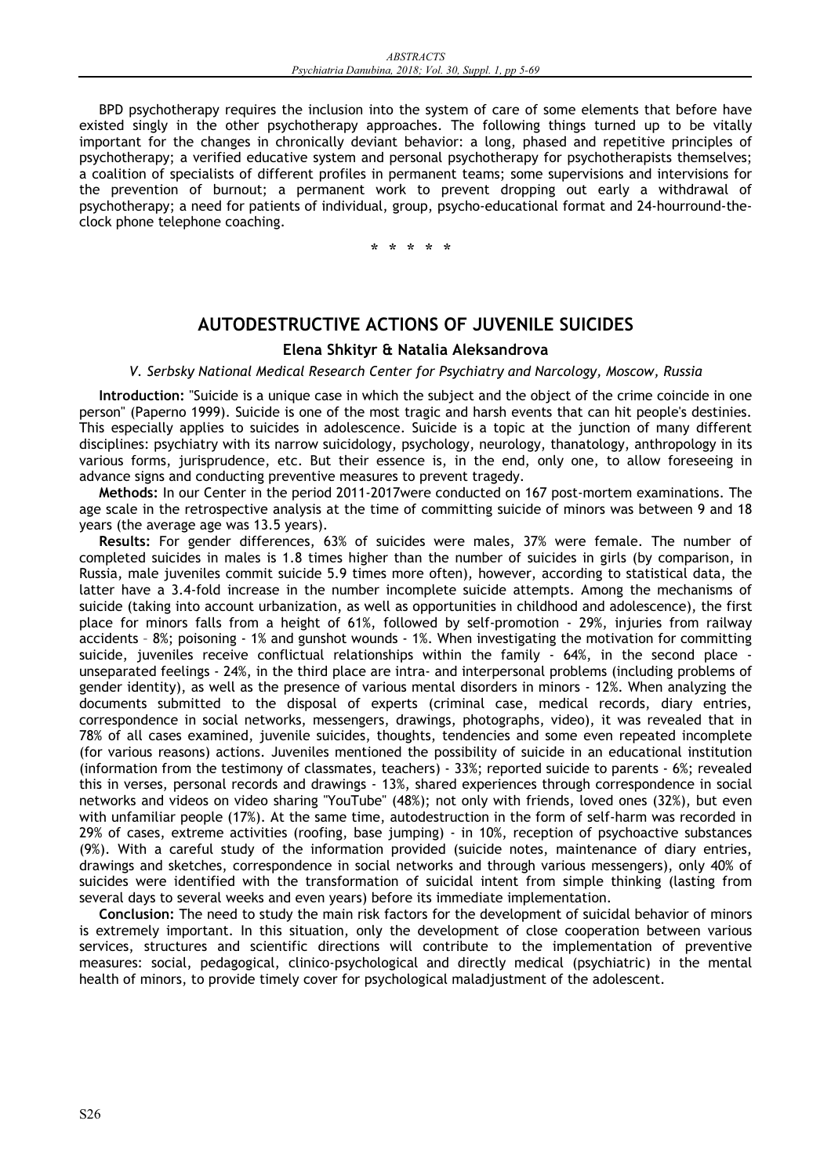BPD psychotherapy requires the inclusion into the system of care of some elements that before have existed singly in the other psychotherapy approaches. The following things turned up to be vitally important for the changes in chronically deviant behavior: a long, phased and repetitive principles of psychotherapy; a verified educative system and personal psychotherapy for psychotherapists themselves; a coalition of specialists of different profiles in permanent teams; some supervisions and intervisions for the prevention of burnout; a permanent work to prevent dropping out early a withdrawal of psychotherapy; a need for patients of individual, group, psycho-educational format and 24-hourround-theclock phone telephone coaching.

**\*\*\*\*\***

# **AUTODESTRUCTIVE ACTIONS OF JUVENILE SUICIDES**

#### **Elena Shkityr & Natalia Aleksandrova**

#### *V. Serbsky National Medical Research Center for Psychiatry and Narcology, Moscow, Russia*

**Introduction:** "Suicide is a unique case in which the subject and the object of the crime coincide in one person" (Paperno 1999). Suicide is one of the most tragic and harsh events that can hit people's destinies. This especially applies to suicides in adolescence. Suicide is a topic at the junction of many different disciplines: psychiatry with its narrow suicidology, psychology, neurology, thanatology, anthropology in its various forms, jurisprudence, etc. But their essence is, in the end, only one, to allow foreseeing in advance signs and conducting preventive measures to prevent tragedy.

**Methods:** In our Center in the period 2011-2017were conducted on 167 post-mortem examinations. The age scale in the retrospective analysis at the time of committing suicide of minors was between 9 and 18 years (the average age was 13.5 years).

**Results:** For gender differences, 63% of suicides were males, 37% were female. The number of completed suicides in males is 1.8 times higher than the number of suicides in girls (by comparison, in Russia, male juveniles commit suicide 5.9 times more often), however, according to statistical data, the latter have a 3.4-fold increase in the number incomplete suicide attempts. Among the mechanisms of suicide (taking into account urbanization, as well as opportunities in childhood and adolescence), the first place for minors falls from a height of 61%, followed by self-promotion - 29%, injuries from railway accidents – 8%; poisoning - 1% and gunshot wounds - 1%. When investigating the motivation for committing suicide, juveniles receive conflictual relationships within the family - 64%, in the second place unseparated feelings - 24%, in the third place are intra- and interpersonal problems (including problems of gender identity), as well as the presence of various mental disorders in minors - 12%. When analyzing the documents submitted to the disposal of experts (criminal case, medical records, diary entries, correspondence in social networks, messengers, drawings, photographs, video), it was revealed that in 78% of all cases examined, juvenile suicides, thoughts, tendencies and some even repeated incomplete (for various reasons) actions. Juveniles mentioned the possibility of suicide in an educational institution (information from the testimony of classmates, teachers) - 33%; reported suicide to parents - 6%; revealed this in verses, personal records and drawings - 13%, shared experiences through correspondence in social networks and videos on video sharing "YouTube" (48%); not only with friends, loved ones (32%), but even with unfamiliar people (17%). At the same time, autodestruction in the form of self-harm was recorded in 29% of cases, extreme activities (roofing, base jumping) - in 10%, reception of psychoactive substances (9%). With a careful study of the information provided (suicide notes, maintenance of diary entries, drawings and sketches, correspondence in social networks and through various messengers), only 40% of suicides were identified with the transformation of suicidal intent from simple thinking (lasting from several days to several weeks and even years) before its immediate implementation.

**Conclusion:** The need to study the main risk factors for the development of suicidal behavior of minors is extremely important. In this situation, only the development of close cooperation between various services, structures and scientific directions will contribute to the implementation of preventive measures: social, pedagogical, clinico-psychological and directly medical (psychiatric) in the mental health of minors, to provide timely cover for psychological maladjustment of the adolescent.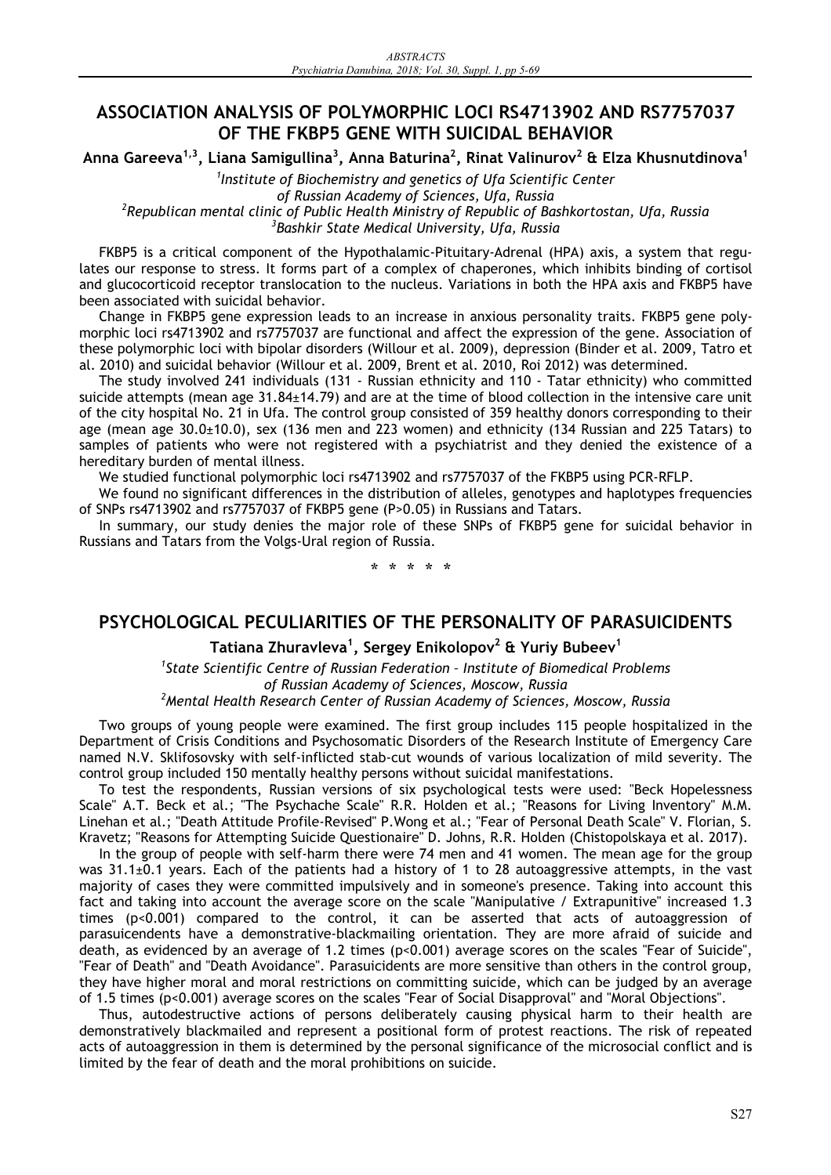# **ASSOCIATION ANALYSIS OF POLYMORPHIC LOCI RS4713902 AND RS7757037 OF THE FKBP5 GENE WITH SUICIDAL BEHAVIOR**

**Anna Gareeva1,3, Liana Samigullina3 , Anna Baturina<sup>2</sup> , Rinat Valinurov<sup>2</sup> & Elza Khusnutdinova<sup>1</sup>**

 *Institute of Biochemistry and genetics of Ufa Scientific Center of Russian Academy of Sciences, Ufa, Russia Republican mental clinic of Public Health Ministry of Republic of Bashkortostan, Ufa, Russia Bashkir State Medical University, Ufa, Russia* 

FKBP5 is a critical component of the Hypothalamic-Pituitary-Adrenal (HPA) axis, a system that regulates our response to stress. It forms part of a complex of chaperones, which inhibits binding of cortisol and glucocorticoid receptor translocation to the nucleus. Variations in both the HPA axis and FKBP5 have been associated with suicidal behavior.

Change in FKBP5 gene expression leads to an increase in anxious personality traits. FKBP5 gene polymorphic loci rs4713902 and rs7757037 are functional and affect the expression of the gene. Association of these polymorphic loci with bipolar disorders (Willour et al. 2009), depression (Binder et al. 2009, Tatro et al. 2010) and suicidal behavior (Willour et al. 2009, Brent et al. 2010, Roi 2012) was determined.

The study involved 241 individuals (131 - Russian ethnicity and 110 - Tatar ethnicity) who committed suicide attempts (mean age 31.84±14.79) and are at the time of blood collection in the intensive care unit of the city hospital No. 21 in Ufa. The control group consisted of 359 healthy donors corresponding to their age (mean age 30.0±10.0), sex (136 men and 223 women) and ethnicity (134 Russian and 225 Tatars) to samples of patients who were not registered with a psychiatrist and they denied the existence of a hereditary burden of mental illness.

We studied functional polymorphic loci rs4713902 and rs7757037 of the FKBP5 using PCR-RFLP.

We found no significant differences in the distribution of alleles, genotypes and haplotypes frequencies of SNPs rs4713902 and rs7757037 of FKBP5 gene (P>0.05) in Russians and Tatars.

In summary, our study denies the major role of these SNPs of FKBP5 gene for suicidal behavior in Russians and Tatars from the Volgs-Ural region of Russia.

**\*\*\*\*\***

# **PSYCHOLOGICAL PECULIARITIES OF THE PERSONALITY OF PARASUICIDENTS**

**Tatiana Zhuravleva<sup>1</sup> , Sergey Enikolopov2 & Yuriy Bubeev<sup>1</sup>**

*1 State Scientific Centre of Russian Federation – Institute of Biomedical Problems of Russian Academy of Sciences, Moscow, Russia* 

*2 Mental Health Research Center of Russian Academy of Sciences, Moscow, Russia* 

Two groups of young people were examined. The first group includes 115 people hospitalized in the Department of Crisis Conditions and Psychosomatic Disorders of the Research Institute of Emergency Care named N.V. Sklifosovsky with self-inflicted stab-cut wounds of various localization of mild severity. The control group included 150 mentally healthy persons without suicidal manifestations.

To test the respondents, Russian versions of six psychological tests were used: "Beck Hopelessness Scale" A.T. Beck et al.; "The Psychache Scale" R.R. Holden et al.; "Reasons for Living Inventory" M.M. Linehan et al.; "Death Attitude Profile-Revised" P.Wong et al.; "Fear of Personal Death Scale" V. Florian, S. Kravetz; "Reasons for Attempting Suicide Questionaire" D. Johns, R.R. Holden (Chistopolskaya et al. 2017).

In the group of people with self-harm there were 74 men and 41 women. The mean age for the group was  $31.1\pm0.1$  years. Each of the patients had a history of 1 to 28 autoaggressive attempts, in the vast majority of cases they were committed impulsively and in someone's presence. Taking into account this fact and taking into account the average score on the scale "Manipulative / Extrapunitive" increased 1.3 times (p<0.001) compared to the control, it can be asserted that acts of autoaggression of parasuicendents have a demonstrative-blackmailing orientation. They are more afraid of suicide and death, as evidenced by an average of 1.2 times (p<0.001) average scores on the scales "Fear of Suicide", "Fear of Death" and "Death Avoidance". Parasuicidents are more sensitive than others in the control group, they have higher moral and moral restrictions on committing suicide, which can be judged by an average of 1.5 times (p<0.001) average scores on the scales "Fear of Social Disapproval" and "Moral Objections".

Thus, autodestructive actions of persons deliberately causing physical harm to their health are demonstratively blackmailed and represent a positional form of protest reactions. The risk of repeated acts of autoaggression in them is determined by the personal significance of the microsocial conflict and is limited by the fear of death and the moral prohibitions on suicide.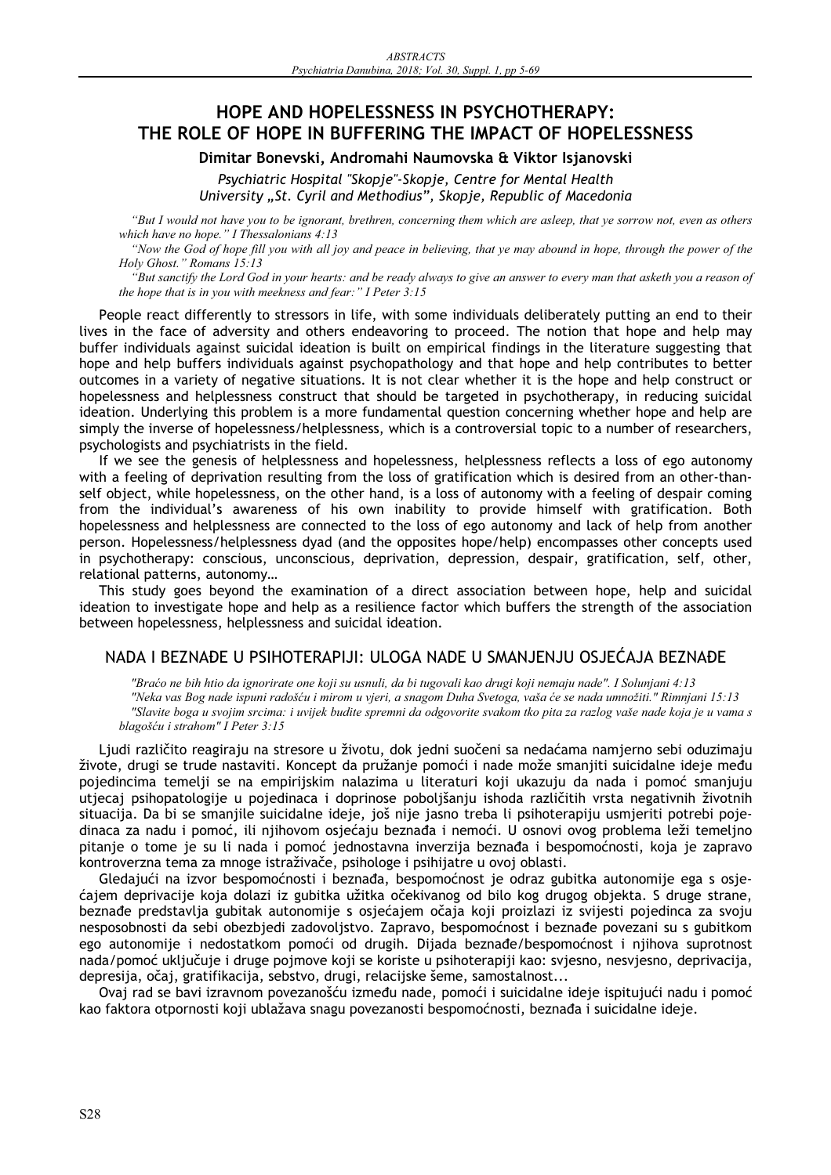# **HOPE AND HOPELESSNESS IN PSYCHOTHERAPY: THE ROLE OF HOPE IN BUFFERING THE IMPACT OF HOPELESSNESS**

**Dimitar Bonevski, Andromahi Naumovska & Viktor Isjanovski** 

*Psychiatric Hospital "Skopje"-Skopje, Centre for Mental Health University "St. Cyril and Methodius", Skopje, Republic of Macedonia* 

*"But I would not have you to be ignorant, brethren, concerning them which are asleep, that ye sorrow not, even as others which have no hope." I Thessalonians 4:13* 

*"Now the God of hope fill you with all joy and peace in believing, that ye may abound in hope, through the power of the Holy Ghost." Romans 15:13* 

*"But sanctify the Lord God in your hearts: and be ready always to give an answer to every man that asketh you a reason of the hope that is in you with meekness and fear:" I Peter 3:15* 

People react differently to stressors in life, with some individuals deliberately putting an end to their lives in the face of adversity and others endeavoring to proceed. The notion that hope and help may buffer individuals against suicidal ideation is built on empirical findings in the literature suggesting that hope and help buffers individuals against psychopathology and that hope and help contributes to better outcomes in a variety of negative situations. It is not clear whether it is the hope and help construct or hopelessness and helplessness construct that should be targeted in psychotherapy, in reducing suicidal ideation. Underlying this problem is a more fundamental question concerning whether hope and help are simply the inverse of hopelessness/helplessness, which is a controversial topic to a number of researchers, psychologists and psychiatrists in the field.

If we see the genesis of helplessness and hopelessness, helplessness reflects a loss of ego autonomy with a feeling of deprivation resulting from the loss of gratification which is desired from an other-thanself object, while hopelessness, on the other hand, is a loss of autonomy with a feeling of despair coming from the individual's awareness of his own inability to provide himself with gratification. Both hopelessness and helplessness are connected to the loss of ego autonomy and lack of help from another person. Hopelessness/helplessness dyad (and the opposites hope/help) encompasses other concepts used in psychotherapy: conscious, unconscious, deprivation, depression, despair, gratification, self, other, relational patterns, autonomy…

This study goes beyond the examination of a direct association between hope, help and suicidal ideation to investigate hope and help as a resilience factor which buffers the strength of the association between hopelessness, helplessness and suicidal ideation.

#### NADA I BEZNAĐE U PSIHOTERAPIJI: ULOGA NADE U SMANJENJU OSJEĆAJA BEZNAĐE

*"Braüo ne bih htio da ignorirate one koji su usnuli, da bi tugovali kao drugi koji nemaju nade". I Solunjani 4:13 "Neka vas Bog nade ispuni radošüu i mirom u vjeri, a snagom Duha Svetoga, vaša üe se nada umnožiti." Rimnjani 15:13 "Slavite boga u svojim srcima: i uvijek budite spremni da odgovorite svakom tko pita za razlog vaše nade koja je u vama s blagošüu i strahom" I Peter 3:15* 

Ljudi različito reagiraju na stresore u životu, dok jedni suočeni sa nedaćama namjerno sebi oduzimaju živote, drugi se trude nastaviti. Koncept da pružanje pomoći i nade može smanjiti suicidalne ideje među pojedincima temelji se na empirijskim nalazima u literaturi koji ukazuju da nada i pomoć smanjuju utjecaj psihopatologije u pojedinaca i doprinose poboljšanju ishoda razliĆitih vrsta negativnih životnih situacija. Da bi se smanjile suicidalne ideje, još nije jasno treba li psihoterapiju usmjeriti potrebi pojedinaca za nadu i pomoć, ili njihovom osjećaju beznađa i nemoći. U osnovi ovog problema leži temeljno pitanje o tome je su li nada i pomoć jednostavna inverzija beznađa i bespomoćnosti, koja je zapravo kontroverzna tema za mnoge istraživaĆe, psihologe i psihijatre u ovoj oblasti.

Gledajući na izvor bespomoćnosti i beznađa, bespomoćnost je odraz gubitka autonomije ega s osje-Ąajem deprivacije koja dolazi iz gubitka užitka oĆekivanog od bilo kog drugog objekta. S druge strane, beznađe predstavlja gubitak autonomije s osjećajem očaja koji proizlazi iz svijesti pojedinca za svoju nesposobnosti da sebi obezbiedi zadovoljstvo. Zapravo, bespomoćnost i beznađe povezani su s gubitkom ego autonomije i nedostatkom pomoći od drugih. Dijada beznađe/bespomoćnost i njihova suprotnost nada/pomoć uključuje i druge pojmove koji se koriste u psihoterapiji kao: svjesno, nesvjesno, deprivacija, depresija, oĆaj, gratifikacija, sebstvo, drugi, relacijske šeme, samostalnost...

Ovaj rad se bavi izravnom povezanošću između nade, pomoći i suicidalne ideje ispitujući nadu i pomoć kao faktora otpornosti koji ublažava snagu povezanosti bespomoćnosti, beznađa i suicidalne ideje.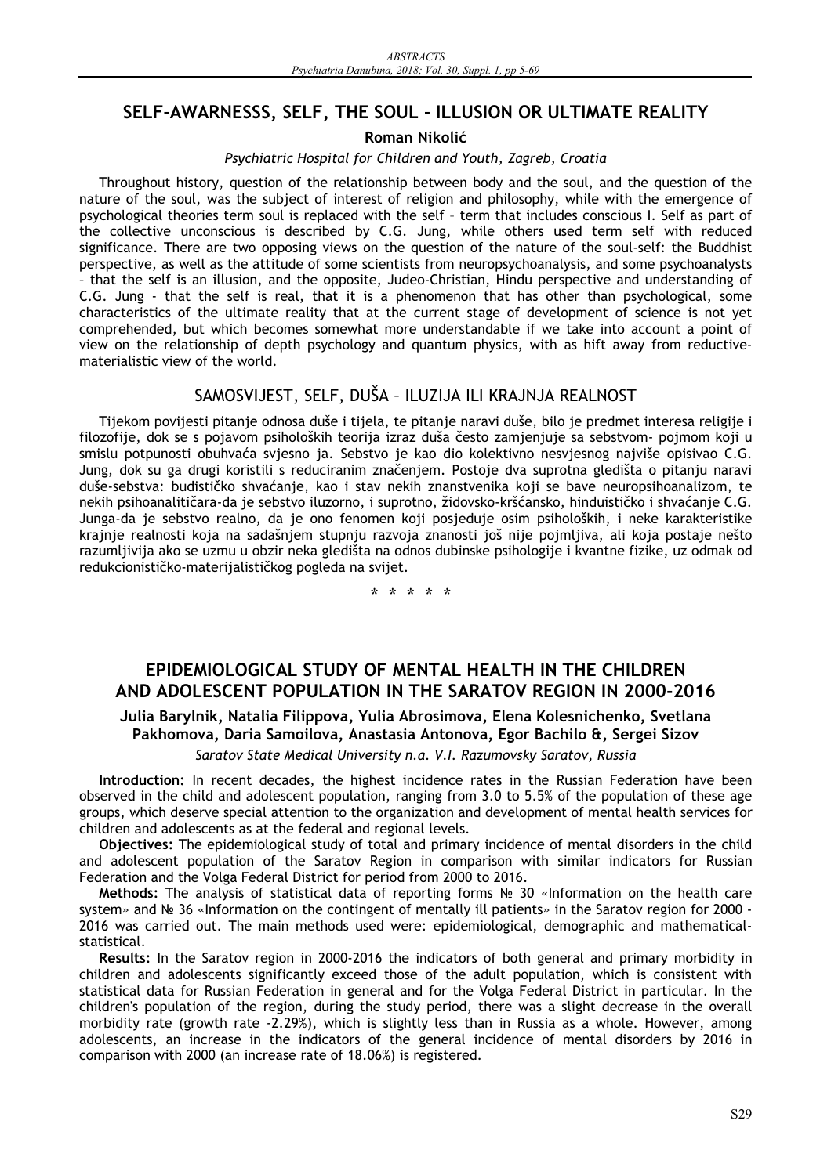# **SELF-AWARNESSS, SELF, THE SOUL - ILLUSION OR ULTIMATE REALITY**

#### **Roman NikoliĄ**

#### *Psychiatric Hospital for Children and Youth, Zagreb, Croatia*

Throughout history, question of the relationship between body and the soul, and the question of the nature of the soul, was the subject of interest of religion and philosophy, while with the emergence of psychological theories term soul is replaced with the self – term that includes conscious I. Self as part of the collective unconscious is described by C.G. Jung, while others used term self with reduced significance. There are two opposing views on the question of the nature of the soul-self: the Buddhist perspective, as well as the attitude of some scientists from neuropsychoanalysis, and some psychoanalysts – that the self is an illusion, and the opposite, Judeo-Christian, Hindu perspective and understanding of C.G. Jung - that the self is real, that it is a phenomenon that has other than psychological, some characteristics of the ultimate reality that at the current stage of development of science is not yet comprehended, but which becomes somewhat more understandable if we take into account a point of view on the relationship of depth psychology and quantum physics, with as hift away from reductivematerialistic view of the world.

### SAMOSVIJEST, SELF, DUŠA – ILUZIJA ILI KRAJNJA REALNOST

Tijekom povijesti pitanje odnosa duše i tijela, te pitanje naravi duše, bilo je predmet interesa religije i filozofije, dok se s pojavom psiholoških teorija izraz duša Ćesto zamjenjuje sa sebstvom- pojmom koji u smislu potpunosti obuhvaća svjesno ja. Sebstvo je kao dio kolektivno nesvjesnog najviše opisivao C.G. Jung, dok su ga drugi koristili s reduciranim znaĆenjem. Postoje dva suprotna gledišta o pitanju naravi duše-sebstva: budističko shvaćanje, kao i stav nekih znanstvenika koji se bave neuropsihoanalizom, te nekih psihoanalitičara-da je sebstvo iluzorno, i suprotno, židovsko-kršćansko, hinduističko i shvaćanje C.G. Junga-da je sebstvo realno, da je ono fenomen koji posjeduje osim psiholoških, i neke karakteristike krajnje realnosti koja na sadašnjem stupnju razvoja znanosti još nije pojmljiva, ali koja postaje nešto razumljivija ako se uzmu u obzir neka gledišta na odnos dubinske psihologije i kvantne fizike, uz odmak od redukcionistiĆko-materijalistiĆkog pogleda na svijet.

**\*\*\*\*\***

# **EPIDEMIOLOGICAL STUDY OF MENTAL HEALTH IN THE CHILDREN AND ADOLESCENT POPULATION IN THE SARATOV REGION IN 2000-2016**

# **Julia Barylnik, Natalia Filippova, Yulia Abrosimova, Elena Kolesnichenko, Svetlana Pakhomova, Daria Samoilova, Anastasia Antonova, Egor Bachilo &, Sergei Sizov**

#### *Saratov State Medical University n.a. V.I. Razumovsky Saratov, Russia*

**Introduction:** In recent decades, the highest incidence rates in the Russian Federation have been observed in the child and adolescent population, ranging from 3.0 to 5.5% of the population of these age groups, which deserve special attention to the organization and development of mental health services for children and adolescents as at the federal and regional levels.

**Objectives:** The epidemiological study of total and primary incidence of mental disorders in the child and adolescent population of the Saratov Region in comparison with similar indicators for Russian Federation and the Volga Federal District for period from 2000 to 2016.

**Methods:** The analysis of statistical data of reporting forms ȴ 30 «Information on the health care system» and Nº 36 «Information on the contingent of mentally ill patients» in the Saratov region for 2000 -2016 was carried out. The main methods used were: epidemiological, demographic and mathematicalstatistical.

**Results:** In the Saratov region in 2000-2016 the indicators of both general and primary morbidity in children and adolescents significantly exceed those of the adult population, which is consistent with statistical data for Russian Federation in general and for the Volga Federal District in particular. In the children's population of the region, during the study period, there was a slight decrease in the overall morbidity rate (growth rate -2.29%), which is slightly less than in Russia as a whole. However, among adolescents, an increase in the indicators of the general incidence of mental disorders by 2016 in comparison with 2000 (an increase rate of 18.06%) is registered.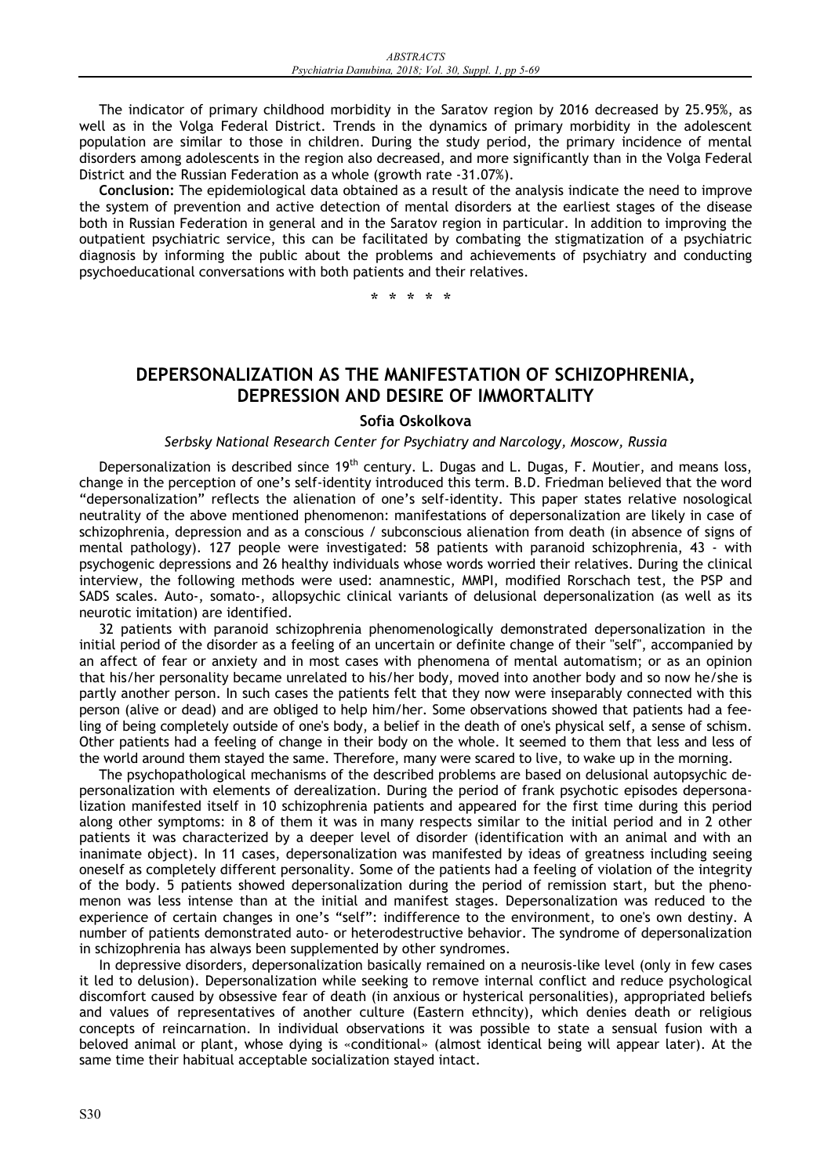The indicator of primary childhood morbidity in the Saratov region by 2016 decreased by 25.95%, as well as in the Volga Federal District. Trends in the dynamics of primary morbidity in the adolescent population are similar to those in children. During the study period, the primary incidence of mental disorders among adolescents in the region also decreased, and more significantly than in the Volga Federal District and the Russian Federation as a whole (growth rate -31.07%).

**Conclusion:** The epidemiological data obtained as a result of the analysis indicate the need to improve the system of prevention and active detection of mental disorders at the earliest stages of the disease both in Russian Federation in general and in the Saratov region in particular. In addition to improving the outpatient psychiatric service, this can be facilitated by combating the stigmatization of a psychiatric diagnosis by informing the public about the problems and achievements of psychiatry and conducting psychoeducational conversations with both patients and their relatives.

**\*\*\*\*\***

# **DEPERSONALIZATION AS THE MANIFESTATION OF SCHIZOPHRENIA, DEPRESSION AND DESIRE OF IMMORTALITY**

#### **Sofia Oskolkova**

#### *Serbsky National Research Center for Psychiatry and Narcology, Moscow, Russia*

Depersonalization is described since 19<sup>th</sup> century. L. Dugas and L. Dugas, F. Moutier, and means loss, change in the perception of one's self-identity introduced this term. B.D. Friedman believed that the word "depersonalization" reflects the alienation of one's self-identity. This paper states relative nosological neutrality of the above mentioned phenomenon: manifestations of depersonalization are likely in case of schizophrenia, depression and as a conscious / subconscious alienation from death (in absence of signs of mental pathology). 127 people were investigated: 58 patients with paranoid schizophrenia, 43 - with psychogenic depressions and 26 healthy individuals whose words worried their relatives. During the clinical interview, the following methods were used: anamnestic, MMPI, modified Rorschach test, the PSP and SADS scales. Auto-, somato-, allopsychic clinical variants of delusional depersonalization (as well as its neurotic imitation) are identified.

32 patients with paranoid schizophrenia phenomenologically demonstrated depersonalization in the initial period of the disorder as a feeling of an uncertain or definite change of their "self", accompanied by an affect of fear or anxiety and in most cases with phenomena of mental automatism; or as an opinion that his/her personality became unrelated to his/her body, moved into another body and so now he/she is partly another person. In such cases the patients felt that they now were inseparably connected with this person (alive or dead) and are obliged to help him/her. Some observations showed that patients had a feeling of being completely outside of one's body, a belief in the death of one's physical self, a sense of schism. Other patients had a feeling of change in their body on the whole. It seemed to them that less and less of the world around them stayed the same. Therefore, many were scared to live, to wake up in the morning.

The psychopathological mechanisms of the described problems are based on delusional autopsychic depersonalization with elements of derealization. During the period of frank psychotic episodes depersonalization manifested itself in 10 schizophrenia patients and appeared for the first time during this period along other symptoms: in 8 of them it was in many respects similar to the initial period and in 2 other patients it was characterized by a deeper level of disorder (identification with an animal and with an inanimate object). In 11 cases, depersonalization was manifested by ideas of greatness including seeing oneself as completely different personality. Some of the patients had a feeling of violation of the integrity of the body. 5 patients showed depersonalization during the period of remission start, but the phenomenon was less intense than at the initial and manifest stages. Depersonalization was reduced to the experience of certain changes in one's "self": indifference to the environment, to one's own destiny. A number of patients demonstrated auto- or heterodestructive behavior. The syndrome of depersonalization in schizophrenia has always been supplemented by other syndromes.

In depressive disorders, depersonalization basically remained on a neurosis-like level (only in few cases it led to delusion). Depersonalization while seeking to remove internal conflict and reduce psychological discomfort caused by obsessive fear of death (in anxious or hysterical personalities), appropriated beliefs and values of representatives of another culture (Eastern ethncity), which denies death or religious concepts of reincarnation. In individual observations it was possible to state a sensual fusion with a beloved animal or plant, whose dying is «conditional» (almost identical being will appear later). At the same time their habitual acceptable socialization stayed intact.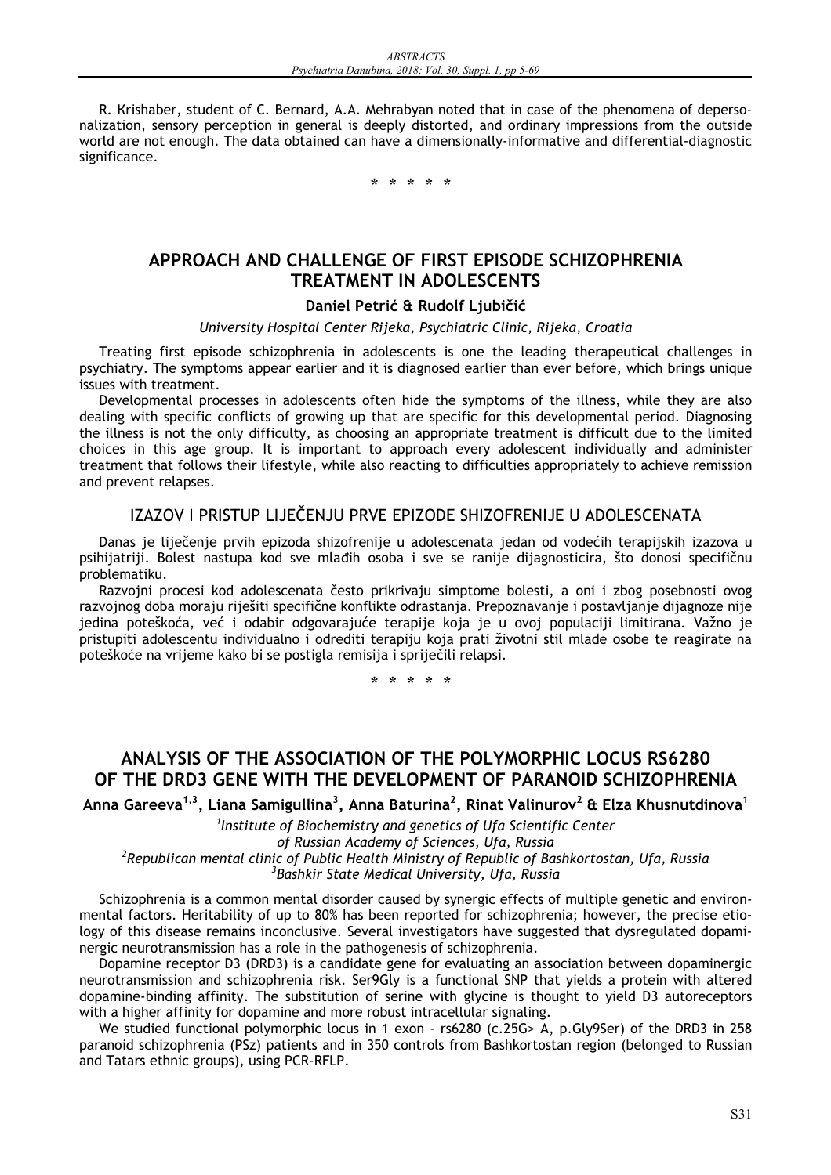R. Krishaber, student of C. Bernard, A.A. Mehrabyan noted that in case of the phenomena of depersonalization, sensory perception in general is deeply distorted, and ordinary impressions from the outside world are not enough. The data obtained can have a dimensionally-informative and differential-diagnostic significance.

**\*\*\*\*\***

# **APPROACH AND CHALLENGE OF FIRST EPISODE SCHIZOPHRENIA TREATMENT IN ADOLESCENTS**

#### **Daniel PetriĄ & Rudolf LjubiĆiĄ**

*University Hospital Center Rijeka, Psychiatric Clinic, Rijeka, Croatia* 

Treating first episode schizophrenia in adolescents is one the leading therapeutical challenges in psychiatry. The symptoms appear earlier and it is diagnosed earlier than ever before, which brings unique issues with treatment.

Developmental processes in adolescents often hide the symptoms of the illness, while they are also dealing with specific conflicts of growing up that are specific for this developmental period. Diagnosing the illness is not the only difficulty, as choosing an appropriate treatment is difficult due to the limited choices in this age group. It is important to approach every adolescent individually and administer treatment that follows their lifestyle, while also reacting to difficulties appropriately to achieve remission and prevent relapses.

# IZAZOV I PRISTUP LIJEČENJU PRVE EPIZODE SHIZOFRENIJE U ADOLESCENATA

Danas je liječenje prvih epizoda shizofrenije u adolescenata jedan od vodećih terapijskih izazova u psihijatriji. Bolest nastupa kod sve mlaćih osoba i sve se ranije dijagnosticira, što donosi specifiĆnu problematiku.

Razvojni procesi kod adolescenata Ćesto prikrivaju simptome bolesti, a oni i zbog posebnosti ovog razvojnog doba moraju riješiti specifiĆne konflikte odrastanja. Prepoznavanje i postavljanje dijagnoze nije jedina poteškoća, već i odabir odgovarajuće terapije koja je u ovoj populaciji limitirana. Važno je pristupiti adolescentu individualno i odrediti terapiju koja prati životni stil mlade osobe te reagirate na poteškoće na vrijeme kako bi se postigla remisija i spriječili relapsi.

**\*\*\*\*\***

# **ANALYSIS OF THE ASSOCIATION OF THE POLYMORPHIC LOCUS RS6280 OF THE DRD3 GENE WITH THE DEVELOPMENT OF PARANOID SCHIZOPHRENIA**

**Anna Gareeva1,3, Liana Samigullina3 , Anna Baturina<sup>2</sup> , Rinat Valinurov<sup>2</sup> & Elza Khusnutdinova<sup>1</sup>**

*1 Institute of Biochemistry and genetics of Ufa Scientific Center* 

*of Russian Academy of Sciences, Ufa, Russia*

*2 Republican mental clinic of Public Health Ministry of Republic of Bashkortostan, Ufa, Russia 3 Bashkir State Medical University, Ufa, Russia* 

Schizophrenia is a common mental disorder caused by synergic effects of multiple genetic and environmental factors. Heritability of up to 80% has been reported for schizophrenia; however, the precise etiology of this disease remains inconclusive. Several investigators have suggested that dysregulated dopaminergic neurotransmission has a role in the pathogenesis of schizophrenia.

Dopamine receptor D3 (DRD3) is a candidate gene for evaluating an association between dopaminergic neurotransmission and schizophrenia risk. Ser9Gly is a functional SNP that yields a protein with altered dopamine-binding affinity. The substitution of serine with glycine is thought to yield D3 autoreceptors with a higher affinity for dopamine and more robust intracellular signaling.

We studied functional polymorphic locus in 1 exon - rs6280 (c.25G> A, p.Gly9Ser) of the DRD3 in 258 paranoid schizophrenia (PSz) patients and in 350 controls from Bashkortostan region (belonged to Russian and Tatars ethnic groups), using PCR-RFLP.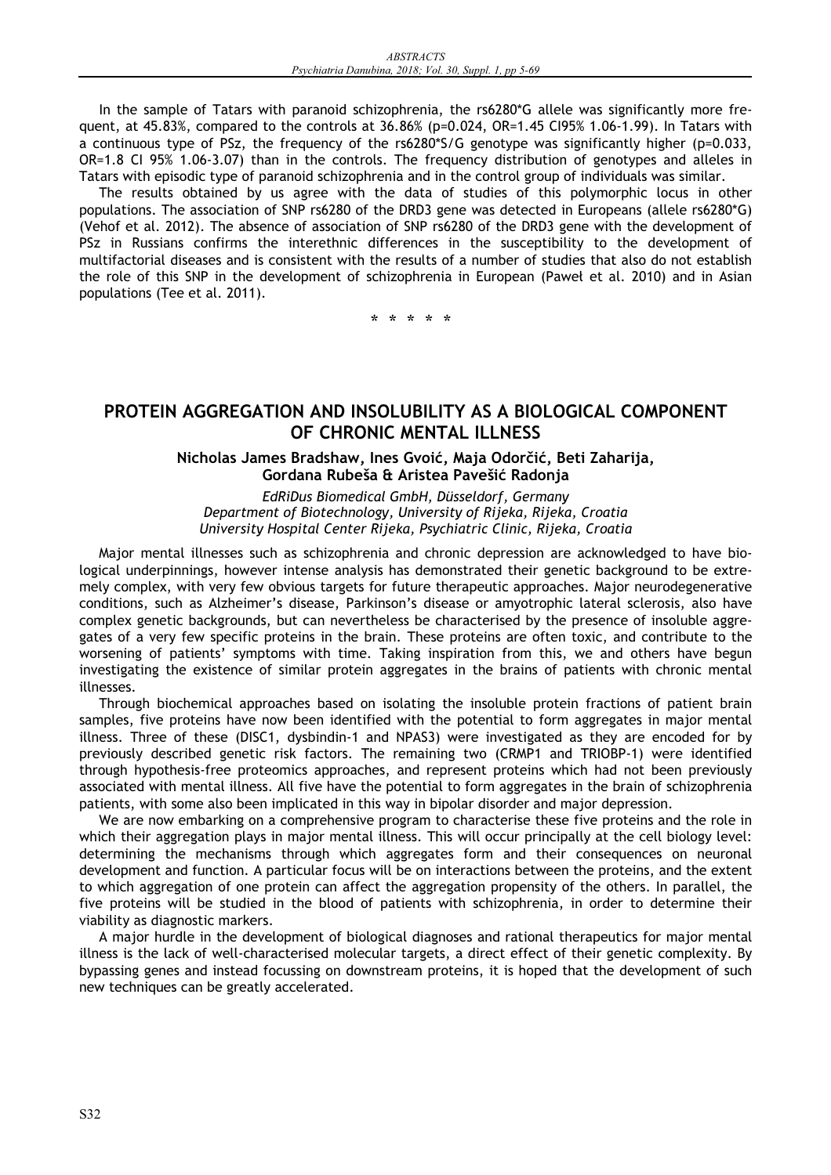In the sample of Tatars with paranoid schizophrenia, the rs6280\*G allele was significantly more frequent, at 45.83%, compared to the controls at 36.86% (p=0.024, OR=1.45 CI95% 1.06-1.99). In Tatars with a continuous type of PSz, the frequency of the rs6280\*S/G genotype was significantly higher (p=0.033, OR=1.8 CI 95% 1.06-3.07) than in the controls. The frequency distribution of genotypes and alleles in Tatars with episodic type of paranoid schizophrenia and in the control group of individuals was similar.

The results obtained by us agree with the data of studies of this polymorphic locus in other populations. The association of SNP rs6280 of the DRD3 gene was detected in Europeans (allele rs6280\*G) (Vehof et al. 2012). The absence of association of SNP rs6280 of the DRD3 gene with the development of PSz in Russians confirms the interethnic differences in the susceptibility to the development of multifactorial diseases and is consistent with the results of a number of studies that also do not establish the role of this SNP in the development of schizophrenia in European (Paweł et al. 2010) and in Asian populations (Tee et al. 2011).

**\*\*\*\*\***

# **PROTEIN AGGREGATION AND INSOLUBILITY AS A BIOLOGICAL COMPONENT OF CHRONIC MENTAL ILLNESS**

#### **Nicholas James Bradshaw, Ines GvoiĄ, Maja OdorĆiĄ, Beti Zaharija, Gordana Rubeša & Aristea PavešiĄ Radonja**

*EdRiDus Biomedical GmbH, Düsseldorf, Germany Department of Biotechnology, University of Rijeka, Rijeka, Croatia University Hospital Center Rijeka, Psychiatric Clinic, Rijeka, Croatia* 

Major mental illnesses such as schizophrenia and chronic depression are acknowledged to have biological underpinnings, however intense analysis has demonstrated their genetic background to be extremely complex, with very few obvious targets for future therapeutic approaches. Major neurodegenerative conditions, such as Alzheimer's disease, Parkinson's disease or amyotrophic lateral sclerosis, also have complex genetic backgrounds, but can nevertheless be characterised by the presence of insoluble aggregates of a very few specific proteins in the brain. These proteins are often toxic, and contribute to the worsening of patients' symptoms with time. Taking inspiration from this, we and others have begun investigating the existence of similar protein aggregates in the brains of patients with chronic mental illnesses.

Through biochemical approaches based on isolating the insoluble protein fractions of patient brain samples, five proteins have now been identified with the potential to form aggregates in major mental illness. Three of these (DISC1, dysbindin-1 and NPAS3) were investigated as they are encoded for by previously described genetic risk factors. The remaining two (CRMP1 and TRIOBP-1) were identified through hypothesis-free proteomics approaches, and represent proteins which had not been previously associated with mental illness. All five have the potential to form aggregates in the brain of schizophrenia patients, with some also been implicated in this way in bipolar disorder and major depression.

We are now embarking on a comprehensive program to characterise these five proteins and the role in which their aggregation plays in major mental illness. This will occur principally at the cell biology level: determining the mechanisms through which aggregates form and their consequences on neuronal development and function. A particular focus will be on interactions between the proteins, and the extent to which aggregation of one protein can affect the aggregation propensity of the others. In parallel, the five proteins will be studied in the blood of patients with schizophrenia, in order to determine their viability as diagnostic markers.

A major hurdle in the development of biological diagnoses and rational therapeutics for major mental illness is the lack of well-characterised molecular targets, a direct effect of their genetic complexity. By bypassing genes and instead focussing on downstream proteins, it is hoped that the development of such new techniques can be greatly accelerated.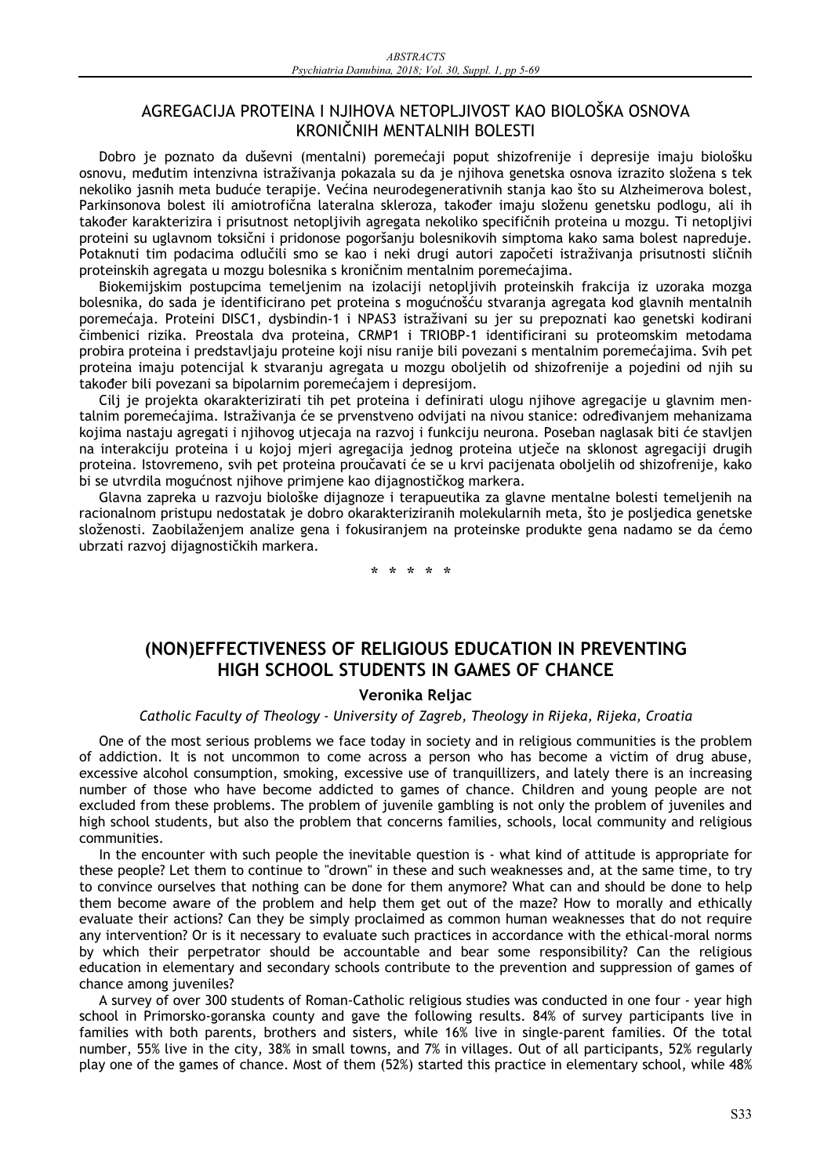## AGREGACIJA PROTEINA I NJIHOVA NETOPLJIVOST KAO BIOLOŠKA OSNOVA KRONIČNIH MENTALNIH BOLESTI

Dobro je poznato da duševni (mentalni) poremećaji poput shizofrenije i depresije imaju biološku osnovu, mećutim intenzivna istraživanja pokazala su da je njihova genetska osnova izrazito složena s tek nekoliko jasnih meta buduće terapije. Većina neurodegenerativnih stanja kao što su Alzheimerova bolest, Parkinsonova bolest ili amiotrofična lateralna skleroza, također imaju složenu genetsku podlogu, ali ih takoćer karakterizira i prisutnost netopljivih agregata nekoliko specifiĆnih proteina u mozgu. Ti netopljivi proteini su uglavnom toksiĆni i pridonose pogoršanju bolesnikovih simptoma kako sama bolest napreduje. Potaknuti tim podacima odlučili smo se kao i neki drugi autori započeti istraživanja prisutnosti sličnih proteinskih agregata u mozgu bolesnika s kroničnim mentalnim poremećajima.

Biokemijskim postupcima temeljenim na izolaciji netopljivih proteinskih frakcija iz uzoraka mozga bolesnika, do sada je identificirano pet proteina s mogućnošću stvaranja agregata kod glavnih mentalnih poremećaja. Proteini DISC1, dysbindin-1 i NPAS3 istraživani su jer su prepoznati kao genetski kodirani Ćimbenici rizika. Preostala dva proteina, CRMP1 i TRIOBP-1 identificirani su proteomskim metodama probira proteina i predstavljaju proteine koji nisu ranije bili povezani s mentalnim poremećajima. Svih pet proteina imaju potencijal k stvaranju agregata u mozgu oboljelih od shizofrenije a pojedini od njih su također bili povezani sa bipolarnim poremećajem i depresijom.

Cilj je projekta okarakterizirati tih pet proteina i definirati ulogu njihove agregacije u glavnim mentalnim poremećajima. Istraživanja će se prvenstveno odvijati na nivou stanice: određivanjem mehanizama kojima nastaju agregati i njihovog utjecaja na razvoj i funkciju neurona. Poseban naglasak biti će stavljen na interakciju proteina i u kojoj mjeri agregacija jednog proteina utjeĆe na sklonost agregaciji drugih proteina. Istovremeno, svih pet proteina proučavati će se u krvi pacijenata oboljelih od shizofrenije, kako bi se utvrdila mogućnost njihove primjene kao dijagnostičkog markera.

Glavna zapreka u razvoju biološke dijagnoze i terapueutika za glavne mentalne bolesti temeljenih na racionalnom pristupu nedostatak je dobro okarakteriziranih molekularnih meta, što je posljedica genetske složenosti. Zaobilaženjem analize gena i fokusiranjem na proteinske produkte gena nadamo se da ćemo ubrzati razvoj dijagnostiĆkih markera.

**\*\*\*\*\***

# **(NON)EFFECTIVENESS OF RELIGIOUS EDUCATION IN PREVENTING HIGH SCHOOL STUDENTS IN GAMES OF CHANCE**

#### **Veronika Reljac**

#### *Catholic Faculty of Theology - University of Zagreb, Theology in Rijeka, Rijeka, Croatia*

One of the most serious problems we face today in society and in religious communities is the problem of addiction. It is not uncommon to come across a person who has become a victim of drug abuse, excessive alcohol consumption, smoking, excessive use of tranquillizers, and lately there is an increasing number of those who have become addicted to games of chance. Children and young people are not excluded from these problems. The problem of juvenile gambling is not only the problem of juveniles and high school students, but also the problem that concerns families, schools, local community and religious communities.

In the encounter with such people the inevitable question is - what kind of attitude is appropriate for these people? Let them to continue to "drown" in these and such weaknesses and, at the same time, to try to convince ourselves that nothing can be done for them anymore? What can and should be done to help them become aware of the problem and help them get out of the maze? How to morally and ethically evaluate their actions? Can they be simply proclaimed as common human weaknesses that do not require any intervention? Or is it necessary to evaluate such practices in accordance with the ethical-moral norms by which their perpetrator should be accountable and bear some responsibility? Can the religious education in elementary and secondary schools contribute to the prevention and suppression of games of chance among juveniles?

A survey of over 300 students of Roman-Catholic religious studies was conducted in one four - year high school in Primorsko-goranska county and gave the following results. 84% of survey participants live in families with both parents, brothers and sisters, while 16% live in single-parent families. Of the total number, 55% live in the city, 38% in small towns, and 7% in villages. Out of all participants, 52% regularly play one of the games of chance. Most of them (52%) started this practice in elementary school, while 48%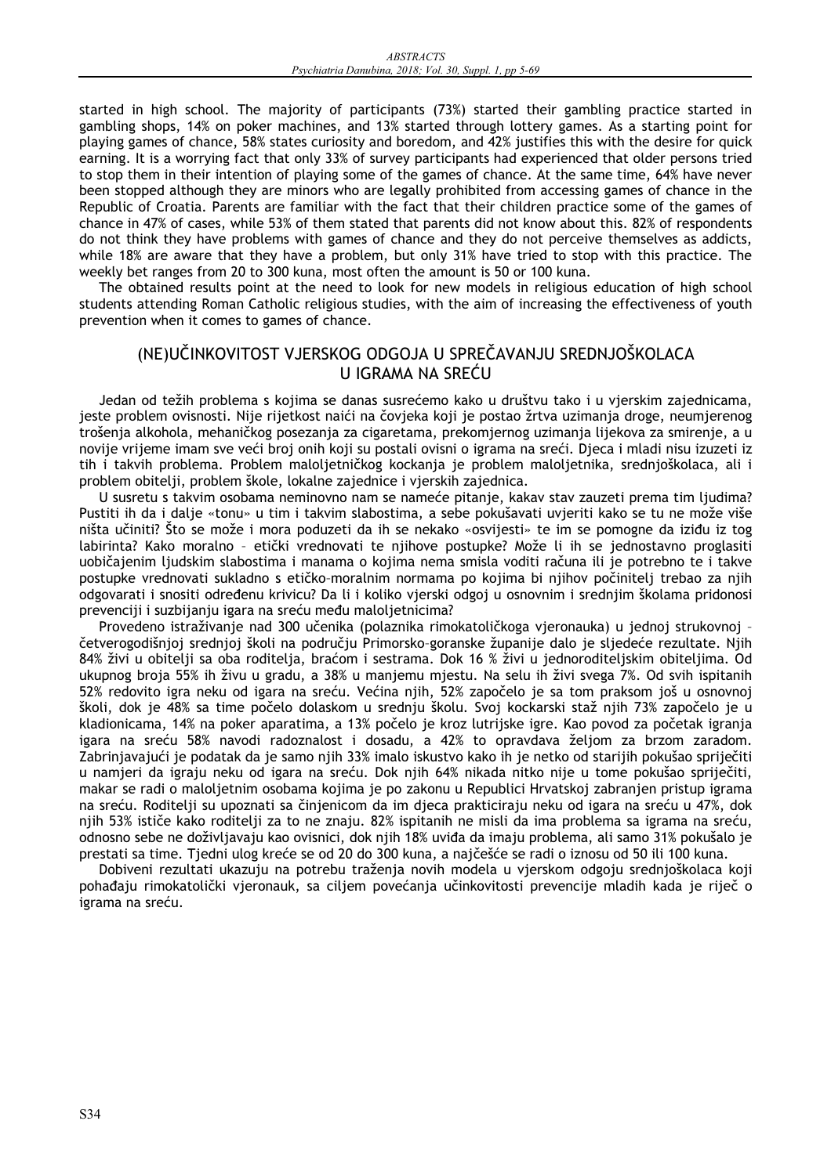started in high school. The majority of participants (73%) started their gambling practice started in gambling shops, 14% on poker machines, and 13% started through lottery games. As a starting point for playing games of chance, 58% states curiosity and boredom, and 42% justifies this with the desire for quick earning. It is a worrying fact that only 33% of survey participants had experienced that older persons tried to stop them in their intention of playing some of the games of chance. At the same time, 64% have never been stopped although they are minors who are legally prohibited from accessing games of chance in the Republic of Croatia. Parents are familiar with the fact that their children practice some of the games of chance in 47% of cases, while 53% of them stated that parents did not know about this. 82% of respondents do not think they have problems with games of chance and they do not perceive themselves as addicts, while 18% are aware that they have a problem, but only 31% have tried to stop with this practice. The weekly bet ranges from 20 to 300 kuna, most often the amount is 50 or 100 kuna.

The obtained results point at the need to look for new models in religious education of high school students attending Roman Catholic religious studies, with the aim of increasing the effectiveness of youth prevention when it comes to games of chance.

## (NE)UČINKOVITOST VJERSKOG ODGOJA U SPREČAVANJU SREDNJOŠKOLACA U IGRAMA NA SREăU

Jedan od težih problema s kojima se danas susrećemo kako u društvu tako i u vjerskim zajednicama, jeste problem ovisnosti. Nije rijetkost naići na čovjeka koji je postao žrtva uzimanja droge, neumjerenog trošenja alkohola, mehaniĆkog posezanja za cigaretama, prekomjernog uzimanja lijekova za smirenje, a u novije vrijeme imam sve veći broj onih koji su postali ovisni o igrama na sreći. Djeca i mladi nisu izuzeti iz tih i takvih problema. Problem maloljetniĆkog kockanja je problem maloljetnika, srednjoškolaca, ali i problem obitelji, problem škole, lokalne zajednice i vjerskih zajednica.

U susretu s takvim osobama neminovno nam se nameće pitanje, kakav stav zauzeti prema tim ljudima? Pustiti ih da i dalje «tonu» u tim i takvim slabostima, a sebe pokušavati uvjeriti kako se tu ne može više ništa uĆiniti? Što se može i mora poduzeti da ih se nekako «osvijesti» te im se pomogne da iziću iz tog labirinta? Kako moralno – etiĆki vrednovati te njihove postupke? Može li ih se jednostavno proglasiti uobiĆajenim ljudskim slabostima i manama o kojima nema smisla voditi raĆuna ili je potrebno te i takve postupke vrednovati sukladno s etiĆko–moralnim normama po kojima bi njihov poĆinitelj trebao za njih odgovarati i snositi odrećenu krivicu? Da li i koliko vjerski odgoj u osnovnim i srednjim školama pridonosi prevenciji i suzbijanju igara na sreću među maloljetnicima?

Provedeno istraživanje nad 300 uĆenika (polaznika rimokatoliĆkoga vjeronauka) u jednoj strukovnoj – četverogodišnjoj srednjoj školi na području Primorsko-goranske županije dalo je sljedeće rezultate. Njih 84% živi u obitelji sa oba roditelja, braćom i sestrama. Dok 16 % živi u jednoroditeljskim obiteljima. Od ukupnog broja 55% ih živu u gradu, a 38% u manjemu mjestu. Na selu ih živi svega 7%. Od svih ispitanih 52% redovito igra neku od igara na sreću. Većina njih, 52% započelo je sa tom praksom još u osnovnoj školi, dok je 48% sa time poĆelo dolaskom u srednju školu. Svoj kockarski staž njih 73% zapoĆelo je u kladionicama, 14% na poker aparatima, a 13% poĆelo je kroz lutrijske igre. Kao povod za poĆetak igranja igara na sreću 58% navodi radoznalost i dosadu, a 42% to opravdava željom za brzom zaradom. Zabrinjavajući je podatak da je samo njih 33% imalo iskustvo kako ih je netko od starijih pokušao spriječiti u namjeri da igraju neku od igara na sreću. Dok nijh 64% nikada nitko nije u tome pokušao spriječiti, makar se radi o maloljetnim osobama kojima je po zakonu u Republici Hrvatskoj zabranjen pristup igrama na sreću. Roditelji su upoznati sa činjenicom da im djeca prakticiraju neku od igara na sreću u 47%, dok njih 53% ističe kako roditelji za to ne znaju. 82% ispitanih ne misli da ima problema sa igrama na sreću, odnosno sebe ne doživljavaju kao ovisnici, dok njih 18% uvića da imaju problema, ali samo 31% pokušalo je prestati sa time. Tjedni ulog kreće se od 20 do 300 kuna, a najčešće se radi o iznosu od 50 ili 100 kuna.

Dobiveni rezultati ukazuju na potrebu traženja novih modela u vjerskom odgoju srednjoškolaca koji pohađaju rimokatolički vjeronauk, sa ciljem povećanja učinkovitosti prevencije mladih kada je riječ o igrama na sreću.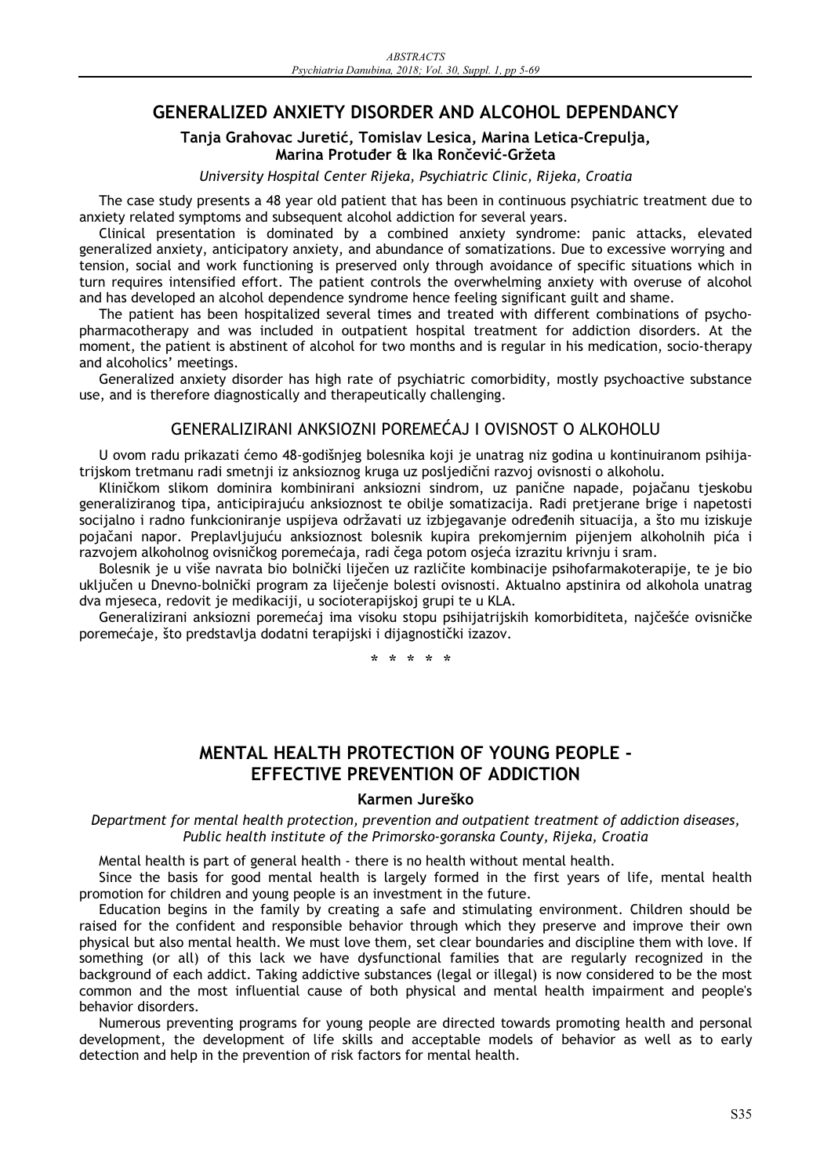# **GENERALIZED ANXIETY DISORDER AND ALCOHOL DEPENDANCY**

#### **Tanja Grahovac JuretiĄ, Tomislav Lesica, Marina Letica-Crepulja, Marina Protućer & Ika RonĆeviĄ-Gržeta**

*University Hospital Center Rijeka, Psychiatric Clinic, Rijeka, Croatia* 

The case study presents a 48 year old patient that has been in continuous psychiatric treatment due to anxiety related symptoms and subsequent alcohol addiction for several years.

Clinical presentation is dominated by a combined anxiety syndrome: panic attacks, elevated generalized anxiety, anticipatory anxiety, and abundance of somatizations. Due to excessive worrying and tension, social and work functioning is preserved only through avoidance of specific situations which in turn requires intensified effort. The patient controls the overwhelming anxiety with overuse of alcohol and has developed an alcohol dependence syndrome hence feeling significant guilt and shame.

The patient has been hospitalized several times and treated with different combinations of psychopharmacotherapy and was included in outpatient hospital treatment for addiction disorders. At the moment, the patient is abstinent of alcohol for two months and is regular in his medication, socio-therapy and alcoholics' meetings.

Generalized anxiety disorder has high rate of psychiatric comorbidity, mostly psychoactive substance use, and is therefore diagnostically and therapeutically challenging.

#### GENERALIZIRANI ANKSIOZNI POREMEăAJ I OVISNOST O ALKOHOLU

U ovom radu prikazati ćemo 48-godišnjeg bolesnika koji je unatrag niz godina u kontinuiranom psihijatrijskom tretmanu radi smetnji iz anksioznog kruga uz posljediĆni razvoj ovisnosti o alkoholu.

KliniĆkom slikom dominira kombinirani anksiozni sindrom, uz paniĆne napade, pojaĆanu tjeskobu generaliziranog tipa, anticipirajuću anksioznost te obilje somatizacija. Radi pretjerane brige i napetosti socijalno i radno funkcioniranje uspijeva održavati uz izbjegavanje odrećenih situacija, a što mu iziskuje pojačani napor. Preplavljujuću anksioznost bolesnik kupira prekomjernim pijenjem alkoholnih pića i razvojem alkoholnog ovisničkog poremećaja, radi čega potom osjeća izrazitu krivnju i sram.

Bolesnik je u više navrata bio bolniĆki lijeĆen uz razliĆite kombinacije psihofarmakoterapije, te je bio ukljuĆen u Dnevno-bolniĆki program za lijeĆenje bolesti ovisnosti. Aktualno apstinira od alkohola unatrag dva mjeseca, redovit je medikaciji, u socioterapijskoj grupi te u KLA.

Generalizirani anksiozni poremećaj ima visoku stopu psihijatrijskih komorbiditeta, najčešće ovisničke poremećaje, što predstavlja dodatni terapijski i dijagnostički izazov.

**\*\*\*\*\***

# **MENTAL HEALTH PROTECTION OF YOUNG PEOPLE - EFFECTIVE PREVENTION OF ADDICTION**

#### **Karmen Jureško**

*Department for mental health protection, prevention and outpatient treatment of addiction diseases, Public health institute of the Primorsko-goranska County, Rijeka, Croatia* 

Mental health is part of general health - there is no health without mental health.

Since the basis for good mental health is largely formed in the first years of life, mental health promotion for children and young people is an investment in the future.

Education begins in the family by creating a safe and stimulating environment. Children should be raised for the confident and responsible behavior through which they preserve and improve their own physical but also mental health. We must love them, set clear boundaries and discipline them with love. If something (or all) of this lack we have dysfunctional families that are regularly recognized in the background of each addict. Taking addictive substances (legal or illegal) is now considered to be the most common and the most influential cause of both physical and mental health impairment and people's behavior disorders.

Numerous preventing programs for young people are directed towards promoting health and personal development, the development of life skills and acceptable models of behavior as well as to early detection and help in the prevention of risk factors for mental health.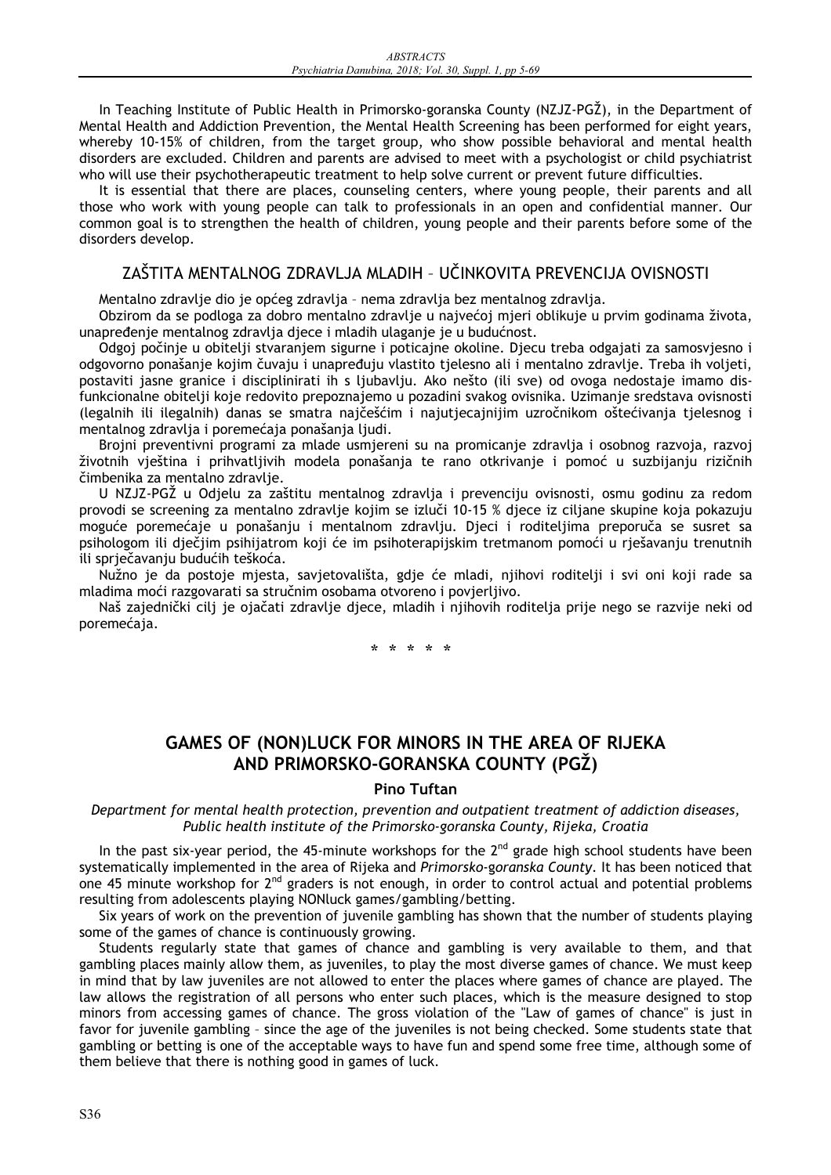In Teaching Institute of Public Health in Primorsko-goranska County (NZJZ-PGŽ), in the Department of Mental Health and Addiction Prevention, the Mental Health Screening has been performed for eight years, whereby 10-15% of children, from the target group, who show possible behavioral and mental health disorders are excluded. Children and parents are advised to meet with a psychologist or child psychiatrist who will use their psychotherapeutic treatment to help solve current or prevent future difficulties.

It is essential that there are places, counseling centers, where young people, their parents and all those who work with young people can talk to professionals in an open and confidential manner. Our common goal is to strengthen the health of children, young people and their parents before some of the disorders develop.

# ZAŠTITA MENTALNOG ZDRAVLJA MLADIH - UČINKOVITA PREVENCIJA OVISNOSTI

Mentalno zdravlje dio je općeg zdravlja - nema zdravlja bez mentalnog zdravlja.

Obzirom da se podloga za dobro mentalno zdravlje u najvećoj mjeri oblikuje u prvim godinama života, unapređenje mentalnog zdravlja djece i mladih ulaganje je u budućnost.

Odgoj poĆinje u obitelji stvaranjem sigurne i poticajne okoline. Djecu treba odgajati za samosvjesno i odgovorno ponašanje kojim Ćuvaju i unaprećuju vlastito tjelesno ali i mentalno zdravlje. Treba ih voljeti, postaviti jasne granice i disciplinirati ih s ljubavlju. Ako nešto (ili sve) od ovoga nedostaje imamo disfunkcionalne obitelji koje redovito prepoznajemo u pozadini svakog ovisnika. Uzimanje sredstava ovisnosti (legalnih ili ilegalnih) danas se smatra najčešćim i najutjecajnijim uzročnikom oštećivanja tjelesnog i mentalnog zdravlja i poremećaja ponašanja ljudi.

Brojni preventivni programi za mlade usmjereni su na promicanje zdravlja i osobnog razvoja, razvoj životnih vještina i prihvatljivih modela ponašanja te rano otkrivanje i pomoć u suzbijanju rizičnih Ćimbenika za mentalno zdravlje.

U NZJZ-PGŽ u Odjelu za zaštitu mentalnog zdravlja i prevenciju ovisnosti, osmu godinu za redom provodi se screening za mentalno zdravlje kojim se izluči 10-15 % djece iz ciljane skupine koja pokazuju moguće poremećaje u ponašanju i mentalnom zdravlju. Djeci i roditeljima preporuča se susret sa psihologom ili dječjim psihijatrom koji će im psihoterapijskim tretmanom pomoći u rješavanju trenutnih ili spriečavanju budućih teškoća.

Nužno je da postoje mjesta, savjetovališta, gdje će mladi, njihovi roditelji i svi oni koji rade sa mladima moći razgovarati sa stručnim osobama otvoreno i povierliivo.

Naš zajednički cilj je ojačati zdravlje djece, mladih i njihovih roditelja prije nego se razvije neki od poremećaja.

**\*\*\*\*\***

# **GAMES OF (NON)LUCK FOR MINORS IN THE AREA OF RIJEKA AND PRIMORSKO-GORANSKA COUNTY (PGŽ)**

#### **Pino Tuftan**

*Department for mental health protection, prevention and outpatient treatment of addiction diseases, Public health institute of the Primorsko-goranska County, Rijeka, Croatia* 

In the past six-year period, the 45-minute workshops for the  $2^{nd}$  grade high school students have been systematically implemented in the area of Rijeka and *Primorsko*-g*oranska County*. It has been noticed that one 45 minute workshop for 2<sup>nd</sup> graders is not enough, in order to control actual and potential problems resulting from adolescents playing NONluck games/gambling/betting.

Six years of work on the prevention of juvenile gambling has shown that the number of students playing some of the games of chance is continuously growing.

Students regularly state that games of chance and gambling is very available to them, and that gambling places mainly allow them, as juveniles, to play the most diverse games of chance. We must keep in mind that by law juveniles are not allowed to enter the places where games of chance are played. The law allows the registration of all persons who enter such places, which is the measure designed to stop minors from accessing games of chance. The gross violation of the "Law of games of chance" is just in favor for juvenile gambling – since the age of the juveniles is not being checked. Some students state that gambling or betting is one of the acceptable ways to have fun and spend some free time, although some of them believe that there is nothing good in games of luck.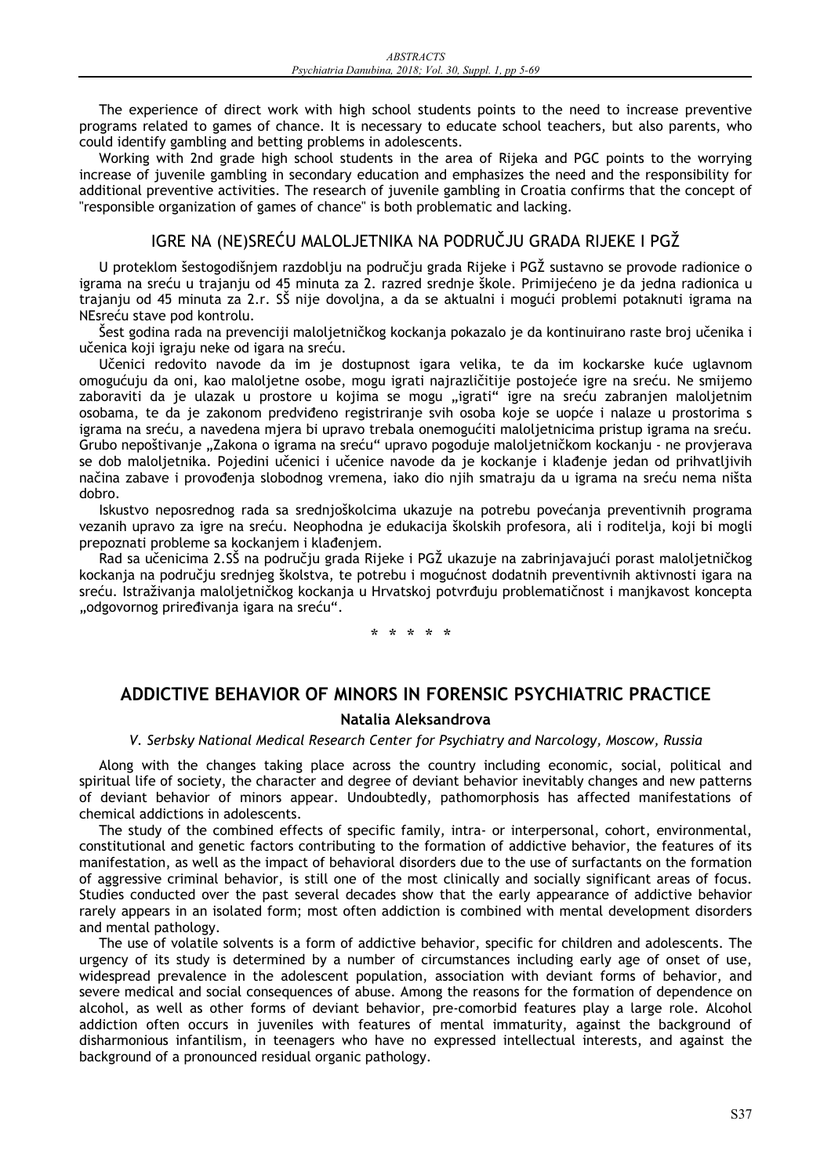The experience of direct work with high school students points to the need to increase preventive programs related to games of chance. It is necessary to educate school teachers, but also parents, who could identify gambling and betting problems in adolescents.

Working with 2nd grade high school students in the area of Rijeka and PGC points to the worrying increase of juvenile gambling in secondary education and emphasizes the need and the responsibility for additional preventive activities. The research of juvenile gambling in Croatia confirms that the concept of "responsible organization of games of chance" is both problematic and lacking.

## IGRE NA (NE)SREĆU MALOLJETNIKA NA PODRUČJU GRADA RIJEKE I PGŽ

U proteklom šestogodišnjem razdoblju na podruĆju grada Rijeke i PGŽ sustavno se provode radionice o igrama na sreću u trajanju od 45 minuta za 2. razred srednje škole. Primijećeno je da jedna radionica u trajanju od 45 minuta za 2.r. SŠ nije dovoljna, a da se aktualni i mogući problemi potaknuti igrama na NEsreću stave pod kontrolu.

Šest godina rada na prevenciji maloljetniĆkog kockanja pokazalo je da kontinuirano raste broj uĆenika i učenica koji igraju neke od igara na sreću.

Učenici redovito navode da im je dostupnost igara velika, te da im kockarske kuće uglavnom omogućuju da oni, kao maloljetne osobe, mogu igrati najrazličitije postojeće igre na sreću. Ne smijemo zaboraviti da je ulazak u prostore u kojima se mogu "igrati" igre na sreću zabranjen maloljetnim osobama, te da je zakonom predviđeno registriranje svih osoba koje se uopće i nalaze u prostorima s igrama na sreću, a navedena mjera bi upravo trebala onemogućiti maloljetnicima pristup igrama na sreću. Grubo nepoštivanje "Zakona o igrama na sreću" upravo pogoduje maloljetničkom kockanju - ne provjerava se dob maloljetnika. Pojedini uĆenici i uĆenice navode da je kockanje i klaćenje jedan od prihvatljivih načina zabave i provođenja slobodnog vremena, jako dio njih smatraju da u igrama na sreću nema ništa dobro.

Iskustvo neposrednog rada sa srednjoškolcima ukazuje na potrebu povećanja preventivnih programa vezanih upravo za igre na sreću. Neophodna je edukacija školskih profesora, ali i roditelja, koji bi mogli prepoznati probleme sa kockanjem i klaćenjem.

Rad sa učenicima 2.SŠ na području grada Rijeke i PGŽ ukazuje na zabrinjavajući porast maloljetničkog kockanja na području srednjeg školstva, te potrebu i mogućnost dodatnih preventivnih aktivnosti igara na sreću. Istraživanja maloljetničkog kockanja u Hrvatskoj potvrđuju problematičnost i manjkavost koncepta "odgovornog priređivanja igara na sreću".

**\*\*\*\*\***

# **ADDICTIVE BEHAVIOR OF MINORS IN FORENSIC PSYCHIATRIC PRACTICE**

#### **Natalia Aleksandrova**

### *V. Serbsky National Medical Research Center for Psychiatry and Narcology, Moscow, Russia*

Along with the changes taking place across the country including economic, social, political and spiritual life of society, the character and degree of deviant behavior inevitably changes and new patterns of deviant behavior of minors appear. Undoubtedly, pathomorphosis has affected manifestations of chemical addictions in adolescents.

The study of the combined effects of specific family, intra- or interpersonal, cohort, environmental, constitutional and genetic factors contributing to the formation of addictive behavior, the features of its manifestation, as well as the impact of behavioral disorders due to the use of surfactants on the formation of aggressive criminal behavior, is still one of the most clinically and socially significant areas of focus. Studies conducted over the past several decades show that the early appearance of addictive behavior rarely appears in an isolated form; most often addiction is combined with mental development disorders and mental pathology.

The use of volatile solvents is a form of addictive behavior, specific for children and adolescents. The urgency of its study is determined by a number of circumstances including early age of onset of use, widespread prevalence in the adolescent population, association with deviant forms of behavior, and severe medical and social consequences of abuse. Among the reasons for the formation of dependence on alcohol, as well as other forms of deviant behavior, pre-comorbid features play a large role. Alcohol addiction often occurs in juveniles with features of mental immaturity, against the background of disharmonious infantilism, in teenagers who have no expressed intellectual interests, and against the background of a pronounced residual organic pathology.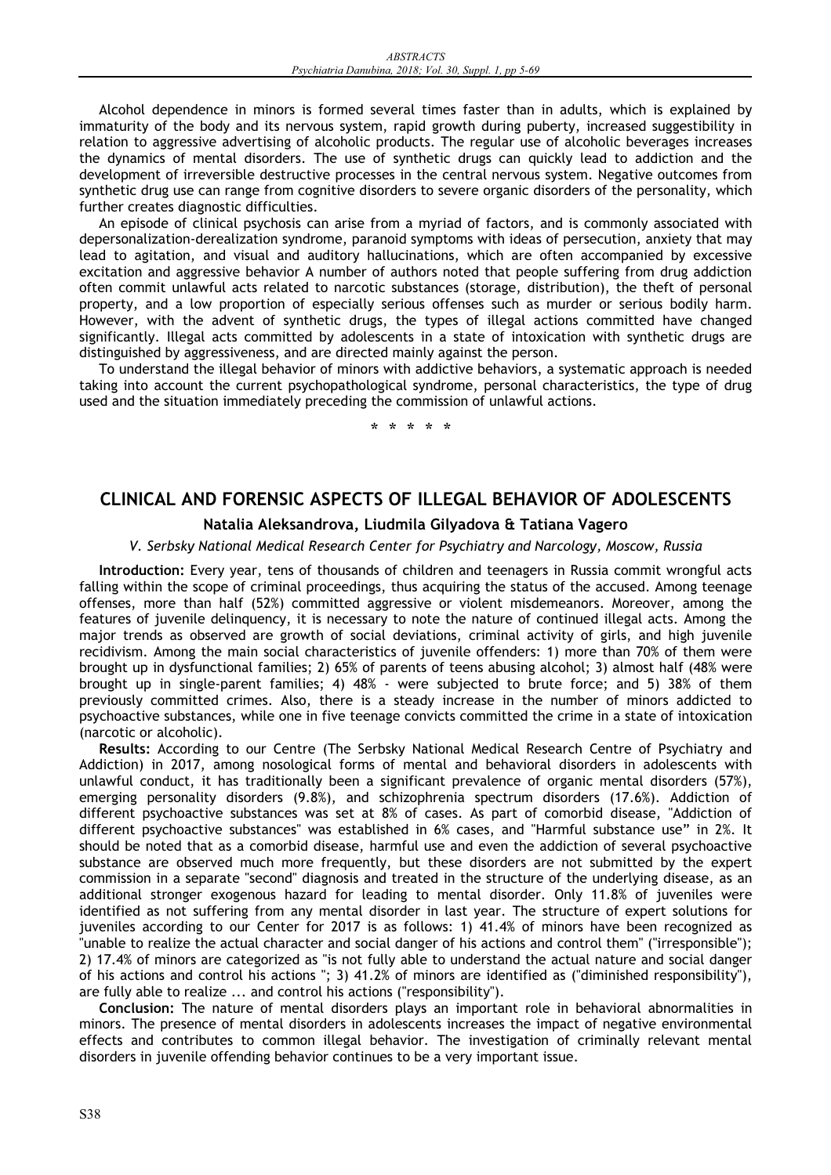Alcohol dependence in minors is formed several times faster than in adults, which is explained by immaturity of the body and its nervous system, rapid growth during puberty, increased suggestibility in relation to aggressive advertising of alcoholic products. The regular use of alcoholic beverages increases the dynamics of mental disorders. The use of synthetic drugs can quickly lead to addiction and the development of irreversible destructive processes in the central nervous system. Negative outcomes from synthetic drug use can range from cognitive disorders to severe organic disorders of the personality, which further creates diagnostic difficulties.

An episode of clinical psychosis can arise from a myriad of factors, and is commonly associated with depersonalization-derealization syndrome, paranoid symptoms with ideas of persecution, anxiety that may lead to agitation, and visual and auditory hallucinations, which are often accompanied by excessive excitation and aggressive behavior A number of authors noted that people suffering from drug addiction often commit unlawful acts related to narcotic substances (storage, distribution), the theft of personal property, and a low proportion of especially serious offenses such as murder or serious bodily harm. However, with the advent of synthetic drugs, the types of illegal actions committed have changed significantly. Illegal acts committed by adolescents in a state of intoxication with synthetic drugs are distinguished by aggressiveness, and are directed mainly against the person.

To understand the illegal behavior of minors with addictive behaviors, a systematic approach is needed taking into account the current psychopathological syndrome, personal characteristics, the type of drug used and the situation immediately preceding the commission of unlawful actions.

**\*\*\*\*\***

# **CLINICAL AND FORENSIC ASPECTS OF ILLEGAL BEHAVIOR OF ADOLESCENTS**

### **Natalia Aleksandrova, Liudmila Gilyadova & Tatiana Vagero**

*V. Serbsky National Medical Research Center for Psychiatry and Narcology, Moscow, Russia* 

**Introduction:** Every year, tens of thousands of children and teenagers in Russia commit wrongful acts falling within the scope of criminal proceedings, thus acquiring the status of the accused. Among teenage offenses, more than half (52%) committed aggressive or violent misdemeanors. Moreover, among the features of juvenile delinquency, it is necessary to note the nature of continued illegal acts. Among the major trends as observed are growth of social deviations, criminal activity of girls, and high juvenile recidivism. Among the main social characteristics of juvenile offenders: 1) more than 70% of them were brought up in dysfunctional families; 2) 65% of parents of teens abusing alcohol; 3) almost half (48% were brought up in single-parent families; 4) 48% - were subjected to brute force; and 5) 38% of them previously committed crimes. Also, there is a steady increase in the number of minors addicted to psychoactive substances, while one in five teenage convicts committed the crime in a state of intoxication (narcotic or alcoholic).

**Results:** According to our Centre (The Serbsky National Medical Research Centre of Psychiatry and Addiction) in 2017, among nosological forms of mental and behavioral disorders in adolescents with unlawful conduct, it has traditionally been a significant prevalence of organic mental disorders (57%), emerging personality disorders (9.8%), and schizophrenia spectrum disorders (17.6%). Addiction of different psychoactive substances was set at 8% of cases. As part of comorbid disease, "Addiction of different psychoactive substances" was established in 6% cases, and "Harmful substance use" in 2%. It should be noted that as a comorbid disease, harmful use and even the addiction of several psychoactive substance are observed much more frequently, but these disorders are not submitted by the expert commission in a separate "second" diagnosis and treated in the structure of the underlying disease, as an additional stronger exogenous hazard for leading to mental disorder. Only 11.8% of juveniles were identified as not suffering from any mental disorder in last year. The structure of expert solutions for juveniles according to our Center for 2017 is as follows: 1) 41.4% of minors have been recognized as "unable to realize the actual character and social danger of his actions and control them" ("irresponsible"); 2) 17.4% of minors are categorized as "is not fully able to understand the actual nature and social danger of his actions and control his actions "; 3) 41.2% of minors are identified as ("diminished responsibility"), are fully able to realize ... and control his actions ("responsibility").

**Conclusion:** The nature of mental disorders plays an important role in behavioral abnormalities in minors. The presence of mental disorders in adolescents increases the impact of negative environmental effects and contributes to common illegal behavior. The investigation of criminally relevant mental disorders in juvenile offending behavior continues to be a very important issue.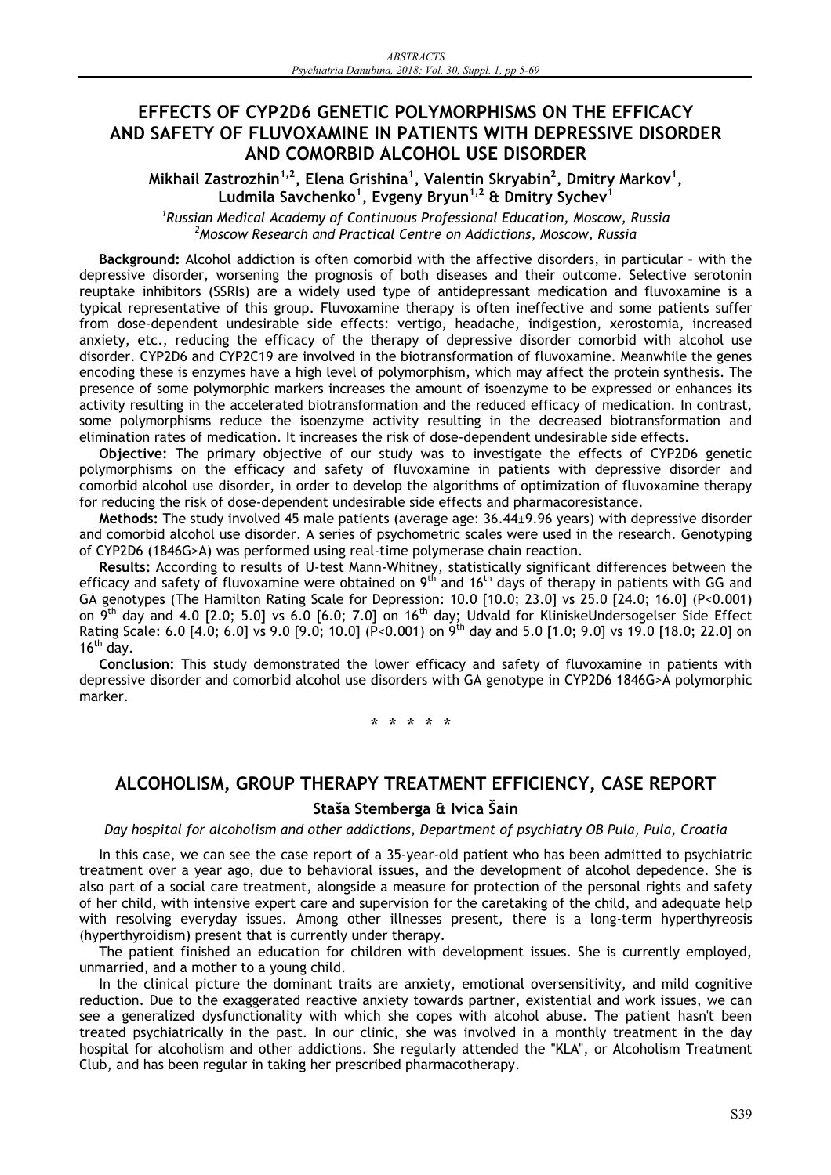# **EFFECTS OF CYP2D6 GENETIC POLYMORPHISMS ON THE EFFICACY AND SAFETY OF FLUVOXAMINE IN PATIENTS WITH DEPRESSIVE DISORDER AND COMORBID ALCOHOL USE DISORDER**

**Mikhail Zastrozhin1,2, Elena Grishina1 , Valentin Skryabin<sup>2</sup> , Dmitry Markov<sup>1</sup> , Ludmila Savchenko<sup>1</sup> , Evgeny Bryun1,2 & Dmitry Sychev1**

*1 Russian Medical Academy of Continuous Professional Education, Moscow, Russia 2 Moscow Research and Practical Centre on Addictions, Moscow, Russia* 

**Background:** Alcohol addiction is often comorbid with the affective disorders, in particular – with the depressive disorder, worsening the prognosis of both diseases and their outcome. Selective serotonin reuptake inhibitors (SSRIs) are a widely used type of antidepressant medication and fluvoxamine is a typical representative of this group. Fluvoxamine therapy is often ineffective and some patients suffer from dose-dependent undesirable side effects: vertigo, headache, indigestion, xerostomia, increased anxiety, etc., reducing the efficacy of the therapy of depressive disorder comorbid with alcohol use disorder. CYP2D6 and CYP2C19 are involved in the biotransformation of fluvoxamine. Meanwhile the genes encoding these is enzymes have a high level of polymorphism, which may affect the protein synthesis. The presence of some polymorphic markers increases the amount of isoenzyme to be expressed or enhances its activity resulting in the accelerated biotransformation and the reduced efficacy of medication. In contrast, some polymorphisms reduce the isoenzyme activity resulting in the decreased biotransformation and elimination rates of medication. It increases the risk of dose-dependent undesirable side effects.

**Objective:** The primary objective of our study was to investigate the effects of CYP2D6 genetic polymorphisms on the efficacy and safety of fluvoxamine in patients with depressive disorder and comorbid alcohol use disorder, in order to develop the algorithms of optimization of fluvoxamine therapy for reducing the risk of dose-dependent undesirable side effects and pharmacoresistance.

**Methods:** The study involved 45 male patients (average age: 36.44±9.96 years) with depressive disorder and comorbid alcohol use disorder. A series of psychometric scales were used in the research. Genotyping of CYP2D6 (1846G>A) was performed using real-time polymerase chain reaction.

**Results:** According to results of U-test Mann-Whitney, statistically significant differences between the efficacy and safety of fluvoxamine were obtained on  $9^{th}$  and 16<sup>th</sup> days of therapy in patients with GG and GA genotypes (The Hamilton Rating Scale for Depression: 10.0 [10.0; 23.0] vs 25.0 [24.0; 16.0] (P<0.001) on  $9^{th}$  day and 4.0 [2.0; 5.0] vs 6.0 [6.0; 7.0] on 16<sup>th</sup> day; Udvald for KliniskeUndersogelser Side Effect Rating Scale: 6.0 [4.0; 6.0] vs 9.0 [9.0; 10.0] (P<0.001) on 9<sup>th</sup> day and 5.0 [1.0; 9.0] vs 19.0 [18.0; 22.0] on  $16<sup>th</sup>$  day.

**Conclusion:** This study demonstrated the lower efficacy and safety of fluvoxamine in patients with depressive disorder and comorbid alcohol use disorders with GA genotype in CYP2D6 1846G>A polymorphic marker.

**\*\*\*\*\***

# **ALCOHOLISM, GROUP THERAPY TREATMENT EFFICIENCY, CASE REPORT**

#### **Staša Stemberga & Ivica Šain**

*Day hospital for alcoholism and other addictions, Department of psychiatry OB Pula, Pula, Croatia* 

In this case, we can see the case report of a 35-year-old patient who has been admitted to psychiatric treatment over a year ago, due to behavioral issues, and the development of alcohol depedence. She is also part of a social care treatment, alongside a measure for protection of the personal rights and safety of her child, with intensive expert care and supervision for the caretaking of the child, and adequate help with resolving everyday issues. Among other illnesses present, there is a long-term hyperthyreosis (hyperthyroidism) present that is currently under therapy.

The patient finished an education for children with development issues. She is currently employed, unmarried, and a mother to a young child.

In the clinical picture the dominant traits are anxiety, emotional oversensitivity, and mild cognitive reduction. Due to the exaggerated reactive anxiety towards partner, existential and work issues, we can see a generalized dysfunctionality with which she copes with alcohol abuse. The patient hasn't been treated psychiatrically in the past. In our clinic, she was involved in a monthly treatment in the day hospital for alcoholism and other addictions. She regularly attended the "KLA", or Alcoholism Treatment Club, and has been regular in taking her prescribed pharmacotherapy.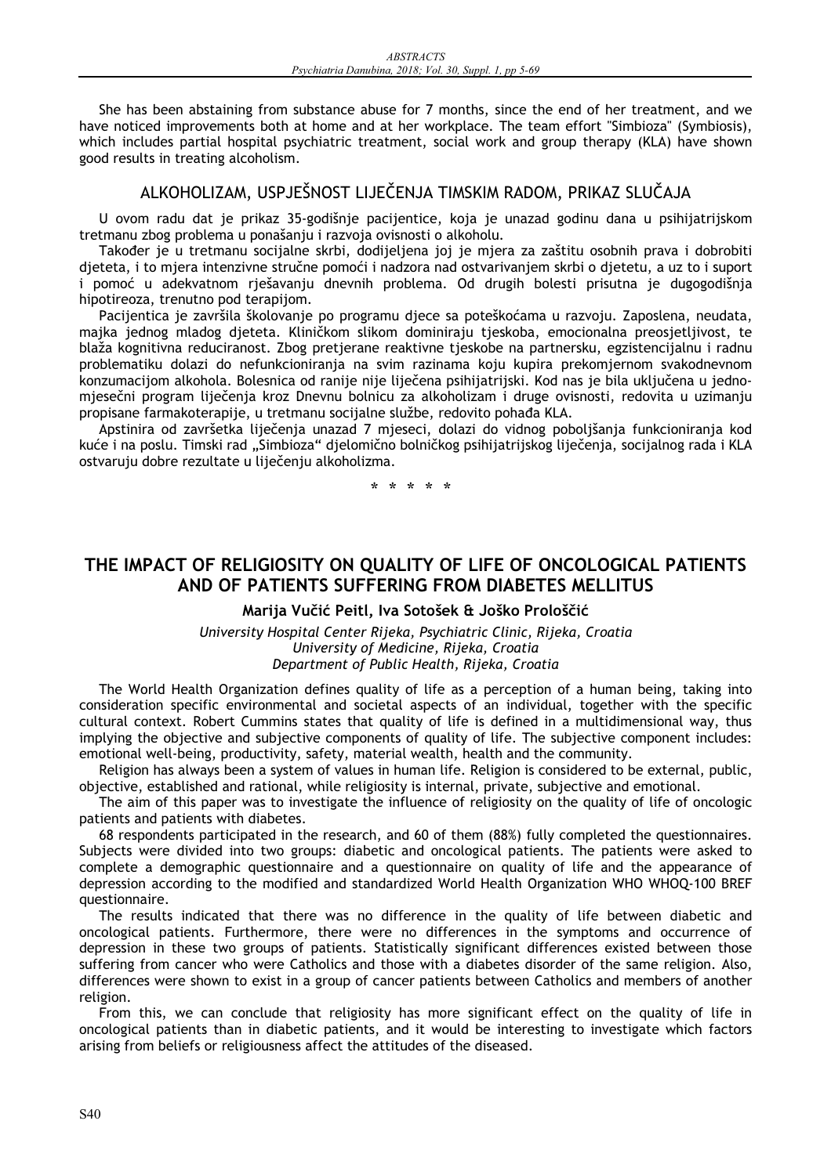She has been abstaining from substance abuse for 7 months, since the end of her treatment, and we have noticed improvements both at home and at her workplace. The team effort "Simbioza" (Symbiosis), which includes partial hospital psychiatric treatment, social work and group therapy (KLA) have shown good results in treating alcoholism.

## ALKOHOLIZAM, USPJEŠNOST LIJEČENJA TIMSKIM RADOM, PRIKAZ SLUČAJA

U ovom radu dat je prikaz 35-godišnje pacijentice, koja je unazad godinu dana u psihijatrijskom tretmanu zbog problema u ponašanju i razvoja ovisnosti o alkoholu.

Takoćer je u tretmanu socijalne skrbi, dodijeljena joj je mjera za zaštitu osobnih prava i dobrobiti djeteta, i to mjera intenzivne stručne pomoći i nadzora nad ostvarivanjem skrbi o djetetu, a uz to i suport i pomoć u adekvatnom rješavanju dnevnih problema. Od drugih bolesti prisutna je dugogodišnja hipotireoza, trenutno pod terapijom.

Pacijentica je završila školovanje po programu djece sa poteškoćama u razvoju. Zaposlena, neudata, majka jednog mladog djeteta. KliniĆkom slikom dominiraju tjeskoba, emocionalna preosjetljivost, te blaža kognitivna reduciranost. Zbog pretjerane reaktivne tjeskobe na partnersku, egzistencijalnu i radnu problematiku dolazi do nefunkcioniranja na svim razinama koju kupira prekomjernom svakodnevnom konzumacijom alkohola. Bolesnica od ranije nije lijeĆena psihijatrijski. Kod nas je bila ukljuĆena u jednomjeseĆni program lijeĆenja kroz Dnevnu bolnicu za alkoholizam i druge ovisnosti, redovita u uzimanju propisane farmakoterapije, u tretmanu socijalne službe, redovito pohaća KLA.

Apstinira od završetka lijeĆenja unazad 7 mjeseci, dolazi do vidnog poboljšanja funkcioniranja kod kuće i na poslu. Timski rad "Simbioza" djelomično bolničkog psihijatrijskog liječenja, socijalnog rada i KLA ostvaruju dobre rezultate u lijeĆenju alkoholizma.

**\*\*\*\*\***

# **THE IMPACT OF RELIGIOSITY ON QUALITY OF LIFE OF ONCOLOGICAL PATIENTS AND OF PATIENTS SUFFERING FROM DIABETES MELLITUS**

### **Marija VuĆiĄ Peitl, Iva Sotošek & Joško PrološĆiĄ**

*University Hospital Center Rijeka, Psychiatric Clinic, Rijeka, Croatia University of Medicine, Rijeka, Croatia Department of Public Health, Rijeka, Croatia* 

The World Health Organization defines quality of life as a perception of a human being, taking into consideration specific environmental and societal aspects of an individual, together with the specific cultural context. Robert Cummins states that quality of life is defined in a multidimensional way, thus implying the objective and subjective components of quality of life. The subjective component includes: emotional well-being, productivity, safety, material wealth, health and the community.

Religion has always been a system of values in human life. Religion is considered to be external, public, objective, established and rational, while religiosity is internal, private, subjective and emotional.

The aim of this paper was to investigate the influence of religiosity on the quality of life of oncologic patients and patients with diabetes.

68 respondents participated in the research, and 60 of them (88%) fully completed the questionnaires. Subjects were divided into two groups: diabetic and oncological patients. The patients were asked to complete a demographic questionnaire and a questionnaire on quality of life and the appearance of depression according to the modified and standardized World Health Organization WHO WHOQ-100 BREF questionnaire.

The results indicated that there was no difference in the quality of life between diabetic and oncological patients. Furthermore, there were no differences in the symptoms and occurrence of depression in these two groups of patients. Statistically significant differences existed between those suffering from cancer who were Catholics and those with a diabetes disorder of the same religion. Also, differences were shown to exist in a group of cancer patients between Catholics and members of another religion.

From this, we can conclude that religiosity has more significant effect on the quality of life in oncological patients than in diabetic patients, and it would be interesting to investigate which factors arising from beliefs or religiousness affect the attitudes of the diseased.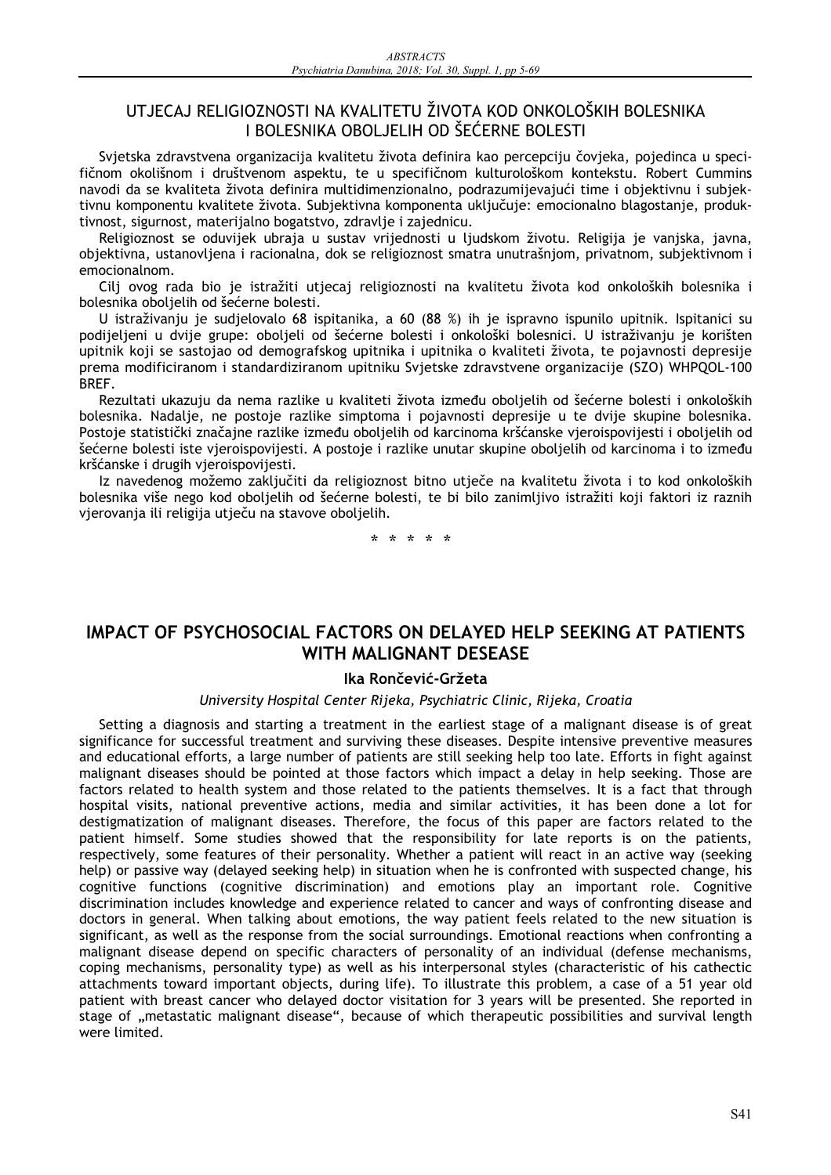## UTJECAJ RELIGIOZNOSTI NA KVALITETU ŽIVOTA KOD ONKOLOŠKIH BOLESNIKA I BOLESNIKA OBOLJELIH OD ŠEĆERNE BOLESTI

Svjetska zdravstvena organizacija kvalitetu života definira kao percepciju Ćovjeka, pojedinca u specifiĆnom okolišnom i društvenom aspektu, te u specifiĆnom kulturološkom kontekstu. Robert Cummins navodi da se kvaliteta života definira multidimenzionalno, podrazumijevajući time i objektivnu i subjektivnu komponentu kvalitete života. Subjektivna komponenta ukljuĆuje: emocionalno blagostanje, produktivnost, sigurnost, materijalno bogatstvo, zdravlje i zajednicu.

Religioznost se oduvijek ubraja u sustav vrijednosti u ljudskom životu. Religija je vanjska, javna, objektivna, ustanovljena i racionalna, dok se religioznost smatra unutrašnjom, privatnom, subjektivnom i emocionalnom.

Cilj ovog rada bio je istražiti utjecaj religioznosti na kvalitetu života kod onkoloških bolesnika i bolesnika oboljelih od šećerne bolesti.

U istraživanju je sudjelovalo 68 ispitanika, a 60 (88 %) ih je ispravno ispunilo upitnik. Ispitanici su podijeljeni u dvije grupe: oboljeli od šećerne bolesti i onkološki bolesnici. U istraživanju je korišten upitnik koji se sastojao od demografskog upitnika i upitnika o kvaliteti života, te pojavnosti depresije prema modificiranom i standardiziranom upitniku Svjetske zdravstvene organizacije (SZO) WHPQOL-100 BREF.

Rezultati ukazuju da nema razlike u kvaliteti života između oboljelih od šećerne bolesti i onkoloških bolesnika. Nadalje, ne postoje razlike simptoma i pojavnosti depresije u te dvije skupine bolesnika. Postoje statistički značajne razlike između oboljelih od karcinoma kršćanske vjeroispovijesti i oboljelih od šećerne bolesti iste vjeroispovijesti. A postoje i razlike unutar skupine oboljelih od karcinoma i to između kršćanske i drugih vjeroispovijesti.

Iz navedenog možemo zakljuĆiti da religioznost bitno utjeĆe na kvalitetu života i to kod onkoloških bolesnika više nego kod oboljelih od šećerne bolesti, te bi bilo zanimljivo istražiti koji faktori iz raznih vierovanja ili religija utječu na stavove oboljelih.

**\*\*\*\*\***

# **IMPACT OF PSYCHOSOCIAL FACTORS ON DELAYED HELP SEEKING AT PATIENTS WITH MALIGNANT DESEASE**

#### **Ika RonĆeviĄ-Gržeta**

#### *University Hospital Center Rijeka, Psychiatric Clinic, Rijeka, Croatia*

Setting a diagnosis and starting a treatment in the earliest stage of a malignant disease is of great significance for successful treatment and surviving these diseases. Despite intensive preventive measures and educational efforts, a large number of patients are still seeking help too late. Efforts in fight against malignant diseases should be pointed at those factors which impact a delay in help seeking. Those are factors related to health system and those related to the patients themselves. It is a fact that through hospital visits, national preventive actions, media and similar activities, it has been done a lot for destigmatization of malignant diseases. Therefore, the focus of this paper are factors related to the patient himself. Some studies showed that the responsibility for late reports is on the patients, respectively, some features of their personality. Whether a patient will react in an active way (seeking help) or passive way (delayed seeking help) in situation when he is confronted with suspected change, his cognitive functions (cognitive discrimination) and emotions play an important role. Cognitive discrimination includes knowledge and experience related to cancer and ways of confronting disease and doctors in general. When talking about emotions, the way patient feels related to the new situation is significant, as well as the response from the social surroundings. Emotional reactions when confronting a malignant disease depend on specific characters of personality of an individual (defense mechanisms, coping mechanisms, personality type) as well as his interpersonal styles (characteristic of his cathectic attachments toward important objects, during life). To illustrate this problem, a case of a 51 year old patient with breast cancer who delayed doctor visitation for 3 years will be presented. She reported in stage of "metastatic malignant disease", because of which therapeutic possibilities and survival length were limited.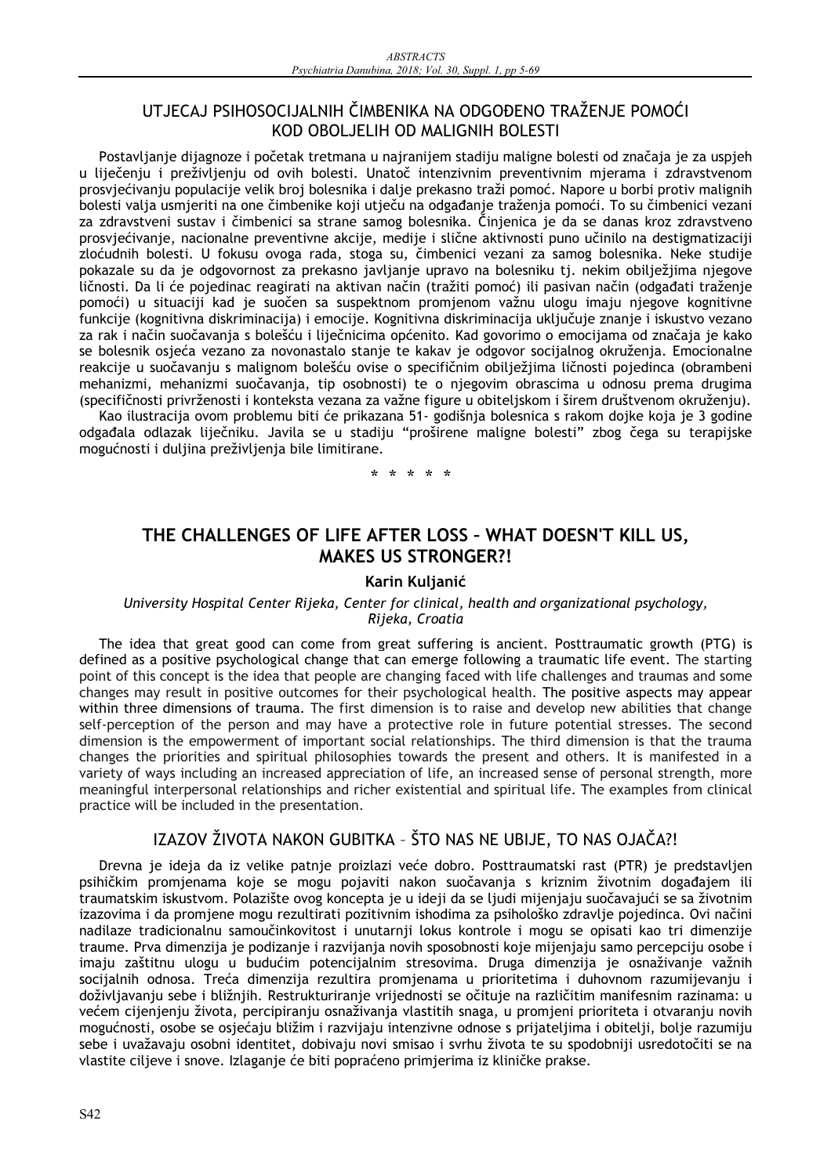# UTJECAJ PSIHOSOCIJALNIH ČIMBENIKA NA ODGOĐENO TRAŽENJE POMOĆI KOD OBOLJELIH OD MALIGNIH BOLESTI

Postavljanje dijagnoze i poĆetak tretmana u najranijem stadiju maligne bolesti od znaĆaja je za uspjeh u liječenju i preživljenju od ovih bolesti. Unatoč intenzivnim preventivnim mjerama i zdravstvenom prosvjećivanju populacije velik broj bolesnika i dalje prekasno traži pomoć. Napore u borbi protiv malignih bolesti valja usmjeriti na one čimbenike koji utječu na odgađanje traženja pomoći. To su čimbenici vezani za zdravstveni sustav i čimbenici sa strane samog bolesnika. Činjenica je da se danas kroz zdravstveno prosvjećivanje, nacionalne preventivne akcije, medije i slične aktivnosti puno učinilo na destigmatizaciji zloćudnih bolesti. U fokusu ovoga rada, stoga su, čimbenici vezani za samog bolesnika. Neke studije pokazale su da je odgovornost za prekasno javljanje upravo na bolesniku tj. nekim obilježjima njegove ličnosti. Da li će pojedinac reagirati na aktivan način (tražiti pomoć) ili pasivan način (odgađati traženje pomoći) u situaciji kad je suočen sa suspektnom promjenom važnu ulogu imaju njegove kognitivne funkcije (kognitivna diskriminacija) i emocije. Kognitivna diskriminacija ukljuĆuje znanje i iskustvo vezano za rak i način suočavanja s bolešću i liječnicima općenito. Kad govorimo o emocijama od značaja je kako se bolesnik osjeća vezano za novonastalo stanje te kakav je odgovor socijalnog okruženja. Emocionalne reakcije u suočavanju s malignom bolešću ovise o specifičnim obilježjima ličnosti pojedinca (obrambeni mehanizmi, mehanizmi suoĆavanja, tip osobnosti) te o njegovim obrascima u odnosu prema drugima (specifiĆnosti privrženosti i konteksta vezana za važne figure u obiteljskom i širem društvenom okruženju).

Kao ilustracija ovom problemu biti će prikazana 51- godišnja bolesnica s rakom dojke koja je 3 godine odgaćala odlazak lijeĆniku. Javila se u stadiju "proširene maligne bolesti" zbog Ćega su terapijske mogućnosti i duljina preživljenja bile limitirane.

.<br>مال مال مال مال مال مال

# **THE CHALLENGES OF LIFE AFTER LOSS – WHAT DOESN'T KILL US, MAKES US STRONGER?!**

### **Karin KuljaniĄ**

#### *University Hospital Center Rijeka, Center for clinical, health and organizational psychology, Rijeka, Croatia*

The idea that great good can come from great suffering is ancient. Posttraumatic growth (PTG) is defined as a positive psychological change that can emerge following a traumatic life event. The starting point of this concept is the idea that people are changing faced with life challenges and traumas and some changes may result in positive outcomes for their psychological health. The positive aspects may appear within three dimensions of trauma. The first dimension is to raise and develop new abilities that change self-perception of the person and may have a protective role in future potential stresses. The second dimension is the empowerment of important social relationships. The third dimension is that the trauma changes the priorities and spiritual philosophies towards the present and others. It is manifested in a variety of ways including an increased appreciation of life, an increased sense of personal strength, more meaningful interpersonal relationships and richer existential and spiritual life. The examples from clinical practice will be included in the presentation.

# IZAZOV ŽIVOTA NAKON GUBITKA - ŠTO NAS NE UBIJE, TO NAS OJAČA?!

Drevna je ideja da iz velike patnje proizlazi veće dobro. Posttraumatski rast (PTR) je predstavljen psihiĆkim promjenama koje se mogu pojaviti nakon suoĆavanja s kriznim životnim dogaćajem ili traumatskim iskustvom. Polazište ovog koncepta je u ideji da se ljudi mijenjaju suočavajući se sa životnim izazovima i da promjene mogu rezultirati pozitivnim ishodima za psihološko zdravlje pojedinca. Ovi načini nadilaze tradicionalnu samouĆinkovitost i unutarnji lokus kontrole i mogu se opisati kao tri dimenzije traume. Prva dimenzija je podizanje i razvijanja novih sposobnosti koje mijenjaju samo percepciju osobe i imaju zaštitnu ulogu u budućim potencijalnim stresovima. Druga dimenzija je osnaživanje važnih socijalnih odnosa. Treća dimenzija rezultira promjenama u prioritetima i duhovnom razumijevanju i doživljavanju sebe i bližnjih. Restrukturiranje vrijednosti se oĆituje na razliĆitim manifesnim razinama: u većem cijenjenju života, percipiranju osnaživanja vlastitih snaga, u promjeni prioriteta i otvaranju novih mogućnosti, osobe se osjećaju bližim i razvijaju intenzivne odnose s prijateljima i obitelji, bolje razumiju sebe i uvažavaju osobni identitet, dobivaju novi smisao i svrhu života te su spodobniji usredotoĆiti se na vlastite ciljeve i snove. Izlaganje će biti popraćeno primjerima iz kliničke prakse.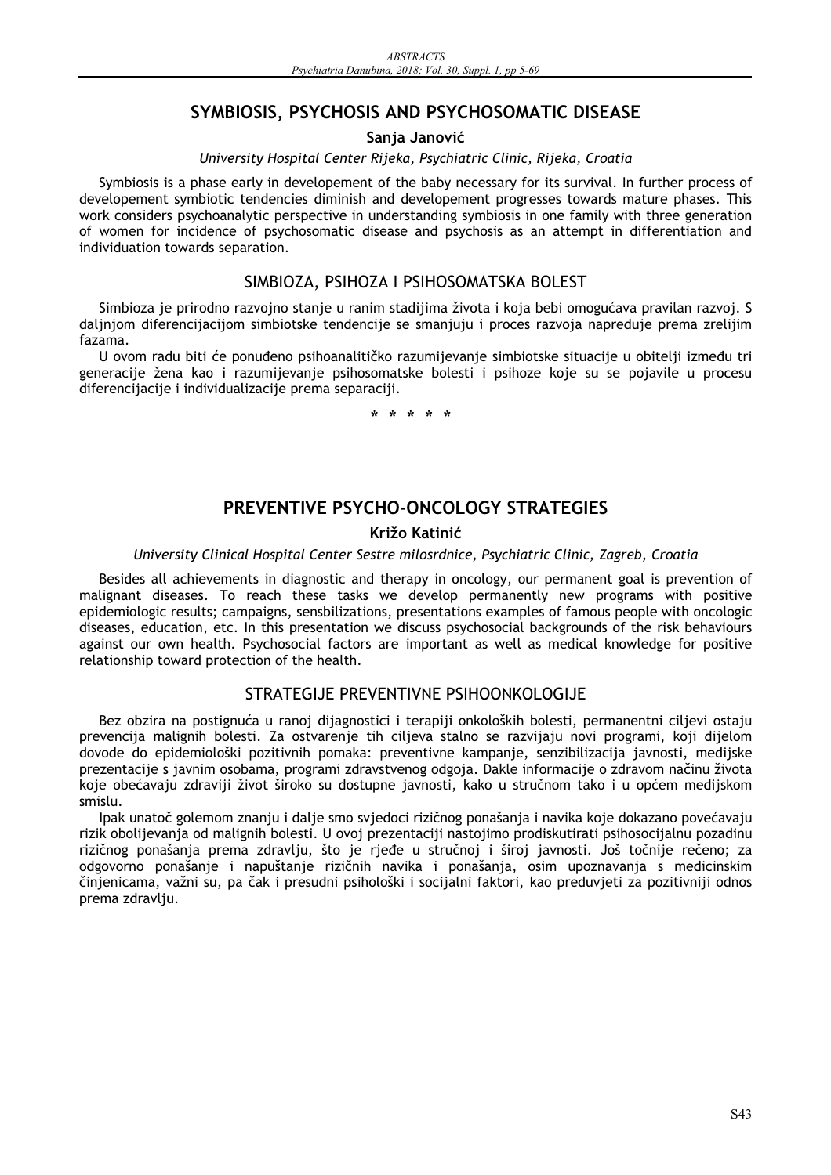# **SYMBIOSIS, PSYCHOSIS AND PSYCHOSOMATIC DISEASE**

### Sanja Janović

#### *University Hospital Center Rijeka, Psychiatric Clinic, Rijeka, Croatia*

Symbiosis is a phase early in developement of the baby necessary for its survival. In further process of developement symbiotic tendencies diminish and developement progresses towards mature phases. This work considers psychoanalytic perspective in understanding symbiosis in one family with three generation of women for incidence of psychosomatic disease and psychosis as an attempt in differentiation and individuation towards separation.

### SIMBIOZA, PSIHOZA I PSIHOSOMATSKA BOLEST

Simbioza je prirodno razvojno stanje u ranim stadijima života i koja bebi omogućava pravilan razvoj. S daljnjom diferencijacijom simbiotske tendencije se smanjuju i proces razvoja napreduje prema zrelijim fazama.

U ovom radu biti će ponuđeno psihoanalitičko razumijevanje simbiotske situacije u obitelji između tri generacije žena kao i razumijevanje psihosomatske bolesti i psihoze koje su se pojavile u procesu diferencijacije i individualizacije prema separaciji.

**\*\*\*\*\***

## **PREVENTIVE PSYCHO-ONCOLOGY STRATEGIES**

### **Križo KatiniĄ**

#### *University Clinical Hospital Center Sestre milosrdnice, Psychiatric Clinic, Zagreb, Croatia*

Besides all achievements in diagnostic and therapy in oncology, our permanent goal is prevention of malignant diseases. To reach these tasks we develop permanently new programs with positive epidemiologic results; campaigns, sensbilizations, presentations examples of famous people with oncologic diseases, education, etc. In this presentation we discuss psychosocial backgrounds of the risk behaviours against our own health. Psychosocial factors are important as well as medical knowledge for positive relationship toward protection of the health.

### STRATEGIJE PREVENTIVNE PSIHOONKOLOGIJE

Bez obzira na postignuća u ranoj dijagnostici i terapiji onkoloških bolesti, permanentni ciljevi ostaju prevencija malignih bolesti. Za ostvarenje tih ciljeva stalno se razvijaju novi programi, koji dijelom dovode do epidemiološki pozitivnih pomaka: preventivne kampanje, senzibilizacija javnosti, medijske prezentacije s javnim osobama, programi zdravstvenog odgoja. Dakle informacije o zdravom načinu života koje obećavaju zdraviji život široko su dostupne javnosti, kako u stručnom tako i u općem medijskom smislu.

Ipak unatoĆ golemom znanju i dalje smo svjedoci riziĆnog ponašanja i navika koje dokazano poveĄavaju rizik obolijevanja od malignih bolesti. U ovoj prezentaciji nastojimo prodiskutirati psihosocijalnu pozadinu riziĆnog ponašanja prema zdravlju, što je rjeće u struĆnoj i široj javnosti. Još toĆnije reĆeno; za odgovorno ponašanje i napuštanje riziĆnih navika i ponašanja, osim upoznavanja s medicinskim Ćinjenicama, važni su, pa Ćak i presudni psihološki i socijalni faktori, kao preduvjeti za pozitivniji odnos prema zdravlju.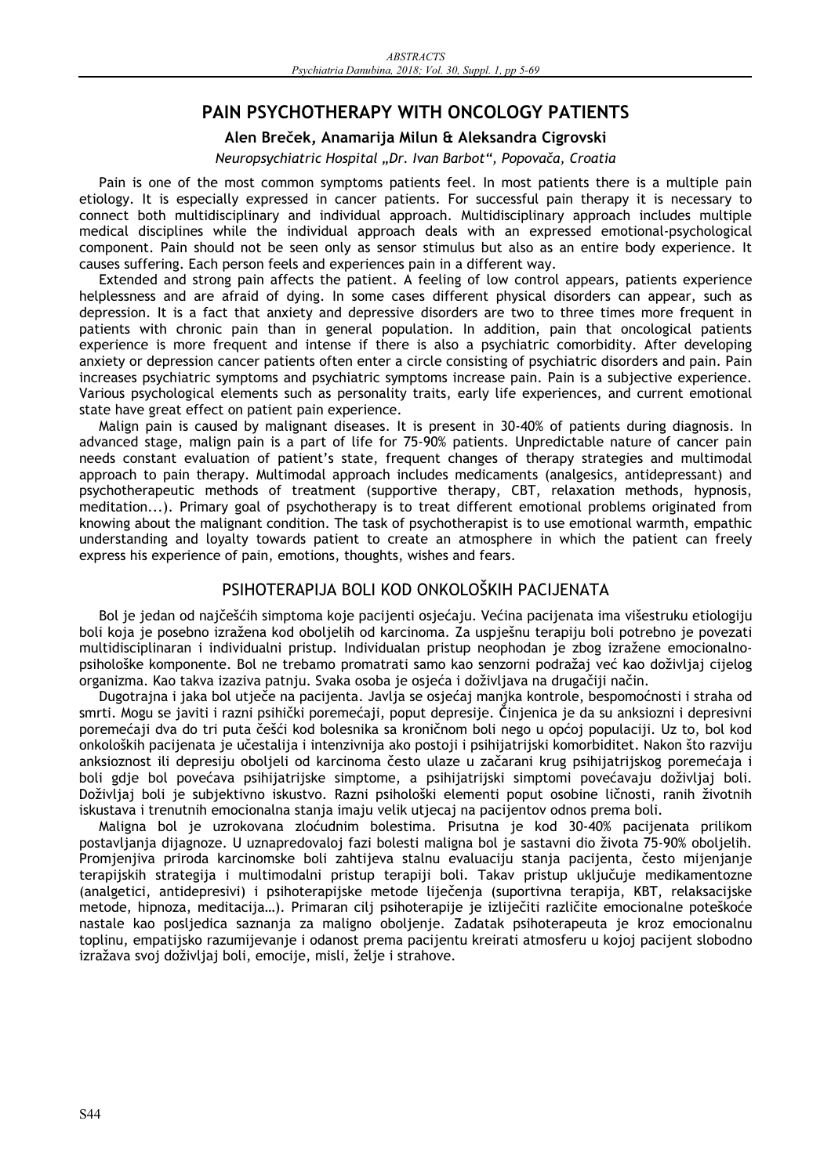# **PAIN PSYCHOTHERAPY WITH ONCOLOGY PATIENTS**

### **Alen BreĆek, Anamarija Milun & Aleksandra Cigrovski**

*Neuropsychiatric Hospital "Dr. Ivan Barbot", PopovaĆa, Croatia* 

Pain is one of the most common symptoms patients feel. In most patients there is a multiple pain etiology. It is especially expressed in cancer patients. For successful pain therapy it is necessary to connect both multidisciplinary and individual approach. Multidisciplinary approach includes multiple medical disciplines while the individual approach deals with an expressed emotional-psychological component. Pain should not be seen only as sensor stimulus but also as an entire body experience. It causes suffering. Each person feels and experiences pain in a different way.

Extended and strong pain affects the patient. A feeling of low control appears, patients experience helplessness and are afraid of dying. In some cases different physical disorders can appear, such as depression. It is a fact that anxiety and depressive disorders are two to three times more frequent in patients with chronic pain than in general population. In addition, pain that oncological patients experience is more frequent and intense if there is also a psychiatric comorbidity. After developing anxiety or depression cancer patients often enter a circle consisting of psychiatric disorders and pain. Pain increases psychiatric symptoms and psychiatric symptoms increase pain. Pain is a subjective experience. Various psychological elements such as personality traits, early life experiences, and current emotional state have great effect on patient pain experience.

Malign pain is caused by malignant diseases. It is present in 30-40% of patients during diagnosis. In advanced stage, malign pain is a part of life for 75-90% patients. Unpredictable nature of cancer pain needs constant evaluation of patient's state, frequent changes of therapy strategies and multimodal approach to pain therapy. Multimodal approach includes medicaments (analgesics, antidepressant) and psychotherapeutic methods of treatment (supportive therapy, CBT, relaxation methods, hypnosis, meditation...). Primary goal of psychotherapy is to treat different emotional problems originated from knowing about the malignant condition. The task of psychotherapist is to use emotional warmth, empathic understanding and loyalty towards patient to create an atmosphere in which the patient can freely express his experience of pain, emotions, thoughts, wishes and fears.

### PSIHOTERAPIJA BOLI KOD ONKOLOŠKIH PACIJENATA

Bol je jedan od najčešćih simptoma koje pacijenti osjećaju. Većina pacijenata ima višestruku etiologiju boli koja je posebno izražena kod oboljelih od karcinoma. Za uspješnu terapiju boli potrebno je povezati multidisciplinaran i individualni pristup. Individualan pristup neophodan je zbog izražene emocionalnopsihološke komponente. Bol ne trebamo promatrati samo kao senzorni podražaj već kao doživljaj cijelog organizma. Kao takva izaziva patnju. Svaka osoba je osjeća i doživljava na drugačiji način.

Dugotrajna i jaka bol utječe na pacijenta. Javlja se osjećaj manjka kontrole, bespomoćnosti i straha od smrti. Mogu se javiti i razni psihički poremećaji, poput depresije. Činjenica je da su anksiozni i depresivni poremećaji dva do tri puta češći kod bolesnika sa kroničnom boli nego u općoj populaciji. Uz to, bol kod onkoloških pacijenata je uĆestalija i intenzivnija ako postoji i psihijatrijski komorbiditet. Nakon što razviju anksioznost ili depresiju oboljeli od karcinoma često ulaze u začarani krug psihijatrijskog poremećaja i boli gdje bol povećava psihijatrijske simptome, a psihijatrijski simptomi povećavaju doživljaj boli. Doživljaj boli je subjektivno iskustvo. Razni psihološki elementi poput osobine liĆnosti, ranih životnih iskustava i trenutnih emocionalna stanja imaju velik utjecaj na pacijentov odnos prema boli.

Maligna bol je uzrokovana zloćudnim bolestima. Prisutna je kod 30-40% pacijenata prilikom postavljanja dijagnoze. U uznapredovaloj fazi bolesti maligna bol je sastavni dio života 75-90% oboljelih. Promjenjiva priroda karcinomske boli zahtijeva stalnu evaluaciju stanja pacijenta, Ćesto mijenjanje terapijskih strategija i multimodalni pristup terapiji boli. Takav pristup uključuje medikamentozne (analgetici, antidepresivi) i psihoterapijske metode lijeĆenja (suportivna terapija, KBT, relaksacijske metode, hipnoza, meditacija...). Primaran cilj psihoterapije je izliječiti različite emocionalne poteškoće nastale kao posljedica saznanja za maligno oboljenje. Zadatak psihoterapeuta je kroz emocionalnu toplinu, empatijsko razumijevanje i odanost prema pacijentu kreirati atmosferu u kojoj pacijent slobodno izražava svoj doživljaj boli, emocije, misli, želje i strahove.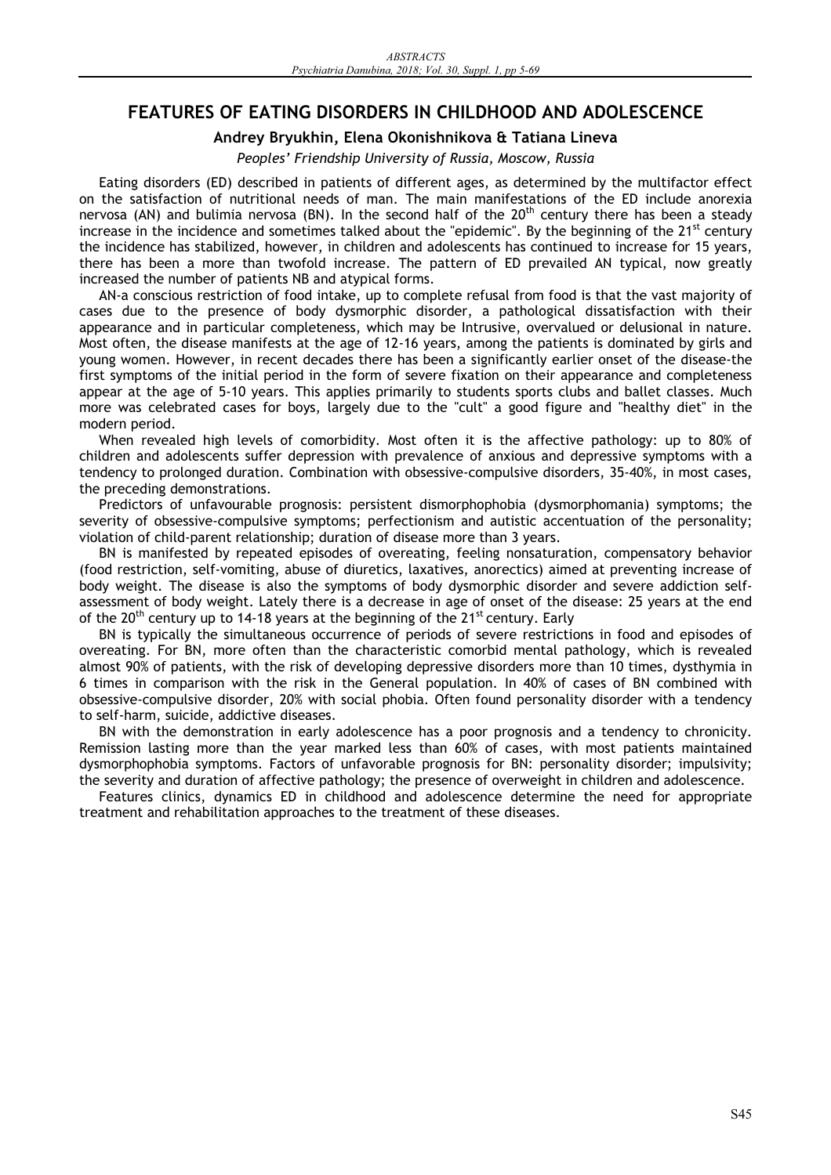# **FEATURES OF EATING DISORDERS IN CHILDHOOD AND ADOLESCENCE**

### **Andrey Bryukhin, Elena Okonishnikova & Tatiana Lineva**

#### *Peoples' Friendship University of Russia, Moscow, Russia*

Eating disorders (ED) described in patients of different ages, as determined by the multifactor effect on the satisfaction of nutritional needs of man. The main manifestations of the ED include anorexia nervosa (AN) and bulimia nervosa (BN). In the second half of the  $20<sup>th</sup>$  century there has been a steady increase in the incidence and sometimes talked about the "epidemic". By the beginning of the  $21^{st}$  century the incidence has stabilized, however, in children and adolescents has continued to increase for 15 years, there has been a more than twofold increase. The pattern of ED prevailed AN typical, now greatly increased the number of patients NB and atypical forms.

AN-a conscious restriction of food intake, up to complete refusal from food is that the vast majority of cases due to the presence of body dysmorphic disorder, a pathological dissatisfaction with their appearance and in particular completeness, which may be Intrusive, overvalued or delusional in nature. Most often, the disease manifests at the age of 12-16 years, among the patients is dominated by girls and young women. However, in recent decades there has been a significantly earlier onset of the disease-the first symptoms of the initial period in the form of severe fixation on their appearance and completeness appear at the age of 5-10 years. This applies primarily to students sports clubs and ballet classes. Much more was celebrated cases for boys, largely due to the "cult" a good figure and "healthy diet" in the modern period.

When revealed high levels of comorbidity. Most often it is the affective pathology: up to 80% of children and adolescents suffer depression with prevalence of anxious and depressive symptoms with a tendency to prolonged duration. Combination with obsessive-compulsive disorders, 35-40%, in most cases, the preceding demonstrations.

Predictors of unfavourable prognosis: persistent dismorphophobia (dysmorphomania) symptoms; the severity of obsessive-compulsive symptoms; perfectionism and autistic accentuation of the personality; violation of child-parent relationship; duration of disease more than 3 years.

BN is manifested by repeated episodes of overeating, feeling nonsaturation, compensatory behavior (food restriction, self-vomiting, abuse of diuretics, laxatives, anorectics) aimed at preventing increase of body weight. The disease is also the symptoms of body dysmorphic disorder and severe addiction selfassessment of body weight. Lately there is a decrease in age of onset of the disease: 25 years at the end of the  $20<sup>th</sup>$  century up to 14-18 years at the beginning of the  $21<sup>st</sup>$  century. Early

BN is typically the simultaneous occurrence of periods of severe restrictions in food and episodes of overeating. For BN, more often than the characteristic comorbid mental pathology, which is revealed almost 90% of patients, with the risk of developing depressive disorders more than 10 times, dysthymia in 6 times in comparison with the risk in the General population. In 40% of cases of BN combined with obsessive-compulsive disorder, 20% with social phobia. Often found personality disorder with a tendency to self-harm, suicide, addictive diseases.

BN with the demonstration in early adolescence has a poor prognosis and a tendency to chronicity. Remission lasting more than the year marked less than 60% of cases, with most patients maintained dysmorphophobia symptoms. Factors of unfavorable prognosis for BN: personality disorder; impulsivity; the severity and duration of affective pathology; the presence of overweight in children and adolescence.

Features clinics, dynamics ED in childhood and adolescence determine the need for appropriate treatment and rehabilitation approaches to the treatment of these diseases.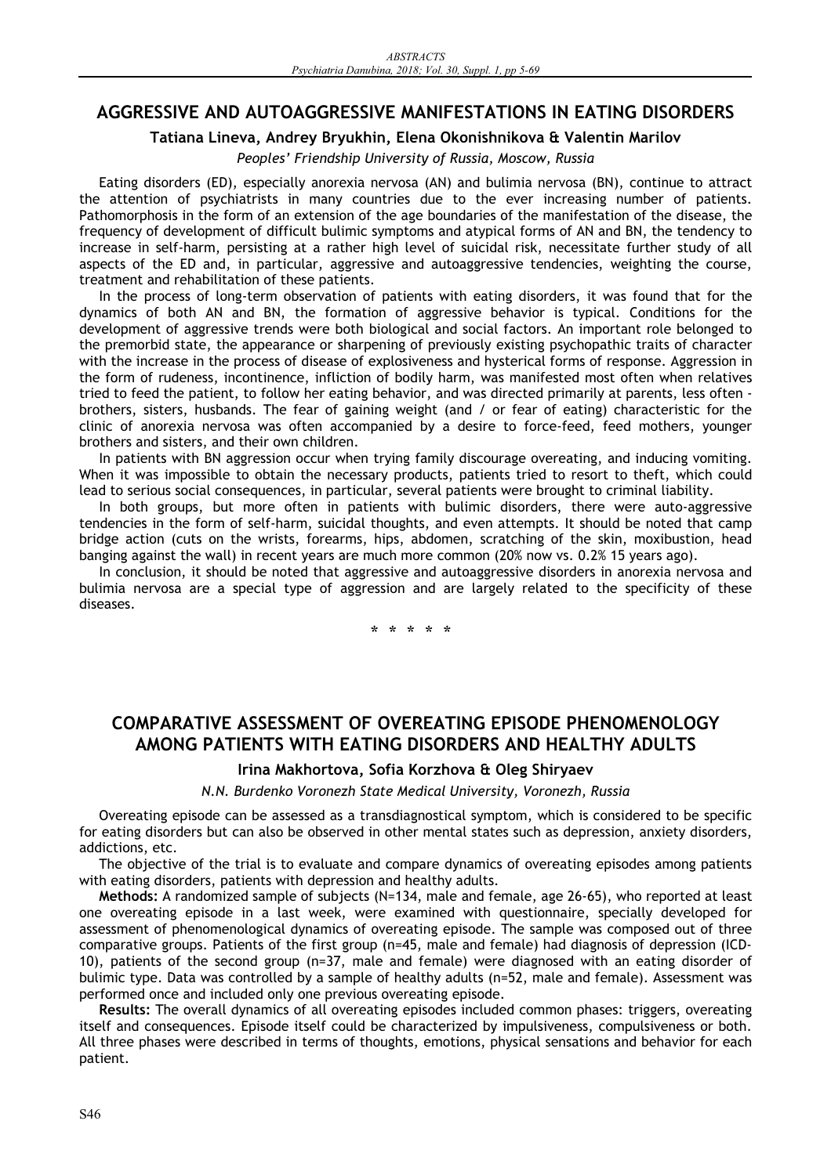# **AGGRESSIVE AND AUTOAGGRESSIVE MANIFESTATIONS IN EATING DISORDERS**

### **Tatiana Lineva, Andrey Bryukhin, Elena Okonishnikova & Valentin Marilov**

*Peoples' Friendship University of Russia, Moscow, Russia* 

Eating disorders (ED), especially anorexia nervosa (AN) and bulimia nervosa (BN), continue to attract the attention of psychiatrists in many countries due to the ever increasing number of patients. Pathomorphosis in the form of an extension of the age boundaries of the manifestation of the disease, the frequency of development of difficult bulimic symptoms and atypical forms of AN and BN, the tendency to increase in self-harm, persisting at a rather high level of suicidal risk, necessitate further study of all aspects of the ED and, in particular, aggressive and autoaggressive tendencies, weighting the course, treatment and rehabilitation of these patients.

In the process of long-term observation of patients with eating disorders, it was found that for the dynamics of both AN and BN, the formation of aggressive behavior is typical. Conditions for the development of aggressive trends were both biological and social factors. An important role belonged to the premorbid state, the appearance or sharpening of previously existing psychopathic traits of character with the increase in the process of disease of explosiveness and hysterical forms of response. Aggression in the form of rudeness, incontinence, infliction of bodily harm, was manifested most often when relatives tried to feed the patient, to follow her eating behavior, and was directed primarily at parents, less often brothers, sisters, husbands. The fear of gaining weight (and / or fear of eating) characteristic for the clinic of anorexia nervosa was often accompanied by a desire to force-feed, feed mothers, younger brothers and sisters, and their own children.

In patients with BN aggression occur when trying family discourage overeating, and inducing vomiting. When it was impossible to obtain the necessary products, patients tried to resort to theft, which could lead to serious social consequences, in particular, several patients were brought to criminal liability.

In both groups, but more often in patients with bulimic disorders, there were auto-aggressive tendencies in the form of self-harm, suicidal thoughts, and even attempts. It should be noted that camp bridge action (cuts on the wrists, forearms, hips, abdomen, scratching of the skin, moxibustion, head banging against the wall) in recent years are much more common (20% now vs. 0.2% 15 years ago).

In conclusion, it should be noted that aggressive and autoaggressive disorders in anorexia nervosa and bulimia nervosa are a special type of aggression and are largely related to the specificity of these diseases.

**\*\*\*\*\***

# **COMPARATIVE ASSESSMENT OF OVEREATING EPISODE PHENOMENOLOGY AMONG PATIENTS WITH EATING DISORDERS AND HEALTHY ADULTS**

### **Irina Makhortova, Sofia Korzhova & Oleg Shiryaev**

*N.N. Burdenko Voronezh State Medical University, Voronezh, Russia* 

Overeating episode can be assessed as a transdiagnostical symptom, which is considered to be specific for eating disorders but can also be observed in other mental states such as depression, anxiety disorders, addictions, etc.

The objective of the trial is to evaluate and compare dynamics of overeating episodes among patients with eating disorders, patients with depression and healthy adults.

**Methods:** A randomized sample of subjects (N=134, male and female, age 26-65), who reported at least one overeating episode in a last week, were examined with questionnaire, specially developed for assessment of phenomenological dynamics of overeating episode. The sample was composed out of three comparative groups. Patients of the first group (n=45, male and female) had diagnosis of depression (ICD-10), patients of the second group (n=37, male and female) were diagnosed with an eating disorder of bulimic type. Data was controlled by a sample of healthy adults (n=52, male and female). Assessment was performed once and included only one previous overeating episode.

**Results:** The overall dynamics of all overeating episodes included common phases: triggers, overeating itself and consequences. Episode itself could be characterized by impulsiveness, compulsiveness or both. All three phases were described in terms of thoughts, emotions, physical sensations and behavior for each patient.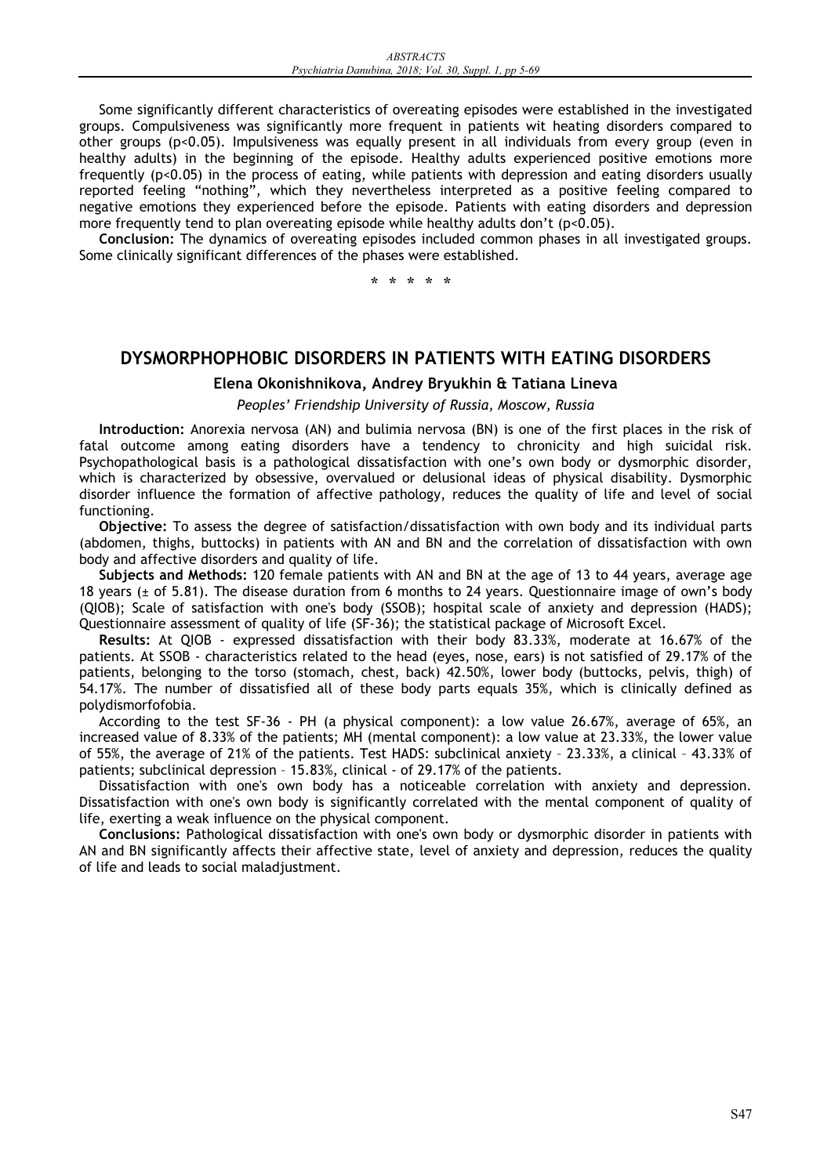Some significantly different characteristics of overeating episodes were established in the investigated groups. Compulsiveness was significantly more frequent in patients wit heating disorders compared to other groups (p<0.05). Impulsiveness was equally present in all individuals from every group (even in healthy adults) in the beginning of the episode. Healthy adults experienced positive emotions more frequently (p<0.05) in the process of eating, while patients with depression and eating disorders usually reported feeling "nothing", which they nevertheless interpreted as a positive feeling compared to negative emotions they experienced before the episode. Patients with eating disorders and depression more frequently tend to plan overeating episode while healthy adults don't ( $p<0.05$ ).

**Conclusion:** The dynamics of overeating episodes included common phases in all investigated groups. Some clinically significant differences of the phases were established.

**\*\*\*\*\***

# **DYSMORPHOPHOBIC DISORDERS IN PATIENTS WITH EATING DISORDERS**

#### **Elena Okonishnikova, Andrey Bryukhin & Tatiana Lineva**

*Peoples' Friendship University of Russia, Moscow, Russia* 

**Introduction:** Anorexia nervosa (AN) and bulimia nervosa (BN) is one of the first places in the risk of fatal outcome among eating disorders have a tendency to chronicity and high suicidal risk. Psychopathological basis is a pathological dissatisfaction with one's own body or dysmorphic disorder, which is characterized by obsessive, overvalued or delusional ideas of physical disability. Dysmorphic disorder influence the formation of affective pathology, reduces the quality of life and level of social functioning.

**Objective:** To assess the degree of satisfaction/dissatisfaction with own body and its individual parts (abdomen, thighs, buttocks) in patients with AN and BN and the correlation of dissatisfaction with own body and affective disorders and quality of life.

**Subjects and Methods:** 120 female patients with AN and BN at the age of 13 to 44 years, average age 18 years ( $\pm$  of 5.81). The disease duration from 6 months to 24 years. Questionnaire image of own's body (QIOB); Scale of satisfaction with one's body (SSOB); hospital scale of anxiety and depression (HADS); Questionnaire assessment of quality of life (SF-36); the statistical package of Microsoft Excel.

**Results:** At QIOB - expressed dissatisfaction with their body 83.33%, moderate at 16.67% of the patients. At SSOB - characteristics related to the head (eyes, nose, ears) is not satisfied of 29.17% of the patients, belonging to the torso (stomach, chest, back) 42.50%, lower body (buttocks, pelvis, thigh) of 54.17%. The number of dissatisfied all of these body parts equals 35%, which is clinically defined as polydismorfofobia.

According to the test SF-36 - PH (a physical component): a low value 26.67%, average of 65%, an increased value of 8.33% of the patients; MH (mental component): a low value at 23.33%, the lower value of 55%, the average of 21% of the patients. Test HADS: subclinical anxiety – 23.33%, a clinical – 43.33% of patients; subclinical depression – 15.83%, clinical - of 29.17% of the patients.

Dissatisfaction with one's own body has a noticeable correlation with anxiety and depression. Dissatisfaction with one's own body is significantly correlated with the mental component of quality of life, exerting a weak influence on the physical component.

**Conclusions:** Pathological dissatisfaction with one's own body or dysmorphic disorder in patients with AN and BN significantly affects their affective state, level of anxiety and depression, reduces the quality of life and leads to social maladjustment.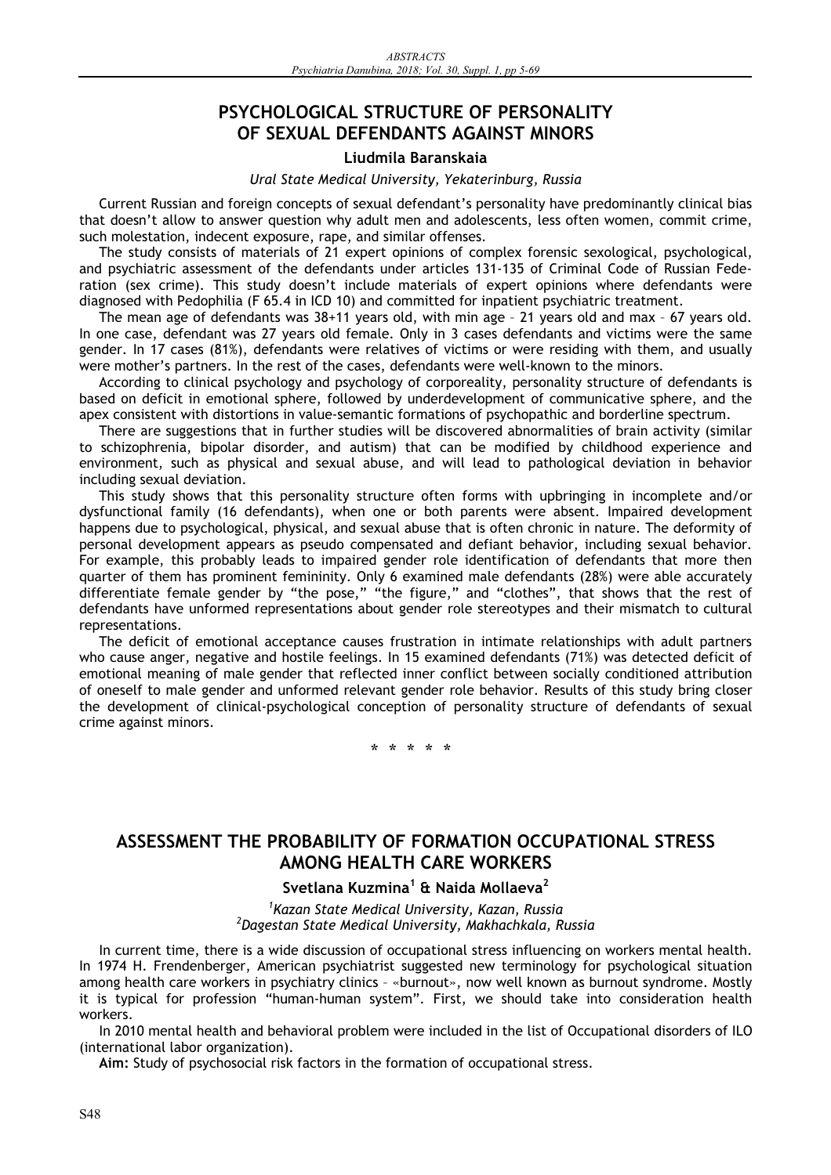# **PSYCHOLOGICAL STRUCTURE OF PERSONALITY OF SEXUAL DEFENDANTS AGAINST MINORS**

### **Liudmila Baranskaia**

#### *Ural State Medical University, Yekaterinburg, Russia*

Current Russian and foreign concepts of sexual defendant's personality have predominantly clinical bias that doesn't allow to answer question why adult men and adolescents, less often women, commit crime, such molestation, indecent exposure, rape, and similar offenses.

The study consists of materials of 21 expert opinions of complex forensic sexological, psychological, and psychiatric assessment of the defendants under articles 131-135 of Criminal Code of Russian Federation (sex crime). This study doesn't include materials of expert opinions where defendants were diagnosed with Pedophilia (F 65.4 in ICD 10) and committed for inpatient psychiatric treatment.

The mean age of defendants was 38+11 years old, with min age – 21 years old and max – 67 years old. In one case, defendant was 27 years old female. Only in 3 cases defendants and victims were the same gender. In 17 cases (81%), defendants were relatives of victims or were residing with them, and usually were mother's partners. In the rest of the cases, defendants were well-known to the minors.

According to clinical psychology and psychology of corporeality, personality structure of defendants is based on deficit in emotional sphere, followed by underdevelopment of communicative sphere, and the apex consistent with distortions in value-semantic formations of psychopathic and borderline spectrum.

There are suggestions that in further studies will be discovered abnormalities of brain activity (similar to schizophrenia, bipolar disorder, and autism) that can be modified by childhood experience and environment, such as physical and sexual abuse, and will lead to pathological deviation in behavior including sexual deviation.

This study shows that this personality structure often forms with upbringing in incomplete and/or dysfunctional family (16 defendants), when one or both parents were absent. Impaired development happens due to psychological, physical, and sexual abuse that is often chronic in nature. The deformity of personal development appears as pseudo compensated and defiant behavior, including sexual behavior. For example, this probably leads to impaired gender role identification of defendants that more then quarter of them has prominent femininity. Only 6 examined male defendants (28%) were able accurately differentiate female gender by "the pose," "the figure," and "clothes", that shows that the rest of defendants have unformed representations about gender role stereotypes and their mismatch to cultural representations.

The deficit of emotional acceptance causes frustration in intimate relationships with adult partners who cause anger, negative and hostile feelings. In 15 examined defendants (71%) was detected deficit of emotional meaning of male gender that reflected inner conflict between socially conditioned attribution of oneself to male gender and unformed relevant gender role behavior. Results of this study bring closer the development of clinical-psychological conception of personality structure of defendants of sexual crime against minors.

**\*\*\*\*\***

# **ASSESSMENT THE PROBABILITY OF FORMATION OCCUPATIONAL STRESS AMONG HEALTH CARE WORKERS**

### **Svetlana Kuzmina<sup>1</sup> & Naida Mollaeva<sup>2</sup>**

*1 Kazan State Medical University, Kazan, Russia 2 Dagestan State Medical University, Makhachkala, Russia* 

In current time, there is a wide discussion of occupational stress influencing on workers mental health. In 1974 H. Frendenberger, American psychiatrist suggested new terminology for psychological situation among health care workers in psychiatry clinics – «burnout», now well known as burnout syndrome. Mostly it is typical for profession "human-human system". First, we should take into consideration health workers.

In 2010 mental health and behavioral problem were included in the list of Occupational disorders of ILO (international labor organization).

**Aim:** Study of psychosocial risk factors in the formation of occupational stress.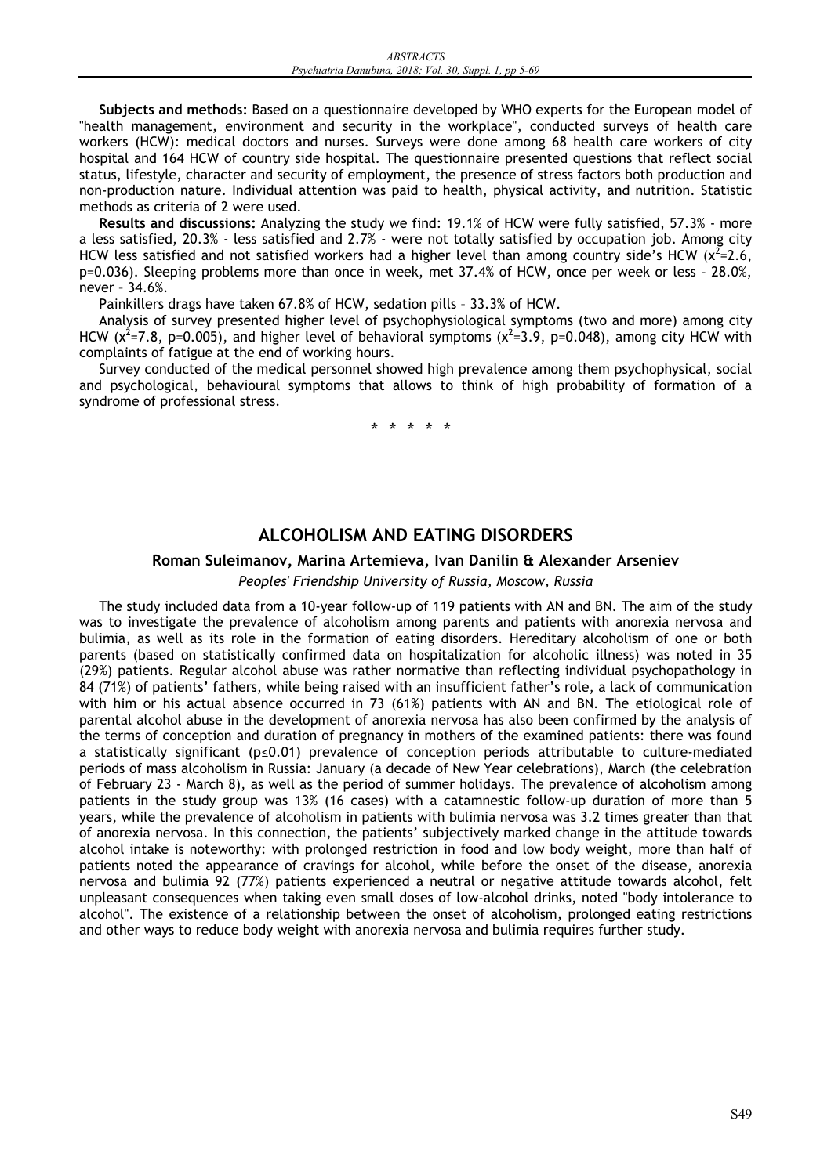**Subjects and methods:** Based on a questionnaire developed by WHO experts for the European model of "health management, environment and security in the workplace", conducted surveys of health care workers (HCW): medical doctors and nurses. Surveys were done among 68 health care workers of city hospital and 164 HCW of country side hospital. The questionnaire presented questions that reflect social status, lifestyle, character and security of employment, the presence of stress factors both production and non-production nature. Individual attention was paid to health, physical activity, and nutrition. Statistic methods as criteria of 2 were used.

**Results and discussions:** Analyzing the study we find: 19.1% of HCW were fully satisfied, 57.3% - more a less satisfied, 20.3% - less satisfied and 2.7% - were not totally satisfied by occupation job. Among city HCW less satisfied and not satisfied workers had a higher level than among country side's HCW ( $x^2$ =2.6, p=0.036). Sleeping problems more than once in week, met 37.4% of HCW, once per week or less - 28.0%, never – 34.6%.

Painkillers drags have taken 67.8% of HCW, sedation pills – 33.3% of HCW.

Analysis of survey presented higher level of psychophysiological symptoms (two and more) among city HCW ( $x^2$ =7.8, p=0.005), and higher level of behavioral symptoms ( $x^2$ =3.9, p=0.048), among city HCW with complaints of fatigue at the end of working hours.

Survey conducted of the medical personnel showed high prevalence among them psychophysical, social and psychological, behavioural symptoms that allows to think of high probability of formation of a syndrome of professional stress.

**\*\*\*\*\***

# **ALCOHOLISM AND EATING DISORDERS**

### **Roman Suleimanov, Marina Artemieva, Ivan Danilin & Alexander Arseniev**

*Peoples' Friendship University of Russia, Moscow, Russia* 

The study included data from a 10-year follow-up of 119 patients with AN and BN. The aim of the study was to investigate the prevalence of alcoholism among parents and patients with anorexia nervosa and bulimia, as well as its role in the formation of eating disorders. Hereditary alcoholism of one or both parents (based on statistically confirmed data on hospitalization for alcoholic illness) was noted in 35 (29%) patients. Regular alcohol abuse was rather normative than reflecting individual psychopathology in 84 (71%) of patients' fathers, while being raised with an insufficient father's role, a lack of communication with him or his actual absence occurred in 73 (61%) patients with AN and BN. The etiological role of parental alcohol abuse in the development of anorexia nervosa has also been confirmed by the analysis of the terms of conception and duration of pregnancy in mothers of the examined patients: there was found a statistically significant ( $p\leq 0.01$ ) prevalence of conception periods attributable to culture-mediated periods of mass alcoholism in Russia: January (a decade of New Year celebrations), March (the celebration of February 23 - March 8), as well as the period of summer holidays. The prevalence of alcoholism among patients in the study group was 13% (16 cases) with a catamnestic follow-up duration of more than 5 years, while the prevalence of alcoholism in patients with bulimia nervosa was 3.2 times greater than that of anorexia nervosa. In this connection, the patients' subjectively marked change in the attitude towards alcohol intake is noteworthy: with prolonged restriction in food and low body weight, more than half of patients noted the appearance of cravings for alcohol, while before the onset of the disease, anorexia nervosa and bulimia 92 (77%) patients experienced a neutral or negative attitude towards alcohol, felt unpleasant consequences when taking even small doses of low-alcohol drinks, noted "body intolerance to alcohol". The existence of a relationship between the onset of alcoholism, prolonged eating restrictions and other ways to reduce body weight with anorexia nervosa and bulimia requires further study.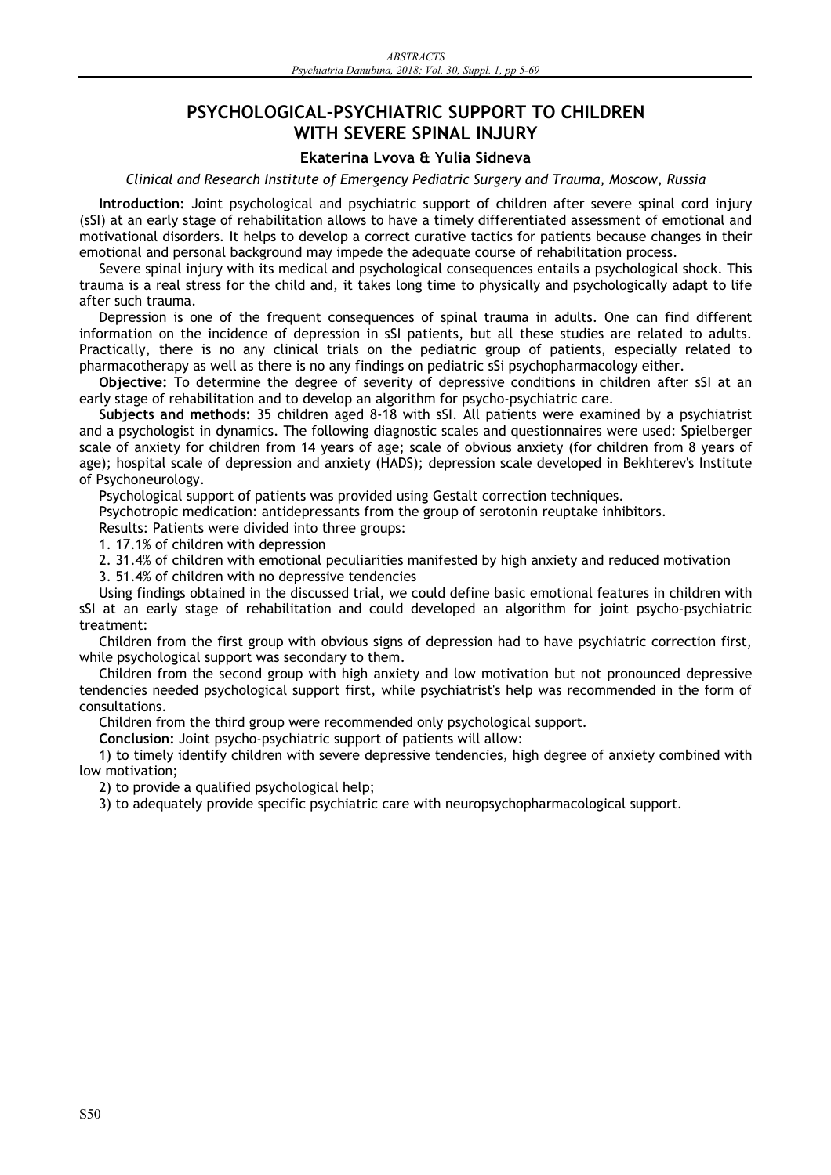# **PSYCHOLOGICAL-PSYCHIATRIC SUPPORT TO CHILDREN WITH SEVERE SPINAL INJURY**

### **Ekaterina Lvova & Yulia Sidneva**

*Clinical and Research Institute of Emergency Pediatric Surgery and Trauma, Moscow, Russia* 

**Introduction:** Joint psychological and psychiatric support of children after severe spinal cord injury (sSI) at an early stage of rehabilitation allows to have a timely differentiated assessment of emotional and motivational disorders. It helps to develop a correct curative tactics for patients because changes in their emotional and personal background may impede the adequate course of rehabilitation process.

Severe spinal injury with its medical and psychological consequences entails a psychological shock. This trauma is a real stress for the child and, it takes long time to physically and psychologically adapt to life after such trauma.

Depression is one of the frequent consequences of spinal trauma in adults. One can find different information on the incidence of depression in sSI patients, but all these studies are related to adults. Practically, there is no any clinical trials on the pediatric group of patients, especially related to pharmacotherapy as well as there is no any findings on pediatric sSi psychopharmacology either.

**Objective:** To determine the degree of severity of depressive conditions in children after sSI at an early stage of rehabilitation and to develop an algorithm for psycho-psychiatric care.

**Subjects and methods:** 35 children aged 8-18 with sSI. All patients were examined by a psychiatrist and a psychologist in dynamics. The following diagnostic scales and questionnaires were used: Spielberger scale of anxiety for children from 14 years of age; scale of obvious anxiety (for children from 8 years of age); hospital scale of depression and anxiety (HADS); depression scale developed in Bekhterev's Institute of Psychoneurology.

Psychological support of patients was provided using Gestalt correction techniques.

Psychotropic medication: antidepressants from the group of serotonin reuptake inhibitors.

Results: Patients were divided into three groups:

1. 17.1% of children with depression

2. 31.4% of children with emotional peculiarities manifested by high anxiety and reduced motivation

3. 51.4% of children with no depressive tendencies

Using findings obtained in the discussed trial, we could define basic emotional features in children with sSI at an early stage of rehabilitation and could developed an algorithm for joint psycho-psychiatric treatment:

Children from the first group with obvious signs of depression had to have psychiatric correction first, while psychological support was secondary to them.

Children from the second group with high anxiety and low motivation but not pronounced depressive tendencies needed psychological support first, while psychiatrist's help was recommended in the form of consultations.

Children from the third group were recommended only psychological support.

**Conclusion:** Joint psycho-psychiatric support of patients will allow:

1) to timely identify children with severe depressive tendencies, high degree of anxiety combined with low motivation;

2) to provide a qualified psychological help;

3) to adequately provide specific psychiatric care with neuropsychopharmacological support.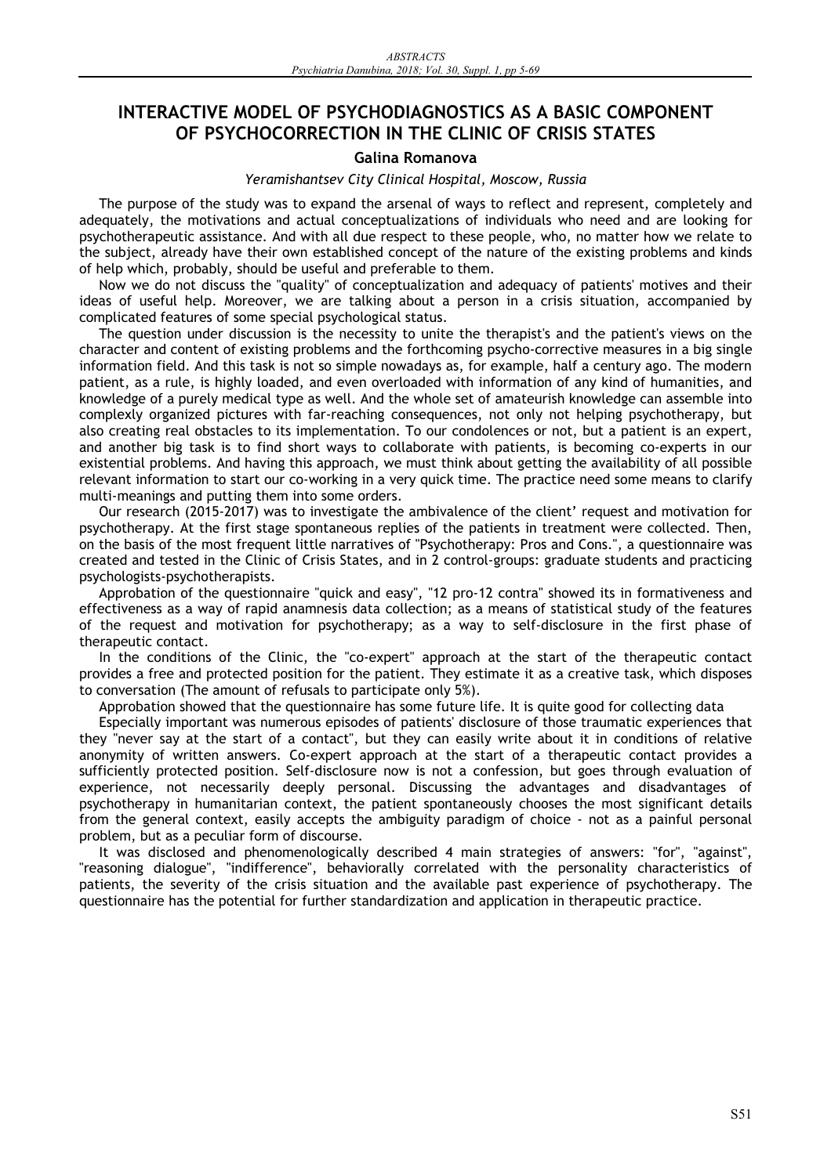# **INTERACTIVE MODEL OF PSYCHODIAGNOSTICS AS A BASIC COMPONENT OF PSYCHOCORRECTION IN THE CLINIC OF CRISIS STATES**

### **Galina Romanova**

#### *Yeramishantsev City Clinical Hospital, Moscow, Russia*

The purpose of the study was to expand the arsenal of ways to reflect and represent, completely and adequately, the motivations and actual conceptualizations of individuals who need and are looking for psychotherapeutic assistance. And with all due respect to these people, who, no matter how we relate to the subject, already have their own established concept of the nature of the existing problems and kinds of help which, probably, should be useful and preferable to them.

Now we do not discuss the "quality" of conceptualization and adequacy of patients' motives and their ideas of useful help. Moreover, we are talking about a person in a crisis situation, accompanied by complicated features of some special psychological status.

The question under discussion is the necessity to unite the therapist's and the patient's views on the character and content of existing problems and the forthcoming psycho-corrective measures in a big single information field. And this task is not so simple nowadays as, for example, half a century ago. The modern patient, as a rule, is highly loaded, and even overloaded with information of any kind of humanities, and knowledge of a purely medical type as well. And the whole set of amateurish knowledge can assemble into complexly organized pictures with far-reaching consequences, not only not helping psychotherapy, but also creating real obstacles to its implementation. To our condolences or not, but a patient is an expert, and another big task is to find short ways to collaborate with patients, is becoming co-experts in our existential problems. And having this approach, we must think about getting the availability of all possible relevant information to start our co-working in a very quick time. The practice need some means to clarify multi-meanings and putting them into some orders.

Our research (2015-2017) was to investigate the ambivalence of the client' request and motivation for psychotherapy. At the first stage spontaneous replies of the patients in treatment were collected. Then, on the basis of the most frequent little narratives of "Psychotherapy: Pros and Cons.", a questionnaire was created and tested in the Clinic of Crisis States, and in 2 control-groups: graduate students and practicing psychologists-psychotherapists.

Approbation of the questionnaire "quick and easy", "12 pro-12 contra" showed its in formativeness and effectiveness as a way of rapid anamnesis data collection; as a means of statistical study of the features of the request and motivation for psychotherapy; as a way to self-disclosure in the first phase of therapeutic contact.

In the conditions of the Clinic, the "co-expert" approach at the start of the therapeutic contact provides a free and protected position for the patient. They estimate it as a creative task, which disposes to conversation (The amount of refusals to participate only 5%).

Approbation showed that the questionnaire has some future life. It is quite good for collecting data

Especially important was numerous episodes of patients' disclosure of those traumatic experiences that they "never say at the start of a contact", but they can easily write about it in conditions of relative anonymity of written answers. Co-expert approach at the start of a therapeutic contact provides a sufficiently protected position. Self-disclosure now is not a confession, but goes through evaluation of experience, not necessarily deeply personal. Discussing the advantages and disadvantages of psychotherapy in humanitarian context, the patient spontaneously chooses the most significant details from the general context, easily accepts the ambiguity paradigm of choice - not as a painful personal problem, but as a peculiar form of discourse.

It was disclosed and phenomenologically described 4 main strategies of answers: "for", "against", "reasoning dialogue", "indifference", behaviorally correlated with the personality characteristics of patients, the severity of the crisis situation and the available past experience of psychotherapy. The questionnaire has the potential for further standardization and application in therapeutic practice.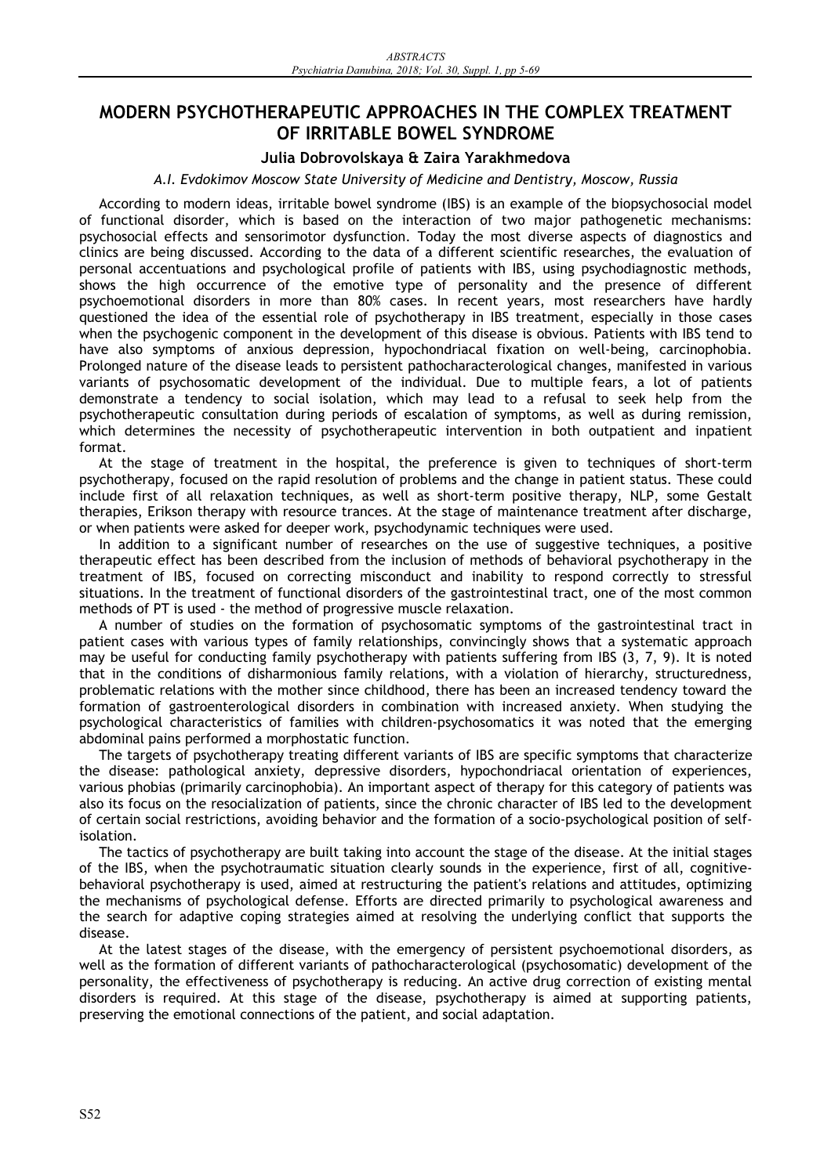# **MODERN PSYCHOTHERAPEUTIC APPROACHES IN THE COMPLEX TREATMENT OF IRRITABLE BOWEL SYNDROME**

### **Julia Dobrovolskaya & Zaira Yarakhmedova**

#### *A.I. Evdokimov Moscow State University of Medicine and Dentistry, Moscow, Russia*

According to modern ideas, irritable bowel syndrome (IBS) is an example of the biopsychosocial model of functional disorder, which is based on the interaction of two major pathogenetic mechanisms: psychosocial effects and sensorimotor dysfunction. Today the most diverse aspects of diagnostics and clinics are being discussed. According to the data of a different scientific researches, the evaluation of personal accentuations and psychological profile of patients with IBS, using psychodiagnostic methods, shows the high occurrence of the emotive type of personality and the presence of different psychoemotional disorders in more than 80% cases. In recent years, most researchers have hardly questioned the idea of the essential role of psychotherapy in IBS treatment, especially in those cases when the psychogenic component in the development of this disease is obvious. Patients with IBS tend to have also symptoms of anxious depression, hypochondriacal fixation on well-being, carcinophobia. Prolonged nature of the disease leads to persistent pathocharacterological changes, manifested in various variants of psychosomatic development of the individual. Due to multiple fears, a lot of patients demonstrate a tendency to social isolation, which may lead to a refusal to seek help from the psychotherapeutic consultation during periods of escalation of symptoms, as well as during remission, which determines the necessity of psychotherapeutic intervention in both outpatient and inpatient format.

At the stage of treatment in the hospital, the preference is given to techniques of short-term psychotherapy, focused on the rapid resolution of problems and the change in patient status. These could include first of all relaxation techniques, as well as short-term positive therapy, NLP, some Gestalt therapies, Erikson therapy with resource trances. At the stage of maintenance treatment after discharge, or when patients were asked for deeper work, psychodynamic techniques were used.

In addition to a significant number of researches on the use of suggestive techniques, a positive therapeutic effect has been described from the inclusion of methods of behavioral psychotherapy in the treatment of IBS, focused on correcting misconduct and inability to respond correctly to stressful situations. In the treatment of functional disorders of the gastrointestinal tract, one of the most common methods of PT is used - the method of progressive muscle relaxation.

A number of studies on the formation of psychosomatic symptoms of the gastrointestinal tract in patient cases with various types of family relationships, convincingly shows that a systematic approach may be useful for conducting family psychotherapy with patients suffering from IBS (3, 7, 9). It is noted that in the conditions of disharmonious family relations, with a violation of hierarchy, structuredness, problematic relations with the mother since childhood, there has been an increased tendency toward the formation of gastroenterological disorders in combination with increased anxiety. When studying the psychological characteristics of families with children-psychosomatics it was noted that the emerging abdominal pains performed a morphostatic function.

The targets of psychotherapy treating different variants of IBS are specific symptoms that characterize the disease: pathological anxiety, depressive disorders, hypochondriacal orientation of experiences, various phobias (primarily carcinophobia). An important aspect of therapy for this category of patients was also its focus on the resocialization of patients, since the chronic character of IBS led to the development of certain social restrictions, avoiding behavior and the formation of a socio-psychological position of selfisolation.

The tactics of psychotherapy are built taking into account the stage of the disease. At the initial stages of the IBS, when the psychotraumatic situation clearly sounds in the experience, first of all, cognitivebehavioral psychotherapy is used, aimed at restructuring the patient's relations and attitudes, optimizing the mechanisms of psychological defense. Efforts are directed primarily to psychological awareness and the search for adaptive coping strategies aimed at resolving the underlying conflict that supports the disease.

At the latest stages of the disease, with the emergency of persistent psychoemotional disorders, as well as the formation of different variants of pathocharacterological (psychosomatic) development of the personality, the effectiveness of psychotherapy is reducing. An active drug correction of existing mental disorders is required. At this stage of the disease, psychotherapy is aimed at supporting patients, preserving the emotional connections of the patient, and social adaptation.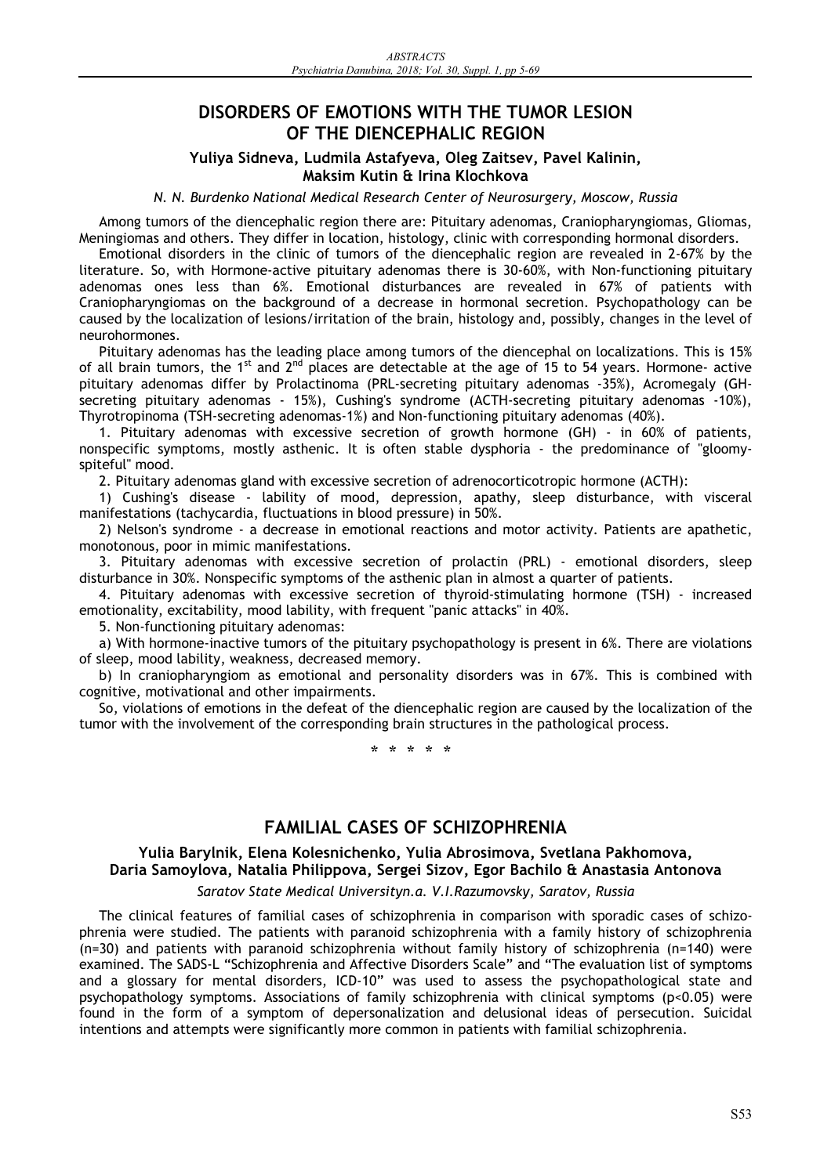# **DISORDERS OF EMOTIONS WITH THE TUMOR LESION OF THE DIENCEPHALIC REGION**

### **Yuliya Sidneva, Ludmila Astafyeva, Oleg Zaitsev, Pavel Kalinin, Maksim Kutin & Irina Klochkova**

*N. N. Burdenko National Medical Research Center of Neurosurgery, Moscow, Russia* 

Among tumors of the diencephalic region there are: Pituitary adenomas, Craniopharyngiomas, Gliomas, Meningiomas and others. They differ in location, histology, clinic with corresponding hormonal disorders.

Emotional disorders in the clinic of tumors of the diencephalic region are revealed in 2-67% by the literature. So, with Hormone-active pituitary adenomas there is 30-60%, with Non-functioning pituitary adenomas ones less than 6%. Emotional disturbances are revealed in 67% of patients with Craniopharyngiomas on the background of a decrease in hormonal secretion. Psychopathology can be caused by the localization of lesions/irritation of the brain, histology and, possibly, changes in the level of neurohormones.

Pituitary adenomas has the leading place among tumors of the diencephal on localizations. This is 15% of all brain tumors, the 1<sup>st</sup> and 2<sup>nd</sup> places are detectable at the age of 15 to 54 years. Hormone- active pituitary adenomas differ by Prolactinoma (PRL-secreting pituitary adenomas -35%), Acromegaly (GHsecreting pituitary adenomas - 15%), Cushing's syndrome (ACTH-secreting pituitary adenomas -10%), Thyrotropinoma (TSH-secreting adenomas-1%) and Non-functioning pituitary adenomas (40%).

1. Pituitary adenomas with excessive secretion of growth hormone (GH) - in 60% of patients, nonspecific symptoms, mostly asthenic. It is often stable dysphoria - the predominance of "gloomyspiteful" mood.

2. Pituitary adenomas gland with excessive secretion of adrenocorticotropic hormone (ACTH):

1) Cushing's disease - lability of mood, depression, apathy, sleep disturbance, with visceral manifestations (tachycardia, fluctuations in blood pressure) in 50%.

2) Nelson's syndrome - a decrease in emotional reactions and motor activity. Patients are apathetic, monotonous, poor in mimic manifestations.

3. Pituitary adenomas with excessive secretion of prolactin (PRL) - emotional disorders, sleep disturbance in 30%. Nonspecific symptoms of the asthenic plan in almost a quarter of patients.

4. Pituitary adenomas with excessive secretion of thyroid-stimulating hormone (TSH) - increased emotionality, excitability, mood lability, with frequent "panic attacks" in 40%.

5. Non-functioning pituitary adenomas:

a) With hormone-inactive tumors of the pituitary psychopathology is present in 6%. There are violations of sleep, mood lability, weakness, decreased memory.

b) In craniopharyngiom as emotional and personality disorders was in 67%. This is combined with cognitive, motivational and other impairments.

So, violations of emotions in the defeat of the diencephalic region are caused by the localization of the tumor with the involvement of the corresponding brain structures in the pathological process.

**\*\*\*\*\***

# **FAMILIAL CASES OF SCHIZOPHRENIA**

## **Yulia Barylnik, Elena Kolesnichenko, Yulia Abrosimova, Svetlana Pakhomova, Daria Samoylova, Natalia Philippova, Sergei Sizov, Egor Bachilo & Anastasia Antonova**

#### *Saratov State Medical Universityn.a. V.I.Razumovsky, Saratov, Russia*

The clinical features of familial cases of schizophrenia in comparison with sporadic cases of schizophrenia were studied. The patients with paranoid schizophrenia with a family history of schizophrenia (n=30) and patients with paranoid schizophrenia without family history of schizophrenia (n=140) were examined. The SADS-L "Schizophrenia and Affective Disorders Scale" and "The evaluation list of symptoms and a glossary for mental disorders, ICD-10" was used to assess the psychopathological state and psychopathology symptoms. Associations of family schizophrenia with clinical symptoms (p<0.05) were found in the form of a symptom of depersonalization and delusional ideas of persecution. Suicidal intentions and attempts were significantly more common in patients with familial schizophrenia.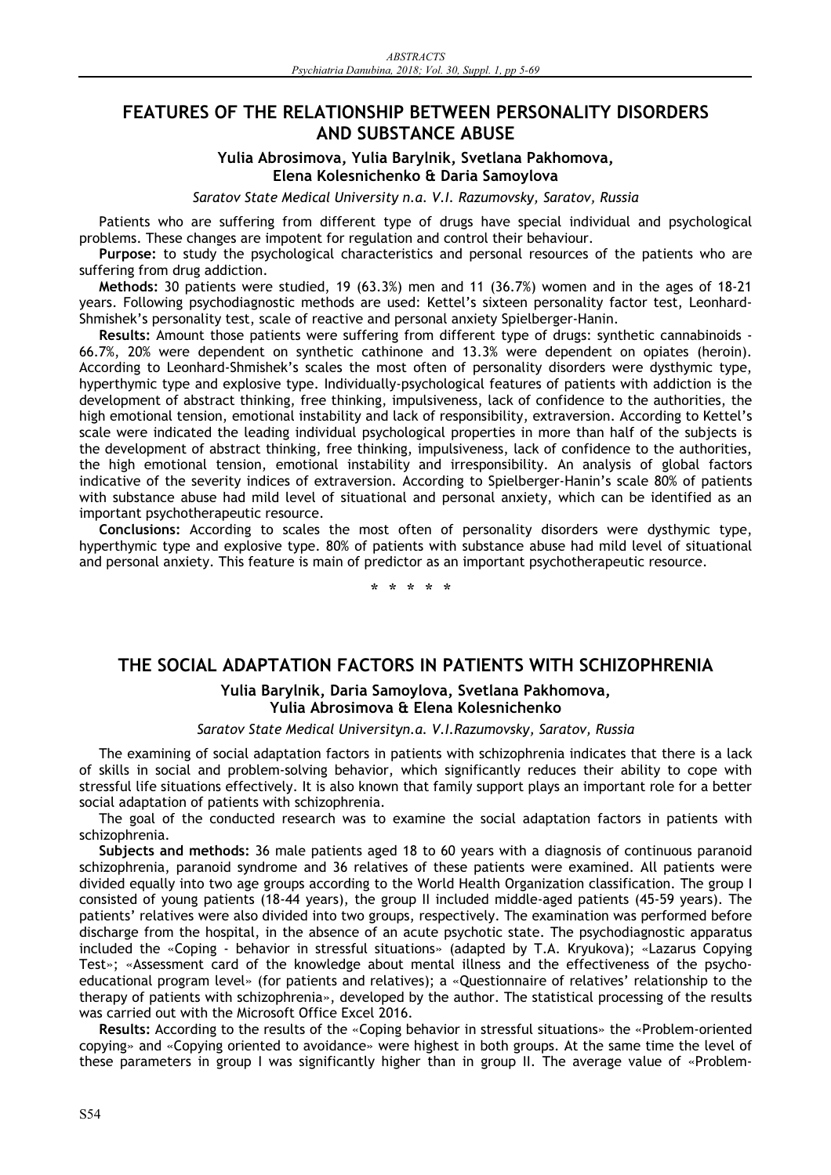# **FEATURES OF THE RELATIONSHIP BETWEEN PERSONALITY DISORDERS AND SUBSTANCE ABUSE**

### **Yulia Abrosimova, Yulia Barylnik, Svetlana Pakhomova, Elena Kolesnichenko & Daria Samoylova**

*Saratov State Medical University n.a. V.I. Razumovsky, Saratov, Russia* 

Patients who are suffering from different type of drugs have special individual and psychological problems. These changes are impotent for regulation and control their behaviour.

**Purpose:** to study the psychological characteristics and personal resources of the patients who are suffering from drug addiction.

**Methods:** 30 patients were studied, 19 (63.3%) men and 11 (36.7%) women and in the ages of 18-21 years. Following psychodiagnostic methods are used: Kettel's sixteen personality factor test, Leonhard-Shmishek's personality test, scale of reactive and personal anxiety Spielberger-Hanin.

**Results:** Amount those patients were suffering from different type of drugs: synthetic cannabinoids - 66.7%, 20% were dependent on synthetic cathinone and 13.3% were dependent on opiates (heroin). According to Leonhard-Shmishek's scales the most often of personality disorders were dysthymic type, hyperthymic type and explosive type. Individually-psychological features of patients with addiction is the development of abstract thinking, free thinking, impulsiveness, lack of confidence to the authorities, the high emotional tension, emotional instability and lack of responsibility, extraversion. According to Kettel's scale were indicated the leading individual psychological properties in more than half of the subjects is the development of abstract thinking, free thinking, impulsiveness, lack of confidence to the authorities, the high emotional tension, emotional instability and irresponsibility. An analysis of global factors indicative of the severity indices of extraversion. According to Spielberger-Hanin's scale 80% of patients with substance abuse had mild level of situational and personal anxiety, which can be identified as an important psychotherapeutic resource.

**Conclusions:** According to scales the most often of personality disorders were dysthymic type, hyperthymic type and explosive type. 80% of patients with substance abuse had mild level of situational and personal anxiety. This feature is main of predictor as an important psychotherapeutic resource.

**\*\*\*\*\***

### **THE SOCIAL ADAPTATION FACTORS IN PATIENTS WITH SCHIZOPHRENIA**

#### **Yulia Barylnik, Daria Samoylova, Svetlana Pakhomova, Yulia Abrosimova & Elena Kolesnichenko**

#### *Saratov State Medical Universityn.a. V.I.Razumovsky, Saratov, Russia*

The examining of social adaptation factors in patients with schizophrenia indicates that there is a lack of skills in social and problem-solving behavior, which significantly reduces their ability to cope with stressful life situations effectively. It is also known that family support plays an important role for a better social adaptation of patients with schizophrenia.

The goal of the conducted research was to examine the social adaptation factors in patients with schizophrenia.

**Subjects and methods:** 36 male patients aged 18 to 60 years with a diagnosis of continuous paranoid schizophrenia, paranoid syndrome and 36 relatives of these patients were examined. All patients were divided equally into two age groups according to the World Health Organization classification. The group I consisted of young patients (18-44 years), the group II included middle-aged patients (45-59 years). The patients' relatives were also divided into two groups, respectively. The examination was performed before discharge from the hospital, in the absence of an acute psychotic state. The psychodiagnostic apparatus included the «Coping - behavior in stressful situations» (adapted by T.A. Kryukova); «Lazarus Copying Test»; «Assessment card of the knowledge about mental illness and the effectiveness of the psychoeducational program level» (for patients and relatives); a «Questionnaire of relatives' relationship to the therapy of patients with schizophrenia», developed by the author. The statistical processing of the results was carried out with the Microsoft Office Excel 2016.

**Results:** According to the results of the «Coping behavior in stressful situations» the «Problem-oriented copying» and «Copying oriented to avoidance» were highest in both groups. At the same time the level of these parameters in group I was significantly higher than in group II. The average value of «Problem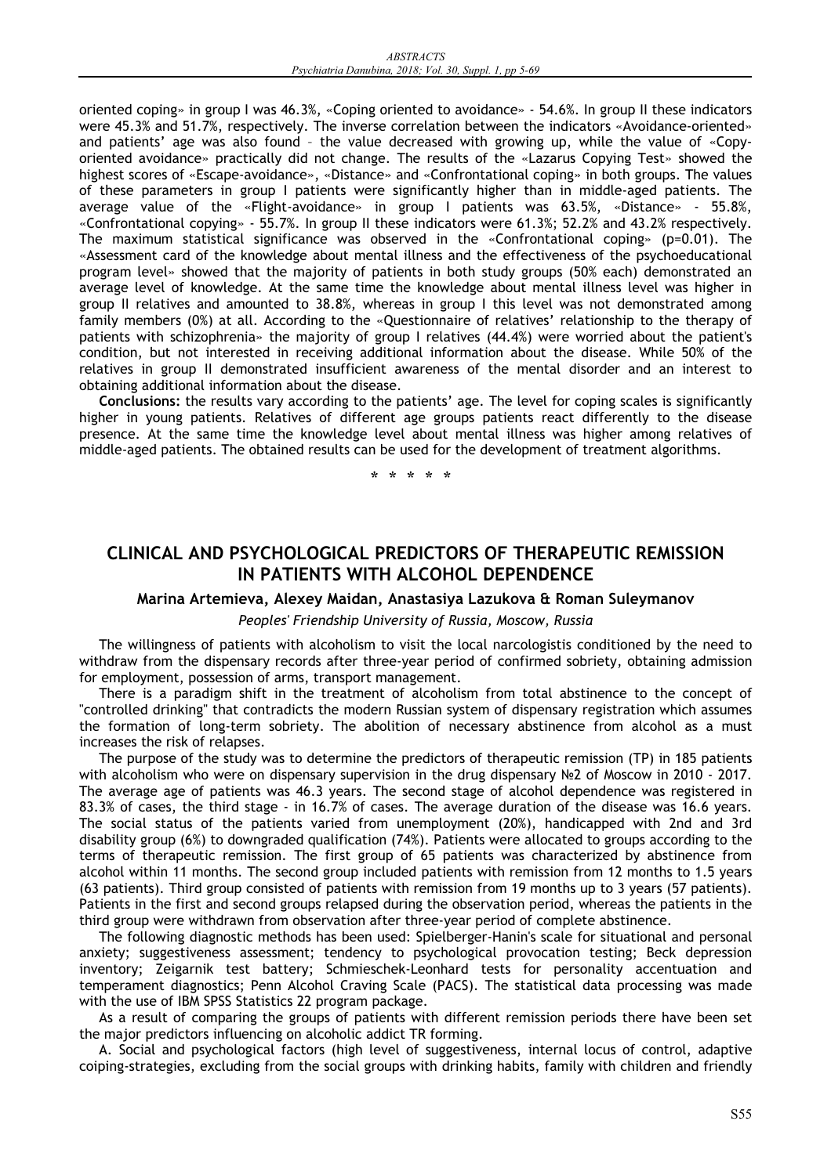oriented coping» in group I was 46.3%, «Coping oriented to avoidance» - 54.6%. In group II these indicators were 45.3% and 51.7%, respectively. The inverse correlation between the indicators «Avoidance-oriented» and patients' age was also found – the value decreased with growing up, while the value of «Copyoriented avoidance» practically did not change. The results of the «Lazarus Copying Test» showed the highest scores of «Escape-avoidance», «Distance» and «Confrontational coping» in both groups. The values of these parameters in group I patients were significantly higher than in middle-aged patients. The average value of the «Flight-avoidance» in group I patients was 63.5%, «Distance» - 55.8%, «Confrontational copying» - 55.7%. In group II these indicators were 61.3%; 52.2% and 43.2% respectively. The maximum statistical significance was observed in the «Confrontational coping» (p=0.01). The «Assessment card of the knowledge about mental illness and the effectiveness of the psychoeducational program level» showed that the majority of patients in both study groups (50% each) demonstrated an average level of knowledge. At the same time the knowledge about mental illness level was higher in group II relatives and amounted to 38.8%, whereas in group I this level was not demonstrated among family members (0%) at all. According to the «Questionnaire of relatives' relationship to the therapy of patients with schizophrenia» the majority of group I relatives (44.4%) were worried about the patient's condition, but not interested in receiving additional information about the disease. While 50% of the relatives in group II demonstrated insufficient awareness of the mental disorder and an interest to obtaining additional information about the disease.

**Conclusions:** the results vary according to the patients' age. The level for coping scales is significantly higher in young patients. Relatives of different age groups patients react differently to the disease presence. At the same time the knowledge level about mental illness was higher among relatives of middle-aged patients. The obtained results can be used for the development of treatment algorithms.

**\*\*\*\*\***

# **CLINICAL AND PSYCHOLOGICAL PREDICTORS OF THERAPEUTIC REMISSION IN PATIENTS WITH ALCOHOL DEPENDENCE**

#### **Marina Artemieva, Alexey Maidan, Anastasiya Lazukova & Roman Suleymanov**

#### *Peoples' Friendship University of Russia, Moscow, Russia*

The willingness of patients with alcoholism to visit the local narcologistis conditioned by the need to withdraw from the dispensary records after three-year period of confirmed sobriety, obtaining admission for employment, possession of arms, transport management.

There is a paradigm shift in the treatment of alcoholism from total abstinence to the concept of "controlled drinking" that contradicts the modern Russian system of dispensary registration which assumes the formation of long-term sobriety. The abolition of necessary abstinence from alcohol as a must increases the risk of relapses.

The purpose of the study was to determine the predictors of therapeutic remission (TP) in 185 patients with alcoholism who were on dispensary supervision in the drug dispensary  $N<sub>2</sub>$  of Moscow in 2010 - 2017. The average age of patients was 46.3 years. The second stage of alcohol dependence was registered in 83.3% of cases, the third stage - in 16.7% of cases. The average duration of the disease was 16.6 years. The social status of the patients varied from unemployment (20%), handicapped with 2nd and 3rd disability group (6%) to downgraded qualification (74%). Patients were allocated to groups according to the terms of therapeutic remission. The first group of 65 patients was characterized by abstinence from alcohol within 11 months. The second group included patients with remission from 12 months to 1.5 years (63 patients). Third group consisted of patients with remission from 19 months up to 3 years (57 patients). Patients in the first and second groups relapsed during the observation period, whereas the patients in the third group were withdrawn from observation after three-year period of complete abstinence.

The following diagnostic methods has been used: Spielberger-Hanin's scale for situational and personal anxiety; suggestiveness assessment; tendency to psychological provocation testing; Beck depression inventory; Zeigarnik test battery; Schmieschek-Leonhard tests for personality accentuation and temperament diagnostics; Penn Alcohol Craving Scale (PACS). The statistical data processing was made with the use of IBM SPSS Statistics 22 program package.

As a result of comparing the groups of patients with different remission periods there have been set the major predictors influencing on alcoholic addict TR forming.

A. Social and psychological factors (high level of suggestiveness, internal locus of control, adaptive coiping-strategies, excluding from the social groups with drinking habits, family with children and friendly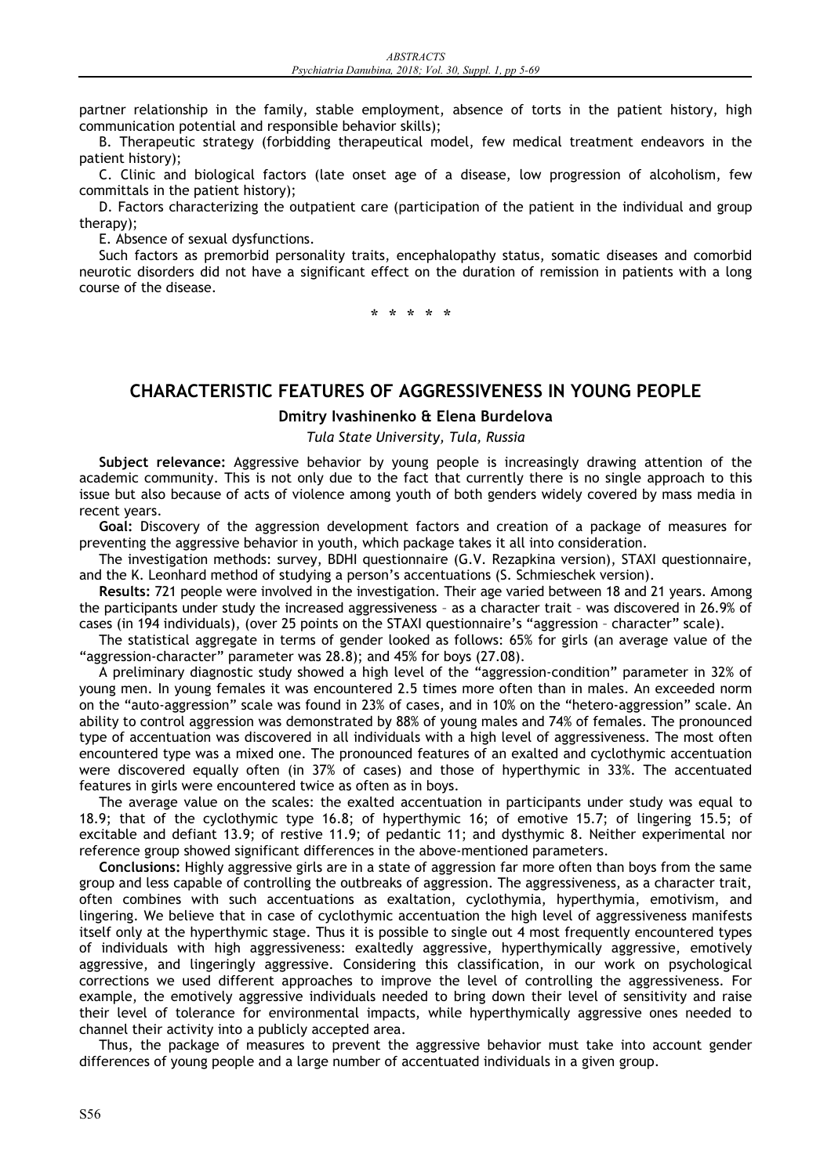partner relationship in the family, stable employment, absence of torts in the patient history, high communication potential and responsible behavior skills);

B. Therapeutic strategy (forbidding therapeutical model, few medical treatment endeavors in the patient history);

C. Clinic and biological factors (late onset age of a disease, low progression of alcoholism, few committals in the patient history);

D. Factors characterizing the outpatient care (participation of the patient in the individual and group therapy);

E. Absence of sexual dysfunctions.

Such factors as premorbid personality traits, encephalopathy status, somatic diseases and comorbid neurotic disorders did not have a significant effect on the duration of remission in patients with a long course of the disease.

**\*\*\*\*\***

## **CHARACTERISTIC FEATURES OF AGGRESSIVENESS IN YOUNG PEOPLE**

#### **Dmitry Ivashinenko & Elena Burdelova**

*Tula State University, Tula, Russia* 

**Subject relevance:** Aggressive behavior by young people is increasingly drawing attention of the academic community. This is not only due to the fact that currently there is no single approach to this issue but also because of acts of violence among youth of both genders widely covered by mass media in recent years.

**Goal:** Discovery of the aggression development factors and creation of a package of measures for preventing the aggressive behavior in youth, which package takes it all into consideration.

The investigation methods: survey, BDHI questionnaire (G.V. Rezapkina version), STAXI questionnaire, and the K. Leonhard method of studying a person's accentuations (S. Schmieschek version).

**Results:** 721 people were involved in the investigation. Their age varied between 18 and 21 years. Among the participants under study the increased aggressiveness – as a character trait – was discovered in 26.9% of cases (in 194 individuals), (over 25 points on the STAXI questionnaire's "aggression – character" scale).

The statistical aggregate in terms of gender looked as follows: 65% for girls (an average value of the "aggression-character" parameter was 28.8); and 45% for boys (27.08).

A preliminary diagnostic study showed a high level of the "aggression-condition" parameter in 32% of young men. In young females it was encountered 2.5 times more often than in males. An exceeded norm on the "auto-aggression" scale was found in 23% of cases, and in 10% on the "hetero-aggression" scale. An ability to control aggression was demonstrated by 88% of young males and 74% of females. The pronounced type of accentuation was discovered in all individuals with a high level of aggressiveness. The most often encountered type was a mixed one. The pronounced features of an exalted and cyclothymic accentuation were discovered equally often (in 37% of cases) and those of hyperthymic in 33%. The accentuated features in girls were encountered twice as often as in boys.

The average value on the scales: the exalted accentuation in participants under study was equal to 18.9; that of the cyclothymic type 16.8; of hyperthymic 16; of emotive 15.7; of lingering 15.5; of excitable and defiant 13.9; of restive 11.9; of pedantic 11; and dysthymic 8. Neither experimental nor reference group showed significant differences in the above-mentioned parameters.

**Conclusions:** Highly aggressive girls are in a state of aggression far more often than boys from the same group and less capable of controlling the outbreaks of aggression. The aggressiveness, as a character trait, often combines with such accentuations as exaltation, cyclothymia, hyperthymia, emotivism, and lingering. We believe that in case of cyclothymic accentuation the high level of aggressiveness manifests itself only at the hyperthymic stage. Thus it is possible to single out 4 most frequently encountered types of individuals with high aggressiveness: exaltedly aggressive, hyperthymically aggressive, emotively aggressive, and lingeringly aggressive. Considering this classification, in our work on psychological corrections we used different approaches to improve the level of controlling the aggressiveness. For example, the emotively aggressive individuals needed to bring down their level of sensitivity and raise their level of tolerance for environmental impacts, while hyperthymically aggressive ones needed to channel their activity into a publicly accepted area.

Thus, the package of measures to prevent the aggressive behavior must take into account gender differences of young people and a large number of accentuated individuals in a given group.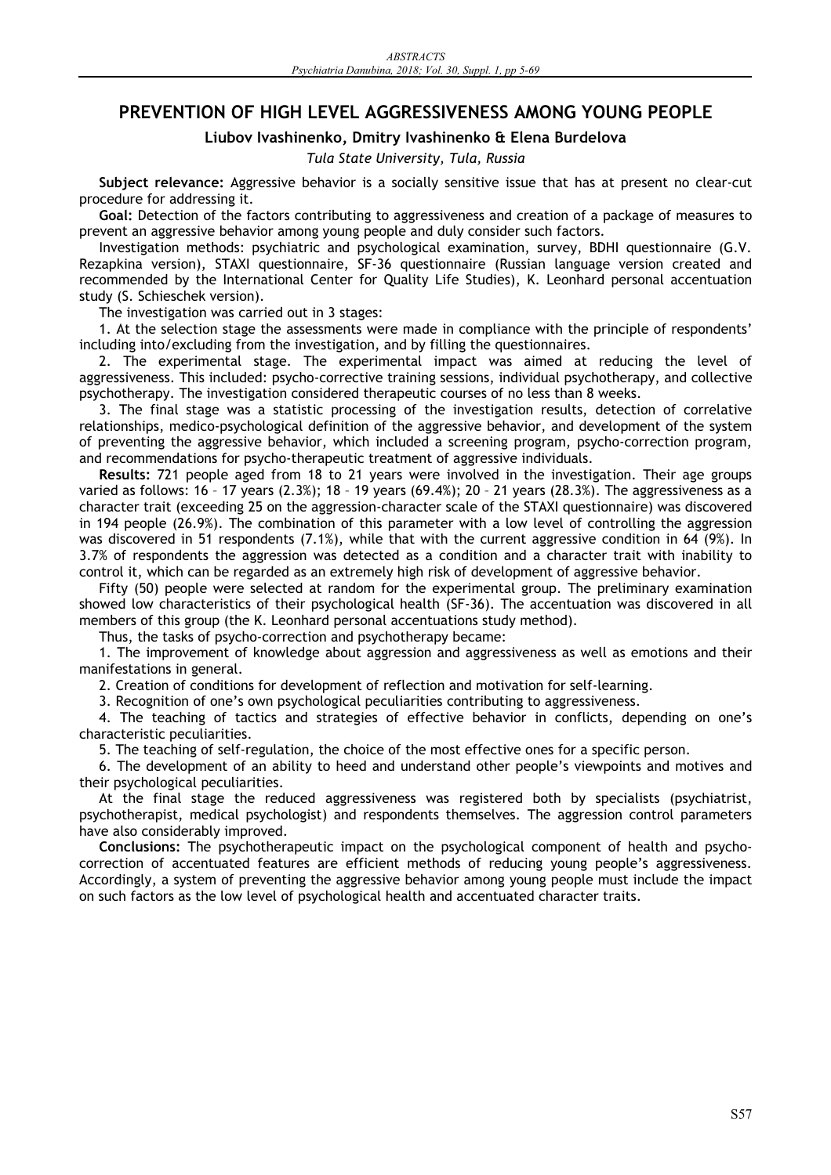# **PREVENTION OF HIGH LEVEL AGGRESSIVENESS AMONG YOUNG PEOPLE**

### **Liubov Ivashinenko, Dmitry Ivashinenko & Elena Burdelova**

*Tula State University, Tula, Russia* 

**Subject relevance:** Aggressive behavior is a socially sensitive issue that has at present no clear-cut procedure for addressing it.

**Goal:** Detection of the factors contributing to aggressiveness and creation of a package of measures to prevent an aggressive behavior among young people and duly consider such factors.

Investigation methods: psychiatric and psychological examination, survey, BDHI questionnaire (G.V. Rezapkina version), STAXI questionnaire, SF-36 questionnaire (Russian language version created and recommended by the International Center for Quality Life Studies), K. Leonhard personal accentuation study (S. Schieschek version).

The investigation was carried out in 3 stages:

1. At the selection stage the assessments were made in compliance with the principle of respondents' including into/excluding from the investigation, and by filling the questionnaires.

2. The experimental stage. The experimental impact was aimed at reducing the level of aggressiveness. This included: psycho-corrective training sessions, individual psychotherapy, and collective psychotherapy. The investigation considered therapeutic courses of no less than 8 weeks.

3. The final stage was a statistic processing of the investigation results, detection of correlative relationships, medico-psychological definition of the aggressive behavior, and development of the system of preventing the aggressive behavior, which included a screening program, psycho-correction program, and recommendations for psycho-therapeutic treatment of aggressive individuals.

**Results:** 721 people aged from 18 to 21 years were involved in the investigation. Their age groups varied as follows: 16 – 17 years (2.3%); 18 – 19 years (69.4%); 20 – 21 years (28.3%). The aggressiveness as a character trait (exceeding 25 on the aggression-character scale of the STAXI questionnaire) was discovered in 194 people (26.9%). The combination of this parameter with a low level of controlling the aggression was discovered in 51 respondents (7.1%), while that with the current aggressive condition in 64 (9%). In 3.7% of respondents the aggression was detected as a condition and a character trait with inability to control it, which can be regarded as an extremely high risk of development of aggressive behavior.

Fifty (50) people were selected at random for the experimental group. The preliminary examination showed low characteristics of their psychological health (SF-36). The accentuation was discovered in all members of this group (the K. Leonhard personal accentuations study method).

Thus, the tasks of psycho-correction and psychotherapy became:

1. The improvement of knowledge about aggression and aggressiveness as well as emotions and their manifestations in general.

2. Creation of conditions for development of reflection and motivation for self-learning.

3. Recognition of one's own psychological peculiarities contributing to aggressiveness.

4. The teaching of tactics and strategies of effective behavior in conflicts, depending on one's characteristic peculiarities.

5. The teaching of self-regulation, the choice of the most effective ones for a specific person.

6. The development of an ability to heed and understand other people's viewpoints and motives and their psychological peculiarities.

At the final stage the reduced aggressiveness was registered both by specialists (psychiatrist, psychotherapist, medical psychologist) and respondents themselves. The aggression control parameters have also considerably improved.

**Conclusions:** The psychotherapeutic impact on the psychological component of health and psychocorrection of accentuated features are efficient methods of reducing young people's aggressiveness. Accordingly, a system of preventing the aggressive behavior among young people must include the impact on such factors as the low level of psychological health and accentuated character traits.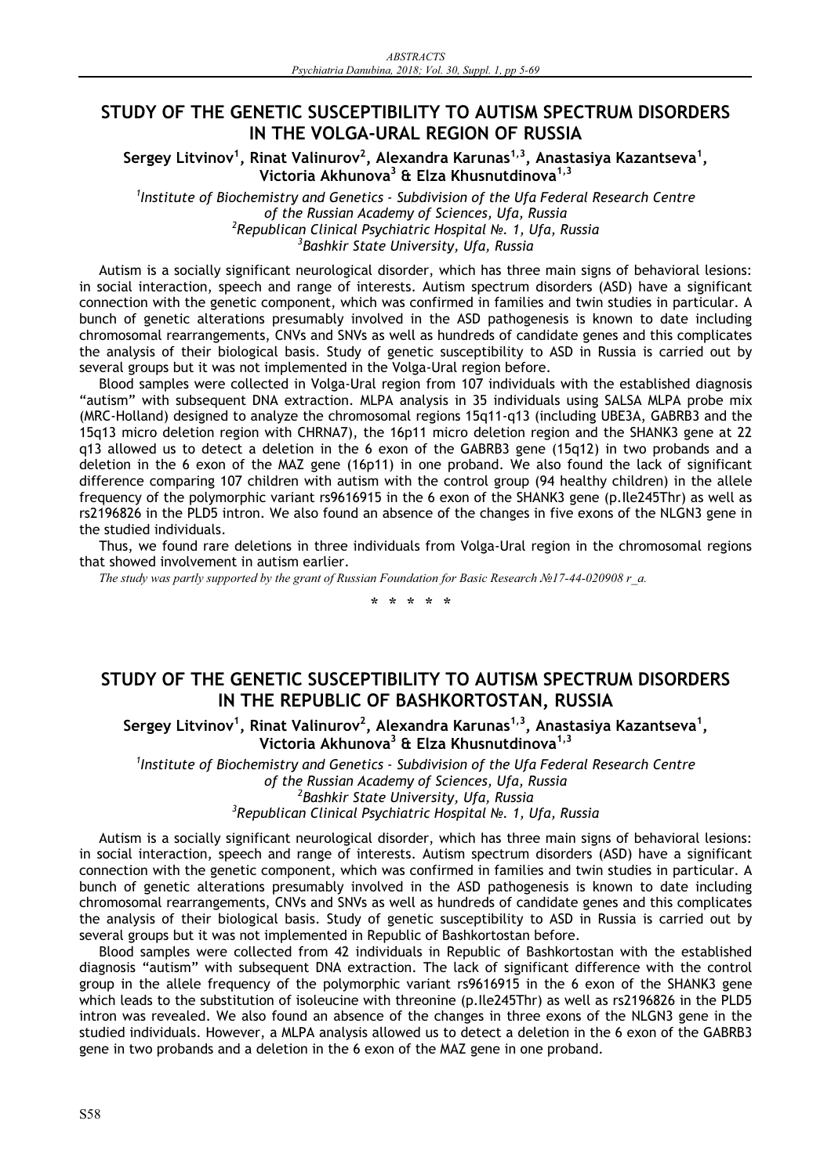# **STUDY OF THE GENETIC SUSCEPTIBILITY TO AUTISM SPECTRUM DISORDERS IN THE VOLGA-URAL REGION OF RUSSIA**

 $\textsf{Sergey}$  Litvinov $^1$ , Rinat Valinurov $^2$ , Alexandra Karunas $^{1,3}$ , Anastasiya Kazantseva $^1$ , **Victoria Akhunova3 & Elza Khusnutdinova1,3**

<sup>1</sup> Institute of Biochemistry and Genetics - Subdivision of the Ufa Federal Research Centre *of the Russian Academy of Sciences, Ufa, Russia 2 Republican Clinical Psychiatric Hospital ȵ. 1, Ufa, Russia 3 Bashkir State University, Ufa, Russia* 

Autism is a socially significant neurological disorder, which has three main signs of behavioral lesions: in social interaction, speech and range of interests. Autism spectrum disorders (ASD) have a significant connection with the genetic component, which was confirmed in families and twin studies in particular. A bunch of genetic alterations presumably involved in the ASD pathogenesis is known to date including chromosomal rearrangements, CNVs and SNVs as well as hundreds of candidate genes and this complicates the analysis of their biological basis. Study of genetic susceptibility to ASD in Russia is carried out by several groups but it was not implemented in the Volga-Ural region before.

Blood samples were collected in Volga-Ural region from 107 individuals with the established diagnosis "autism" with subsequent DNA extraction. MLPA analysis in 35 individuals using SALSA MLPA probe mix (MRC-Holland) designed to analyze the chromosomal regions 15q11-q13 (including UBE3A, GABRB3 and the 15q13 micro deletion region with CHRNA7), the 16p11 micro deletion region and the SHANK3 gene at 22 q13 allowed us to detect a deletion in the 6 exon of the GABRB3 gene (15q12) in two probands and a deletion in the 6 exon of the MAZ gene (16p11) in one proband. We also found the lack of significant difference comparing 107 children with autism with the control group (94 healthy children) in the allele frequency of the polymorphic variant rs9616915 in the 6 exon of the SHANK3 gene (p.Ile245Thr) as well as rs2196826 in the PLD5 intron. We also found an absence of the changes in five exons of the NLGN3 gene in the studied individuals.

Thus, we found rare deletions in three individuals from Volga-Ural region in the chromosomal regions that showed involvement in autism earlier.

*The study was partly supported by the grant of Russian Foundation for Basic Research*  $\frac{N}{2}$ *17-44-020908 r a.* 

**\*\*\*\*\***

# **STUDY OF THE GENETIC SUSCEPTIBILITY TO AUTISM SPECTRUM DISORDERS IN THE REPUBLIC OF BASHKORTOSTAN, RUSSIA**

 $\textsf{Sergey}$  Litvinov $^1$ , Rinat Valinurov $^2$ , Alexandra Karunas $^{1,3}$ , Anastasiya Kazantseva $^1$ , **Victoria Akhunova3 & Elza Khusnutdinova1,3**

<sup>1</sup> Institute of Biochemistry and Genetics - Subdivision of the Ufa Federal Research Centre *of the Russian Academy of Sciences, Ufa, Russia 2 Bashkir State University, Ufa, Russia 3 Republican Clinical Psychiatric Hospital ȵ. 1, Ufa, Russia* 

Autism is a socially significant neurological disorder, which has three main signs of behavioral lesions: in social interaction, speech and range of interests. Autism spectrum disorders (ASD) have a significant connection with the genetic component, which was confirmed in families and twin studies in particular. A bunch of genetic alterations presumably involved in the ASD pathogenesis is known to date including chromosomal rearrangements, CNVs and SNVs as well as hundreds of candidate genes and this complicates the analysis of their biological basis. Study of genetic susceptibility to ASD in Russia is carried out by several groups but it was not implemented in Republic of Bashkortostan before.

Blood samples were collected from 42 individuals in Republic of Bashkortostan with the established diagnosis "autism" with subsequent DNA extraction. The lack of significant difference with the control group in the allele frequency of the polymorphic variant rs9616915 in the 6 exon of the SHANK3 gene which leads to the substitution of isoleucine with threonine (p.Ile245Thr) as well as rs2196826 in the PLD5 intron was revealed. We also found an absence of the changes in three exons of the NLGN3 gene in the studied individuals. However, a MLPA analysis allowed us to detect a deletion in the 6 exon of the GABRB3 gene in two probands and a deletion in the 6 exon of the MAZ gene in one proband.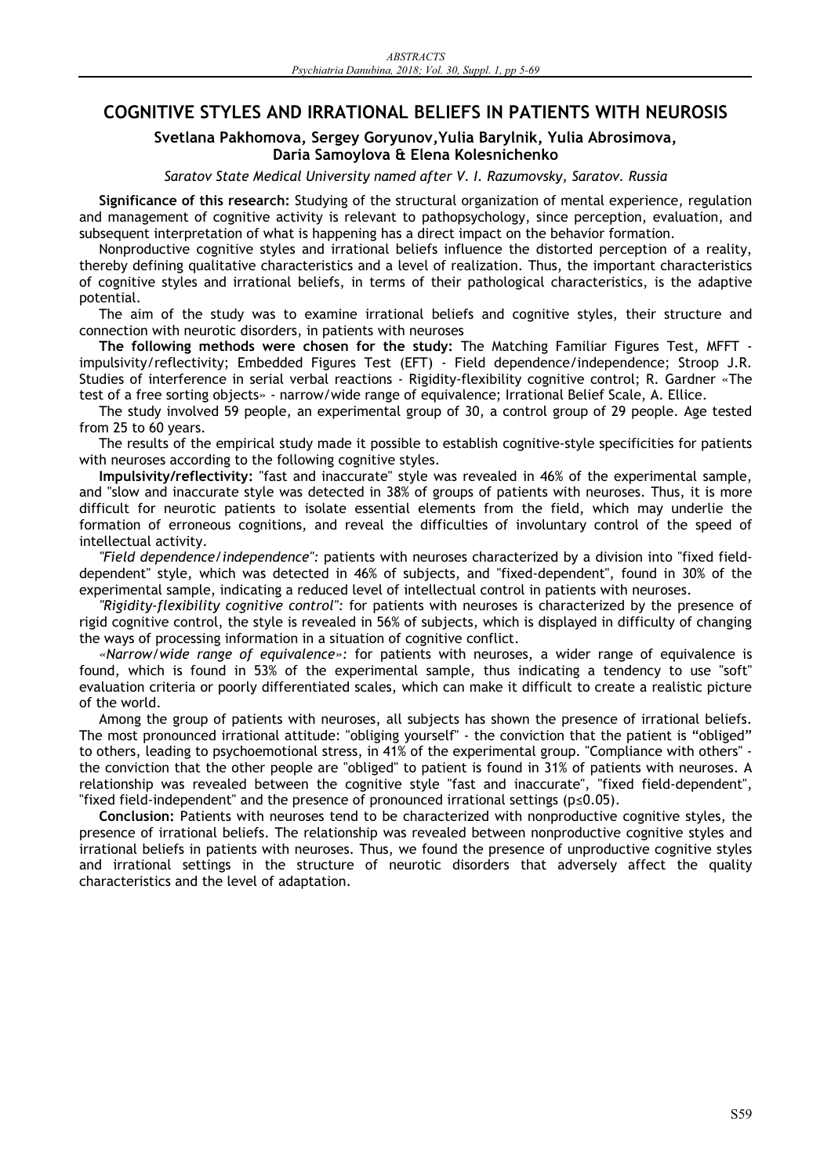# **COGNITIVE STYLES AND IRRATIONAL BELIEFS IN PATIENTS WITH NEUROSIS**

### **Svetlana Pakhomova, Sergey Goryunov,Yulia Barylnik, Yulia Abrosimova, Daria Samoylova & Elena Kolesnichenko**

*Saratov State Medical University named after V. I. Razumovsky, Saratov. Russia* 

**Significance of this research:** Studying of the structural organization of mental experience, regulation and management of cognitive activity is relevant to pathopsychology, since perception, evaluation, and subsequent interpretation of what is happening has a direct impact on the behavior formation.

Nonproductive cognitive styles and irrational beliefs influence the distorted perception of a reality, thereby defining qualitative characteristics and a level of realization. Thus, the important characteristics of cognitive styles and irrational beliefs, in terms of their pathological characteristics, is the adaptive potential.

The aim of the study was to examine irrational beliefs and cognitive styles, their structure and connection with neurotic disorders, in patients with neuroses

**The following methods were chosen for the study:** The Matching Familiar Figures Test, MFFT impulsivity/reflectivity; Embedded Figures Test (EFT) - Field dependence/independence; Stroop J.R. Studies of interference in serial verbal reactions - Rigidity-flexibility cognitive control; R. Gardner «The test of a free sorting objects» - narrow/wide range of equivalence; Irrational Belief Scale, A. Ellice.

The study involved 59 people, an experimental group of 30, a control group of 29 people. Age tested from 25 to 60 years.

The results of the empirical study made it possible to establish cognitive-style specificities for patients with neuroses according to the following cognitive styles.

**Impulsivity/reflectivity:** "fast and inaccurate" style was revealed in 46% of the experimental sample, and "slow and inaccurate style was detected in 38% of groups of patients with neuroses. Thus, it is more difficult for neurotic patients to isolate essential elements from the field, which may underlie the formation of erroneous cognitions, and reveal the difficulties of involuntary control of the speed of intellectual activity.

*"Field dependence/independence":* patients with neuroses characterized by a division into "fixed fielddependent" style, which was detected in 46% of subjects, and "fixed-dependent", found in 30% of the experimental sample, indicating a reduced level of intellectual control in patients with neuroses.

*"Rigidity-flexibility cognitive control":* for patients with neuroses is characterized by the presence of rigid cognitive control, the style is revealed in 56% of subjects, which is displayed in difficulty of changing the ways of processing information in a situation of cognitive conflict.

*«Narrow/wide range of equivalence»:* for patients with neuroses, a wider range of equivalence is found, which is found in 53% of the experimental sample, thus indicating a tendency to use "soft" evaluation criteria or poorly differentiated scales, which can make it difficult to create a realistic picture of the world.

Among the group of patients with neuroses, all subjects has shown the presence of irrational beliefs. The most pronounced irrational attitude: "obliging yourself" - the conviction that the patient is "obliged" to others, leading to psychoemotional stress, in 41% of the experimental group. "Compliance with others" the conviction that the other people are "obliged" to patient is found in 31% of patients with neuroses. A relationship was revealed between the cognitive style "fast and inaccurate", "fixed field-dependent", "fixed field-independent" and the presence of pronounced irrational settings ( $p\leq0.05$ ).

**Conclusion:** Patients with neuroses tend to be characterized with nonproductive cognitive styles, the presence of irrational beliefs. The relationship was revealed between nonproductive cognitive styles and irrational beliefs in patients with neuroses. Thus, we found the presence of unproductive cognitive styles and irrational settings in the structure of neurotic disorders that adversely affect the quality characteristics and the level of adaptation.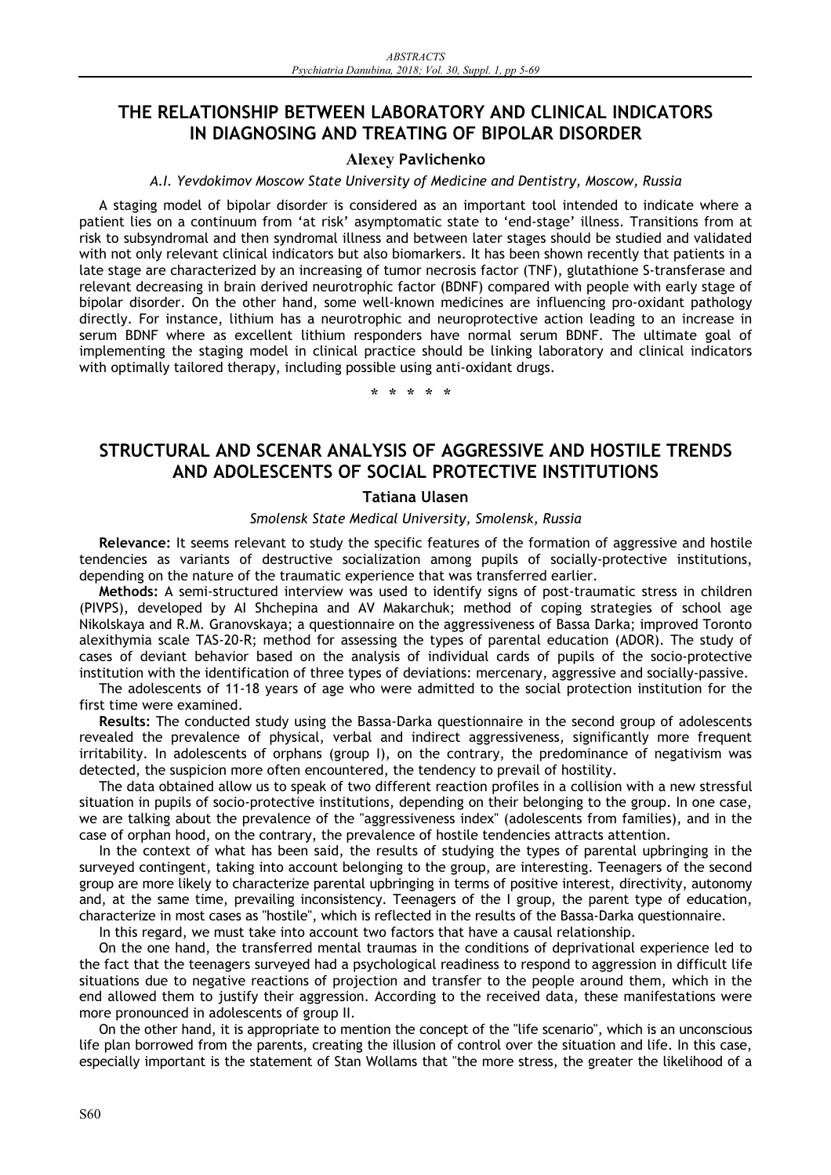# **THE RELATIONSHIP BETWEEN LABORATORY AND CLINICAL INDICATORS IN DIAGNOSING AND TREATING OF BIPOLAR DISORDER**

### **Alexey Pavlichenko**

#### *A.I. Yevdokimov Moscow State University of Medicine and Dentistry, Moscow, Russia*

A staging model of bipolar disorder is considered as an important tool intended to indicate where a patient lies on a continuum from 'at risk' asymptomatic state to 'end-stage' illness. Transitions from at risk to subsyndromal and then syndromal illness and between later stages should be studied and validated with not only relevant clinical indicators but also biomarkers. It has been shown recently that patients in a late stage are characterized by an increasing of tumor necrosis factor (TNF), glutathione S-transferase and relevant decreasing in brain derived neurotrophic factor (BDNF) compared with people with early stage of bipolar disorder. On the other hand, some well-known medicines are influencing pro-oxidant pathology directly. For instance, lithium has a neurotrophic and neuroprotective action leading to an increase in serum BDNF where as excellent lithium responders have normal serum BDNF. The ultimate goal of implementing the staging model in clinical practice should be linking laboratory and clinical indicators with optimally tailored therapy, including possible using anti-oxidant drugs.

**\*\*\*\*\***

# **STRUCTURAL AND SCENAR ANALYSIS OF AGGRESSIVE AND HOSTILE TRENDS AND ADOLESCENTS OF SOCIAL PROTECTIVE INSTITUTIONS**

### **Tatiana Ulasen**

#### *Smolensk State Medical University, Smolensk, Russia*

**Relevance:** It seems relevant to study the specific features of the formation of aggressive and hostile tendencies as variants of destructive socialization among pupils of socially-protective institutions, depending on the nature of the traumatic experience that was transferred earlier.

**Methods:** A semi-structured interview was used to identify signs of post-traumatic stress in children (PIVPS), developed by AI Shchepina and AV Makarchuk; method of coping strategies of school age Nikolskaya and R.M. Granovskaya; a questionnaire on the aggressiveness of Bassa Darka; improved Toronto alexithymia scale TAS-20-R; method for assessing the types of parental education (ADOR). The study of cases of deviant behavior based on the analysis of individual cards of pupils of the socio-protective institution with the identification of three types of deviations: mercenary, aggressive and socially-passive.

The adolescents of 11-18 years of age who were admitted to the social protection institution for the first time were examined.

**Results:** The conducted study using the Bassa-Darka questionnaire in the second group of adolescents revealed the prevalence of physical, verbal and indirect aggressiveness, significantly more frequent irritability. In adolescents of orphans (group I), on the contrary, the predominance of negativism was detected, the suspicion more often encountered, the tendency to prevail of hostility.

The data obtained allow us to speak of two different reaction profiles in a collision with a new stressful situation in pupils of socio-protective institutions, depending on their belonging to the group. In one case, we are talking about the prevalence of the "aggressiveness index" (adolescents from families), and in the case of orphan hood, on the contrary, the prevalence of hostile tendencies attracts attention.

In the context of what has been said, the results of studying the types of parental upbringing in the surveyed contingent, taking into account belonging to the group, are interesting. Teenagers of the second group are more likely to characterize parental upbringing in terms of positive interest, directivity, autonomy and, at the same time, prevailing inconsistency. Teenagers of the I group, the parent type of education, characterize in most cases as "hostile", which is reflected in the results of the Bassa-Darka questionnaire.

In this regard, we must take into account two factors that have a causal relationship.

On the one hand, the transferred mental traumas in the conditions of deprivational experience led to the fact that the teenagers surveyed had a psychological readiness to respond to aggression in difficult life situations due to negative reactions of projection and transfer to the people around them, which in the end allowed them to justify their aggression. According to the received data, these manifestations were more pronounced in adolescents of group II.

On the other hand, it is appropriate to mention the concept of the "life scenario", which is an unconscious life plan borrowed from the parents, creating the illusion of control over the situation and life. In this case, especially important is the statement of Stan Wollams that "the more stress, the greater the likelihood of a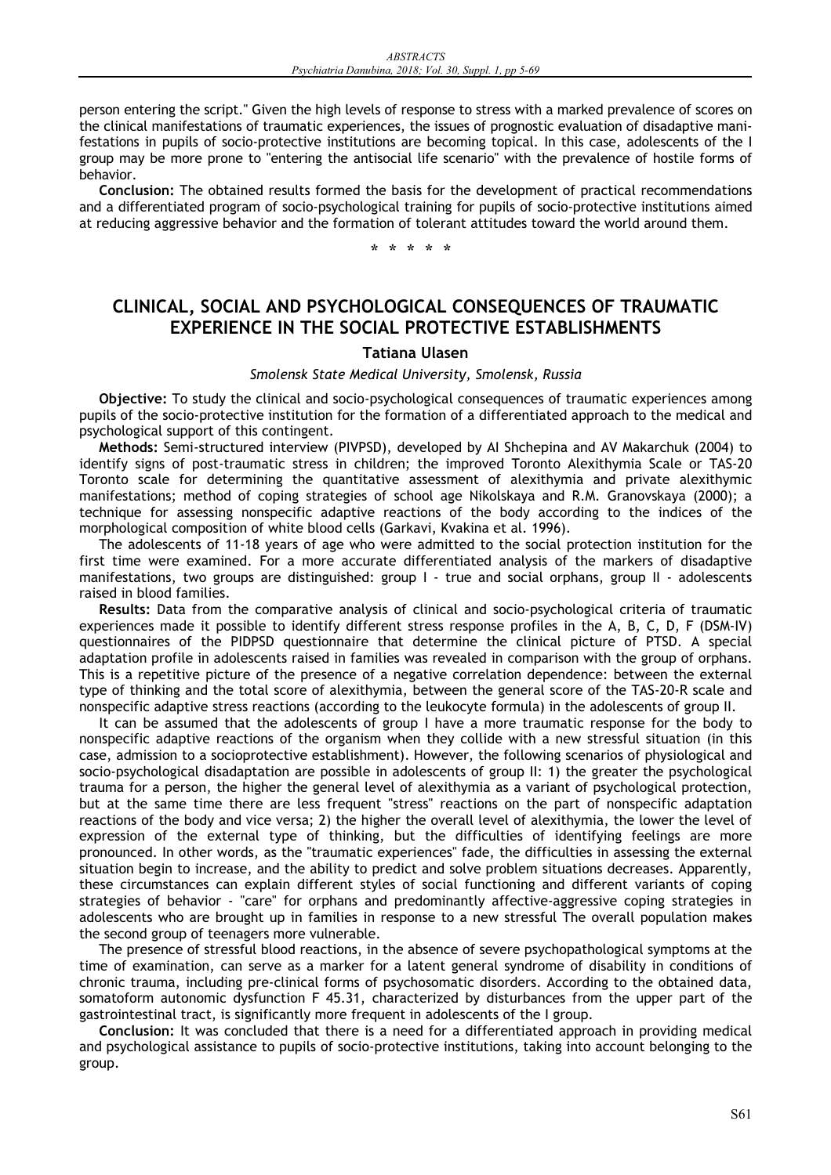person entering the script." Given the high levels of response to stress with a marked prevalence of scores on the clinical manifestations of traumatic experiences, the issues of prognostic evaluation of disadaptive manifestations in pupils of socio-protective institutions are becoming topical. In this case, adolescents of the I group may be more prone to "entering the antisocial life scenario" with the prevalence of hostile forms of behavior.

**Conclusion:** The obtained results formed the basis for the development of practical recommendations and a differentiated program of socio-psychological training for pupils of socio-protective institutions aimed at reducing aggressive behavior and the formation of tolerant attitudes toward the world around them.

**\*\*\*\*\***

# **CLINICAL, SOCIAL AND PSYCHOLOGICAL CONSEQUENCES OF TRAUMATIC EXPERIENCE IN THE SOCIAL PROTECTIVE ESTABLISHMENTS**

### **Tatiana Ulasen**

#### *Smolensk State Medical University, Smolensk, Russia*

**Objective:** To study the clinical and socio-psychological consequences of traumatic experiences among pupils of the socio-protective institution for the formation of a differentiated approach to the medical and psychological support of this contingent.

**Methods:** Semi-structured interview (PIVPSD), developed by AI Shchepina and AV Makarchuk (2004) to identify signs of post-traumatic stress in children; the improved Toronto Alexithymia Scale or TAS-20 Toronto scale for determining the quantitative assessment of alexithymia and private alexithymic manifestations; method of coping strategies of school age Nikolskaya and R.M. Granovskaya (2000); a technique for assessing nonspecific adaptive reactions of the body according to the indices of the morphological composition of white blood cells (Garkavi, Kvakina et al. 1996).

The adolescents of 11-18 years of age who were admitted to the social protection institution for the first time were examined. For a more accurate differentiated analysis of the markers of disadaptive manifestations, two groups are distinguished: group I - true and social orphans, group II - adolescents raised in blood families.

**Results:** Data from the comparative analysis of clinical and socio-psychological criteria of traumatic experiences made it possible to identify different stress response profiles in the A, B, C, D, F (DSM-IV) questionnaires of the PIDPSD questionnaire that determine the clinical picture of PTSD. A special adaptation profile in adolescents raised in families was revealed in comparison with the group of orphans. This is a repetitive picture of the presence of a negative correlation dependence: between the external type of thinking and the total score of alexithymia, between the general score of the TAS-20-R scale and nonspecific adaptive stress reactions (according to the leukocyte formula) in the adolescents of group II.

It can be assumed that the adolescents of group I have a more traumatic response for the body to nonspecific adaptive reactions of the organism when they collide with a new stressful situation (in this case, admission to a socioprotective establishment). However, the following scenarios of physiological and socio-psychological disadaptation are possible in adolescents of group II: 1) the greater the psychological trauma for a person, the higher the general level of alexithymia as a variant of psychological protection, but at the same time there are less frequent "stress" reactions on the part of nonspecific adaptation reactions of the body and vice versa; 2) the higher the overall level of alexithymia, the lower the level of expression of the external type of thinking, but the difficulties of identifying feelings are more pronounced. In other words, as the "traumatic experiences" fade, the difficulties in assessing the external situation begin to increase, and the ability to predict and solve problem situations decreases. Apparently, these circumstances can explain different styles of social functioning and different variants of coping strategies of behavior - "care" for orphans and predominantly affective-aggressive coping strategies in adolescents who are brought up in families in response to a new stressful The overall population makes the second group of teenagers more vulnerable.

The presence of stressful blood reactions, in the absence of severe psychopathological symptoms at the time of examination, can serve as a marker for a latent general syndrome of disability in conditions of chronic trauma, including pre-clinical forms of psychosomatic disorders. According to the obtained data, somatoform autonomic dysfunction F 45.31, characterized by disturbances from the upper part of the gastrointestinal tract, is significantly more frequent in adolescents of the I group.

**Conclusion:** It was concluded that there is a need for a differentiated approach in providing medical and psychological assistance to pupils of socio-protective institutions, taking into account belonging to the group.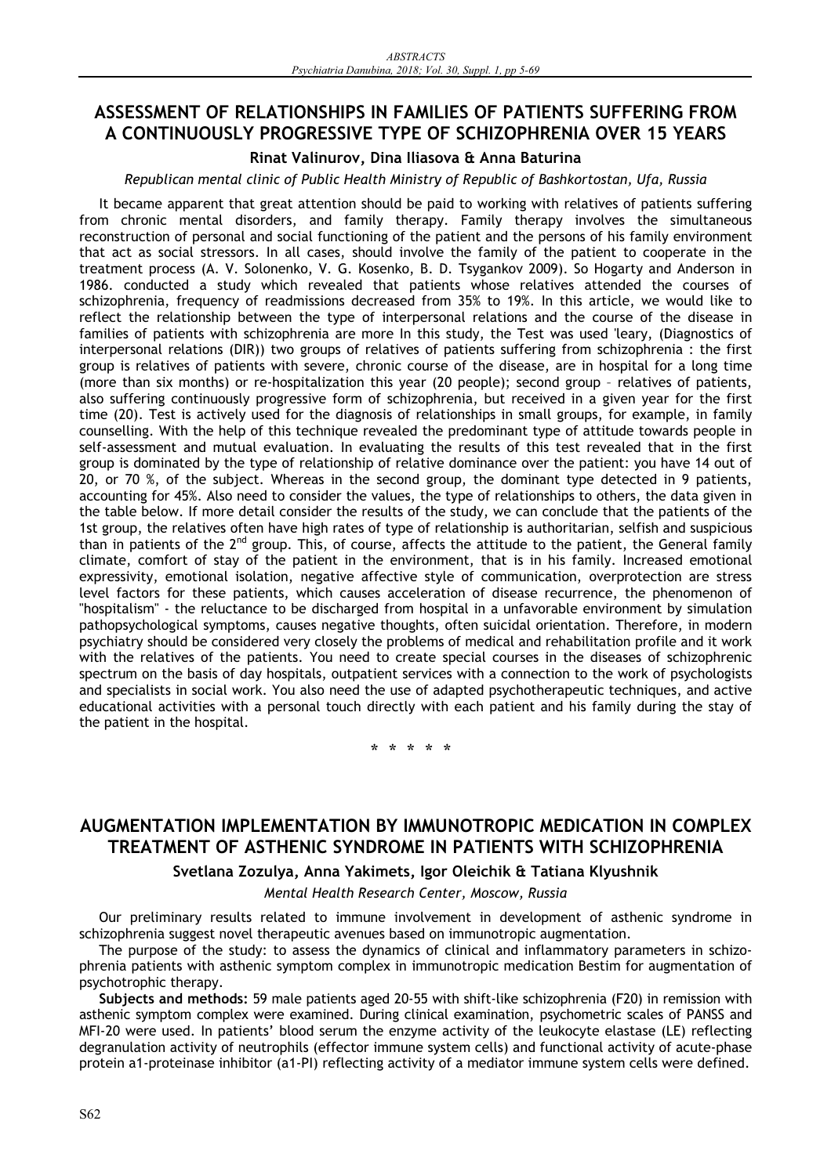# **ASSESSMENT OF RELATIONSHIPS IN FAMILIES OF PATIENTS SUFFERING FROM A CONTINUOUSLY PROGRESSIVE TYPE OF SCHIZOPHRENIA OVER 15 YEARS**

## **Rinat Valinurov, Dina Iliasova & Anna Baturina**

### *Republican mental clinic of Public Health Ministry of Republic of Bashkortostan, Ufa, Russia*

It became apparent that great attention should be paid to working with relatives of patients suffering from chronic mental disorders, and family therapy. Family therapy involves the simultaneous reconstruction of personal and social functioning of the patient and the persons of his family environment that act as social stressors. In all cases, should involve the family of the patient to cooperate in the treatment process (A. V. Solonenko, V. G. Kosenko, B. D. Tsygankov 2009). So Hogarty and Anderson in 1986. conducted a study which revealed that patients whose relatives attended the courses of schizophrenia, frequency of readmissions decreased from 35% to 19%. In this article, we would like to reflect the relationship between the type of interpersonal relations and the course of the disease in families of patients with schizophrenia are more In this study, the Test was used 'leary, (Diagnostics of interpersonal relations (DIR)) two groups of relatives of patients suffering from schizophrenia : the first group is relatives of patients with severe, chronic course of the disease, are in hospital for a long time (more than six months) or re-hospitalization this year (20 people); second group – relatives of patients, also suffering continuously progressive form of schizophrenia, but received in a given year for the first time (20). Test is actively used for the diagnosis of relationships in small groups, for example, in family counselling. With the help of this technique revealed the predominant type of attitude towards people in self-assessment and mutual evaluation. In evaluating the results of this test revealed that in the first group is dominated by the type of relationship of relative dominance over the patient: you have 14 out of 20, or 70 %, of the subject. Whereas in the second group, the dominant type detected in 9 patients, accounting for 45%. Also need to consider the values, the type of relationships to others, the data given in the table below. If more detail consider the results of the study, we can conclude that the patients of the 1st group, the relatives often have high rates of type of relationship is authoritarian, selfish and suspicious than in patients of the 2<sup>nd</sup> group. This, of course, affects the attitude to the patient, the General family climate, comfort of stay of the patient in the environment, that is in his family. Increased emotional expressivity, emotional isolation, negative affective style of communication, overprotection are stress level factors for these patients, which causes acceleration of disease recurrence, the phenomenon of "hospitalism" - the reluctance to be discharged from hospital in a unfavorable environment by simulation pathopsychological symptoms, causes negative thoughts, often suicidal orientation. Therefore, in modern psychiatry should be considered very closely the problems of medical and rehabilitation profile and it work with the relatives of the patients. You need to create special courses in the diseases of schizophrenic spectrum on the basis of day hospitals, outpatient services with a connection to the work of psychologists and specialists in social work. You also need the use of adapted psychotherapeutic techniques, and active educational activities with a personal touch directly with each patient and his family during the stay of the patient in the hospital.

**\*\*\*\*\***

# **AUGMENTATION IMPLEMENTATION BY IMMUNOTROPIC MEDICATION IN COMPLEX TREATMENT OF ASTHENIC SYNDROME IN PATIENTS WITH SCHIZOPHRENIA**

#### **Svetlana Zozulya, Anna Yakimets, Igor Oleichik & Tatiana Klyushnik**

### *Mental Health Research Center, Moscow, Russia*

Our preliminary results related to immune involvement in development of asthenic syndrome in schizophrenia suggest novel therapeutic avenues based on immunotropic augmentation.

The purpose of the study: to assess the dynamics of clinical and inflammatory parameters in schizophrenia patients with asthenic symptom complex in immunotropic medication Bestim for augmentation of psychotrophic therapy.

**Subjects and methods:** 59 male patients aged 20-55 with shift-like schizophrenia (F20) in remission with asthenic symptom complex were examined. During clinical examination, psychometric scales of PANSS and MFI-20 were used. In patients' blood serum the enzyme activity of the leukocyte elastase (LE) reflecting degranulation activity of neutrophils (effector immune system cells) and functional activity of acute-phase protein a1-proteinase inhibitor (a1-PI) reflecting activity of a mediator immune system cells were defined.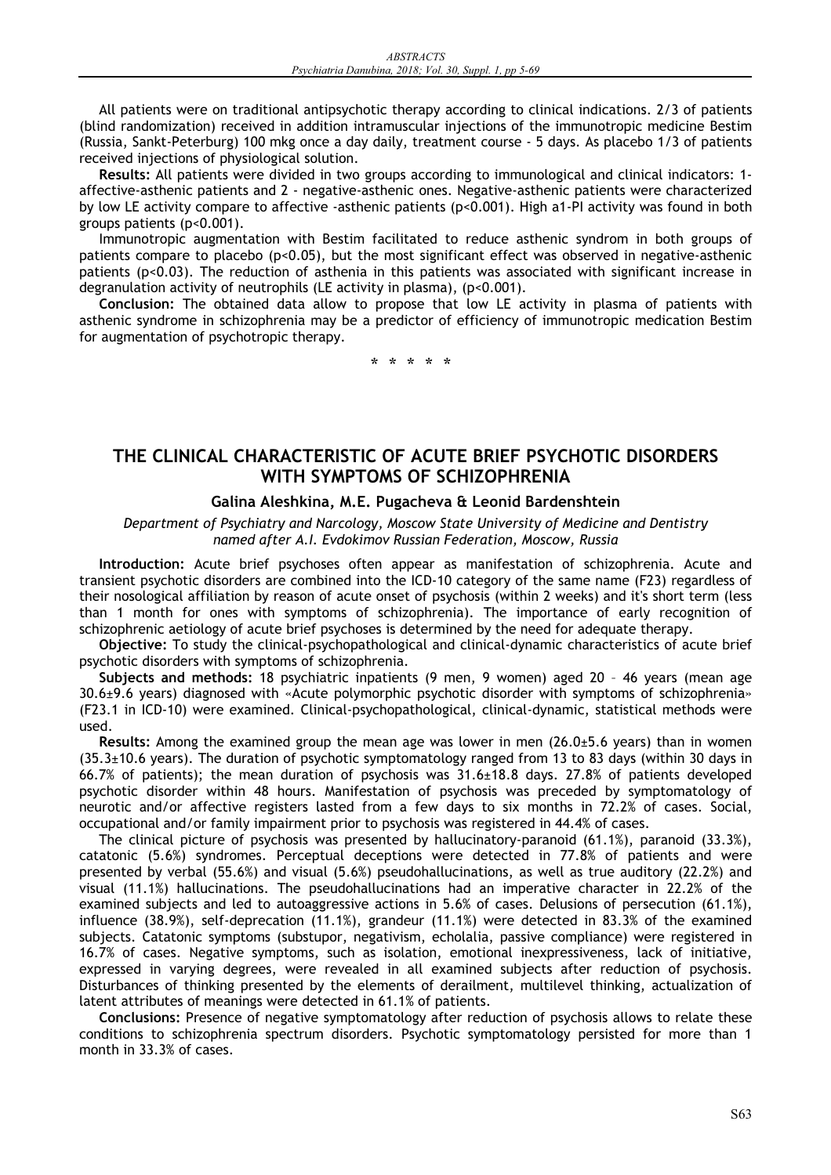All patients were on traditional antipsychotic therapy according to clinical indications. 2/3 of patients (blind randomization) received in addition intramuscular injections of the immunotropic medicine Bestim (Russia, Sankt-Peterburg) 100 mkg once a day daily, treatment course - 5 days. As placebo 1/3 of patients received injections of physiological solution.

**Results:** All patients were divided in two groups according to immunological and clinical indicators: 1 affective-asthenic patients and 2 - negative-asthenic ones. Negative-asthenic patients were characterized by low LE activity compare to affective -asthenic patients (p<0.001). High a1-PI activity was found in both groups patients (p<0.001).

Immunotropic augmentation with Bestim facilitated to reduce asthenic syndrom in both groups of patients compare to placebo (p<0.05), but the most significant effect was observed in negative-asthenic patients (p<0.03). The reduction of asthenia in this patients was associated with significant increase in degranulation activity of neutrophils (LE activity in plasma), (p<0.001).

**Conclusion:** The obtained data allow to propose that low LE activity in plasma of patients with asthenic syndrome in schizophrenia may be a predictor of efficiency of immunotropic medication Bestim for augmentation of psychotropic therapy.

**\*\*\*\*\***

# **THE CLINICAL CHARACTERISTIC OF ACUTE BRIEF PSYCHOTIC DISORDERS WITH SYMPTOMS OF SCHIZOPHRENIA**

### **Galina Aleshkina, M.E. Pugacheva & Leonid Bardenshtein**

*Department of Psychiatry and Narcology, Moscow State University of Medicine and Dentistry named after A.I. Evdokimov Russian Federation, Moscow, Russia* 

**Introduction:** Acute brief psychoses often appear as manifestation of schizophrenia. Acute and transient psychotic disorders are combined into the ICD-10 category of the same name (F23) regardless of their nosological affiliation by reason of acute onset of psychosis (within 2 weeks) and it's short term (less than 1 month for ones with symptoms of schizophrenia). The importance of early recognition of schizophrenic aetiology of acute brief psychoses is determined by the need for adequate therapy.

**Objective:** To study the clinical-psychopathological and clinical-dynamic characteristics of acute brief psychotic disorders with symptoms of schizophrenia.

**Subjects and methods:** 18 psychiatric inpatients (9 men, 9 women) aged 20 – 46 years (mean age 30.6±9.6 years) diagnosed with «Acute polymorphic psychotic disorder with symptoms of schizophrenia» (F23.1 in ICD-10) were examined. Clinical-psychopathological, clinical-dynamic, statistical methods were used.

**Results:** Among the examined group the mean age was lower in men (26.0±5.6 years) than in women  $(35.3\pm10.6$  years). The duration of psychotic symptomatology ranged from 13 to 83 days (within 30 days in 66.7% of patients); the mean duration of psychosis was 31.6±18.8 days. 27.8% of patients developed psychotic disorder within 48 hours. Manifestation of psychosis was preceded by symptomatology of neurotic and/or affective registers lasted from a few days to six months in 72.2% of cases. Social, occupational and/or family impairment prior to psychosis was registered in 44.4% of cases.

The clinical picture of psychosis was presented by hallucinatory-paranoid (61.1%), paranoid (33.3%), catatonic (5.6%) syndromes. Perceptual deceptions were detected in 77.8% of patients and were presented by verbal (55.6%) and visual (5.6%) pseudohallucinations, as well as true auditory (22.2%) and visual (11.1%) hallucinations. The pseudohallucinations had an imperative character in 22.2% of the examined subjects and led to autoaggressive actions in 5.6% of cases. Delusions of persecution (61.1%), influence (38.9%), self-deprecation (11.1%), grandeur (11.1%) were detected in 83.3% of the examined subjects. Catatonic symptoms (substupor, negativism, echolalia, passive compliance) were registered in 16.7% of cases. Negative symptoms, such as isolation, emotional inexpressiveness, lack of initiative, expressed in varying degrees, were revealed in all examined subjects after reduction of psychosis. Disturbances of thinking presented by the elements of derailment, multilevel thinking, actualization of latent attributes of meanings were detected in 61.1% of patients.

**Conclusions:** Presence of negative symptomatology after reduction of psychosis allows to relate these conditions to schizophrenia spectrum disorders. Psychotic symptomatology persisted for more than 1 month in 33.3% of cases.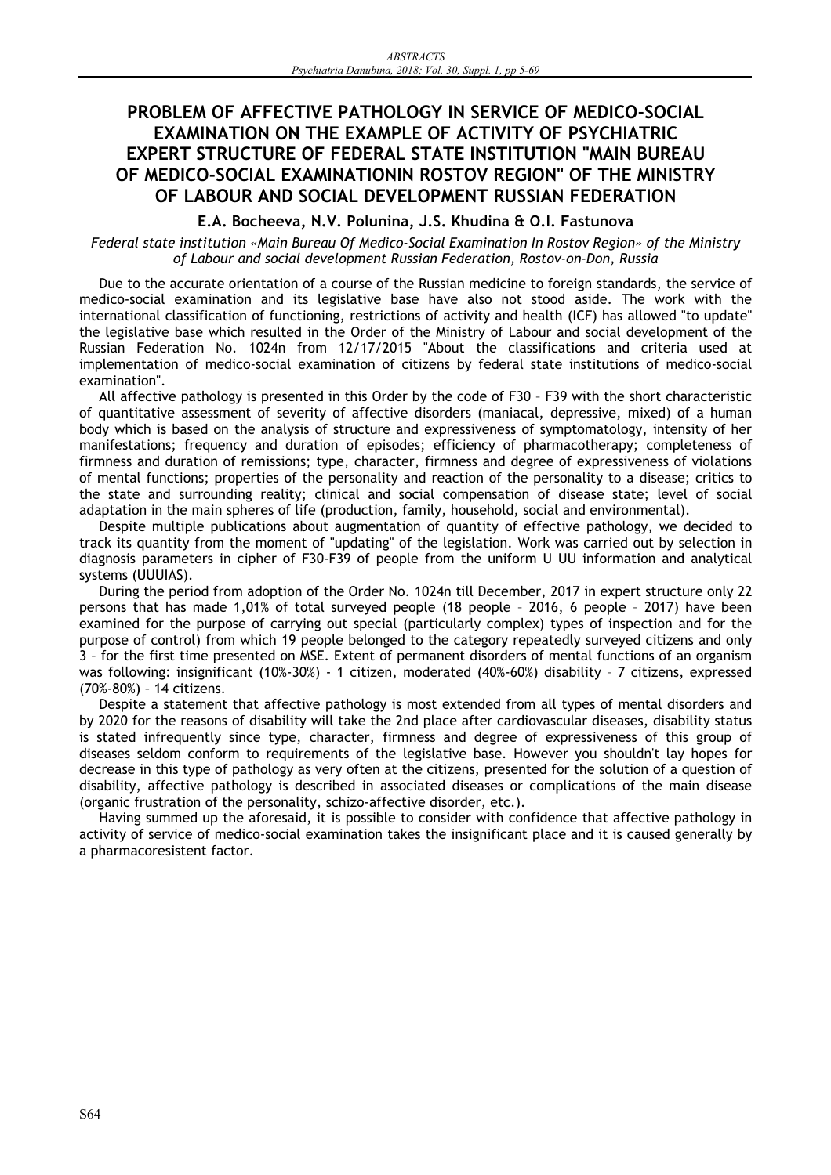# **PROBLEM OF AFFECTIVE PATHOLOGY IN SERVICE OF MEDICO-SOCIAL EXAMINATION ON THE EXAMPLE OF ACTIVITY OF PSYCHIATRIC EXPERT STRUCTURE OF FEDERAL STATE INSTITUTION "MAIN BUREAU OF MEDICO-SOCIAL EXAMINATIONIN ROSTOV REGION" OF THE MINISTRY OF LABOUR AND SOCIAL DEVELOPMENT RUSSIAN FEDERATION**

### **E.A. Bocheeva, N.V. Polunina, J.S. Khudina & O.I. Fastunova**

*Federal state institution «Main Bureau Of Medico-Social Examination In Rostov Region» of the Ministry of Labour and social development Russian Federation, Rostov-on-Don, Russia* 

Due to the accurate orientation of a course of the Russian medicine to foreign standards, the service of medico-social examination and its legislative base have also not stood aside. The work with the international classification of functioning, restrictions of activity and health (ICF) has allowed "to update" the legislative base which resulted in the Order of the Ministry of Labour and social development of the Russian Federation No. 1024n from 12/17/2015 "About the classifications and criteria used at implementation of medico-social examination of citizens by federal state institutions of medico-social examination".

All affective pathology is presented in this Order by the code of F30 – F39 with the short characteristic of quantitative assessment of severity of affective disorders (maniacal, depressive, mixed) of a human body which is based on the analysis of structure and expressiveness of symptomatology, intensity of her manifestations; frequency and duration of episodes; efficiency of pharmacotherapy; completeness of firmness and duration of remissions; type, character, firmness and degree of expressiveness of violations of mental functions; properties of the personality and reaction of the personality to a disease; critics to the state and surrounding reality; clinical and social compensation of disease state; level of social adaptation in the main spheres of life (production, family, household, social and environmental).

Despite multiple publications about augmentation of quantity of effective pathology, we decided to track its quantity from the moment of "updating" of the legislation. Work was carried out by selection in diagnosis parameters in cipher of F30-F39 of people from the uniform U UU information and analytical systems (UUUIAS).

During the period from adoption of the Order No. 1024n till December, 2017 in expert structure only 22 persons that has made 1,01% of total surveyed people (18 people – 2016, 6 people – 2017) have been examined for the purpose of carrying out special (particularly complex) types of inspection and for the purpose of control) from which 19 people belonged to the category repeatedly surveyed citizens and only 3 – for the first time presented on MSE. Extent of permanent disorders of mental functions of an organism was following: insignificant (10%-30%) - 1 citizen, moderated (40%-60%) disability – 7 citizens, expressed (70%-80%) – 14 citizens.

Despite a statement that affective pathology is most extended from all types of mental disorders and by 2020 for the reasons of disability will take the 2nd place after cardiovascular diseases, disability status is stated infrequently since type, character, firmness and degree of expressiveness of this group of diseases seldom conform to requirements of the legislative base. However you shouldn't lay hopes for decrease in this type of pathology as very often at the citizens, presented for the solution of a question of disability, affective pathology is described in associated diseases or complications of the main disease (organic frustration of the personality, schizo-affective disorder, etc.).

Having summed up the aforesaid, it is possible to consider with confidence that affective pathology in activity of service of medico-social examination takes the insignificant place and it is caused generally by a pharmacoresistent factor.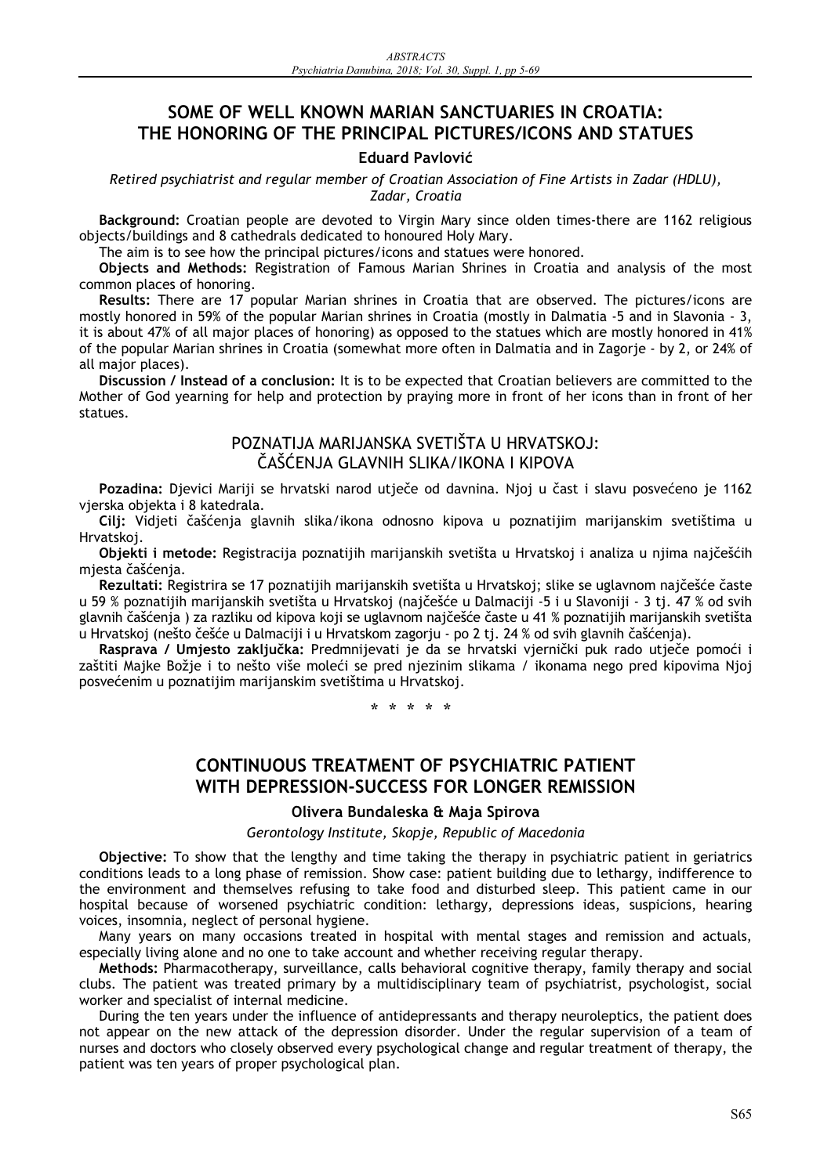# **SOME OF WELL KNOWN MARIAN SANCTUARIES IN CROATIA: THE HONORING OF THE PRINCIPAL PICTURES/ICONS AND STATUES**

### **Eduard Pavlović**

*Retired psychiatrist and regular member of Croatian Association of Fine Artists in Zadar (HDLU), Zadar, Croatia* 

**Background:** Croatian people are devoted to Virgin Mary since olden times-there are 1162 religious objects/buildings and 8 cathedrals dedicated to honoured Holy Mary.

The aim is to see how the principal pictures/icons and statues were honored.

**Objects and Methods:** Registration of Famous Marian Shrines in Croatia and analysis of the most common places of honoring.

**Results:** There are 17 popular Marian shrines in Croatia that are observed. The pictures/icons are mostly honored in 59% of the popular Marian shrines in Croatia (mostly in Dalmatia -5 and in Slavonia - 3, it is about 47% of all major places of honoring) as opposed to the statues which are mostly honored in 41% of the popular Marian shrines in Croatia (somewhat more often in Dalmatia and in Zagorje - by 2, or 24% of all major places).

**Discussion / Instead of a conclusion:** It is to be expected that Croatian believers are committed to the Mother of God yearning for help and protection by praying more in front of her icons than in front of her statues.

### POZNATIJA MARIJANSKA SVETIŠTA U HRVATSKOJ: ČAŠĆENJA GLAVNIH SLIKA/IKONA I KIPOVA

Pozadina: Djevici Mariji se hrvatski narod utječe od davnina. Njoj u čast i slavu posvećeno je 1162 vjerska objekta i 8 katedrala.

Cilj: Vidjeti čašćenja glavnih slika/ikona odnosno kipova u poznatijim marijanskim svetištima u Hrvatskoj.

Objekti i metode: Registracija poznatijih marijanskih svetišta u Hrvatskoj i analiza u njima najčešćih mjesta čašćenja.

Rezultati: Registrira se 17 poznatijih marijanskih svetišta u Hrvatskoj; slike se uglavnom najčešće časte u 59 % poznatijih marijanskih svetišta u Hrvatskoj (najčešće u Dalmaciji -5 i u Slavoniji - 3 tj. 47 % od svih glavnih čašćenja ) za razliku od kipova koji se uglavnom najčešće časte u 41 % poznatijih marijanskih svetišta u Hrvatskoj (nešto češće u Dalmaciji i u Hrvatskom zagorju - po 2 tj. 24 % od svih glavnih čašćenja).

**Rasprava / Umjesto zakljuĆka:** Predmnijevati je da se hrvatski vjerniĆki puk rado utjeĆe pomoĄi i zaštiti Majke Božje i to nešto više moleći se pred njezinim slikama / ikonama nego pred kipovima Njoj posvećenim u poznatijim marijanskim svetištima u Hrvatskoj.

**\*\*\*\*\***

# **CONTINUOUS TREATMENT OF PSYCHIATRIC PATIENT WITH DEPRESSION-SUCCESS FOR LONGER REMISSION**

### **Olivera Bundaleska & Maja Spirova**

#### *Gerontology Institute, Skopje, Republic of Macedonia*

**Objective:** To show that the lengthy and time taking the therapy in psychiatric patient in geriatrics conditions leads to a long phase of remission. Show case: patient building due to lethargy, indifference to the environment and themselves refusing to take food and disturbed sleep. This patient came in our hospital because of worsened psychiatric condition: lethargy, depressions ideas, suspicions, hearing voices, insomnia, neglect of personal hygiene.

Many years on many occasions treated in hospital with mental stages and remission and actuals, especially living alone and no one to take account and whether receiving regular therapy.

**Methods:** Pharmacotherapy, surveillance, calls behavioral cognitive therapy, family therapy and social clubs. The patient was treated primary by a multidisciplinary team of psychiatrist, psychologist, social worker and specialist of internal medicine.

During the ten years under the influence of antidepressants and therapy neuroleptics, the patient does not appear on the new attack of the depression disorder. Under the regular supervision of a team of nurses and doctors who closely observed every psychological change and regular treatment of therapy, the patient was ten years of proper psychological plan.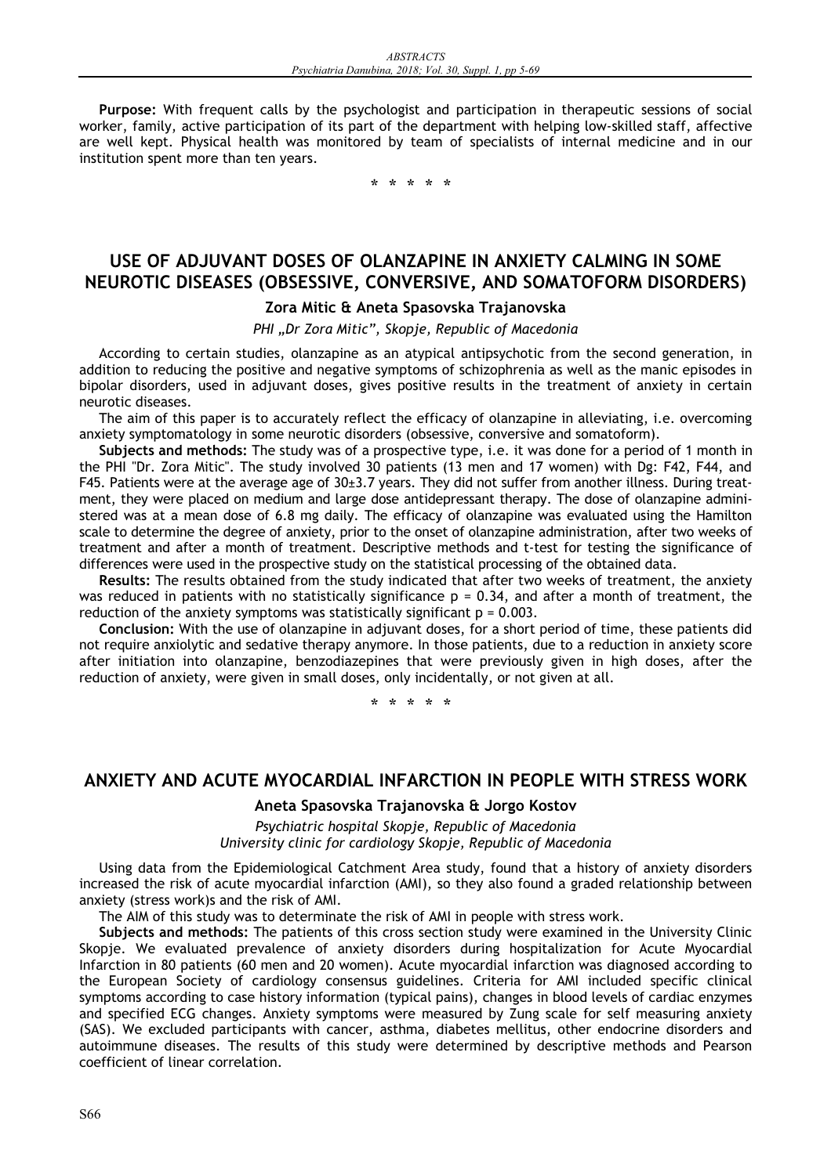**Purpose:** With frequent calls by the psychologist and participation in therapeutic sessions of social worker, family, active participation of its part of the department with helping low-skilled staff, affective are well kept. Physical health was monitored by team of specialists of internal medicine and in our institution spent more than ten years.

**\*\*\*\*\***

# **USE OF ADJUVANT DOSES OF OLANZAPINE IN ANXIETY CALMING IN SOME NEUROTIC DISEASES (OBSESSIVE, CONVERSIVE, AND SOMATOFORM DISORDERS)**

#### **Zora Mitic & Aneta Spasovska Trajanovska**

*PHI "Dr Zora Mitic", Skopje, Republic of Macedonia* 

According to certain studies, olanzapine as an atypical antipsychotic from the second generation, in addition to reducing the positive and negative symptoms of schizophrenia as well as the manic episodes in bipolar disorders, used in adjuvant doses, gives positive results in the treatment of anxiety in certain neurotic diseases.

The aim of this paper is to accurately reflect the efficacy of olanzapine in alleviating, i.e. overcoming anxiety symptomatology in some neurotic disorders (obsessive, conversive and somatoform).

**Subjects and methods:** The study was of a prospective type, i.e. it was done for a period of 1 month in the PHI "Dr. Zora Mitic". The study involved 30 patients (13 men and 17 women) with Dg: F42, F44, and F45. Patients were at the average age of 30±3.7 years. They did not suffer from another illness. During treatment, they were placed on medium and large dose antidepressant therapy. The dose of olanzapine administered was at a mean dose of 6.8 mg daily. The efficacy of olanzapine was evaluated using the Hamilton scale to determine the degree of anxiety, prior to the onset of olanzapine administration, after two weeks of treatment and after a month of treatment. Descriptive methods and t-test for testing the significance of differences were used in the prospective study on the statistical processing of the obtained data.

**Results:** The results obtained from the study indicated that after two weeks of treatment, the anxiety was reduced in patients with no statistically significance  $p = 0.34$ , and after a month of treatment, the reduction of the anxiety symptoms was statistically significant  $p = 0.003$ .

**Conclusion:** With the use of olanzapine in adjuvant doses, for a short period of time, these patients did not require anxiolytic and sedative therapy anymore. In those patients, due to a reduction in anxiety score after initiation into olanzapine, benzodiazepines that were previously given in high doses, after the reduction of anxiety, were given in small doses, only incidentally, or not given at all.

**\*\*\*\*\***

# **ANXIETY AND ACUTE MYOCARDIAL INFARCTION IN PEOPLE WITH STRESS WORK**

### **Aneta Spasovska Trajanovska & Jorgo Kostov**

*Psychiatric hospital Skopje, Republic of Macedonia University clinic for cardiology Skopje, Republic of Macedonia* 

Using data from the Epidemiological Catchment Area study, found that a history of anxiety disorders increased the risk of acute myocardial infarction (AMI), so they also found a graded relationship between anxiety (stress work)s and the risk of AMI.

The AIM of this study was to determinate the risk of AMI in people with stress work.

**Subjects and methods:** The patients of this cross section study were examined in the University Clinic Skopje. We evaluated prevalence of anxiety disorders during hospitalization for Acute Myocardial Infarction in 80 patients (60 men and 20 women). Acute myocardial infarction was diagnosed according to the European Society of cardiology consensus guidelines. Criteria for AMI included specific clinical symptoms according to case history information (typical pains), changes in blood levels of cardiac enzymes and specified ECG changes. Anxiety symptoms were measured by Zung scale for self measuring anxiety (SAS). We excluded participants with cancer, asthma, diabetes mellitus, other endocrine disorders and autoimmune diseases. The results of this study were determined by descriptive methods and Pearson coefficient of linear correlation.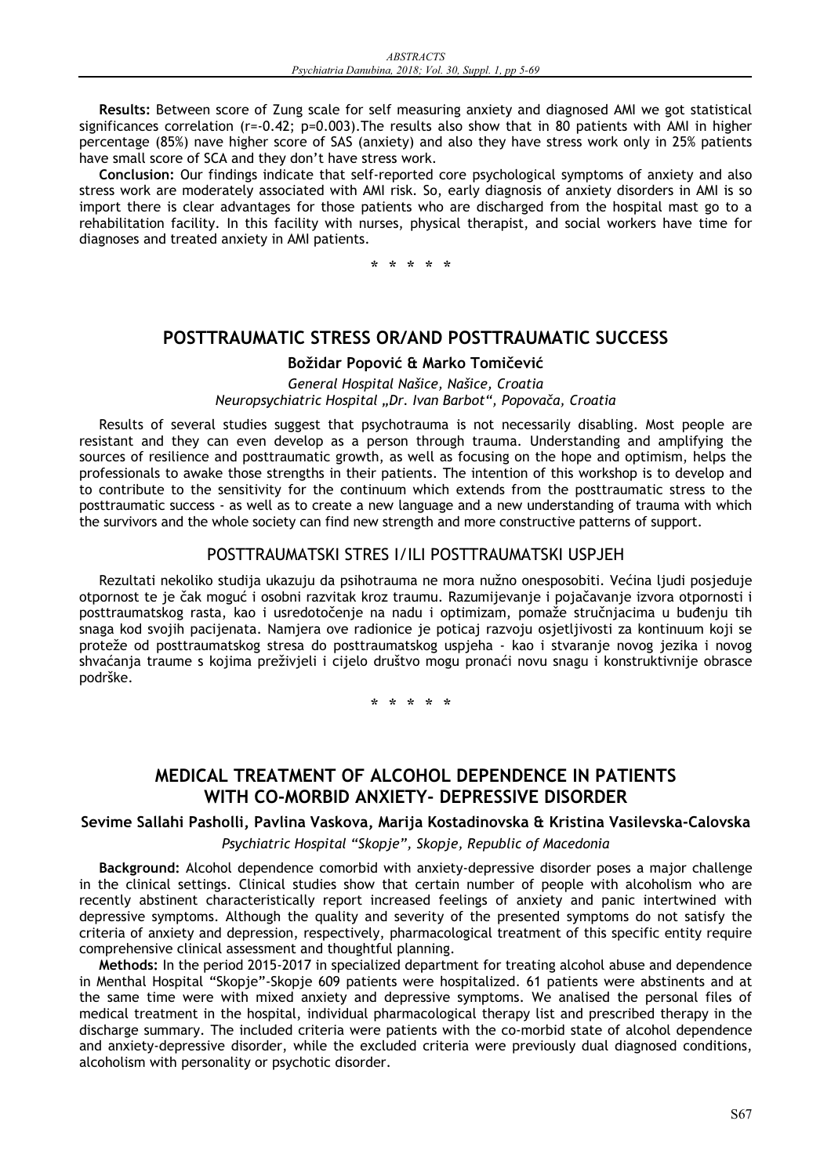**Results:** Between score of Zung scale for self measuring anxiety and diagnosed AMI we got statistical significances correlation (r=-0.42; p=0.003). The results also show that in 80 patients with AMI in higher percentage (85%) nave higher score of SAS (anxiety) and also they have stress work only in 25% patients have small score of SCA and they don't have stress work.

**Conclusion:** Our findings indicate that self-reported core psychological symptoms of anxiety and also stress work are moderately associated with AMI risk. So, early diagnosis of anxiety disorders in AMI is so import there is clear advantages for those patients who are discharged from the hospital mast go to a rehabilitation facility. In this facility with nurses, physical therapist, and social workers have time for diagnoses and treated anxiety in AMI patients.

**\*\*\*\*\***

## **POSTTRAUMATIC STRESS OR/AND POSTTRAUMATIC SUCCESS**

### **Božidar PopoviĄ & Marko TomiĆeviĄ**

*General Hospital Našice, Našice, Croatia Neuropsychiatric Hospital "Dr. Ivan Barbot", PopovaĆa, Croatia* 

Results of several studies suggest that psychotrauma is not necessarily disabling. Most people are resistant and they can even develop as a person through trauma. Understanding and amplifying the sources of resilience and posttraumatic growth, as well as focusing on the hope and optimism, helps the professionals to awake those strengths in their patients. The intention of this workshop is to develop and to contribute to the sensitivity for the continuum which extends from the posttraumatic stress to the posttraumatic success - as well as to create a new language and a new understanding of trauma with which the survivors and the whole society can find new strength and more constructive patterns of support.

## POSTTRAUMATSKI STRES I/ILI POSTTRAUMATSKI USPJEH

Rezultati nekoliko studija ukazuju da psihotrauma ne mora nužno onesposobiti. Većina ljudi posjeduje otpornost te je čak moguć i osobni razvitak kroz traumu. Razumijevanje i pojačavanje izvora otpornosti i posttraumatskog rasta, kao i usredotoĆenje na nadu i optimizam, pomaže struĆnjacima u bućenju tih snaga kod svojih pacijenata. Namjera ove radionice je poticaj razvoju osjetljivosti za kontinuum koji se proteže od posttraumatskog stresa do posttraumatskog uspjeha - kao i stvaranje novog jezika i novog shvaćanja traume s kojima preživjeli i cijelo društvo mogu pronaći novu snagu i konstruktivnije obrasce podrške.

**\*\*\*\*\***

# **MEDICAL TREATMENT OF ALCOHOL DEPENDENCE IN PATIENTS WITH CO-MORBID ANXIETY- DEPRESSIVE DISORDER**

#### **Sevime Sallahi Pasholli, Pavlina Vaskova, Marija Kostadinovska & Kristina Vasilevska-Calovska**

### *Psychiatric Hospital "Skopje", Skopje, Republic of Macedonia*

**Background:** Alcohol dependence comorbid with anxiety-depressive disorder poses a major challenge in the clinical settings. Clinical studies show that certain number of people with alcoholism who are recently abstinent characteristically report increased feelings of anxiety and panic intertwined with depressive symptoms. Although the quality and severity of the presented symptoms do not satisfy the criteria of anxiety and depression, respectively, pharmacological treatment of this specific entity require comprehensive clinical assessment and thoughtful planning.

**Methods:** In the period 2015-2017 in specialized department for treating alcohol abuse and dependence in Menthal Hospital "Skopje"-Skopje 609 patients were hospitalized. 61 patients were abstinents and at the same time were with mixed anxiety and depressive symptoms. We analised the personal files of medical treatment in the hospital, individual pharmacological therapy list and prescribed therapy in the discharge summary. The included criteria were patients with the co-morbid state of alcohol dependence and anxiety-depressive disorder, while the excluded criteria were previously dual diagnosed conditions, alcoholism with personality or psychotic disorder.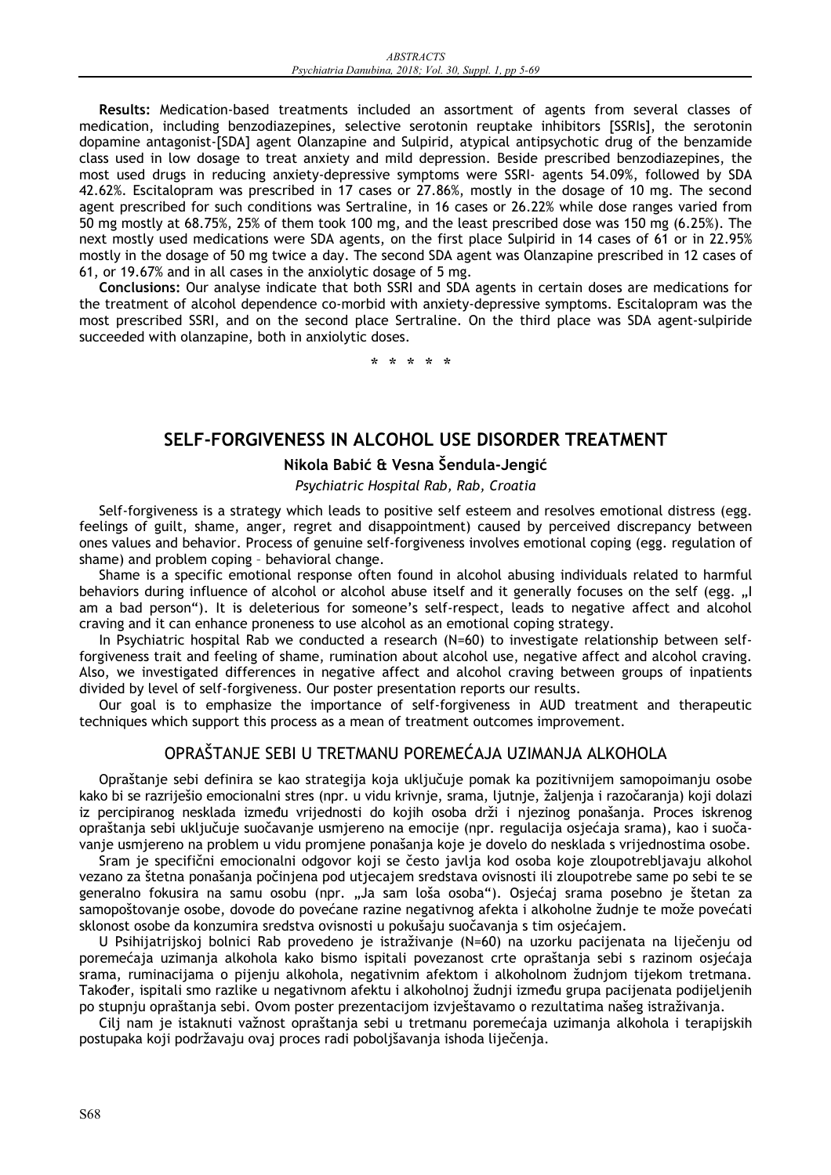**Results:** Medication-based treatments included an assortment of agents from several classes of medication, including benzodiazepines, selective serotonin reuptake inhibitors [SSRIs], the serotonin dopamine antagonist-[SDA] agent Olanzapine and Sulpirid, atypical antipsychotic drug of the benzamide class used in low dosage to treat anxiety and mild depression. Beside prescribed benzodiazepines, the most used drugs in reducing anxiety-depressive symptoms were SSRI- agents 54.09%, followed by SDA 42.62%. Escitalopram was prescribed in 17 cases or 27.86%, mostly in the dosage of 10 mg. The second agent prescribed for such conditions was Sertraline, in 16 cases or 26.22% while dose ranges varied from 50 mg mostly at 68.75%, 25% of them took 100 mg, and the least prescribed dose was 150 mg (6.25%). The next mostly used medications were SDA agents, on the first place Sulpirid in 14 cases of 61 or in 22.95% mostly in the dosage of 50 mg twice a day. The second SDA agent was Olanzapine prescribed in 12 cases of 61, or 19.67% and in all cases in the anxiolytic dosage of 5 mg.

**Conclusions:** Our analyse indicate that both SSRI and SDA agents in certain doses are medications for the treatment of alcohol dependence co-morbid with anxiety-depressive symptoms. Escitalopram was the most prescribed SSRI, and on the second place Sertraline. On the third place was SDA agent-sulpiride succeeded with olanzapine, both in anxiolytic doses.

**\*\*\*\*\***

# **SELF-FORGIVENESS IN ALCOHOL USE DISORDER TREATMENT**

## **Nikola BabiĄ & Vesna Šendula-JengiĄ**

### *Psychiatric Hospital Rab, Rab, Croatia*

Self-forgiveness is a strategy which leads to positive self esteem and resolves emotional distress (egg. feelings of guilt, shame, anger, regret and disappointment) caused by perceived discrepancy between ones values and behavior. Process of genuine self-forgiveness involves emotional coping (egg. regulation of shame) and problem coping – behavioral change.

Shame is a specific emotional response often found in alcohol abusing individuals related to harmful behaviors during influence of alcohol or alcohol abuse itself and it generally focuses on the self (egg. ... am a bad person"). It is deleterious for someone's self-respect, leads to negative affect and alcohol craving and it can enhance proneness to use alcohol as an emotional coping strategy.

In Psychiatric hospital Rab we conducted a research (N=60) to investigate relationship between selfforgiveness trait and feeling of shame, rumination about alcohol use, negative affect and alcohol craving. Also, we investigated differences in negative affect and alcohol craving between groups of inpatients divided by level of self-forgiveness. Our poster presentation reports our results.

Our goal is to emphasize the importance of self-forgiveness in AUD treatment and therapeutic techniques which support this process as a mean of treatment outcomes improvement.

## OPRAŠTANJE SEBI U TRETMANU POREMEăAJA UZIMANJA ALKOHOLA

Opraštanje sebi definira se kao strategija koja ukljuĆuje pomak ka pozitivnijem samopoimanju osobe kako bi se razriješio emocionalni stres (npr. u vidu krivnje, srama, ljutnje, žaljenja i razoĆaranja) koji dolazi iz percipiranog nesklada izmeću vrijednosti do kojih osoba drži i njezinog ponašanja. Proces iskrenog opraštanja sebi uključuje suočavanje usmjereno na emocije (npr. regulacija osjećaja srama), kao i suočavanje usmjereno na problem u vidu promjene ponašanja koje je dovelo do nesklada s vrijednostima osobe.

Sram je specifiĆni emocionalni odgovor koji se Ćesto javlja kod osoba koje zloupotrebljavaju alkohol vezano za štetna ponašanja poĆinjena pod utjecajem sredstava ovisnosti ili zloupotrebe same po sebi te se generalno fokusira na samu osobu (npr. "Ja sam loša osoba"). Osjećaj srama posebno je štetan za samopoštovanje osobe, dovode do povećane razine negativnog afekta i alkoholne žudnje te može povećati sklonost osobe da konzumira sredstva ovisnosti u pokušaju suočavanja s tim osjećajem.

U Psihijatrijskoj bolnici Rab provedeno je istraživanje (N=60) na uzorku pacijenata na lijeĆenju od poremećaja uzimanja alkohola kako bismo ispitali povezanost crte opraštanja sebi s razinom osjećaja srama, ruminacijama o pijenju alkohola, negativnim afektom i alkoholnom žudnjom tijekom tretmana. Također, ispitali smo razlike u negativnom afektu i alkoholnoj žudnij između grupa pacijenata podijeljenih po stupnju opraštanja sebi. Ovom poster prezentacijom izvještavamo o rezultatima našeg istraživanja.

Cili nam je istaknuti važnost opraštanja sebi u tretmanu poremećaja uzimanja alkohola i terapijskih postupaka koji podržavaju ovaj proces radi poboljšavanja ishoda lijeĆenja.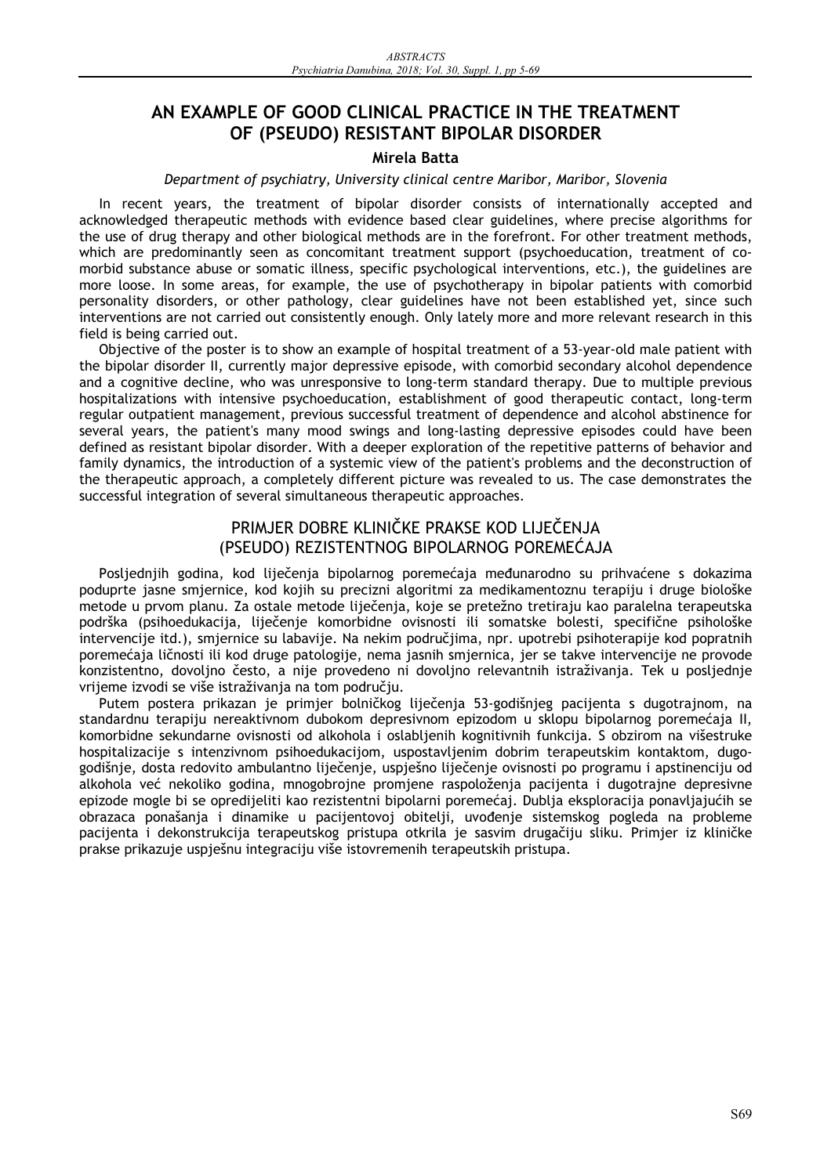# **AN EXAMPLE OF GOOD CLINICAL PRACTICE IN THE TREATMENT OF (PSEUDO) RESISTANT BIPOLAR DISORDER**

#### **Mirela Batta**

#### *Department of psychiatry, University clinical centre Maribor, Maribor, Slovenia*

In recent years, the treatment of bipolar disorder consists of internationally accepted and acknowledged therapeutic methods with evidence based clear guidelines, where precise algorithms for the use of drug therapy and other biological methods are in the forefront. For other treatment methods, which are predominantly seen as concomitant treatment support (psychoeducation, treatment of comorbid substance abuse or somatic illness, specific psychological interventions, etc.), the guidelines are more loose. In some areas, for example, the use of psychotherapy in bipolar patients with comorbid personality disorders, or other pathology, clear guidelines have not been established yet, since such interventions are not carried out consistently enough. Only lately more and more relevant research in this field is being carried out.

Objective of the poster is to show an example of hospital treatment of a 53-year-old male patient with the bipolar disorder II, currently major depressive episode, with comorbid secondary alcohol dependence and a cognitive decline, who was unresponsive to long-term standard therapy. Due to multiple previous hospitalizations with intensive psychoeducation, establishment of good therapeutic contact, long-term regular outpatient management, previous successful treatment of dependence and alcohol abstinence for several years, the patient's many mood swings and long-lasting depressive episodes could have been defined as resistant bipolar disorder. With a deeper exploration of the repetitive patterns of behavior and family dynamics, the introduction of a systemic view of the patient's problems and the deconstruction of the therapeutic approach, a completely different picture was revealed to us. The case demonstrates the successful integration of several simultaneous therapeutic approaches.

## PRIMJER DOBRE KLINIČKE PRAKSE KOD LIJEČENJA (PSEUDO) REZISTENTNOG BIPOLARNOG POREMEăAJA

Posljednjih godina, kod liječenja bipolarnog poremećaja međunarodno su prihvaćene s dokazima poduprte jasne smjernice, kod kojih su precizni algoritmi za medikamentoznu terapiju i druge biološke metode u prvom planu. Za ostale metode lijeĆenja, koje se pretežno tretiraju kao paralelna terapeutska podrška (psihoedukacija, liječenje komorbidne ovisnosti ili somatske bolesti, specifične psihološke intervencije itd.), smjernice su labavije. Na nekim podruĆjima, npr. upotrebi psihoterapije kod popratnih poremećaja ličnosti ili kod druge patologije, nema jasnih smjernica, jer se takve intervencije ne provode konzistentno, dovoljno Ćesto, a nije provedeno ni dovoljno relevantnih istraživanja. Tek u posljednje vrijeme izvodi se više istraživanja na tom podruĆju.

Putem postera prikazan je primjer bolniĆkog lijeĆenja 53-godišnjeg pacijenta s dugotrajnom, na standardnu terapiju nereaktivnom dubokom depresivnom epizodom u sklopu bipolarnog poremećaja II, komorbidne sekundarne ovisnosti od alkohola i oslabljenih kognitivnih funkcija. S obzirom na višestruke hospitalizacije s intenzivnom psihoedukacijom, uspostavljenim dobrim terapeutskim kontaktom, dugogodišnje, dosta redovito ambulantno lijeĆenje, uspješno lijeĆenje ovisnosti po programu i apstinenciju od alkohola već nekoliko godina, mnogobrojne promjene raspoloženja pacijenta i dugotrajne depresivne epizode mogle bi se opredijeliti kao rezistentni bipolarni poremećaj. Dublja eksploracija ponavljajućih se obrazaca ponašanja i dinamike u pacijentovoj obitelji, uvoćenje sistemskog pogleda na probleme pacijenta i dekonstrukcija terapeutskog pristupa otkrila je sasvim drugaĆiju sliku. Primjer iz kliniĆke prakse prikazuje uspješnu integraciju više istovremenih terapeutskih pristupa.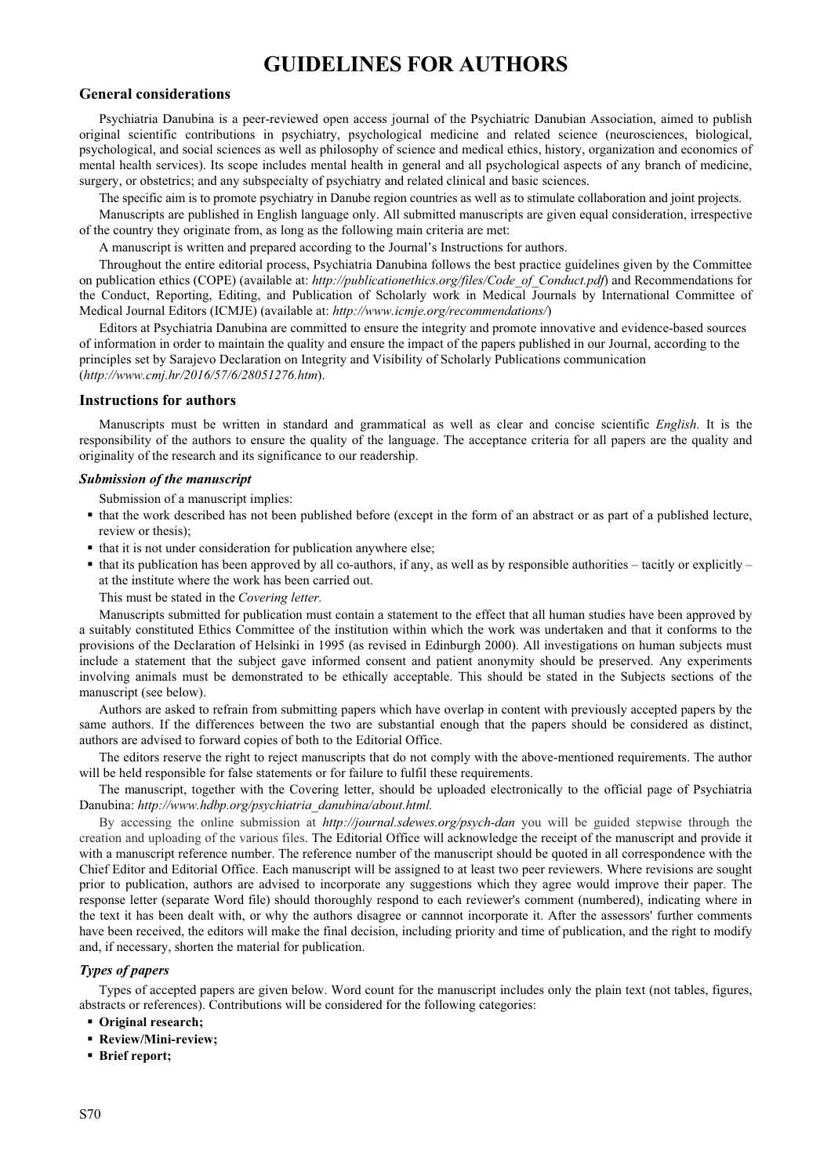# **GUIDELINES FOR AUTHORS**

#### **General considerations**

Psychiatria Danubina is a peer-reviewed open access journal of the Psychiatric Danubian Association, aimed to publish original scientific contributions in psychiatry, psychological medicine and related science (neurosciences, biological, psychological, and social sciences as well as philosophy of science and medical ethics, history, organization and economics of mental health services). Its scope includes mental health in general and all psychological aspects of any branch of medicine, surgery, or obstetrics; and any subspecialty of psychiatry and related clinical and basic sciences.

The specific aim is to promote psychiatry in Danube region countries as well as to stimulate collaboration and joint projects.

Manuscripts are published in English language only. All submitted manuscripts are given equal consideration, irrespective of the country they originate from, as long as the following main criteria are met:

A manuscript is written and prepared according to the Journal's Instructions for authors.

Throughout the entire editorial process, Psychiatria Danubina follows the best practice guidelines given by the Committee on publication ethics (COPE) (available at: *http://publicationethics.org/files/Code\_of\_Conduct.pdf*) and Recommendations for the Conduct, Reporting, Editing, and Publication of Scholarly work in Medical Journals by International Committee of Medical Journal Editors (ICMJE) (available at: *http://www.icmje.org/recommendations/*)

Editors at Psychiatria Danubina are committed to ensure the integrity and promote innovative and evidence-based sources of information in order to maintain the quality and ensure the impact of the papers published in our Journal, according to the principles set by Sarajevo Declaration on Integrity and Visibility of Scholarly Publications communication (*http://www.cmj.hr/2016/57/6/28051276.htm*).

#### **Instructions for authors**

Manuscripts must be written in standard and grammatical as well as clear and concise scientific *English*. It is the responsibility of the authors to ensure the quality of the language. The acceptance criteria for all papers are the quality and originality of the research and its significance to our readership.

#### *Submission of the manuscript*

Submission of a manuscript implies:

- that the work described has not been published before (except in the form of an abstract or as part of a published lecture, review or thesis);
- that it is not under consideration for publication anywhere else;
- $\bullet$  that its publication has been approved by all co-authors, if any, as well as by responsible authorities tacitly or explicitly at the institute where the work has been carried out.
	- This must be stated in the *Covering letter.*

Manuscripts submitted for publication must contain a statement to the effect that all human studies have been approved by a suitably constituted Ethics Committee of the institution within which the work was undertaken and that it conforms to the provisions of the Declaration of Helsinki in 1995 (as revised in Edinburgh 2000). All investigations on human subjects must include a statement that the subject gave informed consent and patient anonymity should be preserved. Any experiments involving animals must be demonstrated to be ethically acceptable. This should be stated in the Subjects sections of the manuscript (see below).

Authors are asked to refrain from submitting papers which have overlap in content with previously accepted papers by the same authors. If the differences between the two are substantial enough that the papers should be considered as distinct, authors are advised to forward copies of both to the Editorial Office.

The editors reserve the right to reject manuscripts that do not comply with the above-mentioned requirements. The author will be held responsible for false statements or for failure to fulfil these requirements.

The manuscript, together with the Covering letter, should be uploaded electronically to the official page of Psychiatria Danubina: *http://www.hdbp.org/psychiatria\_danubina/about.html.* 

By accessing the online submission at *http://journal.sdewes.org/psych-dan* you will be guided stepwise through the creation and uploading of the various files. The Editorial Office will acknowledge the receipt of the manuscript and provide it with a manuscript reference number. The reference number of the manuscript should be quoted in all correspondence with the Chief Editor and Editorial Office. Each manuscript will be assigned to at least two peer reviewers. Where revisions are sought prior to publication, authors are advised to incorporate any suggestions which they agree would improve their paper. The response letter (separate Word file) should thoroughly respond to each reviewer's comment (numbered), indicating where in the text it has been dealt with, or why the authors disagree or cannnot incorporate it. After the assessors' further comments have been received, the editors will make the final decision, including priority and time of publication, and the right to modify and, if necessary, shorten the material for publication.

#### *Types of papers*

Types of accepted papers are given below. Word count for the manuscript includes only the plain text (not tables, figures, abstracts or references). Contributions will be considered for the following categories:

- **Original research;**
- **Review/Mini-review;**
- **Brief report;**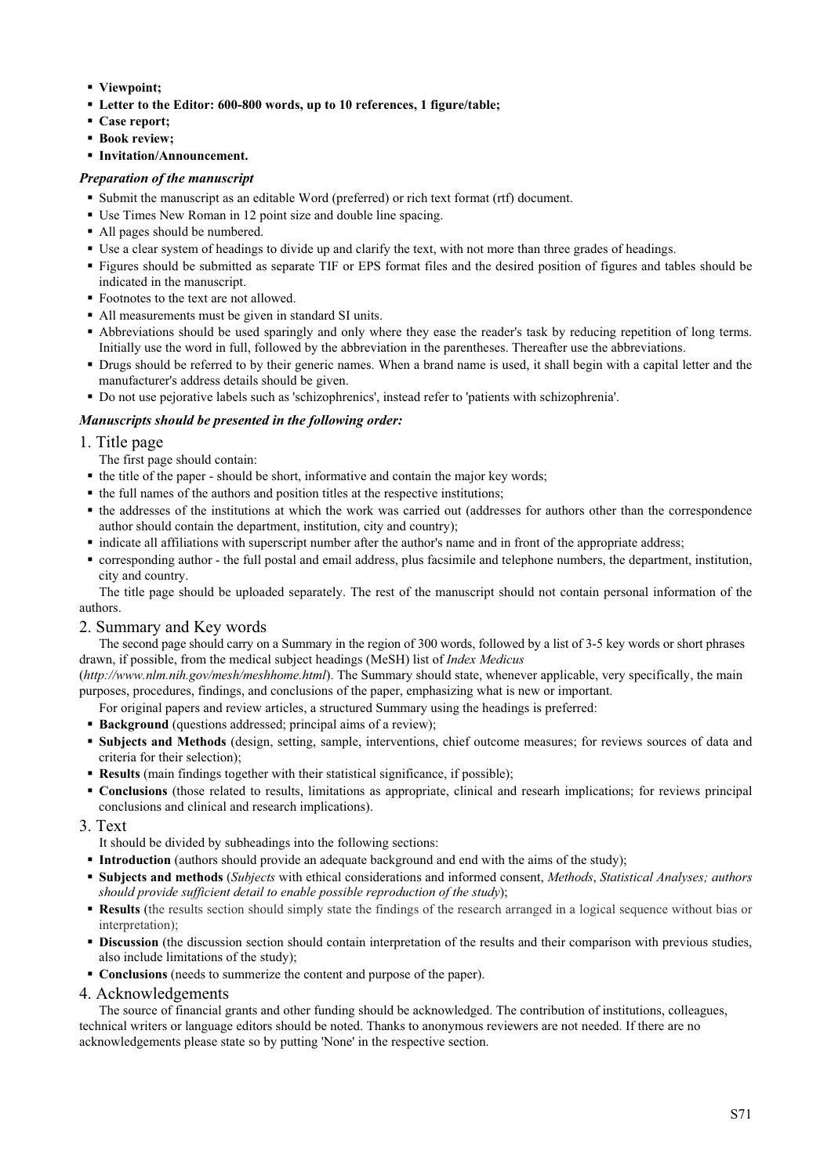- **Viewpoint;**
- **Letter to the Editor: 600-800 words, up to 10 references, 1 figure/table;**
- **Case report;**
- **Book review:**
- **Invitation/Announcement.**

#### *Preparation of the manuscript*

- Submit the manuscript as an editable Word (preferred) or rich text format (rtf) document.
- Use Times New Roman in 12 point size and double line spacing.
- All pages should be numbered.
- Use a clear system of headings to divide up and clarify the text, with not more than three grades of headings.
- Figures should be submitted as separate TIF or EPS format files and the desired position of figures and tables should be indicated in the manuscript.
- Footnotes to the text are not allowed.
- All measurements must be given in standard SI units.
- Abbreviations should be used sparingly and only where they ease the reader's task by reducing repetition of long terms. Initially use the word in full, followed by the abbreviation in the parentheses. Thereafter use the abbreviations.
- Drugs should be referred to by their generic names. When a brand name is used, it shall begin with a capital letter and the manufacturer's address details should be given.
- Do not use pejorative labels such as 'schizophrenics', instead refer to 'patients with schizophrenia'.

#### *Manuscripts should be presented in the following order:*

#### 1. Title page

- The first page should contain:
- the title of the paper should be short, informative and contain the major key words;
- $\blacksquare$  the full names of the authors and position titles at the respective institutions;
- the addresses of the institutions at which the work was carried out (addresses for authors other than the correspondence author should contain the department, institution, city and country);
- indicate all affiliations with superscript number after the author's name and in front of the appropriate address;
- corresponding author the full postal and email address, plus facsimile and telephone numbers, the department, institution, city and country.

The title page should be uploaded separately. The rest of the manuscript should not contain personal information of the authors.

#### 2. Summary and Key words

The second page should carry on a Summary in the region of 300 words, followed by a list of 3-5 key words or short phrases drawn, if possible, from the medical subject headings (MeSH) list of *Index Medicus*

(*http://www.nlm.nih.gov/mesh/meshhome.html*). The Summary should state, whenever applicable, very specifically, the main purposes, procedures, findings, and conclusions of the paper, emphasizing what is new or important.

- For original papers and review articles, a structured Summary using the headings is preferred:
- **Background** (questions addressed; principal aims of a review);
- **Subjects and Methods** (design, setting, sample, interventions, chief outcome measures; for reviews sources of data and criteria for their selection);
- **Results** (main findings together with their statistical significance, if possible);
- **Conclusions** (those related to results, limitations as appropriate, clinical and researh implications; for reviews principal conclusions and clinical and research implications).
- 3. Text
	- It should be divided by subheadings into the following sections:
	- **Introduction** (authors should provide an adequate background and end with the aims of the study);
- **Subjects and methods** (*Subjects* with ethical considerations and informed consent, *Methods*, *Statistical Analyses; authors should provide sufficient detail to enable possible reproduction of the study*);
- **Results** (the results section should simply state the findings of the research arranged in a logical sequence without bias or interpretation);
- **Discussion** (the discussion section should contain interpretation of the results and their comparison with previous studies, also include limitations of the study);
- **Conclusions** (needs to summerize the content and purpose of the paper).

#### 4. Acknowledgements

The source of financial grants and other funding should be acknowledged. The contribution of institutions, colleagues, technical writers or language editors should be noted. Thanks to anonymous reviewers are not needed. If there are no acknowledgements please state so by putting 'None' in the respective section.